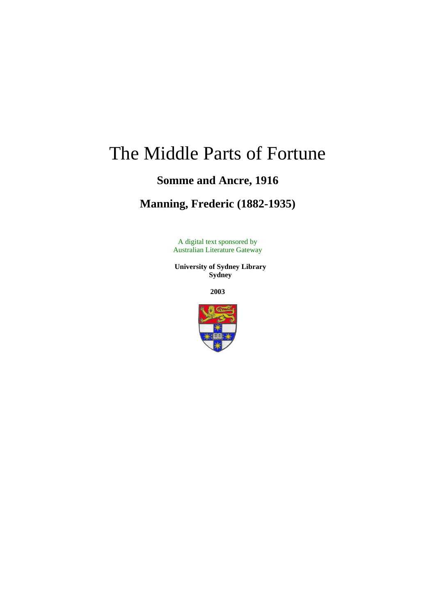## The Middle Parts of Fortune

### **Somme and Ancre, 1916**

## **Manning, Frederic (1882-1935)**

A digital text sponsored by Australian Literature Gateway

 **University of Sydney Library Sydney**

**2003**

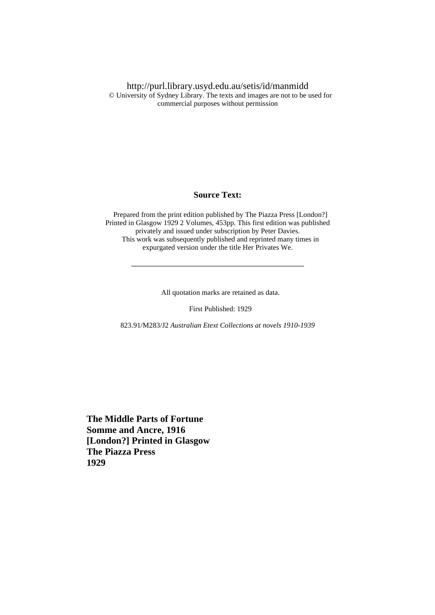http://purl.library.usyd.edu.au/setis/id/manmidd © University of Sydney Library. The texts and images are not to be used for commercial purposes without permission

#### **Source Text:**

 Prepared from the print edition published by The Piazza Press [London?] Printed in Glasgow 1929 2 Volumes, 453pp. This first edition was published privately and issued under subscription by Peter Davies. This work was subsequently published and reprinted many times in expurgated version under the title Her Privates We.

All quotation marks are retained as data.

First Published: 1929

823.91/M283/J2 *Australian Etext Collections at novels 1910-1939*

 **The Middle Parts of Fortune Somme and Ancre, 1916 [London?] Printed in Glasgow The Piazza Press 1929**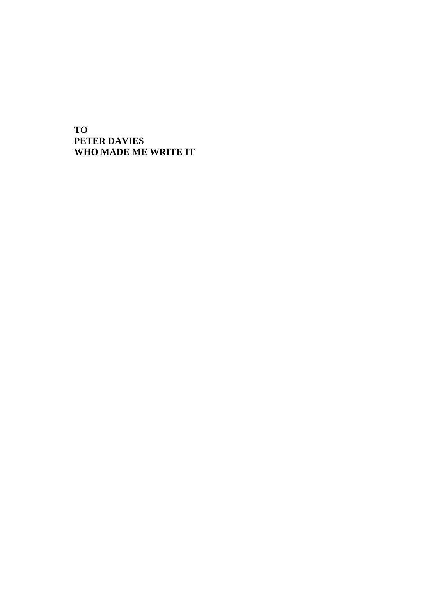**TO PETER DAVIES WHO MADE ME WRITE IT**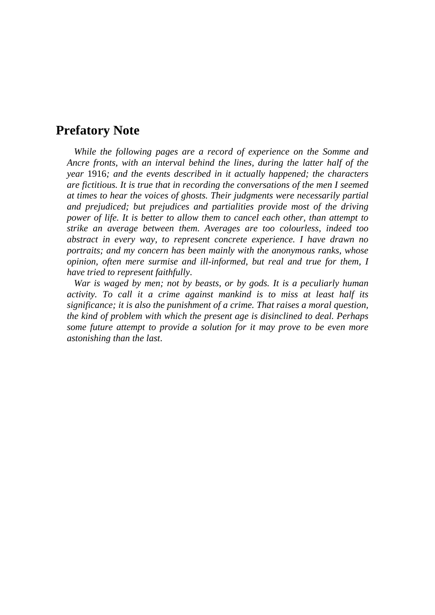### **Prefatory Note**

 *While the following pages are a record of experience on the Somme and Ancre fronts, with an interval behind the lines, during the latter half of the year* 1916*; and the events described in it actually happened; the characters are fictitious. It is true that in recording the conversations of the men I seemed at times to hear the voices of ghosts. Their judgments were necessarily partial and prejudiced; but prejudices and partialities provide most of the driving power of life. It is better to allow them to cancel each other, than attempt to strike an average between them. Averages are too colourless, indeed too abstract in every way, to represent concrete experience. I have drawn no portraits; and my concern has been mainly with the anonymous ranks, whose opinion, often mere surmise and ill-informed, but real and true for them, I have tried to represent faithfully*.

 *War is waged by men; not by beasts, or by gods. It is a peculiarly human activity. To call it a crime against mankind is to miss at least half its significance; it is also the punishment of a crime. That raises a moral question, the kind of problem with which the present age is disinclined to deal. Perhaps some future attempt to provide a solution for it may prove to be even more astonishing than the last*.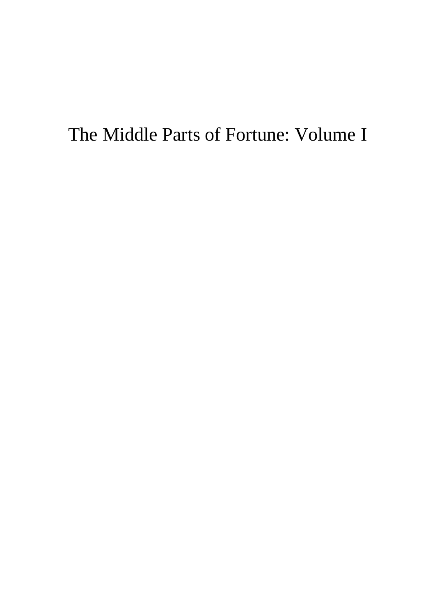# The Middle Parts of Fortune: Volume I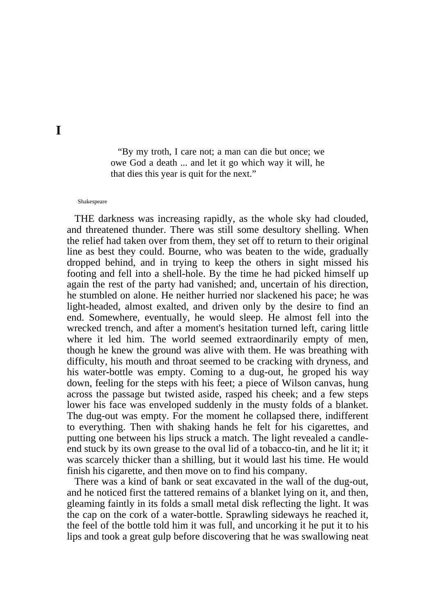"By my troth, I care not; a man can die but once; we owe God a death ... and let it go which way it will, he that dies this year is quit for the next."

#### Shakespeare

 THE darkness was increasing rapidly, as the whole sky had clouded, and threatened thunder. There was still some desultory shelling. When the relief had taken over from them, they set off to return to their original line as best they could. Bourne, who was beaten to the wide, gradually dropped behind, and in trying to keep the others in sight missed his footing and fell into a shell-hole. By the time he had picked himself up again the rest of the party had vanished; and, uncertain of his direction, he stumbled on alone. He neither hurried nor slackened his pace; he was light-headed, almost exalted, and driven only by the desire to find an end. Somewhere, eventually, he would sleep. He almost fell into the wrecked trench, and after a moment's hesitation turned left, caring little where it led him. The world seemed extraordinarily empty of men, though he knew the ground was alive with them. He was breathing with difficulty, his mouth and throat seemed to be cracking with dryness, and his water-bottle was empty. Coming to a dug-out, he groped his way down, feeling for the steps with his feet; a piece of Wilson canvas, hung across the passage but twisted aside, rasped his cheek; and a few steps lower his face was enveloped suddenly in the musty folds of a blanket. The dug-out was empty. For the moment he collapsed there, indifferent to everything. Then with shaking hands he felt for his cigarettes, and putting one between his lips struck a match. The light revealed a candleend stuck by its own grease to the oval lid of a tobacco-tin, and he lit it; it was scarcely thicker than a shilling, but it would last his time. He would finish his cigarette, and then move on to find his company.

 There was a kind of bank or seat excavated in the wall of the dug-out, and he noticed first the tattered remains of a blanket lying on it, and then, gleaming faintly in its folds a small metal disk reflecting the light. It was the cap on the cork of a water-bottle. Sprawling sideways he reached it, the feel of the bottle told him it was full, and uncorking it he put it to his lips and took a great gulp before discovering that he was swallowing neat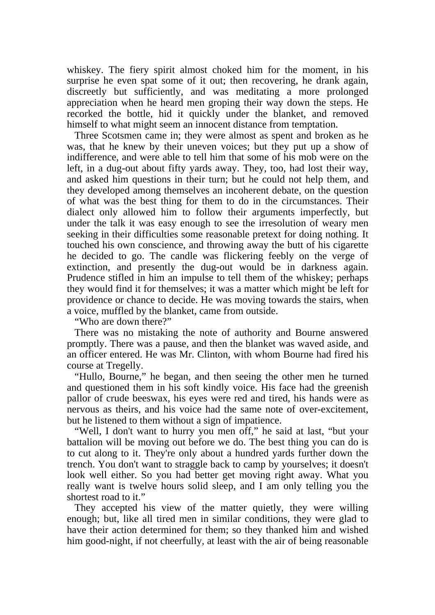whiskey. The fiery spirit almost choked him for the moment, in his surprise he even spat some of it out; then recovering, he drank again, discreetly but sufficiently, and was meditating a more prolonged appreciation when he heard men groping their way down the steps. He recorked the bottle, hid it quickly under the blanket, and removed himself to what might seem an innocent distance from temptation.

 Three Scotsmen came in; they were almost as spent and broken as he was, that he knew by their uneven voices; but they put up a show of indifference, and were able to tell him that some of his mob were on the left, in a dug-out about fifty yards away. They, too, had lost their way, and asked him questions in their turn; but he could not help them, and they developed among themselves an incoherent debate, on the question of what was the best thing for them to do in the circumstances. Their dialect only allowed him to follow their arguments imperfectly, but under the talk it was easy enough to see the irresolution of weary men seeking in their difficulties some reasonable pretext for doing nothing. It touched his own conscience, and throwing away the butt of his cigarette he decided to go. The candle was flickering feebly on the verge of extinction, and presently the dug-out would be in darkness again. Prudence stifled in him an impulse to tell them of the whiskey; perhaps they would find it for themselves; it was a matter which might be left for providence or chance to decide. He was moving towards the stairs, when a voice, muffled by the blanket, came from outside.

"Who are down there?"

 There was no mistaking the note of authority and Bourne answered promptly. There was a pause, and then the blanket was waved aside, and an officer entered. He was Mr. Clinton, with whom Bourne had fired his course at Tregelly.

 "Hullo, Bourne," he began, and then seeing the other men he turned and questioned them in his soft kindly voice. His face had the greenish pallor of crude beeswax, his eyes were red and tired, his hands were as nervous as theirs, and his voice had the same note of over-excitement, but he listened to them without a sign of impatience.

 "Well, I don't want to hurry you men off," he said at last, "but your battalion will be moving out before we do. The best thing you can do is to cut along to it. They're only about a hundred yards further down the trench. You don't want to straggle back to camp by yourselves; it doesn't look well either. So you had better get moving right away. What you really want is twelve hours solid sleep, and I am only telling you the shortest road to it."

They accepted his view of the matter quietly, they were willing enough; but, like all tired men in similar conditions, they were glad to have their action determined for them; so they thanked him and wished him good-night, if not cheerfully, at least with the air of being reasonable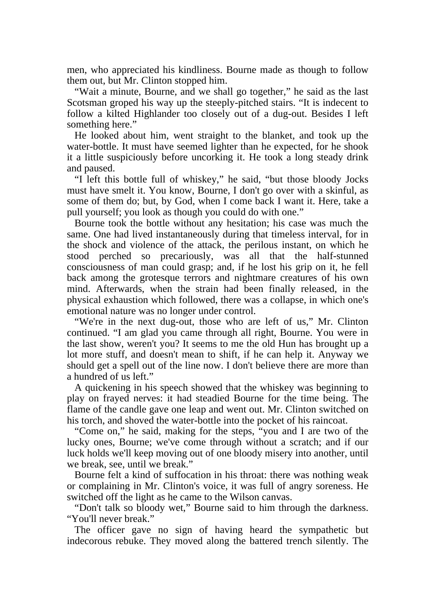men, who appreciated his kindliness. Bourne made as though to follow them out, but Mr. Clinton stopped him.

 "Wait a minute, Bourne, and we shall go together," he said as the last Scotsman groped his way up the steeply-pitched stairs. "It is indecent to follow a kilted Highlander too closely out of a dug-out. Besides I left something here."

 He looked about him, went straight to the blanket, and took up the water-bottle. It must have seemed lighter than he expected, for he shook it a little suspiciously before uncorking it. He took a long steady drink and paused.

 "I left this bottle full of whiskey," he said, "but those bloody Jocks must have smelt it. You know, Bourne, I don't go over with a skinful, as some of them do; but, by God, when I come back I want it. Here, take a pull yourself; you look as though you could do with one."

 Bourne took the bottle without any hesitation; his case was much the same. One had lived instantaneously during that timeless interval, for in the shock and violence of the attack, the perilous instant, on which he stood perched so precariously, was all that the half-stunned consciousness of man could grasp; and, if he lost his grip on it, he fell back among the grotesque terrors and nightmare creatures of his own mind. Afterwards, when the strain had been finally released, in the physical exhaustion which followed, there was a collapse, in which one's emotional nature was no longer under control.

 "We're in the next dug-out, those who are left of us," Mr. Clinton continued. "I am glad you came through all right, Bourne. You were in the last show, weren't you? It seems to me the old Hun has brought up a lot more stuff, and doesn't mean to shift, if he can help it. Anyway we should get a spell out of the line now. I don't believe there are more than a hundred of us left."

 A quickening in his speech showed that the whiskey was beginning to play on frayed nerves: it had steadied Bourne for the time being. The flame of the candle gave one leap and went out. Mr. Clinton switched on his torch, and shoved the water-bottle into the pocket of his raincoat.

 "Come on," he said, making for the steps, "you and I are two of the lucky ones, Bourne; we've come through without a scratch; and if our luck holds we'll keep moving out of one bloody misery into another, until we break, see, until we break."

 Bourne felt a kind of suffocation in his throat: there was nothing weak or complaining in Mr. Clinton's voice, it was full of angry soreness. He switched off the light as he came to the Wilson canvas.

 "Don't talk so bloody wet," Bourne said to him through the darkness. "You'll never break."

 The officer gave no sign of having heard the sympathetic but indecorous rebuke. They moved along the battered trench silently. The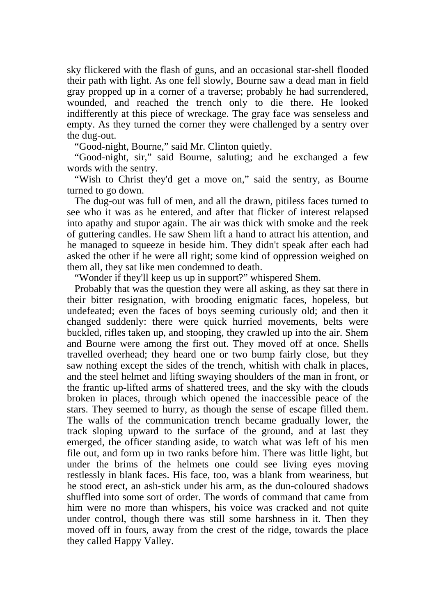sky flickered with the flash of guns, and an occasional star-shell flooded their path with light. As one fell slowly, Bourne saw a dead man in field gray propped up in a corner of a traverse; probably he had surrendered, wounded, and reached the trench only to die there. He looked indifferently at this piece of wreckage. The gray face was senseless and empty. As they turned the corner they were challenged by a sentry over the dug-out.

"Good-night, Bourne," said Mr. Clinton quietly.

 "Good-night, sir," said Bourne, saluting; and he exchanged a few words with the sentry.

 "Wish to Christ they'd get a move on," said the sentry, as Bourne turned to go down.

 The dug-out was full of men, and all the drawn, pitiless faces turned to see who it was as he entered, and after that flicker of interest relapsed into apathy and stupor again. The air was thick with smoke and the reek of guttering candles. He saw Shem lift a hand to attract his attention, and he managed to squeeze in beside him. They didn't speak after each had asked the other if he were all right; some kind of oppression weighed on them all, they sat like men condemned to death.

"Wonder if they'll keep us up in support?" whispered Shem.

 Probably that was the question they were all asking, as they sat there in their bitter resignation, with brooding enigmatic faces, hopeless, but undefeated; even the faces of boys seeming curiously old; and then it changed suddenly: there were quick hurried movements, belts were buckled, rifles taken up, and stooping, they crawled up into the air. Shem and Bourne were among the first out. They moved off at once. Shells travelled overhead; they heard one or two bump fairly close, but they saw nothing except the sides of the trench, whitish with chalk in places, and the steel helmet and lifting swaying shoulders of the man in front, or the frantic up-lifted arms of shattered trees, and the sky with the clouds broken in places, through which opened the inaccessible peace of the stars. They seemed to hurry, as though the sense of escape filled them. The walls of the communication trench became gradually lower, the track sloping upward to the surface of the ground, and at last they emerged, the officer standing aside, to watch what was left of his men file out, and form up in two ranks before him. There was little light, but under the brims of the helmets one could see living eyes moving restlessly in blank faces. His face, too, was a blank from weariness, but he stood erect, an ash-stick under his arm, as the dun-coloured shadows shuffled into some sort of order. The words of command that came from him were no more than whispers, his voice was cracked and not quite under control, though there was still some harshness in it. Then they moved off in fours, away from the crest of the ridge, towards the place they called Happy Valley.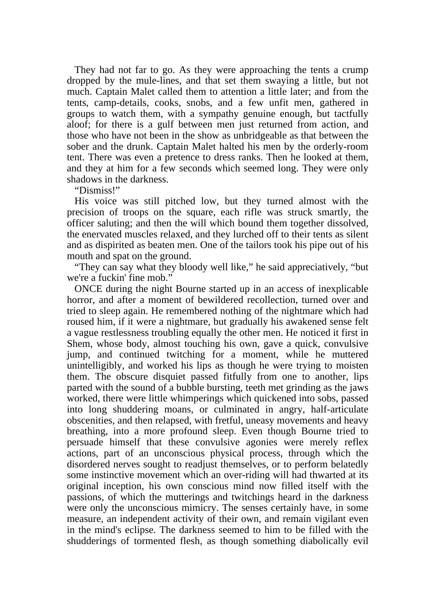They had not far to go. As they were approaching the tents a crump dropped by the mule-lines, and that set them swaying a little, but not much. Captain Malet called them to attention a little later; and from the tents, camp-details, cooks, snobs, and a few unfit men, gathered in groups to watch them, with a sympathy genuine enough, but tactfully aloof; for there is a gulf between men just returned from action, and those who have not been in the show as unbridgeable as that between the sober and the drunk. Captain Malet halted his men by the orderly-room tent. There was even a pretence to dress ranks. Then he looked at them, and they at him for a few seconds which seemed long. They were only shadows in the darkness.

"Dismiss!"

 His voice was still pitched low, but they turned almost with the precision of troops on the square, each rifle was struck smartly, the officer saluting; and then the will which bound them together dissolved, the enervated muscles relaxed, and they lurched off to their tents as silent and as dispirited as beaten men. One of the tailors took his pipe out of his mouth and spat on the ground.

 "They can say what they bloody well like," he said appreciatively, "but we're a fuckin' fine mob."

 ONCE during the night Bourne started up in an access of inexplicable horror, and after a moment of bewildered recollection, turned over and tried to sleep again. He remembered nothing of the nightmare which had roused him, if it were a nightmare, but gradually his awakened sense felt a vague restlessness troubling equally the other men. He noticed it first in Shem, whose body, almost touching his own, gave a quick, convulsive jump, and continued twitching for a moment, while he muttered unintelligibly, and worked his lips as though he were trying to moisten them. The obscure disquiet passed fitfully from one to another, lips parted with the sound of a bubble bursting, teeth met grinding as the jaws worked, there were little whimperings which quickened into sobs, passed into long shuddering moans, or culminated in angry, half-articulate obscenities, and then relapsed, with fretful, uneasy movements and heavy breathing, into a more profound sleep. Even though Bourne tried to persuade himself that these convulsive agonies were merely reflex actions, part of an unconscious physical process, through which the disordered nerves sought to readjust themselves, or to perform belatedly some instinctive movement which an over-riding will had thwarted at its original inception, his own conscious mind now filled itself with the passions, of which the mutterings and twitchings heard in the darkness were only the unconscious mimicry. The senses certainly have, in some measure, an independent activity of their own, and remain vigilant even in the mind's eclipse. The darkness seemed to him to be filled with the shudderings of tormented flesh, as though something diabolically evil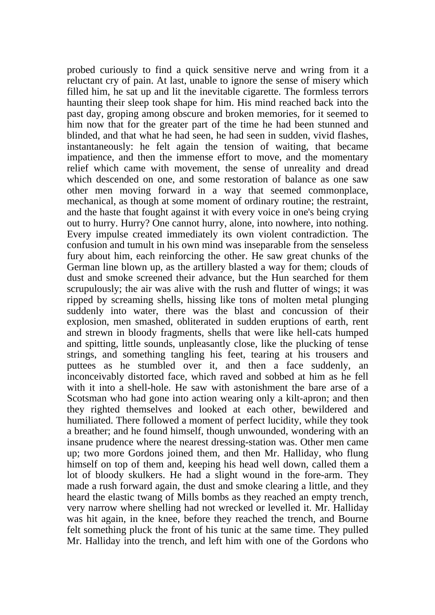probed curiously to find a quick sensitive nerve and wring from it a reluctant cry of pain. At last, unable to ignore the sense of misery which filled him, he sat up and lit the inevitable cigarette. The formless terrors haunting their sleep took shape for him. His mind reached back into the past day, groping among obscure and broken memories, for it seemed to him now that for the greater part of the time he had been stunned and blinded, and that what he had seen, he had seen in sudden, vivid flashes, instantaneously: he felt again the tension of waiting, that became impatience, and then the immense effort to move, and the momentary relief which came with movement, the sense of unreality and dread which descended on one, and some restoration of balance as one saw other men moving forward in a way that seemed commonplace, mechanical, as though at some moment of ordinary routine; the restraint, and the haste that fought against it with every voice in one's being crying out to hurry. Hurry? One cannot hurry, alone, into nowhere, into nothing. Every impulse created immediately its own violent contradiction. The confusion and tumult in his own mind was inseparable from the senseless fury about him, each reinforcing the other. He saw great chunks of the German line blown up, as the artillery blasted a way for them; clouds of dust and smoke screened their advance, but the Hun searched for them scrupulously; the air was alive with the rush and flutter of wings; it was ripped by screaming shells, hissing like tons of molten metal plunging suddenly into water, there was the blast and concussion of their explosion, men smashed, obliterated in sudden eruptions of earth, rent and strewn in bloody fragments, shells that were like hell-cats humped and spitting, little sounds, unpleasantly close, like the plucking of tense strings, and something tangling his feet, tearing at his trousers and puttees as he stumbled over it, and then a face suddenly, an inconceivably distorted face, which raved and sobbed at him as he fell with it into a shell-hole. He saw with astonishment the bare arse of a Scotsman who had gone into action wearing only a kilt-apron; and then they righted themselves and looked at each other, bewildered and humiliated. There followed a moment of perfect lucidity, while they took a breather; and he found himself, though unwounded, wondering with an insane prudence where the nearest dressing-station was. Other men came up; two more Gordons joined them, and then Mr. Halliday, who flung himself on top of them and, keeping his head well down, called them a lot of bloody skulkers. He had a slight wound in the fore-arm. They made a rush forward again, the dust and smoke clearing a little, and they heard the elastic twang of Mills bombs as they reached an empty trench, very narrow where shelling had not wrecked or levelled it. Mr. Halliday was hit again, in the knee, before they reached the trench, and Bourne felt something pluck the front of his tunic at the same time. They pulled Mr. Halliday into the trench, and left him with one of the Gordons who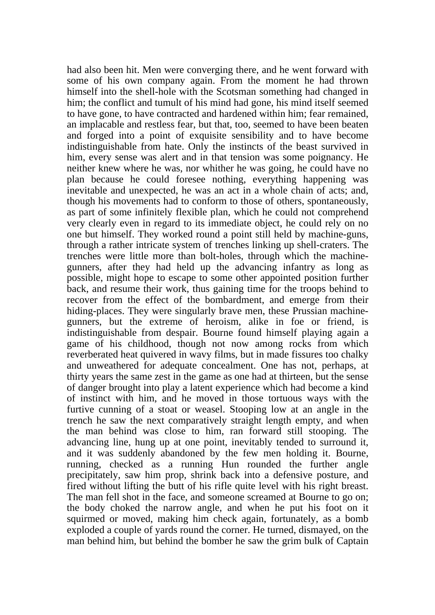had also been hit. Men were converging there, and he went forward with some of his own company again. From the moment he had thrown himself into the shell-hole with the Scotsman something had changed in him; the conflict and tumult of his mind had gone, his mind itself seemed to have gone, to have contracted and hardened within him; fear remained, an implacable and restless fear, but that, too, seemed to have been beaten and forged into a point of exquisite sensibility and to have become indistinguishable from hate. Only the instincts of the beast survived in him, every sense was alert and in that tension was some poignancy. He neither knew where he was, nor whither he was going, he could have no plan because he could foresee nothing, everything happening was inevitable and unexpected, he was an act in a whole chain of acts; and, though his movements had to conform to those of others, spontaneously, as part of some infinitely flexible plan, which he could not comprehend very clearly even in regard to its immediate object, he could rely on no one but himself. They worked round a point still held by machine-guns, through a rather intricate system of trenches linking up shell-craters. The trenches were little more than bolt-holes, through which the machinegunners, after they had held up the advancing infantry as long as possible, might hope to escape to some other appointed position further back, and resume their work, thus gaining time for the troops behind to recover from the effect of the bombardment, and emerge from their hiding-places. They were singularly brave men, these Prussian machinegunners, but the extreme of heroism, alike in foe or friend, is indistinguishable from despair. Bourne found himself playing again a game of his childhood, though not now among rocks from which reverberated heat quivered in wavy films, but in made fissures too chalky and unweathered for adequate concealment. One has not, perhaps, at thirty years the same zest in the game as one had at thirteen, but the sense of danger brought into play a latent experience which had become a kind of instinct with him, and he moved in those tortuous ways with the furtive cunning of a stoat or weasel. Stooping low at an angle in the trench he saw the next comparatively straight length empty, and when the man behind was close to him, ran forward still stooping. The advancing line, hung up at one point, inevitably tended to surround it, and it was suddenly abandoned by the few men holding it. Bourne, running, checked as a running Hun rounded the further angle precipitately, saw him prop, shrink back into a defensive posture, and fired without lifting the butt of his rifle quite level with his right breast. The man fell shot in the face, and someone screamed at Bourne to go on; the body choked the narrow angle, and when he put his foot on it squirmed or moved, making him check again, fortunately, as a bomb exploded a couple of yards round the corner. He turned, dismayed, on the man behind him, but behind the bomber he saw the grim bulk of Captain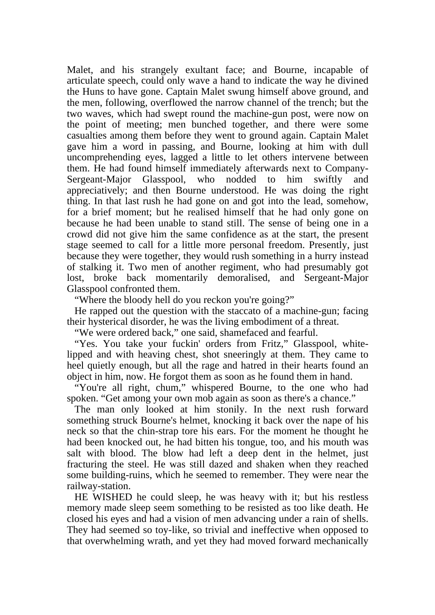Malet, and his strangely exultant face; and Bourne, incapable of articulate speech, could only wave a hand to indicate the way he divined the Huns to have gone. Captain Malet swung himself above ground, and the men, following, overflowed the narrow channel of the trench; but the two waves, which had swept round the machine-gun post, were now on the point of meeting; men bunched together, and there were some casualties among them before they went to ground again. Captain Malet gave him a word in passing, and Bourne, looking at him with dull uncomprehending eyes, lagged a little to let others intervene between them. He had found himself immediately afterwards next to Company-Sergeant-Major Glasspool, who nodded to him swiftly and appreciatively; and then Bourne understood. He was doing the right thing. In that last rush he had gone on and got into the lead, somehow, for a brief moment; but he realised himself that he had only gone on because he had been unable to stand still. The sense of being one in a crowd did not give him the same confidence as at the start, the present stage seemed to call for a little more personal freedom. Presently, just because they were together, they would rush something in a hurry instead of stalking it. Two men of another regiment, who had presumably got lost, broke back momentarily demoralised, and Sergeant-Major Glasspool confronted them.

"Where the bloody hell do you reckon you're going?"

 He rapped out the question with the staccato of a machine-gun; facing their hysterical disorder, he was the living embodiment of a threat.

"We were ordered back," one said, shamefaced and fearful.

 "Yes. You take your fuckin' orders from Fritz," Glasspool, whitelipped and with heaving chest, shot sneeringly at them. They came to heel quietly enough, but all the rage and hatred in their hearts found an object in him, now. He forgot them as soon as he found them in hand.

 "You're all right, chum," whispered Bourne, to the one who had spoken. "Get among your own mob again as soon as there's a chance."

The man only looked at him stonily. In the next rush forward something struck Bourne's helmet, knocking it back over the nape of his neck so that the chin-strap tore his ears. For the moment he thought he had been knocked out, he had bitten his tongue, too, and his mouth was salt with blood. The blow had left a deep dent in the helmet, just fracturing the steel. He was still dazed and shaken when they reached some building-ruins, which he seemed to remember. They were near the railway-station.

 HE WISHED he could sleep, he was heavy with it; but his restless memory made sleep seem something to be resisted as too like death. He closed his eyes and had a vision of men advancing under a rain of shells. They had seemed so toy-like, so trivial and ineffective when opposed to that overwhelming wrath, and yet they had moved forward mechanically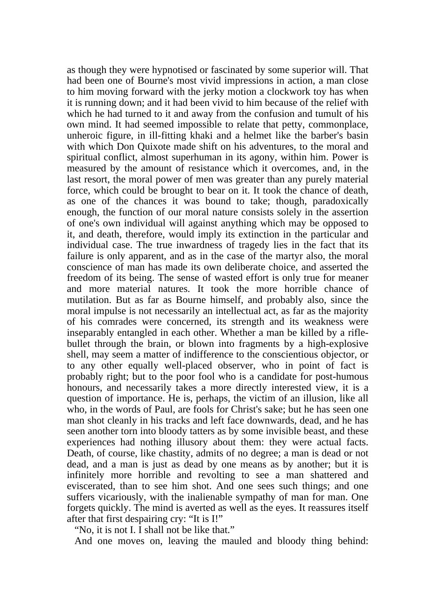as though they were hypnotised or fascinated by some superior will. That had been one of Bourne's most vivid impressions in action, a man close to him moving forward with the jerky motion a clockwork toy has when it is running down; and it had been vivid to him because of the relief with which he had turned to it and away from the confusion and tumult of his own mind. It had seemed impossible to relate that petty, commonplace, unheroic figure, in ill-fitting khaki and a helmet like the barber's basin with which Don Quixote made shift on his adventures, to the moral and spiritual conflict, almost superhuman in its agony, within him. Power is measured by the amount of resistance which it overcomes, and, in the last resort, the moral power of men was greater than any purely material force, which could be brought to bear on it. It took the chance of death, as one of the chances it was bound to take; though, paradoxically enough, the function of our moral nature consists solely in the assertion of one's own individual will against anything which may be opposed to it, and death, therefore, would imply its extinction in the particular and individual case. The true inwardness of tragedy lies in the fact that its failure is only apparent, and as in the case of the martyr also, the moral conscience of man has made its own deliberate choice, and asserted the freedom of its being. The sense of wasted effort is only true for meaner and more material natures. It took the more horrible chance of mutilation. But as far as Bourne himself, and probably also, since the moral impulse is not necessarily an intellectual act, as far as the majority of his comrades were concerned, its strength and its weakness were inseparably entangled in each other. Whether a man be killed by a riflebullet through the brain, or blown into fragments by a high-explosive shell, may seem a matter of indifference to the conscientious objector, or to any other equally well-placed observer, who in point of fact is probably right; but to the poor fool who is a candidate for post-humous honours, and necessarily takes a more directly interested view, it is a question of importance. He is, perhaps, the victim of an illusion, like all who, in the words of Paul, are fools for Christ's sake; but he has seen one man shot cleanly in his tracks and left face downwards, dead, and he has seen another torn into bloody tatters as by some invisible beast, and these experiences had nothing illusory about them: they were actual facts. Death, of course, like chastity, admits of no degree; a man is dead or not dead, and a man is just as dead by one means as by another; but it is infinitely more horrible and revolting to see a man shattered and eviscerated, than to see him shot. And one sees such things; and one suffers vicariously, with the inalienable sympathy of man for man. One forgets quickly. The mind is averted as well as the eyes. It reassures itself after that first despairing cry: "It is I!"

"No, it is not I. I shall not be like that."

And one moves on, leaving the mauled and bloody thing behind: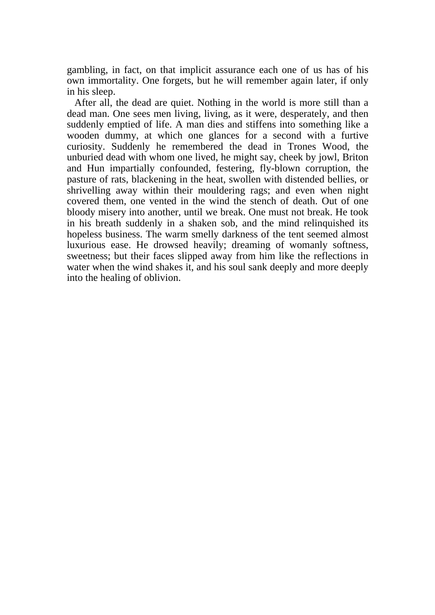gambling, in fact, on that implicit assurance each one of us has of his own immortality. One forgets, but he will remember again later, if only in his sleep.

 After all, the dead are quiet. Nothing in the world is more still than a dead man. One sees men living, living, as it were, desperately, and then suddenly emptied of life. A man dies and stiffens into something like a wooden dummy, at which one glances for a second with a furtive curiosity. Suddenly he remembered the dead in Trones Wood, the unburied dead with whom one lived, he might say, cheek by jowl, Briton and Hun impartially confounded, festering, fly-blown corruption, the pasture of rats, blackening in the heat, swollen with distended bellies, or shrivelling away within their mouldering rags; and even when night covered them, one vented in the wind the stench of death. Out of one bloody misery into another, until we break. One must not break. He took in his breath suddenly in a shaken sob, and the mind relinquished its hopeless business. The warm smelly darkness of the tent seemed almost luxurious ease. He drowsed heavily; dreaming of womanly softness, sweetness; but their faces slipped away from him like the reflections in water when the wind shakes it, and his soul sank deeply and more deeply into the healing of oblivion.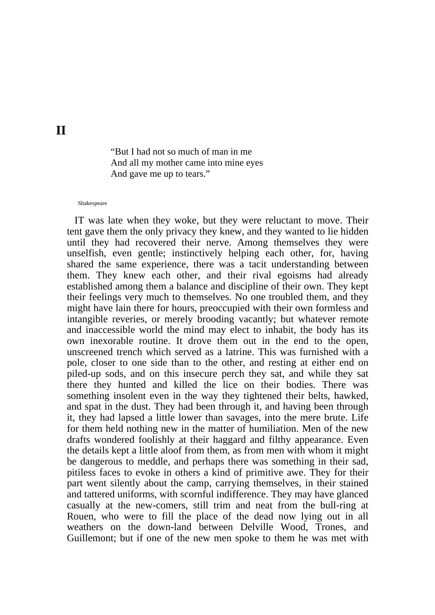"But I had not so much of man in me And all my mother came into mine eyes And gave me up to tears."

#### Shakespeare

 IT was late when they woke, but they were reluctant to move. Their tent gave them the only privacy they knew, and they wanted to lie hidden until they had recovered their nerve. Among themselves they were unselfish, even gentle; instinctively helping each other, for, having shared the same experience, there was a tacit understanding between them. They knew each other, and their rival egoisms had already established among them a balance and discipline of their own. They kept their feelings very much to themselves. No one troubled them, and they might have lain there for hours, preoccupied with their own formless and intangible reveries, or merely brooding vacantly; but whatever remote and inaccessible world the mind may elect to inhabit, the body has its own inexorable routine. It drove them out in the end to the open, unscreened trench which served as a latrine. This was furnished with a pole, closer to one side than to the other, and resting at either end on piled-up sods, and on this insecure perch they sat, and while they sat there they hunted and killed the lice on their bodies. There was something insolent even in the way they tightened their belts, hawked, and spat in the dust. They had been through it, and having been through it, they had lapsed a little lower than savages, into the mere brute. Life for them held nothing new in the matter of humiliation. Men of the new drafts wondered foolishly at their haggard and filthy appearance. Even the details kept a little aloof from them, as from men with whom it might be dangerous to meddle, and perhaps there was something in their sad, pitiless faces to evoke in others a kind of primitive awe. They for their part went silently about the camp, carrying themselves, in their stained and tattered uniforms, with scornful indifference. They may have glanced casually at the new-comers, still trim and neat from the bull-ring at Rouen, who were to fill the place of the dead now lying out in all weathers on the down-land between Delville Wood, Trones, and Guillemont; but if one of the new men spoke to them he was met with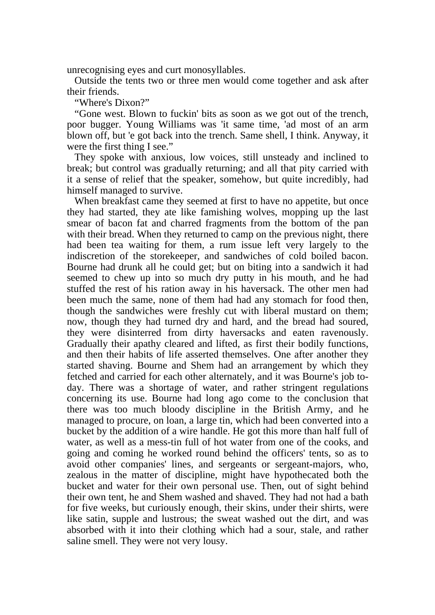unrecognising eyes and curt monosyllables.

 Outside the tents two or three men would come together and ask after their friends.

"Where's Dixon?"

 "Gone west. Blown to fuckin' bits as soon as we got out of the trench, poor bugger. Young Williams was 'it same time, 'ad most of an arm blown off, but 'e got back into the trench. Same shell, I think. Anyway, it were the first thing I see."

 They spoke with anxious, low voices, still unsteady and inclined to break; but control was gradually returning; and all that pity carried with it a sense of relief that the speaker, somehow, but quite incredibly, had himself managed to survive.

 When breakfast came they seemed at first to have no appetite, but once they had started, they ate like famishing wolves, mopping up the last smear of bacon fat and charred fragments from the bottom of the pan with their bread. When they returned to camp on the previous night, there had been tea waiting for them, a rum issue left very largely to the indiscretion of the storekeeper, and sandwiches of cold boiled bacon. Bourne had drunk all he could get; but on biting into a sandwich it had seemed to chew up into so much dry putty in his mouth, and he had stuffed the rest of his ration away in his haversack. The other men had been much the same, none of them had had any stomach for food then, though the sandwiches were freshly cut with liberal mustard on them; now, though they had turned dry and hard, and the bread had soured, they were disinterred from dirty haversacks and eaten ravenously. Gradually their apathy cleared and lifted, as first their bodily functions, and then their habits of life asserted themselves. One after another they started shaving. Bourne and Shem had an arrangement by which they fetched and carried for each other alternately, and it was Bourne's job today. There was a shortage of water, and rather stringent regulations concerning its use. Bourne had long ago come to the conclusion that there was too much bloody discipline in the British Army, and he managed to procure, on loan, a large tin, which had been converted into a bucket by the addition of a wire handle. He got this more than half full of water, as well as a mess-tin full of hot water from one of the cooks, and going and coming he worked round behind the officers' tents, so as to avoid other companies' lines, and sergeants or sergeant-majors, who, zealous in the matter of discipline, might have hypothecated both the bucket and water for their own personal use. Then, out of sight behind their own tent, he and Shem washed and shaved. They had not had a bath for five weeks, but curiously enough, their skins, under their shirts, were like satin, supple and lustrous; the sweat washed out the dirt, and was absorbed with it into their clothing which had a sour, stale, and rather saline smell. They were not very lousy.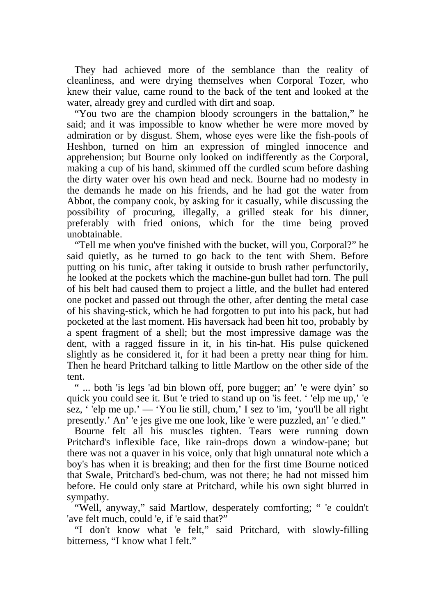They had achieved more of the semblance than the reality of cleanliness, and were drying themselves when Corporal Tozer, who knew their value, came round to the back of the tent and looked at the water, already grey and curdled with dirt and soap.

 "You two are the champion bloody scroungers in the battalion," he said; and it was impossible to know whether he were more moved by admiration or by disgust. Shem, whose eyes were like the fish-pools of Heshbon, turned on him an expression of mingled innocence and apprehension; but Bourne only looked on indifferently as the Corporal, making a cup of his hand, skimmed off the curdled scum before dashing the dirty water over his own head and neck. Bourne had no modesty in the demands he made on his friends, and he had got the water from Abbot, the company cook, by asking for it casually, while discussing the possibility of procuring, illegally, a grilled steak for his dinner, preferably with fried onions, which for the time being proved unobtainable.

 "Tell me when you've finished with the bucket, will you, Corporal?" he said quietly, as he turned to go back to the tent with Shem. Before putting on his tunic, after taking it outside to brush rather perfunctorily, he looked at the pockets which the machine-gun bullet had torn. The pull of his belt had caused them to project a little, and the bullet had entered one pocket and passed out through the other, after denting the metal case of his shaving-stick, which he had forgotten to put into his pack, but had pocketed at the last moment. His haversack had been hit too, probably by a spent fragment of a shell; but the most impressive damage was the dent, with a ragged fissure in it, in his tin-hat. His pulse quickened slightly as he considered it, for it had been a pretty near thing for him. Then he heard Pritchard talking to little Martlow on the other side of the tent.

 " ... both 'is legs 'ad bin blown off, pore bugger; an' 'e were dyin' so quick you could see it. But 'e tried to stand up on 'is feet. ' 'elp me up,' 'e sez, ' 'elp me up.' — 'You lie still, chum,' I sez to 'im, 'you'll be all right presently.' An' 'e jes give me one look, like 'e were puzzled, an' 'e died."

 Bourne felt all his muscles tighten. Tears were running down Pritchard's inflexible face, like rain-drops down a window-pane; but there was not a quaver in his voice, only that high unnatural note which a boy's has when it is breaking; and then for the first time Bourne noticed that Swale, Pritchard's bed-chum, was not there; he had not missed him before. He could only stare at Pritchard, while his own sight blurred in sympathy.

 "Well, anyway," said Martlow, desperately comforting; " 'e couldn't 'ave felt much, could 'e, if 'e said that?"

 "I don't know what 'e felt," said Pritchard, with slowly-filling bitterness, "I know what I felt."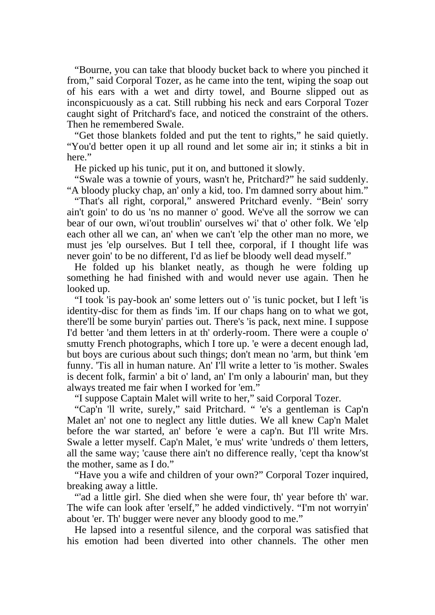"Bourne, you can take that bloody bucket back to where you pinched it from," said Corporal Tozer, as he came into the tent, wiping the soap out of his ears with a wet and dirty towel, and Bourne slipped out as inconspicuously as a cat. Still rubbing his neck and ears Corporal Tozer caught sight of Pritchard's face, and noticed the constraint of the others. Then he remembered Swale.

 "Get those blankets folded and put the tent to rights," he said quietly. "You'd better open it up all round and let some air in; it stinks a bit in here."

He picked up his tunic, put it on, and buttoned it slowly.

 "Swale was a townie of yours, wasn't he, Pritchard?" he said suddenly. "A bloody plucky chap, an' only a kid, too. I'm damned sorry about him."

 "That's all right, corporal," answered Pritchard evenly. "Bein' sorry ain't goin' to do us 'ns no manner o' good. We've all the sorrow we can bear of our own, wi'out troublin' ourselves wi' that o' other folk. We 'elp each other all we can, an' when we can't 'elp the other man no more, we must jes 'elp ourselves. But I tell thee, corporal, if I thought life was never goin' to be no different, I'd as lief be bloody well dead myself."

 He folded up his blanket neatly, as though he were folding up something he had finished with and would never use again. Then he looked up.

 "I took 'is pay-book an' some letters out o' 'is tunic pocket, but I left 'is identity-disc for them as finds 'im. If our chaps hang on to what we got, there'll be some buryin' parties out. There's 'is pack, next mine. I suppose I'd better 'and them letters in at th' orderly-room. There were a couple o' smutty French photographs, which I tore up. 'e were a decent enough lad, but boys are curious about such things; don't mean no 'arm, but think 'em funny. 'Tis all in human nature. An' I'll write a letter to 'is mother. Swales is decent folk, farmin' a bit o' land, an' I'm only a labourin' man, but they always treated me fair when I worked for 'em."

"I suppose Captain Malet will write to her," said Corporal Tozer.

 "Cap'n 'll write, surely," said Pritchard. " 'e's a gentleman is Cap'n Malet an' not one to neglect any little duties. We all knew Cap'n Malet before the war started, an' before 'e were a cap'n. But I'll write Mrs. Swale a letter myself. Cap'n Malet, 'e mus' write 'undreds o' them letters, all the same way; 'cause there ain't no difference really, 'cept tha know'st the mother, same as I do."

 "Have you a wife and children of your own?" Corporal Tozer inquired, breaking away a little.

 "'ad a little girl. She died when she were four, th' year before th' war. The wife can look after 'erself," he added vindictively. "I'm not worryin' about 'er. Th' bugger were never any bloody good to me."

 He lapsed into a resentful silence, and the corporal was satisfied that his emotion had been diverted into other channels. The other men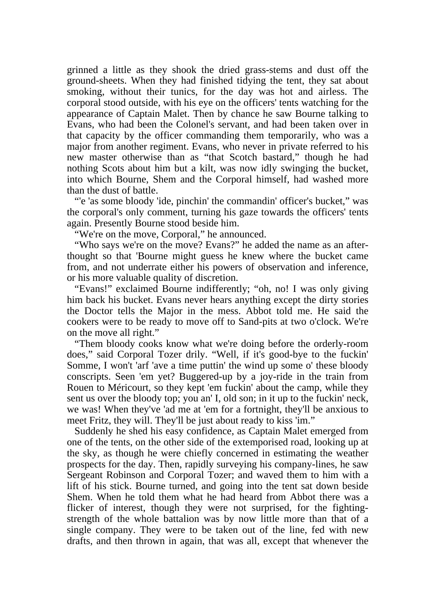grinned a little as they shook the dried grass-stems and dust off the ground-sheets. When they had finished tidying the tent, they sat about smoking, without their tunics, for the day was hot and airless. The corporal stood outside, with his eye on the officers' tents watching for the appearance of Captain Malet. Then by chance he saw Bourne talking to Evans, who had been the Colonel's servant, and had been taken over in that capacity by the officer commanding them temporarily, who was a major from another regiment. Evans, who never in private referred to his new master otherwise than as "that Scotch bastard," though he had nothing Scots about him but a kilt, was now idly swinging the bucket, into which Bourne, Shem and the Corporal himself, had washed more than the dust of battle.

 "'e 'as some bloody 'ide, pinchin' the commandin' officer's bucket," was the corporal's only comment, turning his gaze towards the officers' tents again. Presently Bourne stood beside him.

"We're on the move, Corporal," he announced.

 "Who says we're on the move? Evans?" he added the name as an afterthought so that 'Bourne might guess he knew where the bucket came from, and not underrate either his powers of observation and inference, or his more valuable quality of discretion.

 "Evans!" exclaimed Bourne indifferently; "oh, no! I was only giving him back his bucket. Evans never hears anything except the dirty stories the Doctor tells the Major in the mess. Abbot told me. He said the cookers were to be ready to move off to Sand-pits at two o'clock. We're on the move all right."

 "Them bloody cooks know what we're doing before the orderly-room does," said Corporal Tozer drily. "Well, if it's good-bye to the fuckin' Somme, I won't 'arf 'ave a time puttin' the wind up some o' these bloody conscripts. Seen 'em yet? Buggered-up by a joy-ride in the train from Rouen to Méricourt, so they kept 'em fuckin' about the camp, while they sent us over the bloody top; you an' I, old son; in it up to the fuckin' neck, we was! When they've 'ad me at 'em for a fortnight, they'll be anxious to meet Fritz, they will. They'll be just about ready to kiss 'im."

 Suddenly he shed his easy confidence, as Captain Malet emerged from one of the tents, on the other side of the extemporised road, looking up at the sky, as though he were chiefly concerned in estimating the weather prospects for the day. Then, rapidly surveying his company-lines, he saw Sergeant Robinson and Corporal Tozer; and waved them to him with a lift of his stick. Bourne turned, and going into the tent sat down beside Shem. When he told them what he had heard from Abbot there was a flicker of interest, though they were not surprised, for the fightingstrength of the whole battalion was by now little more than that of a single company. They were to be taken out of the line, fed with new drafts, and then thrown in again, that was all, except that whenever the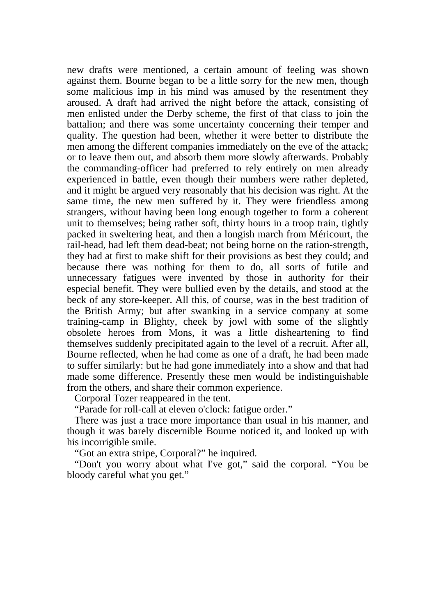new drafts were mentioned, a certain amount of feeling was shown against them. Bourne began to be a little sorry for the new men, though some malicious imp in his mind was amused by the resentment they aroused. A draft had arrived the night before the attack, consisting of men enlisted under the Derby scheme, the first of that class to join the battalion; and there was some uncertainty concerning their temper and quality. The question had been, whether it were better to distribute the men among the different companies immediately on the eve of the attack; or to leave them out, and absorb them more slowly afterwards. Probably the commanding-officer had preferred to rely entirely on men already experienced in battle, even though their numbers were rather depleted, and it might be argued very reasonably that his decision was right. At the same time, the new men suffered by it. They were friendless among strangers, without having been long enough together to form a coherent unit to themselves; being rather soft, thirty hours in a troop train, tightly packed in sweltering heat, and then a longish march from Méricourt, the rail-head, had left them dead-beat; not being borne on the ration-strength, they had at first to make shift for their provisions as best they could; and because there was nothing for them to do, all sorts of futile and unnecessary fatigues were invented by those in authority for their especial benefit. They were bullied even by the details, and stood at the beck of any store-keeper. All this, of course, was in the best tradition of the British Army; but after swanking in a service company at some training-camp in Blighty, cheek by jowl with some of the slightly obsolete heroes from Mons, it was a little disheartening to find themselves suddenly precipitated again to the level of a recruit. After all, Bourne reflected, when he had come as one of a draft, he had been made to suffer similarly: but he had gone immediately into a show and that had made some difference. Presently these men would be indistinguishable from the others, and share their common experience.

Corporal Tozer reappeared in the tent.

"Parade for roll-call at eleven o'clock: fatigue order."

 There was just a trace more importance than usual in his manner, and though it was barely discernible Bourne noticed it, and looked up with his incorrigible smile.

"Got an extra stripe, Corporal?" he inquired.

 "Don't you worry about what I've got," said the corporal. "You be bloody careful what you get."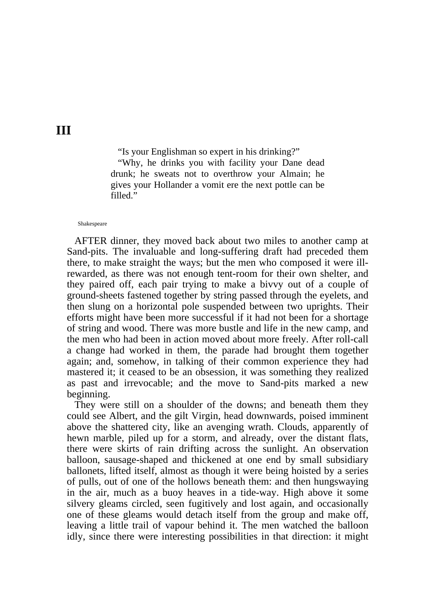"Is your Englishman so expert in his drinking?"

 "Why, he drinks you with facility your Dane dead drunk; he sweats not to overthrow your Almain; he gives your Hollander a vomit ere the next pottle can be filled."

Shakespeare

 AFTER dinner, they moved back about two miles to another camp at Sand-pits. The invaluable and long-suffering draft had preceded them there, to make straight the ways; but the men who composed it were illrewarded, as there was not enough tent-room for their own shelter, and they paired off, each pair trying to make a bivvy out of a couple of ground-sheets fastened together by string passed through the eyelets, and then slung on a horizontal pole suspended between two uprights. Their efforts might have been more successful if it had not been for a shortage of string and wood. There was more bustle and life in the new camp, and the men who had been in action moved about more freely. After roll-call a change had worked in them, the parade had brought them together again; and, somehow, in talking of their common experience they had mastered it; it ceased to be an obsession, it was something they realized as past and irrevocable; and the move to Sand-pits marked a new beginning.

 They were still on a shoulder of the downs; and beneath them they could see Albert, and the gilt Virgin, head downwards, poised imminent above the shattered city, like an avenging wrath. Clouds, apparently of hewn marble, piled up for a storm, and already, over the distant flats, there were skirts of rain drifting across the sunlight. An observation balloon, sausage-shaped and thickened at one end by small subsidiary ballonets, lifted itself, almost as though it were being hoisted by a series of pulls, out of one of the hollows beneath them: and then hungswaying in the air, much as a buoy heaves in a tide-way. High above it some silvery gleams circled, seen fugitively and lost again, and occasionally one of these gleams would detach itself from the group and make off, leaving a little trail of vapour behind it. The men watched the balloon idly, since there were interesting possibilities in that direction: it might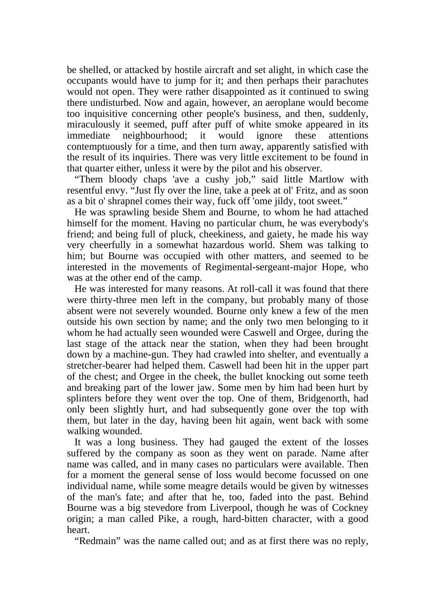be shelled, or attacked by hostile aircraft and set alight, in which case the occupants would have to jump for it; and then perhaps their parachutes would not open. They were rather disappointed as it continued to swing there undisturbed. Now and again, however, an aeroplane would become too inquisitive concerning other people's business, and then, suddenly, miraculously it seemed, puff after puff of white smoke appeared in its immediate neighbourhood; it would ignore these attentions contemptuously for a time, and then turn away, apparently satisfied with the result of its inquiries. There was very little excitement to be found in that quarter either, unless it were by the pilot and his observer.

 "Them bloody chaps 'ave a cushy job," said little Martlow with resentful envy. "Just fly over the line, take a peek at ol' Fritz, and as soon as a bit o' shrapnel comes their way, fuck off 'ome jildy, toot sweet."

 He was sprawling beside Shem and Bourne, to whom he had attached himself for the moment. Having no particular chum, he was everybody's friend; and being full of pluck, cheekiness, and gaiety, he made his way very cheerfully in a somewhat hazardous world. Shem was talking to him; but Bourne was occupied with other matters, and seemed to be interested in the movements of Regimental-sergeant-major Hope, who was at the other end of the camp.

 He was interested for many reasons. At roll-call it was found that there were thirty-three men left in the company, but probably many of those absent were not severely wounded. Bourne only knew a few of the men outside his own section by name; and the only two men belonging to it whom he had actually seen wounded were Caswell and Orgee, during the last stage of the attack near the station, when they had been brought down by a machine-gun. They had crawled into shelter, and eventually a stretcher-bearer had helped them. Caswell had been hit in the upper part of the chest; and Orgee in the cheek, the bullet knocking out some teeth and breaking part of the lower jaw. Some men by him had been hurt by splinters before they went over the top. One of them, Bridgenorth, had only been slightly hurt, and had subsequently gone over the top with them, but later in the day, having been hit again, went back with some walking wounded.

 It was a long business. They had gauged the extent of the losses suffered by the company as soon as they went on parade. Name after name was called, and in many cases no particulars were available. Then for a moment the general sense of loss would become focussed on one individual name, while some meagre details would be given by witnesses of the man's fate; and after that he, too, faded into the past. Behind Bourne was a big stevedore from Liverpool, though he was of Cockney origin; a man called Pike, a rough, hard-bitten character, with a good heart.

"Redmain" was the name called out; and as at first there was no reply,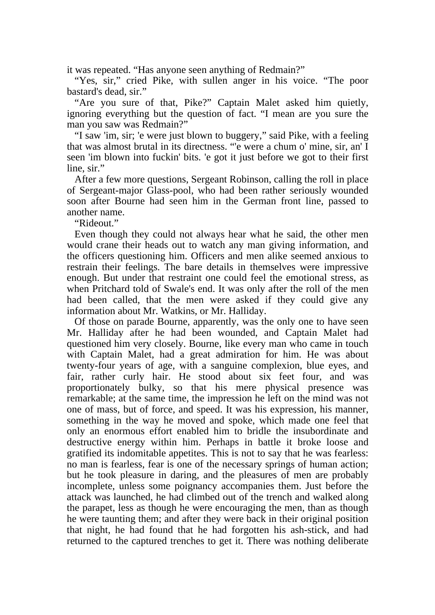it was repeated. "Has anyone seen anything of Redmain?"

 "Yes, sir," cried Pike, with sullen anger in his voice. "The poor bastard's dead, sir."

 "Are you sure of that, Pike?" Captain Malet asked him quietly, ignoring everything but the question of fact. "I mean are you sure the man you saw was Redmain?"

 "I saw 'im, sir; 'e were just blown to buggery," said Pike, with a feeling that was almost brutal in its directness. "'e were a chum o' mine, sir, an' I seen 'im blown into fuckin' bits. 'e got it just before we got to their first line, sir."

 After a few more questions, Sergeant Robinson, calling the roll in place of Sergeant-major Glass-pool, who had been rather seriously wounded soon after Bourne had seen him in the German front line, passed to another name.

"Rideout."

 Even though they could not always hear what he said, the other men would crane their heads out to watch any man giving information, and the officers questioning him. Officers and men alike seemed anxious to restrain their feelings. The bare details in themselves were impressive enough. But under that restraint one could feel the emotional stress, as when Pritchard told of Swale's end. It was only after the roll of the men had been called, that the men were asked if they could give any information about Mr. Watkins, or Mr. Halliday.

 Of those on parade Bourne, apparently, was the only one to have seen Mr. Halliday after he had been wounded, and Captain Malet had questioned him very closely. Bourne, like every man who came in touch with Captain Malet, had a great admiration for him. He was about twenty-four years of age, with a sanguine complexion, blue eyes, and fair, rather curly hair. He stood about six feet four, and was proportionately bulky, so that his mere physical presence was remarkable; at the same time, the impression he left on the mind was not one of mass, but of force, and speed. It was his expression, his manner, something in the way he moved and spoke, which made one feel that only an enormous effort enabled him to bridle the insubordinate and destructive energy within him. Perhaps in battle it broke loose and gratified its indomitable appetites. This is not to say that he was fearless: no man is fearless, fear is one of the necessary springs of human action; but he took pleasure in daring, and the pleasures of men are probably incomplete, unless some poignancy accompanies them. Just before the attack was launched, he had climbed out of the trench and walked along the parapet, less as though he were encouraging the men, than as though he were taunting them; and after they were back in their original position that night, he had found that he had forgotten his ash-stick, and had returned to the captured trenches to get it. There was nothing deliberate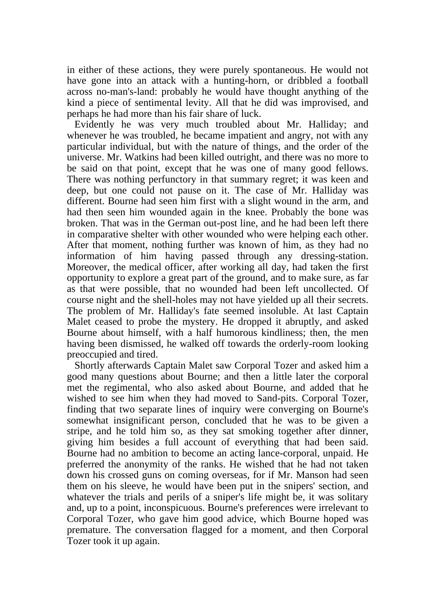in either of these actions, they were purely spontaneous. He would not have gone into an attack with a hunting-horn, or dribbled a football across no-man's-land: probably he would have thought anything of the kind a piece of sentimental levity. All that he did was improvised, and perhaps he had more than his fair share of luck.

 Evidently he was very much troubled about Mr. Halliday; and whenever he was troubled, he became impatient and angry, not with any particular individual, but with the nature of things, and the order of the universe. Mr. Watkins had been killed outright, and there was no more to be said on that point, except that he was one of many good fellows. There was nothing perfunctory in that summary regret; it was keen and deep, but one could not pause on it. The case of Mr. Halliday was different. Bourne had seen him first with a slight wound in the arm, and had then seen him wounded again in the knee. Probably the bone was broken. That was in the German out-post line, and he had been left there in comparative shelter with other wounded who were helping each other. After that moment, nothing further was known of him, as they had no information of him having passed through any dressing-station. Moreover, the medical officer, after working all day, had taken the first opportunity to explore a great part of the ground, and to make sure, as far as that were possible, that no wounded had been left uncollected. Of course night and the shell-holes may not have yielded up all their secrets. The problem of Mr. Halliday's fate seemed insoluble. At last Captain Malet ceased to probe the mystery. He dropped it abruptly, and asked Bourne about himself, with a half humorous kindliness; then, the men having been dismissed, he walked off towards the orderly-room looking preoccupied and tired.

 Shortly afterwards Captain Malet saw Corporal Tozer and asked him a good many questions about Bourne; and then a little later the corporal met the regimental, who also asked about Bourne, and added that he wished to see him when they had moved to Sand-pits. Corporal Tozer, finding that two separate lines of inquiry were converging on Bourne's somewhat insignificant person, concluded that he was to be given a stripe, and he told him so, as they sat smoking together after dinner, giving him besides a full account of everything that had been said. Bourne had no ambition to become an acting lance-corporal, unpaid. He preferred the anonymity of the ranks. He wished that he had not taken down his crossed guns on coming overseas, for if Mr. Manson had seen them on his sleeve, he would have been put in the snipers' section, and whatever the trials and perils of a sniper's life might be, it was solitary and, up to a point, inconspicuous. Bourne's preferences were irrelevant to Corporal Tozer, who gave him good advice, which Bourne hoped was premature. The conversation flagged for a moment, and then Corporal Tozer took it up again.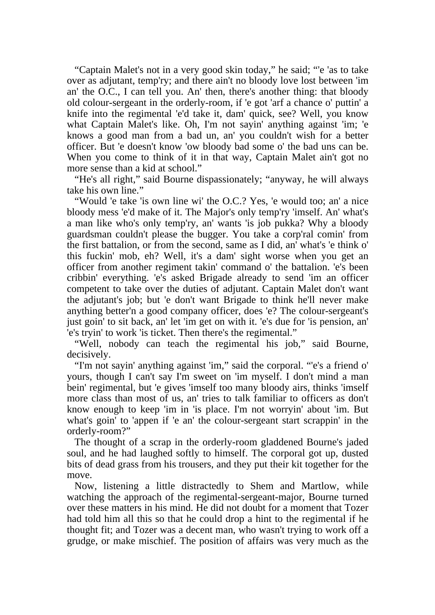"Captain Malet's not in a very good skin today," he said; "'e 'as to take over as adjutant, temp'ry; and there ain't no bloody love lost between 'im an' the O.C., I can tell you. An' then, there's another thing: that bloody old colour-sergeant in the orderly-room, if 'e got 'arf a chance o' puttin' a knife into the regimental 'e'd take it, dam' quick, see? Well, you know what Captain Malet's like. Oh, I'm not sayin' anything against 'im; 'e knows a good man from a bad un, an' you couldn't wish for a better officer. But 'e doesn't know 'ow bloody bad some o' the bad uns can be. When you come to think of it in that way, Captain Malet ain't got no more sense than a kid at school."

 "He's all right," said Bourne dispassionately; "anyway, he will always take his own line."

 "Would 'e take 'is own line wi' the O.C.? Yes, 'e would too; an' a nice bloody mess 'e'd make of it. The Major's only temp'ry 'imself. An' what's a man like who's only temp'ry, an' wants 'is job pukka? Why a bloody guardsman couldn't please the bugger. You take a corp'ral comin' from the first battalion, or from the second, same as I did, an' what's 'e think o' this fuckin' mob, eh? Well, it's a dam' sight worse when you get an officer from another regiment takin' command o' the battalion. 'e's been cribbin' everything. 'e's asked Brigade already to send 'im an officer competent to take over the duties of adjutant. Captain Malet don't want the adjutant's job; but 'e don't want Brigade to think he'll never make anything better'n a good company officer, does 'e? The colour-sergeant's just goin' to sit back, an' let 'im get on with it. 'e's due for 'is pension, an' 'e's tryin' to work 'is ticket. Then there's the regimental."

 "Well, nobody can teach the regimental his job," said Bourne, decisively.

 "I'm not sayin' anything against 'im," said the corporal. "'e's a friend o' yours, though I can't say I'm sweet on 'im myself. I don't mind a man bein' regimental, but 'e gives 'imself too many bloody airs, thinks 'imself more class than most of us, an' tries to talk familiar to officers as don't know enough to keep 'im in 'is place. I'm not worryin' about 'im. But what's goin' to 'appen if 'e an' the colour-sergeant start scrappin' in the orderly-room?"

 The thought of a scrap in the orderly-room gladdened Bourne's jaded soul, and he had laughed softly to himself. The corporal got up, dusted bits of dead grass from his trousers, and they put their kit together for the move.

 Now, listening a little distractedly to Shem and Martlow, while watching the approach of the regimental-sergeant-major, Bourne turned over these matters in his mind. He did not doubt for a moment that Tozer had told him all this so that he could drop a hint to the regimental if he thought fit; and Tozer was a decent man, who wasn't trying to work off a grudge, or make mischief. The position of affairs was very much as the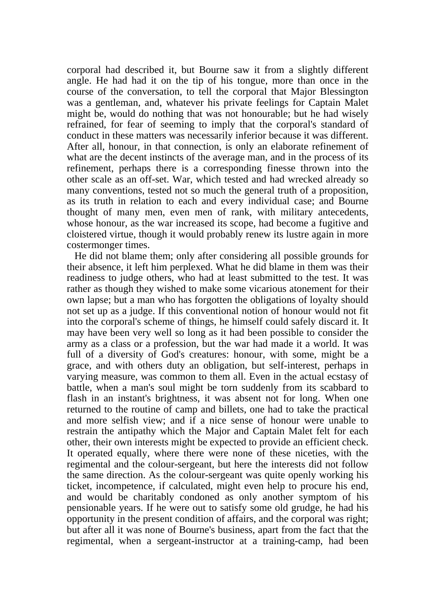corporal had described it, but Bourne saw it from a slightly different angle. He had had it on the tip of his tongue, more than once in the course of the conversation, to tell the corporal that Major Blessington was a gentleman, and, whatever his private feelings for Captain Malet might be, would do nothing that was not honourable; but he had wisely refrained, for fear of seeming to imply that the corporal's standard of conduct in these matters was necessarily inferior because it was different. After all, honour, in that connection, is only an elaborate refinement of what are the decent instincts of the average man, and in the process of its refinement, perhaps there is a corresponding finesse thrown into the other scale as an off-set. War, which tested and had wrecked already so many conventions, tested not so much the general truth of a proposition, as its truth in relation to each and every individual case; and Bourne thought of many men, even men of rank, with military antecedents, whose honour, as the war increased its scope, had become a fugitive and cloistered virtue, though it would probably renew its lustre again in more costermonger times.

 He did not blame them; only after considering all possible grounds for their absence, it left him perplexed. What he did blame in them was their readiness to judge others, who had at least submitted to the test. It was rather as though they wished to make some vicarious atonement for their own lapse; but a man who has forgotten the obligations of loyalty should not set up as a judge. If this conventional notion of honour would not fit into the corporal's scheme of things, he himself could safely discard it. It may have been very well so long as it had been possible to consider the army as a class or a profession, but the war had made it a world. It was full of a diversity of God's creatures: honour, with some, might be a grace, and with others duty an obligation, but self-interest, perhaps in varying measure, was common to them all. Even in the actual ecstasy of battle, when a man's soul might be torn suddenly from its scabbard to flash in an instant's brightness, it was absent not for long. When one returned to the routine of camp and billets, one had to take the practical and more selfish view; and if a nice sense of honour were unable to restrain the antipathy which the Major and Captain Malet felt for each other, their own interests might be expected to provide an efficient check. It operated equally, where there were none of these niceties, with the regimental and the colour-sergeant, but here the interests did not follow the same direction. As the colour-sergeant was quite openly working his ticket, incompetence, if calculated, might even help to procure his end, and would be charitably condoned as only another symptom of his pensionable years. If he were out to satisfy some old grudge, he had his opportunity in the present condition of affairs, and the corporal was right; but after all it was none of Bourne's business, apart from the fact that the regimental, when a sergeant-instructor at a training-camp, had been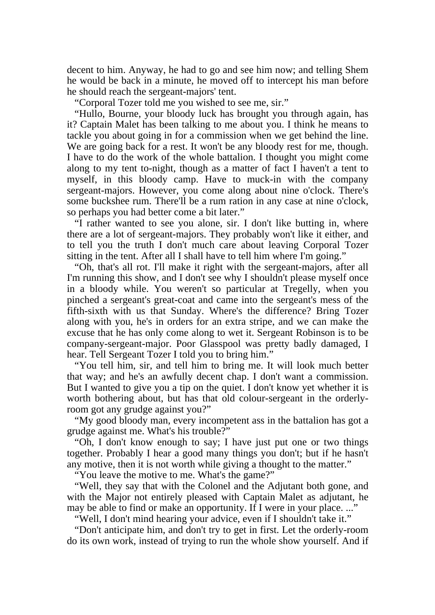decent to him. Anyway, he had to go and see him now; and telling Shem he would be back in a minute, he moved off to intercept his man before he should reach the sergeant-majors' tent.

"Corporal Tozer told me you wished to see me, sir."

 "Hullo, Bourne, your bloody luck has brought you through again, has it? Captain Malet has been talking to me about you. I think he means to tackle you about going in for a commission when we get behind the line. We are going back for a rest. It won't be any bloody rest for me, though. I have to do the work of the whole battalion. I thought you might come along to my tent to-night, though as a matter of fact I haven't a tent to myself, in this bloody camp. Have to muck-in with the company sergeant-majors. However, you come along about nine o'clock. There's some buckshee rum. There'll be a rum ration in any case at nine o'clock, so perhaps you had better come a bit later."

 "I rather wanted to see you alone, sir. I don't like butting in, where there are a lot of sergeant-majors. They probably won't like it either, and to tell you the truth I don't much care about leaving Corporal Tozer sitting in the tent. After all I shall have to tell him where I'm going."

 "Oh, that's all rot. I'll make it right with the sergeant-majors, after all I'm running this show, and I don't see why I shouldn't please myself once in a bloody while. You weren't so particular at Tregelly, when you pinched a sergeant's great-coat and came into the sergeant's mess of the fifth-sixth with us that Sunday. Where's the difference? Bring Tozer along with you, he's in orders for an extra stripe, and we can make the excuse that he has only come along to wet it. Sergeant Robinson is to be company-sergeant-major. Poor Glasspool was pretty badly damaged, I hear. Tell Sergeant Tozer I told you to bring him."

 "You tell him, sir, and tell him to bring me. It will look much better that way; and he's an awfully decent chap. I don't want a commission. But I wanted to give you a tip on the quiet. I don't know yet whether it is worth bothering about, but has that old colour-sergeant in the orderlyroom got any grudge against you?"

 "My good bloody man, every incompetent ass in the battalion has got a grudge against me. What's his trouble?"

 "Oh, I don't know enough to say; I have just put one or two things together. Probably I hear a good many things you don't; but if he hasn't any motive, then it is not worth while giving a thought to the matter."

"You leave the motive to me. What's the game?"

 "Well, they say that with the Colonel and the Adjutant both gone, and with the Major not entirely pleased with Captain Malet as adjutant, he may be able to find or make an opportunity. If I were in your place. ..."

"Well, I don't mind hearing your advice, even if I shouldn't take it."

 "Don't anticipate him, and don't try to get in first. Let the orderly-room do its own work, instead of trying to run the whole show yourself. And if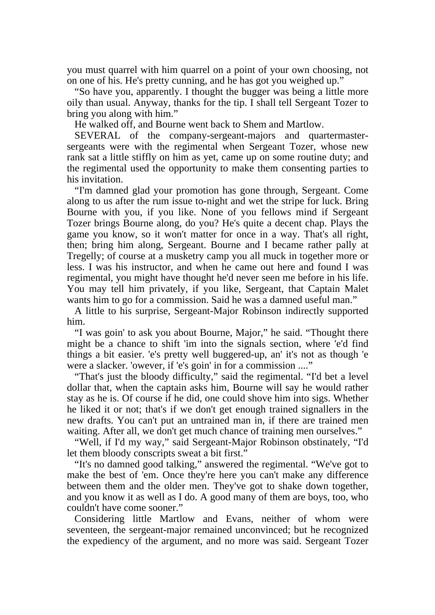you must quarrel with him quarrel on a point of your own choosing, not on one of his. He's pretty cunning, and he has got you weighed up."

 "So have you, apparently. I thought the bugger was being a little more oily than usual. Anyway, thanks for the tip. I shall tell Sergeant Tozer to bring you along with him."

He walked off, and Bourne went back to Shem and Martlow.

 SEVERAL of the company-sergeant-majors and quartermastersergeants were with the regimental when Sergeant Tozer, whose new rank sat a little stiffly on him as yet, came up on some routine duty; and the regimental used the opportunity to make them consenting parties to his invitation.

 "I'm damned glad your promotion has gone through, Sergeant. Come along to us after the rum issue to-night and wet the stripe for luck. Bring Bourne with you, if you like. None of you fellows mind if Sergeant Tozer brings Bourne along, do you? He's quite a decent chap. Plays the game you know, so it won't matter for once in a way. That's all right, then; bring him along, Sergeant. Bourne and I became rather pally at Tregelly; of course at a musketry camp you all muck in together more or less. I was his instructor, and when he came out here and found I was regimental, you might have thought he'd never seen me before in his life. You may tell him privately, if you like, Sergeant, that Captain Malet wants him to go for a commission. Said he was a damned useful man."

 A little to his surprise, Sergeant-Major Robinson indirectly supported him.

 "I was goin' to ask you about Bourne, Major," he said. "Thought there might be a chance to shift 'im into the signals section, where 'e'd find things a bit easier. 'e's pretty well buggered-up, an' it's not as though 'e were a slacker. 'owever, if 'e's goin' in for a commission ...."

 "That's just the bloody difficulty," said the regimental. "I'd bet a level dollar that, when the captain asks him, Bourne will say he would rather stay as he is. Of course if he did, one could shove him into sigs. Whether he liked it or not; that's if we don't get enough trained signallers in the new drafts. You can't put an untrained man in, if there are trained men waiting. After all, we don't get much chance of training men ourselves."

 "Well, if I'd my way," said Sergeant-Major Robinson obstinately, "I'd let them bloody conscripts sweat a bit first."

 "It's no damned good talking," answered the regimental. "We've got to make the best of 'em. Once they're here you can't make any difference between them and the older men. They've got to shake down together, and you know it as well as I do. A good many of them are boys, too, who couldn't have come sooner."

 Considering little Martlow and Evans, neither of whom were seventeen, the sergeant-major remained unconvinced; but he recognized the expediency of the argument, and no more was said. Sergeant Tozer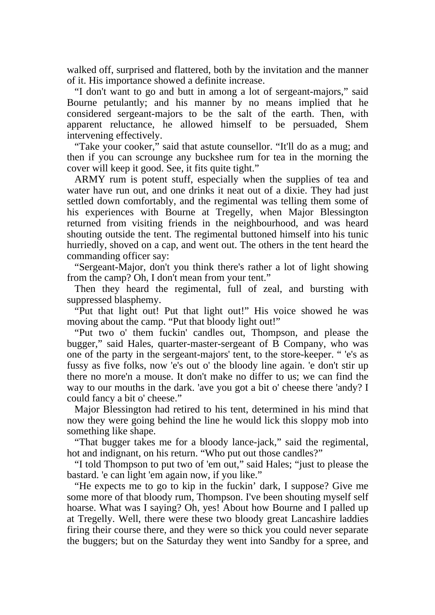walked off, surprised and flattered, both by the invitation and the manner of it. His importance showed a definite increase.

 "I don't want to go and butt in among a lot of sergeant-majors," said Bourne petulantly; and his manner by no means implied that he considered sergeant-majors to be the salt of the earth. Then, with apparent reluctance, he allowed himself to be persuaded, Shem intervening effectively.

 "Take your cooker," said that astute counsellor. "It'll do as a mug; and then if you can scrounge any buckshee rum for tea in the morning the cover will keep it good. See, it fits quite tight."

 ARMY rum is potent stuff, especially when the supplies of tea and water have run out, and one drinks it neat out of a dixie. They had just settled down comfortably, and the regimental was telling them some of his experiences with Bourne at Tregelly, when Major Blessington returned from visiting friends in the neighbourhood, and was heard shouting outside the tent. The regimental buttoned himself into his tunic hurriedly, shoved on a cap, and went out. The others in the tent heard the commanding officer say:

 "Sergeant-Major, don't you think there's rather a lot of light showing from the camp? Oh, I don't mean from your tent."

 Then they heard the regimental, full of zeal, and bursting with suppressed blasphemy.

 "Put that light out! Put that light out!" His voice showed he was moving about the camp. "Put that bloody light out!"

 "Put two o' them fuckin' candles out, Thompson, and please the bugger," said Hales, quarter-master-sergeant of B Company, who was one of the party in the sergeant-majors' tent, to the store-keeper. " 'e's as fussy as five folks, now 'e's out o' the bloody line again. 'e don't stir up there no more'n a mouse. It don't make no differ to us; we can find the way to our mouths in the dark. 'ave you got a bit o' cheese there 'andy? I could fancy a bit o' cheese."

 Major Blessington had retired to his tent, determined in his mind that now they were going behind the line he would lick this sloppy mob into something like shape.

 "That bugger takes me for a bloody lance-jack," said the regimental, hot and indignant, on his return. "Who put out those candles?"

 "I told Thompson to put two of 'em out," said Hales; "just to please the bastard. 'e can light 'em again now, if you like."

 "He expects me to go to kip in the fuckin' dark, I suppose? Give me some more of that bloody rum, Thompson. I've been shouting myself self hoarse. What was I saying? Oh, yes! About how Bourne and I palled up at Tregelly. Well, there were these two bloody great Lancashire laddies firing their course there, and they were so thick you could never separate the buggers; but on the Saturday they went into Sandby for a spree, and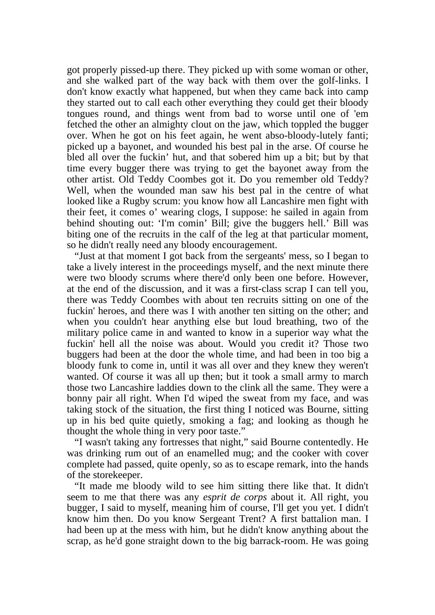got properly pissed-up there. They picked up with some woman or other, and she walked part of the way back with them over the golf-links. I don't know exactly what happened, but when they came back into camp they started out to call each other everything they could get their bloody tongues round, and things went from bad to worse until one of 'em fetched the other an almighty clout on the jaw, which toppled the bugger over. When he got on his feet again, he went abso-bloody-lutely fanti; picked up a bayonet, and wounded his best pal in the arse. Of course he bled all over the fuckin' hut, and that sobered him up a bit; but by that time every bugger there was trying to get the bayonet away from the other artist. Old Teddy Coombes got it. Do you remember old Teddy? Well, when the wounded man saw his best pal in the centre of what looked like a Rugby scrum: you know how all Lancashire men fight with their feet, it comes o' wearing clogs, I suppose: he sailed in again from behind shouting out: 'I'm comin' Bill; give the buggers hell.' Bill was biting one of the recruits in the calf of the leg at that particular moment, so he didn't really need any bloody encouragement.

 "Just at that moment I got back from the sergeants' mess, so I began to take a lively interest in the proceedings myself, and the next minute there were two bloody scrums where there'd only been one before. However, at the end of the discussion, and it was a first-class scrap I can tell you, there was Teddy Coombes with about ten recruits sitting on one of the fuckin' heroes, and there was I with another ten sitting on the other; and when you couldn't hear anything else but loud breathing, two of the military police came in and wanted to know in a superior way what the fuckin' hell all the noise was about. Would you credit it? Those two buggers had been at the door the whole time, and had been in too big a bloody funk to come in, until it was all over and they knew they weren't wanted. Of course it was all up then; but it took a small army to march those two Lancashire laddies down to the clink all the same. They were a bonny pair all right. When I'd wiped the sweat from my face, and was taking stock of the situation, the first thing I noticed was Bourne, sitting up in his bed quite quietly, smoking a fag; and looking as though he thought the whole thing in very poor taste."

 "I wasn't taking any fortresses that night," said Bourne contentedly. He was drinking rum out of an enamelled mug; and the cooker with cover complete had passed, quite openly, so as to escape remark, into the hands of the storekeeper.

 "It made me bloody wild to see him sitting there like that. It didn't seem to me that there was any *esprit de corps* about it. All right, you bugger, I said to myself, meaning him of course, I'll get you yet. I didn't know him then. Do you know Sergeant Trent? A first battalion man. I had been up at the mess with him, but he didn't know anything about the scrap, as he'd gone straight down to the big barrack-room. He was going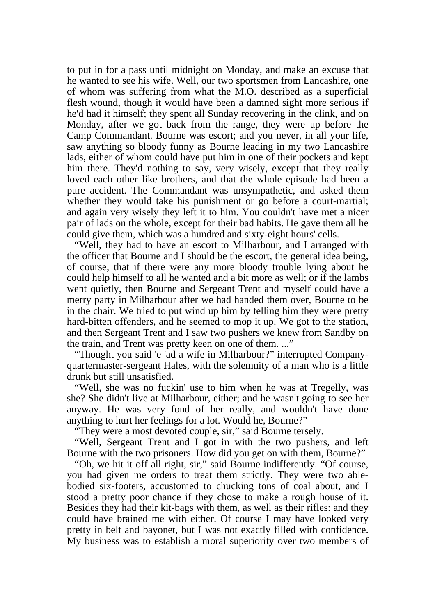to put in for a pass until midnight on Monday, and make an excuse that he wanted to see his wife. Well, our two sportsmen from Lancashire, one of whom was suffering from what the M.O. described as a superficial flesh wound, though it would have been a damned sight more serious if he'd had it himself; they spent all Sunday recovering in the clink, and on Monday, after we got back from the range, they were up before the Camp Commandant. Bourne was escort; and you never, in all your life, saw anything so bloody funny as Bourne leading in my two Lancashire lads, either of whom could have put him in one of their pockets and kept him there. They'd nothing to say, very wisely, except that they really loved each other like brothers, and that the whole episode had been a pure accident. The Commandant was unsympathetic, and asked them whether they would take his punishment or go before a court-martial; and again very wisely they left it to him. You couldn't have met a nicer pair of lads on the whole, except for their bad habits. He gave them all he could give them, which was a hundred and sixty-eight hours' cells.

 "Well, they had to have an escort to Milharbour, and I arranged with the officer that Bourne and I should be the escort, the general idea being, of course, that if there were any more bloody trouble lying about he could help himself to all he wanted and a bit more as well; or if the lambs went quietly, then Bourne and Sergeant Trent and myself could have a merry party in Milharbour after we had handed them over, Bourne to be in the chair. We tried to put wind up him by telling him they were pretty hard-bitten offenders, and he seemed to mop it up. We got to the station, and then Sergeant Trent and I saw two pushers we knew from Sandby on the train, and Trent was pretty keen on one of them. ..."

 "Thought you said 'e 'ad a wife in Milharbour?" interrupted Companyquartermaster-sergeant Hales, with the solemnity of a man who is a little drunk but still unsatisfied.

 "Well, she was no fuckin' use to him when he was at Tregelly, was she? She didn't live at Milharbour, either; and he wasn't going to see her anyway. He was very fond of her really, and wouldn't have done anything to hurt her feelings for a lot. Would he, Bourne?"

"They were a most devoted couple, sir," said Bourne tersely.

 "Well, Sergeant Trent and I got in with the two pushers, and left Bourne with the two prisoners. How did you get on with them, Bourne?"

 "Oh, we hit it off all right, sir," said Bourne indifferently. "Of course, you had given me orders to treat them strictly. They were two ablebodied six-footers, accustomed to chucking tons of coal about, and I stood a pretty poor chance if they chose to make a rough house of it. Besides they had their kit-bags with them, as well as their rifles: and they could have brained me with either. Of course I may have looked very pretty in belt and bayonet, but I was not exactly filled with confidence. My business was to establish a moral superiority over two members of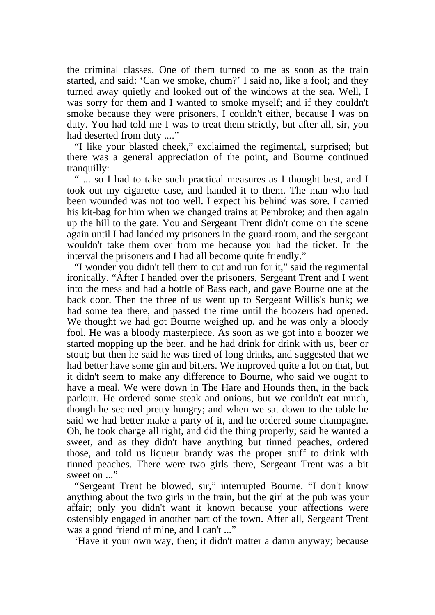the criminal classes. One of them turned to me as soon as the train started, and said: 'Can we smoke, chum?' I said no, like a fool; and they turned away quietly and looked out of the windows at the sea. Well, I was sorry for them and I wanted to smoke myself; and if they couldn't smoke because they were prisoners, I couldn't either, because I was on duty. You had told me I was to treat them strictly, but after all, sir, you had deserted from duty ...."

 "I like your blasted cheek," exclaimed the regimental, surprised; but there was a general appreciation of the point, and Bourne continued tranquilly:

 " ... so I had to take such practical measures as I thought best, and I took out my cigarette case, and handed it to them. The man who had been wounded was not too well. I expect his behind was sore. I carried his kit-bag for him when we changed trains at Pembroke; and then again up the hill to the gate. You and Sergeant Trent didn't come on the scene again until I had landed my prisoners in the guard-room, and the sergeant wouldn't take them over from me because you had the ticket. In the interval the prisoners and I had all become quite friendly."

 "I wonder you didn't tell them to cut and run for it," said the regimental ironically. "After I handed over the prisoners, Sergeant Trent and I went into the mess and had a bottle of Bass each, and gave Bourne one at the back door. Then the three of us went up to Sergeant Willis's bunk; we had some tea there, and passed the time until the boozers had opened. We thought we had got Bourne weighed up, and he was only a bloody fool. He was a bloody masterpiece. As soon as we got into a boozer we started mopping up the beer, and he had drink for drink with us, beer or stout; but then he said he was tired of long drinks, and suggested that we had better have some gin and bitters. We improved quite a lot on that, but it didn't seem to make any difference to Bourne, who said we ought to have a meal. We were down in The Hare and Hounds then, in the back parlour. He ordered some steak and onions, but we couldn't eat much, though he seemed pretty hungry; and when we sat down to the table he said we had better make a party of it, and he ordered some champagne. Oh, he took charge all right, and did the thing properly; said he wanted a sweet, and as they didn't have anything but tinned peaches, ordered those, and told us liqueur brandy was the proper stuff to drink with tinned peaches. There were two girls there, Sergeant Trent was a bit sweet on ..."

 "Sergeant Trent be blowed, sir," interrupted Bourne. "I don't know anything about the two girls in the train, but the girl at the pub was your affair; only you didn't want it known because your affections were ostensibly engaged in another part of the town. After all, Sergeant Trent was a good friend of mine, and I can't ..."

'Have it your own way, then; it didn't matter a damn anyway; because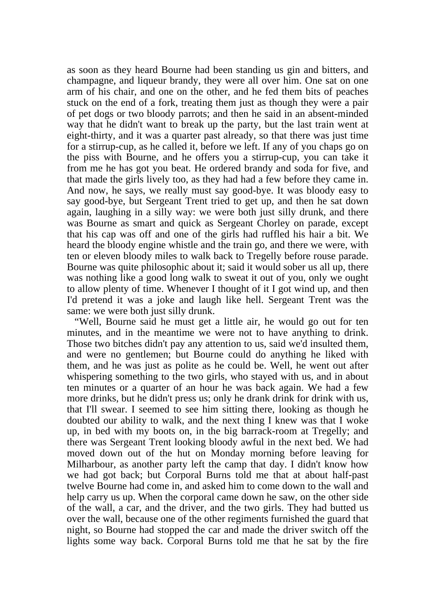as soon as they heard Bourne had been standing us gin and bitters, and champagne, and liqueur brandy, they were all over him. One sat on one arm of his chair, and one on the other, and he fed them bits of peaches stuck on the end of a fork, treating them just as though they were a pair of pet dogs or two bloody parrots; and then he said in an absent-minded way that he didn't want to break up the party, but the last train went at eight-thirty, and it was a quarter past already, so that there was just time for a stirrup-cup, as he called it, before we left. If any of you chaps go on the piss with Bourne, and he offers you a stirrup-cup, you can take it from me he has got you beat. He ordered brandy and soda for five, and that made the girls lively too, as they had had a few before they came in. And now, he says, we really must say good-bye. It was bloody easy to say good-bye, but Sergeant Trent tried to get up, and then he sat down again, laughing in a silly way: we were both just silly drunk, and there was Bourne as smart and quick as Sergeant Chorley on parade, except that his cap was off and one of the girls had ruffled his hair a bit. We heard the bloody engine whistle and the train go, and there we were, with ten or eleven bloody miles to walk back to Tregelly before rouse parade. Bourne was quite philosophic about it; said it would sober us all up, there was nothing like a good long walk to sweat it out of you, only we ought to allow plenty of time. Whenever I thought of it I got wind up, and then I'd pretend it was a joke and laugh like hell. Sergeant Trent was the same: we were both just silly drunk.

 "Well, Bourne said he must get a little air, he would go out for ten minutes, and in the meantime we were not to have anything to drink. Those two bitches didn't pay any attention to us, said we'd insulted them, and were no gentlemen; but Bourne could do anything he liked with them, and he was just as polite as he could be. Well, he went out after whispering something to the two girls, who stayed with us, and in about ten minutes or a quarter of an hour he was back again. We had a few more drinks, but he didn't press us; only he drank drink for drink with us, that I'll swear. I seemed to see him sitting there, looking as though he doubted our ability to walk, and the next thing I knew was that I woke up, in bed with my boots on, in the big barrack-room at Tregelly; and there was Sergeant Trent looking bloody awful in the next bed. We had moved down out of the hut on Monday morning before leaving for Milharbour, as another party left the camp that day. I didn't know how we had got back; but Corporal Burns told me that at about half-past twelve Bourne had come in, and asked him to come down to the wall and help carry us up. When the corporal came down he saw, on the other side of the wall, a car, and the driver, and the two girls. They had butted us over the wall, because one of the other regiments furnished the guard that night, so Bourne had stopped the car and made the driver switch off the lights some way back. Corporal Burns told me that he sat by the fire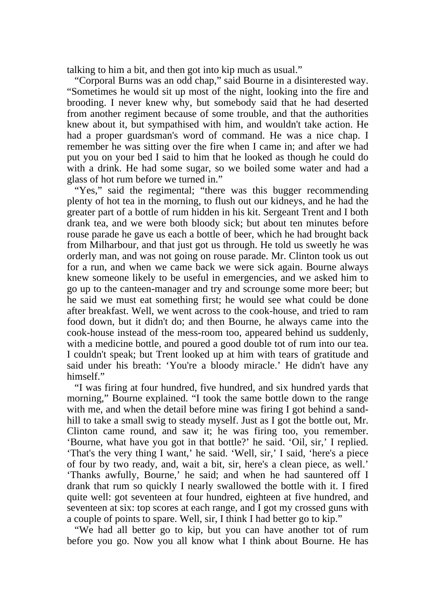talking to him a bit, and then got into kip much as usual."

 "Corporal Burns was an odd chap," said Bourne in a disinterested way. "Sometimes he would sit up most of the night, looking into the fire and brooding. I never knew why, but somebody said that he had deserted from another regiment because of some trouble, and that the authorities knew about it, but sympathised with him, and wouldn't take action. He had a proper guardsman's word of command. He was a nice chap. I remember he was sitting over the fire when I came in; and after we had put you on your bed I said to him that he looked as though he could do with a drink. He had some sugar, so we boiled some water and had a glass of hot rum before we turned in."

"Yes," said the regimental; "there was this bugger recommending plenty of hot tea in the morning, to flush out our kidneys, and he had the greater part of a bottle of rum hidden in his kit. Sergeant Trent and I both drank tea, and we were both bloody sick; but about ten minutes before rouse parade he gave us each a bottle of beer, which he had brought back from Milharbour, and that just got us through. He told us sweetly he was orderly man, and was not going on rouse parade. Mr. Clinton took us out for a run, and when we came back we were sick again. Bourne always knew someone likely to be useful in emergencies, and we asked him to go up to the canteen-manager and try and scrounge some more beer; but he said we must eat something first; he would see what could be done after breakfast. Well, we went across to the cook-house, and tried to ram food down, but it didn't do; and then Bourne, he always came into the cook-house instead of the mess-room too, appeared behind us suddenly, with a medicine bottle, and poured a good double tot of rum into our tea. I couldn't speak; but Trent looked up at him with tears of gratitude and said under his breath: 'You're a bloody miracle.' He didn't have any himself."

 "I was firing at four hundred, five hundred, and six hundred yards that morning," Bourne explained. "I took the same bottle down to the range with me, and when the detail before mine was firing I got behind a sandhill to take a small swig to steady myself. Just as I got the bottle out, Mr. Clinton came round, and saw it; he was firing too, you remember. 'Bourne, what have you got in that bottle?' he said. 'Oil, sir,' I replied. 'That's the very thing I want,' he said. 'Well, sir,' I said, 'here's a piece of four by two ready, and, wait a bit, sir, here's a clean piece, as well.' 'Thanks awfully, Bourne,' he said; and when he had sauntered off I drank that rum so quickly I nearly swallowed the bottle with it. I fired quite well: got seventeen at four hundred, eighteen at five hundred, and seventeen at six: top scores at each range, and I got my crossed guns with a couple of points to spare. Well, sir, I think I had better go to kip."

 "We had all better go to kip, but you can have another tot of rum before you go. Now you all know what I think about Bourne. He has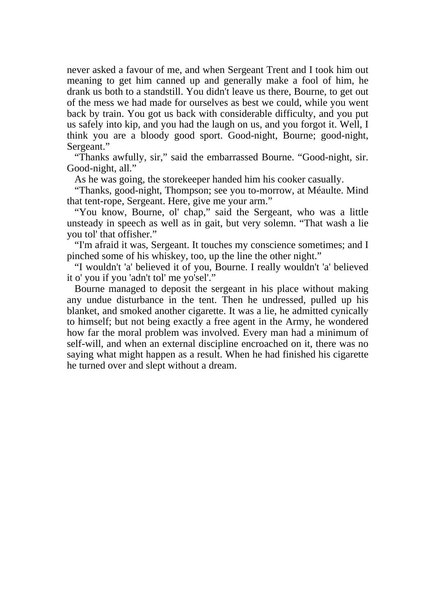never asked a favour of me, and when Sergeant Trent and I took him out meaning to get him canned up and generally make a fool of him, he drank us both to a standstill. You didn't leave us there, Bourne, to get out of the mess we had made for ourselves as best we could, while you went back by train. You got us back with considerable difficulty, and you put us safely into kip, and you had the laugh on us, and you forgot it. Well, I think you are a bloody good sport. Good-night, Bourne; good-night, Sergeant."

 "Thanks awfully, sir," said the embarrassed Bourne. "Good-night, sir. Good-night, all."

As he was going, the storekeeper handed him his cooker casually.

 "Thanks, good-night, Thompson; see you to-morrow, at Méaulte. Mind that tent-rope, Sergeant. Here, give me your arm."

 "You know, Bourne, ol' chap," said the Sergeant, who was a little unsteady in speech as well as in gait, but very solemn. "That wash a lie you tol' that offisher."

 "I'm afraid it was, Sergeant. It touches my conscience sometimes; and I pinched some of his whiskey, too, up the line the other night."

 "I wouldn't 'a' believed it of you, Bourne. I really wouldn't 'a' believed it o' you if you 'adn't tol' me yo'sel'."

 Bourne managed to deposit the sergeant in his place without making any undue disturbance in the tent. Then he undressed, pulled up his blanket, and smoked another cigarette. It was a lie, he admitted cynically to himself; but not being exactly a free agent in the Army, he wondered how far the moral problem was involved. Every man had a minimum of self-will, and when an external discipline encroached on it, there was no saying what might happen as a result. When he had finished his cigarette he turned over and slept without a dream.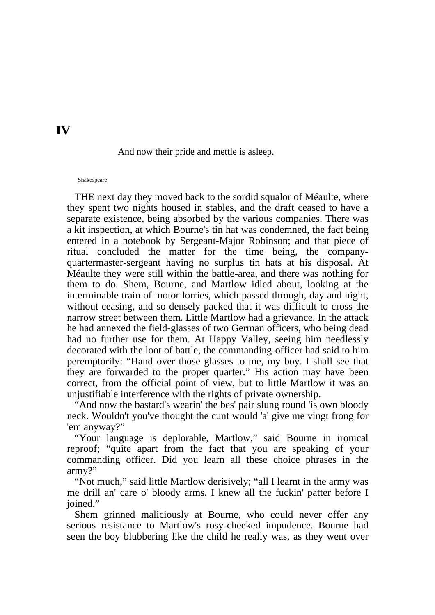# And now their pride and mettle is asleep.

# Shakespeare

 THE next day they moved back to the sordid squalor of Méaulte, where they spent two nights housed in stables, and the draft ceased to have a separate existence, being absorbed by the various companies. There was a kit inspection, at which Bourne's tin hat was condemned, the fact being entered in a notebook by Sergeant-Major Robinson; and that piece of ritual concluded the matter for the time being, the companyquartermaster-sergeant having no surplus tin hats at his disposal. At Méaulte they were still within the battle-area, and there was nothing for them to do. Shem, Bourne, and Martlow idled about, looking at the interminable train of motor lorries, which passed through, day and night, without ceasing, and so densely packed that it was difficult to cross the narrow street between them. Little Martlow had a grievance. In the attack he had annexed the field-glasses of two German officers, who being dead had no further use for them. At Happy Valley, seeing him needlessly decorated with the loot of battle, the commanding-officer had said to him peremptorily: "Hand over those glasses to me, my boy. I shall see that they are forwarded to the proper quarter." His action may have been correct, from the official point of view, but to little Martlow it was an unjustifiable interference with the rights of private ownership.

 "And now the bastard's wearin' the bes' pair slung round 'is own bloody neck. Wouldn't you've thought the cunt would 'a' give me vingt frong for 'em anyway?"

 "Your language is deplorable, Martlow," said Bourne in ironical reproof; "quite apart from the fact that you are speaking of your commanding officer. Did you learn all these choice phrases in the army?"

 "Not much," said little Martlow derisively; "all I learnt in the army was me drill an' care o' bloody arms. I knew all the fuckin' patter before I joined."

 Shem grinned maliciously at Bourne, who could never offer any serious resistance to Martlow's rosy-cheeked impudence. Bourne had seen the boy blubbering like the child he really was, as they went over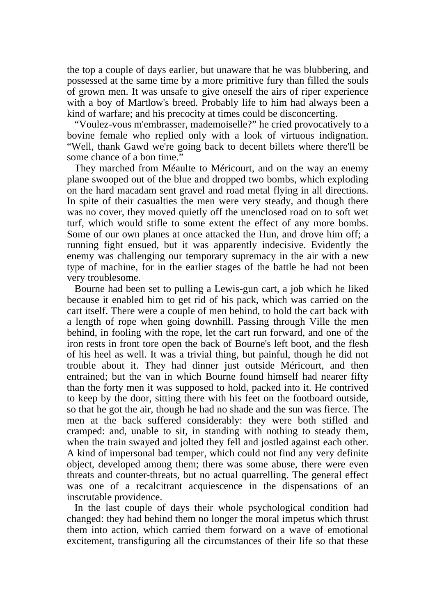the top a couple of days earlier, but unaware that he was blubbering, and possessed at the same time by a more primitive fury than filled the souls of grown men. It was unsafe to give oneself the airs of riper experience with a boy of Martlow's breed. Probably life to him had always been a kind of warfare; and his precocity at times could be disconcerting.

 "Voulez-vous m'embrasser, mademoiselle?" he cried provocatively to a bovine female who replied only with a look of virtuous indignation. "Well, thank Gawd we're going back to decent billets where there'll be some chance of a bon time."

 They marched from Méaulte to Méricourt, and on the way an enemy plane swooped out of the blue and dropped two bombs, which exploding on the hard macadam sent gravel and road metal flying in all directions. In spite of their casualties the men were very steady, and though there was no cover, they moved quietly off the unenclosed road on to soft wet turf, which would stifle to some extent the effect of any more bombs. Some of our own planes at once attacked the Hun, and drove him off; a running fight ensued, but it was apparently indecisive. Evidently the enemy was challenging our temporary supremacy in the air with a new type of machine, for in the earlier stages of the battle he had not been very troublesome.

 Bourne had been set to pulling a Lewis-gun cart, a job which he liked because it enabled him to get rid of his pack, which was carried on the cart itself. There were a couple of men behind, to hold the cart back with a length of rope when going downhill. Passing through Ville the men behind, in fooling with the rope, let the cart run forward, and one of the iron rests in front tore open the back of Bourne's left boot, and the flesh of his heel as well. It was a trivial thing, but painful, though he did not trouble about it. They had dinner just outside Méricourt, and then entrained; but the van in which Bourne found himself had nearer fifty than the forty men it was supposed to hold, packed into it. He contrived to keep by the door, sitting there with his feet on the footboard outside, so that he got the air, though he had no shade and the sun was fierce. The men at the back suffered considerably: they were both stifled and cramped: and, unable to sit, in standing with nothing to steady them, when the train swayed and jolted they fell and jostled against each other. A kind of impersonal bad temper, which could not find any very definite object, developed among them; there was some abuse, there were even threats and counter-threats, but no actual quarrelling. The general effect was one of a recalcitrant acquiescence in the dispensations of an inscrutable providence.

 In the last couple of days their whole psychological condition had changed: they had behind them no longer the moral impetus which thrust them into action, which carried them forward on a wave of emotional excitement, transfiguring all the circumstances of their life so that these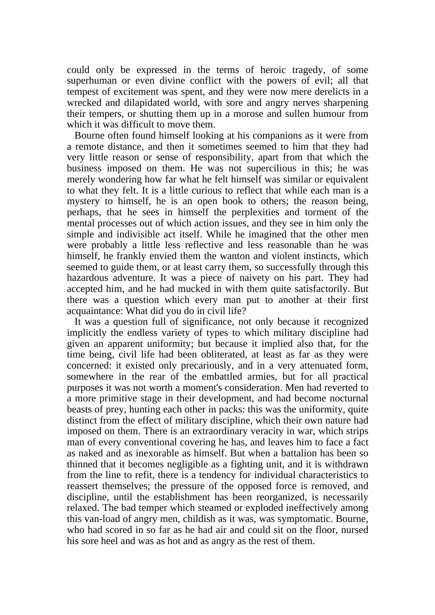could only be expressed in the terms of heroic tragedy, of some superhuman or even divine conflict with the powers of evil; all that tempest of excitement was spent, and they were now mere derelicts in a wrecked and dilapidated world, with sore and angry nerves sharpening their tempers, or shutting them up in a morose and sullen humour from which it was difficult to move them.

 Bourne often found himself looking at his companions as it were from a remote distance, and then it sometimes seemed to him that they had very little reason or sense of responsibility, apart from that which the business imposed on them. He was not supercilious in this; he was merely wondering how far what he felt himself was similar or equivalent to what they felt. It is a little curious to reflect that while each man is a mystery to himself, he is an open book to others; the reason being, perhaps, that he sees in himself the perplexities and torment of the mental processes out of which action issues, and they see in him only the simple and indivisible act itself. While he imagined that the other men were probably a little less reflective and less reasonable than he was himself, he frankly envied them the wanton and violent instincts, which seemed to guide them, or at least carry them, so successfully through this hazardous adventure. It was a piece of naivety on his part. They had accepted him, and he had mucked in with them quite satisfactorily. But there was a question which every man put to another at their first acquaintance: What did you do in civil life?

 It was a question full of significance, not only because it recognized implicitly the endless variety of types to which military discipline had given an apparent uniformity; but because it implied also that, for the time being, civil life had been obliterated, at least as far as they were concerned: it existed only precariously, and in a very attenuated form, somewhere in the rear of the embattled armies, but for all practical purposes it was not worth a moment's consideration. Men had reverted to a more primitive stage in their development, and had become nocturnal beasts of prey, hunting each other in packs: this was the uniformity, quite distinct from the effect of military discipline, which their own nature had imposed on them. There is an extraordinary veracity in war, which strips man of every conventional covering he has, and leaves him to face a fact as naked and as inexorable as himself. But when a battalion has been so thinned that it becomes negligible as a fighting unit, and it is withdrawn from the line to refit, there is a tendency for individual characteristics to reassert themselves; the pressure of the opposed force is removed, and discipline, until the establishment has been reorganized, is necessarily relaxed. The bad temper which steamed or exploded ineffectively among this van-load of angry men, childish as it was, was symptomatic. Bourne, who had scored in so far as he had air and could sit on the floor, nursed his sore heel and was as hot and as angry as the rest of them.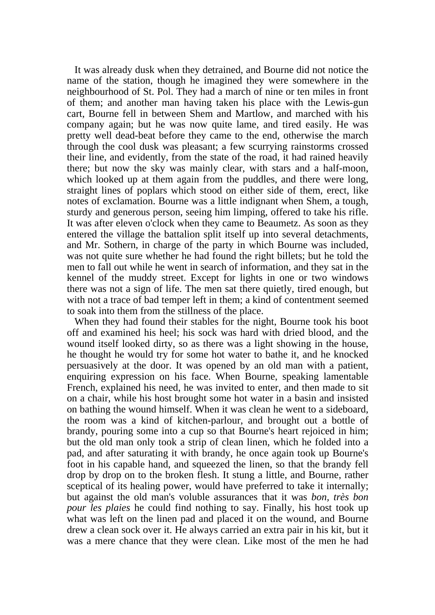It was already dusk when they detrained, and Bourne did not notice the name of the station, though he imagined they were somewhere in the neighbourhood of St. Pol. They had a march of nine or ten miles in front of them; and another man having taken his place with the Lewis-gun cart, Bourne fell in between Shem and Martlow, and marched with his company again; but he was now quite lame, and tired easily. He was pretty well dead-beat before they came to the end, otherwise the march through the cool dusk was pleasant; a few scurrying rainstorms crossed their line, and evidently, from the state of the road, it had rained heavily there; but now the sky was mainly clear, with stars and a half-moon, which looked up at them again from the puddles, and there were long, straight lines of poplars which stood on either side of them, erect, like notes of exclamation. Bourne was a little indignant when Shem, a tough, sturdy and generous person, seeing him limping, offered to take his rifle. It was after eleven o'clock when they came to Beaumetz. As soon as they entered the village the battalion split itself up into several detachments, and Mr. Sothern, in charge of the party in which Bourne was included, was not quite sure whether he had found the right billets; but he told the men to fall out while he went in search of information, and they sat in the kennel of the muddy street. Except for lights in one or two windows there was not a sign of life. The men sat there quietly, tired enough, but with not a trace of bad temper left in them; a kind of contentment seemed to soak into them from the stillness of the place.

 When they had found their stables for the night, Bourne took his boot off and examined his heel; his sock was hard with dried blood, and the wound itself looked dirty, so as there was a light showing in the house, he thought he would try for some hot water to bathe it, and he knocked persuasively at the door. It was opened by an old man with a patient, enquiring expression on his face. When Bourne, speaking lamentable French, explained his need, he was invited to enter, and then made to sit on a chair, while his host brought some hot water in a basin and insisted on bathing the wound himself. When it was clean he went to a sideboard, the room was a kind of kitchen-parlour, and brought out a bottle of brandy, pouring some into a cup so that Bourne's heart rejoiced in him; but the old man only took a strip of clean linen, which he folded into a pad, and after saturating it with brandy, he once again took up Bourne's foot in his capable hand, and squeezed the linen, so that the brandy fell drop by drop on to the broken flesh. It stung a little, and Bourne, rather sceptical of its healing power, would have preferred to take it internally; but against the old man's voluble assurances that it was *bon, très bon pour les plaies* he could find nothing to say. Finally, his host took up what was left on the linen pad and placed it on the wound, and Bourne drew a clean sock over it. He always carried an extra pair in his kit, but it was a mere chance that they were clean. Like most of the men he had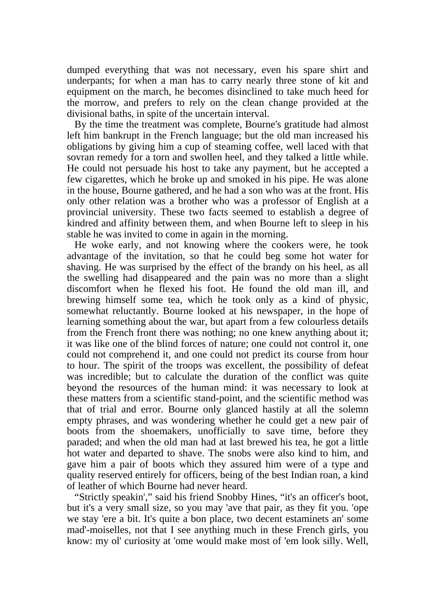dumped everything that was not necessary, even his spare shirt and underpants; for when a man has to carry nearly three stone of kit and equipment on the march, he becomes disinclined to take much heed for the morrow, and prefers to rely on the clean change provided at the divisional baths, in spite of the uncertain interval.

 By the time the treatment was complete, Bourne's gratitude had almost left him bankrupt in the French language; but the old man increased his obligations by giving him a cup of steaming coffee, well laced with that sovran remedy for a torn and swollen heel, and they talked a little while. He could not persuade his host to take any payment, but he accepted a few cigarettes, which he broke up and smoked in his pipe. He was alone in the house, Bourne gathered, and he had a son who was at the front. His only other relation was a brother who was a professor of English at a provincial university. These two facts seemed to establish a degree of kindred and affinity between them, and when Bourne left to sleep in his stable he was invited to come in again in the morning.

 He woke early, and not knowing where the cookers were, he took advantage of the invitation, so that he could beg some hot water for shaving. He was surprised by the effect of the brandy on his heel, as all the swelling had disappeared and the pain was no more than a slight discomfort when he flexed his foot. He found the old man ill, and brewing himself some tea, which he took only as a kind of physic, somewhat reluctantly. Bourne looked at his newspaper, in the hope of learning something about the war, but apart from a few colourless details from the French front there was nothing; no one knew anything about it; it was like one of the blind forces of nature; one could not control it, one could not comprehend it, and one could not predict its course from hour to hour. The spirit of the troops was excellent, the possibility of defeat was incredible; but to calculate the duration of the conflict was quite beyond the resources of the human mind: it was necessary to look at these matters from a scientific stand-point, and the scientific method was that of trial and error. Bourne only glanced hastily at all the solemn empty phrases, and was wondering whether he could get a new pair of boots from the shoemakers, unofficially to save time, before they paraded; and when the old man had at last brewed his tea, he got a little hot water and departed to shave. The snobs were also kind to him, and gave him a pair of boots which they assured him were of a type and quality reserved entirely for officers, being of the best Indian roan, a kind of leather of which Bourne had never heard.

 "Strictly speakin'," said his friend Snobby Hines, "it's an officer's boot, but it's a very small size, so you may 'ave that pair, as they fit you. 'ope we stay 'ere a bit. It's quite a bon place, two decent estaminets an' some mad'-moiselles, not that I see anything much in these French girls, you know: my ol' curiosity at 'ome would make most of 'em look silly. Well,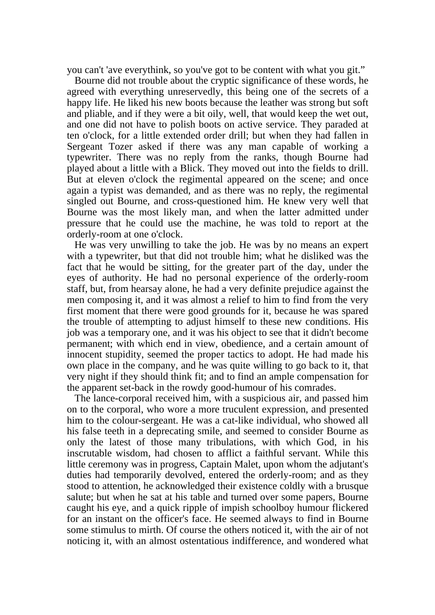you can't 'ave everythink, so you've got to be content with what you git."

 Bourne did not trouble about the cryptic significance of these words, he agreed with everything unreservedly, this being one of the secrets of a happy life. He liked his new boots because the leather was strong but soft and pliable, and if they were a bit oily, well, that would keep the wet out, and one did not have to polish boots on active service. They paraded at ten o'clock, for a little extended order drill; but when they had fallen in Sergeant Tozer asked if there was any man capable of working a typewriter. There was no reply from the ranks, though Bourne had played about a little with a Blick. They moved out into the fields to drill. But at eleven o'clock the regimental appeared on the scene; and once again a typist was demanded, and as there was no reply, the regimental singled out Bourne, and cross-questioned him. He knew very well that Bourne was the most likely man, and when the latter admitted under pressure that he could use the machine, he was told to report at the orderly-room at one o'clock.

 He was very unwilling to take the job. He was by no means an expert with a typewriter, but that did not trouble him; what he disliked was the fact that he would be sitting, for the greater part of the day, under the eyes of authority. He had no personal experience of the orderly-room staff, but, from hearsay alone, he had a very definite prejudice against the men composing it, and it was almost a relief to him to find from the very first moment that there were good grounds for it, because he was spared the trouble of attempting to adjust himself to these new conditions. His job was a temporary one, and it was his object to see that it didn't become permanent; with which end in view, obedience, and a certain amount of innocent stupidity, seemed the proper tactics to adopt. He had made his own place in the company, and he was quite willing to go back to it, that very night if they should think fit; and to find an ample compensation for the apparent set-back in the rowdy good-humour of his comrades.

 The lance-corporal received him, with a suspicious air, and passed him on to the corporal, who wore a more truculent expression, and presented him to the colour-sergeant. He was a cat-like individual, who showed all his false teeth in a deprecating smile, and seemed to consider Bourne as only the latest of those many tribulations, with which God, in his inscrutable wisdom, had chosen to afflict a faithful servant. While this little ceremony was in progress, Captain Malet, upon whom the adjutant's duties had temporarily devolved, entered the orderly-room; and as they stood to attention, he acknowledged their existence coldly with a brusque salute; but when he sat at his table and turned over some papers, Bourne caught his eye, and a quick ripple of impish schoolboy humour flickered for an instant on the officer's face. He seemed always to find in Bourne some stimulus to mirth. Of course the others noticed it, with the air of not noticing it, with an almost ostentatious indifference, and wondered what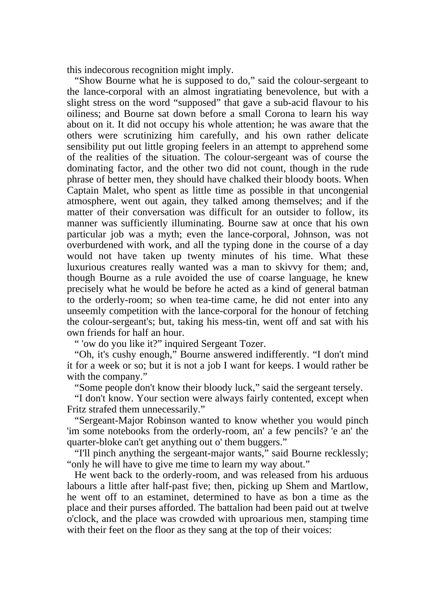this indecorous recognition might imply.

 "Show Bourne what he is supposed to do," said the colour-sergeant to the lance-corporal with an almost ingratiating benevolence, but with a slight stress on the word "supposed" that gave a sub-acid flavour to his oiliness; and Bourne sat down before a small Corona to learn his way about on it. It did not occupy his whole attention; he was aware that the others were scrutinizing him carefully, and his own rather delicate sensibility put out little groping feelers in an attempt to apprehend some of the realities of the situation. The colour-sergeant was of course the dominating factor, and the other two did not count, though in the rude phrase of better men, they should have chalked their bloody boots. When Captain Malet, who spent as little time as possible in that uncongenial atmosphere, went out again, they talked among themselves; and if the matter of their conversation was difficult for an outsider to follow, its manner was sufficiently illuminating. Bourne saw at once that his own particular job was a myth; even the lance-corporal, Johnson, was not overburdened with work, and all the typing done in the course of a day would not have taken up twenty minutes of his time. What these luxurious creatures really wanted was a man to skivvy for them; and, though Bourne as a rule avoided the use of coarse language, he knew precisely what he would be before he acted as a kind of general batman to the orderly-room; so when tea-time came, he did not enter into any unseemly competition with the lance-corporal for the honour of fetching the colour-sergeant's; but, taking his mess-tin, went off and sat with his own friends for half an hour.

" 'ow do you like it?" inquired Sergeant Tozer.

 "Oh, it's cushy enough," Bourne answered indifferently. "I don't mind it for a week or so; but it is not a job I want for keeps. I would rather be with the company."

"Some people don't know their bloody luck," said the sergeant tersely.

 "I don't know. Your section were always fairly contented, except when Fritz strafed them unnecessarily."

 "Sergeant-Major Robinson wanted to know whether you would pinch 'im some notebooks from the orderly-room, an' a few pencils? 'e an' the quarter-bloke can't get anything out o' them buggers."

 "I'll pinch anything the sergeant-major wants," said Bourne recklessly; "only he will have to give me time to learn my way about."

 He went back to the orderly-room, and was released from his arduous labours a little after half-past five; then, picking up Shem and Martlow, he went off to an estaminet, determined to have as bon a time as the place and their purses afforded. The battalion had been paid out at twelve o'clock, and the place was crowded with uproarious men, stamping time with their feet on the floor as they sang at the top of their voices: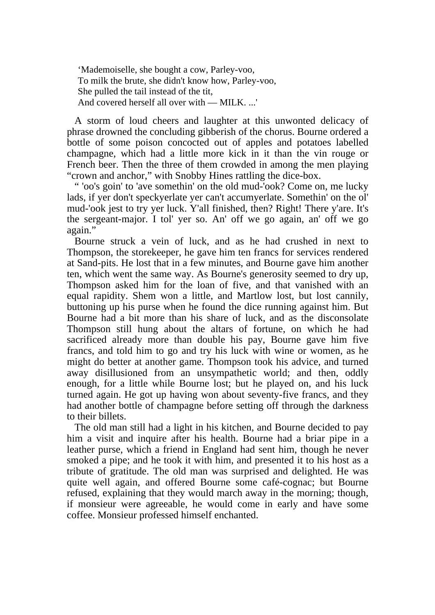'Mademoiselle, she bought a cow, Parley-voo, To milk the brute, she didn't know how, Parley-voo, She pulled the tail instead of the tit, And covered herself all over with — MILK. ...'

 A storm of loud cheers and laughter at this unwonted delicacy of phrase drowned the concluding gibberish of the chorus. Bourne ordered a bottle of some poison concocted out of apples and potatoes labelled champagne, which had a little more kick in it than the vin rouge or French beer. Then the three of them crowded in among the men playing "crown and anchor," with Snobby Hines rattling the dice-box.

 " 'oo's goin' to 'ave somethin' on the old mud-'ook? Come on, me lucky lads, if yer don't speckyerlate yer can't accumyerlate. Somethin' on the ol' mud-'ook jest to try yer luck. Y'all finished, then? Right! There y'are. It's the sergeant-major. I tol' yer so. An' off we go again, an' off we go again."

 Bourne struck a vein of luck, and as he had crushed in next to Thompson, the storekeeper, he gave him ten francs for services rendered at Sand-pits. He lost that in a few minutes, and Bourne gave him another ten, which went the same way. As Bourne's generosity seemed to dry up, Thompson asked him for the loan of five, and that vanished with an equal rapidity. Shem won a little, and Martlow lost, but lost cannily, buttoning up his purse when he found the dice running against him. But Bourne had a bit more than his share of luck, and as the disconsolate Thompson still hung about the altars of fortune, on which he had sacrificed already more than double his pay, Bourne gave him five francs, and told him to go and try his luck with wine or women, as he might do better at another game. Thompson took his advice, and turned away disillusioned from an unsympathetic world; and then, oddly enough, for a little while Bourne lost; but he played on, and his luck turned again. He got up having won about seventy-five francs, and they had another bottle of champagne before setting off through the darkness to their billets.

 The old man still had a light in his kitchen, and Bourne decided to pay him a visit and inquire after his health. Bourne had a briar pipe in a leather purse, which a friend in England had sent him, though he never smoked a pipe; and he took it with him, and presented it to his host as a tribute of gratitude. The old man was surprised and delighted. He was quite well again, and offered Bourne some café-cognac; but Bourne refused, explaining that they would march away in the morning; though, if monsieur were agreeable, he would come in early and have some coffee. Monsieur professed himself enchanted.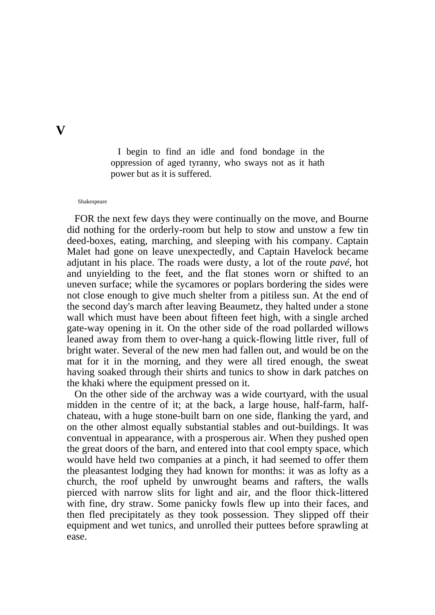I begin to find an idle and fond bondage in the oppression of aged tyranny, who sways not as it hath power but as it is suffered.

#### Shakespeare

 FOR the next few days they were continually on the move, and Bourne did nothing for the orderly-room but help to stow and unstow a few tin deed-boxes, eating, marching, and sleeping with his company. Captain Malet had gone on leave unexpectedly, and Captain Havelock became adjutant in his place. The roads were dusty, a lot of the route *pavé*, hot and unyielding to the feet, and the flat stones worn or shifted to an uneven surface; while the sycamores or poplars bordering the sides were not close enough to give much shelter from a pitiless sun. At the end of the second day's march after leaving Beaumetz, they halted under a stone wall which must have been about fifteen feet high, with a single arched gate-way opening in it. On the other side of the road pollarded willows leaned away from them to over-hang a quick-flowing little river, full of bright water. Several of the new men had fallen out, and would be on the mat for it in the morning, and they were all tired enough, the sweat having soaked through their shirts and tunics to show in dark patches on the khaki where the equipment pressed on it.

 On the other side of the archway was a wide courtyard, with the usual midden in the centre of it; at the back, a large house, half-farm, halfchateau, with a huge stone-built barn on one side, flanking the yard, and on the other almost equally substantial stables and out-buildings. It was conventual in appearance, with a prosperous air. When they pushed open the great doors of the barn, and entered into that cool empty space, which would have held two companies at a pinch, it had seemed to offer them the pleasantest lodging they had known for months: it was as lofty as a church, the roof upheld by unwrought beams and rafters, the walls pierced with narrow slits for light and air, and the floor thick-littered with fine, dry straw. Some panicky fowls flew up into their faces, and then fled precipitately as they took possession. They slipped off their equipment and wet tunics, and unrolled their puttees before sprawling at ease.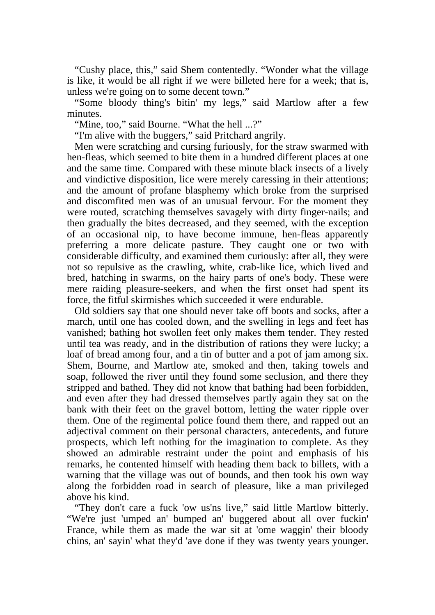"Cushy place, this," said Shem contentedly. "Wonder what the village is like, it would be all right if we were billeted here for a week; that is, unless we're going on to some decent town."

 "Some bloody thing's bitin' my legs," said Martlow after a few minutes.

"Mine, too," said Bourne. "What the hell ...?"

"I'm alive with the buggers," said Pritchard angrily.

 Men were scratching and cursing furiously, for the straw swarmed with hen-fleas, which seemed to bite them in a hundred different places at one and the same time. Compared with these minute black insects of a lively and vindictive disposition, lice were merely caressing in their attentions; and the amount of profane blasphemy which broke from the surprised and discomfited men was of an unusual fervour. For the moment they were routed, scratching themselves savagely with dirty finger-nails; and then gradually the bites decreased, and they seemed, with the exception of an occasional nip, to have become immune, hen-fleas apparently preferring a more delicate pasture. They caught one or two with considerable difficulty, and examined them curiously: after all, they were not so repulsive as the crawling, white, crab-like lice, which lived and bred, hatching in swarms, on the hairy parts of one's body. These were mere raiding pleasure-seekers, and when the first onset had spent its force, the fitful skirmishes which succeeded it were endurable.

 Old soldiers say that one should never take off boots and socks, after a march, until one has cooled down, and the swelling in legs and feet has vanished; bathing hot swollen feet only makes them tender. They rested until tea was ready, and in the distribution of rations they were lucky; a loaf of bread among four, and a tin of butter and a pot of jam among six. Shem, Bourne, and Martlow ate, smoked and then, taking towels and soap, followed the river until they found some seclusion, and there they stripped and bathed. They did not know that bathing had been forbidden, and even after they had dressed themselves partly again they sat on the bank with their feet on the gravel bottom, letting the water ripple over them. One of the regimental police found them there, and rapped out an adjectival comment on their personal characters, antecedents, and future prospects, which left nothing for the imagination to complete. As they showed an admirable restraint under the point and emphasis of his remarks, he contented himself with heading them back to billets, with a warning that the village was out of bounds, and then took his own way along the forbidden road in search of pleasure, like a man privileged above his kind.

 "They don't care a fuck 'ow us'ns live," said little Martlow bitterly. "We're just 'umped an' bumped an' buggered about all over fuckin' France, while them as made the war sit at 'ome waggin' their bloody chins, an' sayin' what they'd 'ave done if they was twenty years younger.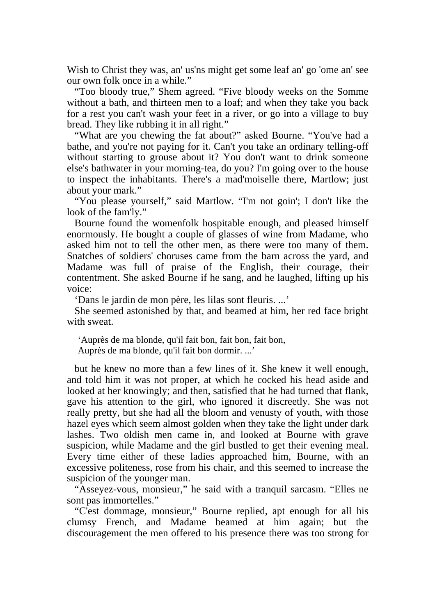Wish to Christ they was, an' us'ns might get some leaf an' go 'ome an' see our own folk once in a while."

 "Too bloody true," Shem agreed. "Five bloody weeks on the Somme without a bath, and thirteen men to a loaf; and when they take you back for a rest you can't wash your feet in a river, or go into a village to buy bread. They like rubbing it in all right."

 "What are you chewing the fat about?" asked Bourne. "You've had a bathe, and you're not paying for it. Can't you take an ordinary telling-off without starting to grouse about it? You don't want to drink someone else's bathwater in your morning-tea, do you? I'm going over to the house to inspect the inhabitants. There's a mad'moiselle there, Martlow; just about your mark."

 "You please yourself," said Martlow. "I'm not goin'; I don't like the look of the fam'ly."

 Bourne found the womenfolk hospitable enough, and pleased himself enormously. He bought a couple of glasses of wine from Madame, who asked him not to tell the other men, as there were too many of them. Snatches of soldiers' choruses came from the barn across the yard, and Madame was full of praise of the English, their courage, their contentment. She asked Bourne if he sang, and he laughed, lifting up his voice:

'Dans le jardin de mon père, les lilas sont fleuris. ...'

 She seemed astonished by that, and beamed at him, her red face bright with sweat.

'Auprès de ma blonde, qu'il fait bon, fait bon, fait bon, Auprès de ma blonde, qu'il fait bon dormir. ...'

 but he knew no more than a few lines of it. She knew it well enough, and told him it was not proper, at which he cocked his head aside and looked at her knowingly; and then, satisfied that he had turned that flank, gave his attention to the girl, who ignored it discreetly. She was not really pretty, but she had all the bloom and venusty of youth, with those hazel eyes which seem almost golden when they take the light under dark lashes. Two oldish men came in, and looked at Bourne with grave suspicion, while Madame and the girl bustled to get their evening meal. Every time either of these ladies approached him, Bourne, with an excessive politeness, rose from his chair, and this seemed to increase the suspicion of the younger man.

 "Asseyez-vous, monsieur," he said with a tranquil sarcasm. "Elles ne sont pas immortelles."

 "C'est dommage, monsieur," Bourne replied, apt enough for all his clumsy French, and Madame beamed at him again; but the discouragement the men offered to his presence there was too strong for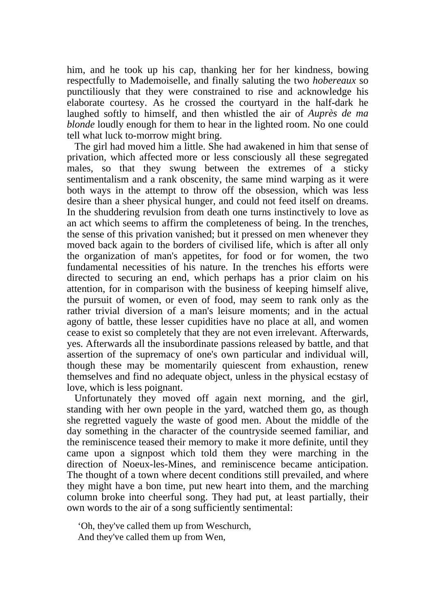him, and he took up his cap, thanking her for her kindness, bowing respectfully to Mademoiselle, and finally saluting the two *hobereaux* so punctiliously that they were constrained to rise and acknowledge his elaborate courtesy. As he crossed the courtyard in the half-dark he laughed softly to himself, and then whistled the air of *Auprès de ma blonde* loudly enough for them to hear in the lighted room. No one could tell what luck to-morrow might bring.

 The girl had moved him a little. She had awakened in him that sense of privation, which affected more or less consciously all these segregated males, so that they swung between the extremes of a sticky sentimentalism and a rank obscenity, the same mind warping as it were both ways in the attempt to throw off the obsession, which was less desire than a sheer physical hunger, and could not feed itself on dreams. In the shuddering revulsion from death one turns instinctively to love as an act which seems to affirm the completeness of being. In the trenches, the sense of this privation vanished; but it pressed on men whenever they moved back again to the borders of civilised life, which is after all only the organization of man's appetites, for food or for women, the two fundamental necessities of his nature. In the trenches his efforts were directed to securing an end, which perhaps has a prior claim on his attention, for in comparison with the business of keeping himself alive, the pursuit of women, or even of food, may seem to rank only as the rather trivial diversion of a man's leisure moments; and in the actual agony of battle, these lesser cupidities have no place at all, and women cease to exist so completely that they are not even irrelevant. Afterwards, yes. Afterwards all the insubordinate passions released by battle, and that assertion of the supremacy of one's own particular and individual will, though these may be momentarily quiescent from exhaustion, renew themselves and find no adequate object, unless in the physical ecstasy of love, which is less poignant.

 Unfortunately they moved off again next morning, and the girl, standing with her own people in the yard, watched them go, as though she regretted vaguely the waste of good men. About the middle of the day something in the character of the countryside seemed familiar, and the reminiscence teased their memory to make it more definite, until they came upon a signpost which told them they were marching in the direction of Noeux-les-Mines, and reminiscence became anticipation. The thought of a town where decent conditions still prevailed, and where they might have a bon time, put new heart into them, and the marching column broke into cheerful song. They had put, at least partially, their own words to the air of a song sufficiently sentimental:

'Oh, they've called them up from Weschurch, And they've called them up from Wen,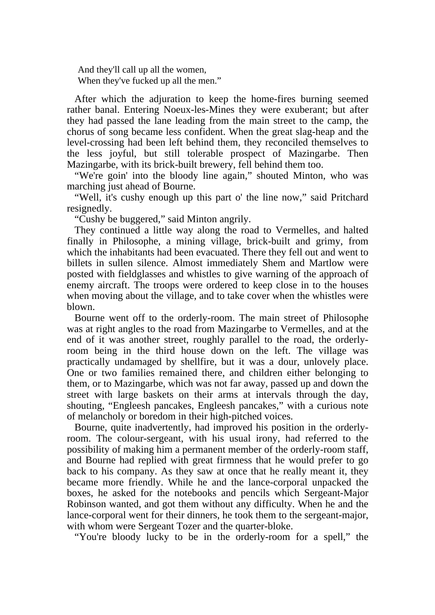And they'll call up all the women, When they've fucked up all the men."

 After which the adjuration to keep the home-fires burning seemed rather banal. Entering Noeux-les-Mines they were exuberant; but after they had passed the lane leading from the main street to the camp, the chorus of song became less confident. When the great slag-heap and the level-crossing had been left behind them, they reconciled themselves to the less joyful, but still tolerable prospect of Mazingarbe. Then Mazingarbe, with its brick-built brewery, fell behind them too.

 "We're goin' into the bloody line again," shouted Minton, who was marching just ahead of Bourne.

 "Well, it's cushy enough up this part o' the line now," said Pritchard resignedly.

"Cushy be buggered," said Minton angrily.

 They continued a little way along the road to Vermelles, and halted finally in Philosophe, a mining village, brick-built and grimy, from which the inhabitants had been evacuated. There they fell out and went to billets in sullen silence. Almost immediately Shem and Martlow were posted with fieldglasses and whistles to give warning of the approach of enemy aircraft. The troops were ordered to keep close in to the houses when moving about the village, and to take cover when the whistles were blown.

 Bourne went off to the orderly-room. The main street of Philosophe was at right angles to the road from Mazingarbe to Vermelles, and at the end of it was another street, roughly parallel to the road, the orderlyroom being in the third house down on the left. The village was practically undamaged by shellfire, but it was a dour, unlovely place. One or two families remained there, and children either belonging to them, or to Mazingarbe, which was not far away, passed up and down the street with large baskets on their arms at intervals through the day, shouting, "Engleesh pancakes, Engleesh pancakes," with a curious note of melancholy or boredom in their high-pitched voices.

 Bourne, quite inadvertently, had improved his position in the orderlyroom. The colour-sergeant, with his usual irony, had referred to the possibility of making him a permanent member of the orderly-room staff, and Bourne had replied with great firmness that he would prefer to go back to his company. As they saw at once that he really meant it, they became more friendly. While he and the lance-corporal unpacked the boxes, he asked for the notebooks and pencils which Sergeant-Major Robinson wanted, and got them without any difficulty. When he and the lance-corporal went for their dinners, he took them to the sergeant-major, with whom were Sergeant Tozer and the quarter-bloke.

"You're bloody lucky to be in the orderly-room for a spell," the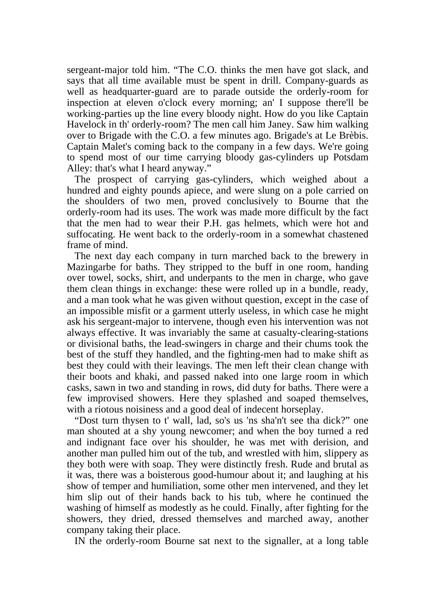sergeant-major told him. "The C.O. thinks the men have got slack, and says that all time available must be spent in drill. Company-guards as well as headquarter-guard are to parade outside the orderly-room for inspection at eleven o'clock every morning; an' I suppose there'll be working-parties up the line every bloody night. How do you like Captain Havelock in th' orderly-room? The men call him Janey. Saw him walking over to Brigade with the C.O. a few minutes ago. Brigade's at Le Brèbis. Captain Malet's coming back to the company in a few days. We're going to spend most of our time carrying bloody gas-cylinders up Potsdam Alley: that's what I heard anyway."

 The prospect of carrying gas-cylinders, which weighed about a hundred and eighty pounds apiece, and were slung on a pole carried on the shoulders of two men, proved conclusively to Bourne that the orderly-room had its uses. The work was made more difficult by the fact that the men had to wear their P.H. gas helmets, which were hot and suffocating. He went back to the orderly-room in a somewhat chastened frame of mind.

 The next day each company in turn marched back to the brewery in Mazingarbe for baths. They stripped to the buff in one room, handing over towel, socks, shirt, and underpants to the men in charge, who gave them clean things in exchange: these were rolled up in a bundle, ready, and a man took what he was given without question, except in the case of an impossible misfit or a garment utterly useless, in which case he might ask his sergeant-major to intervene, though even his intervention was not always effective. It was invariably the same at casualty-clearing-stations or divisional baths, the lead-swingers in charge and their chums took the best of the stuff they handled, and the fighting-men had to make shift as best they could with their leavings. The men left their clean change with their boots and khaki, and passed naked into one large room in which casks, sawn in two and standing in rows, did duty for baths. There were a few improvised showers. Here they splashed and soaped themselves, with a riotous noisiness and a good deal of indecent horseplay.

 "Dost turn thysen to t' wall, lad, so's us 'ns sha'n't see tha dick?" one man shouted at a shy young newcomer; and when the boy turned a red and indignant face over his shoulder, he was met with derision, and another man pulled him out of the tub, and wrestled with him, slippery as they both were with soap. They were distinctly fresh. Rude and brutal as it was, there was a boisterous good-humour about it; and laughing at his show of temper and humiliation, some other men intervened, and they let him slip out of their hands back to his tub, where he continued the washing of himself as modestly as he could. Finally, after fighting for the showers, they dried, dressed themselves and marched away, another company taking their place.

IN the orderly-room Bourne sat next to the signaller, at a long table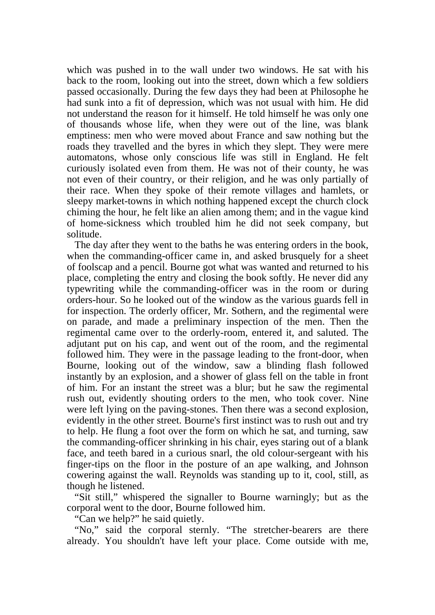which was pushed in to the wall under two windows. He sat with his back to the room, looking out into the street, down which a few soldiers passed occasionally. During the few days they had been at Philosophe he had sunk into a fit of depression, which was not usual with him. He did not understand the reason for it himself. He told himself he was only one of thousands whose life, when they were out of the line, was blank emptiness: men who were moved about France and saw nothing but the roads they travelled and the byres in which they slept. They were mere automatons, whose only conscious life was still in England. He felt curiously isolated even from them. He was not of their county, he was not even of their country, or their religion, and he was only partially of their race. When they spoke of their remote villages and hamlets, or sleepy market-towns in which nothing happened except the church clock chiming the hour, he felt like an alien among them; and in the vague kind of home-sickness which troubled him he did not seek company, but solitude.

 The day after they went to the baths he was entering orders in the book, when the commanding-officer came in, and asked brusquely for a sheet of foolscap and a pencil. Bourne got what was wanted and returned to his place, completing the entry and closing the book softly. He never did any typewriting while the commanding-officer was in the room or during orders-hour. So he looked out of the window as the various guards fell in for inspection. The orderly officer, Mr. Sothern, and the regimental were on parade, and made a preliminary inspection of the men. Then the regimental came over to the orderly-room, entered it, and saluted. The adjutant put on his cap, and went out of the room, and the regimental followed him. They were in the passage leading to the front-door, when Bourne, looking out of the window, saw a blinding flash followed instantly by an explosion, and a shower of glass fell on the table in front of him. For an instant the street was a blur; but he saw the regimental rush out, evidently shouting orders to the men, who took cover. Nine were left lying on the paving-stones. Then there was a second explosion, evidently in the other street. Bourne's first instinct was to rush out and try to help. He flung a foot over the form on which he sat, and turning, saw the commanding-officer shrinking in his chair, eyes staring out of a blank face, and teeth bared in a curious snarl, the old colour-sergeant with his finger-tips on the floor in the posture of an ape walking, and Johnson cowering against the wall. Reynolds was standing up to it, cool, still, as though he listened.

 "Sit still," whispered the signaller to Bourne warningly; but as the corporal went to the door, Bourne followed him.

"Can we help?" he said quietly.

 "No," said the corporal sternly. "The stretcher-bearers are there already. You shouldn't have left your place. Come outside with me,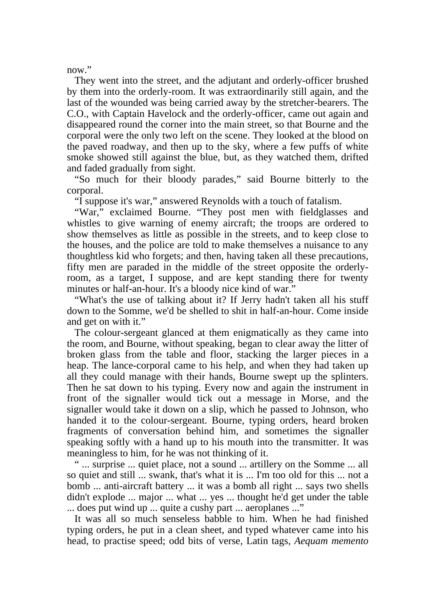now."

 They went into the street, and the adjutant and orderly-officer brushed by them into the orderly-room. It was extraordinarily still again, and the last of the wounded was being carried away by the stretcher-bearers. The C.O., with Captain Havelock and the orderly-officer, came out again and disappeared round the corner into the main street, so that Bourne and the corporal were the only two left on the scene. They looked at the blood on the paved roadway, and then up to the sky, where a few puffs of white smoke showed still against the blue, but, as they watched them, drifted and faded gradually from sight.

 "So much for their bloody parades," said Bourne bitterly to the corporal.

"I suppose it's war," answered Reynolds with a touch of fatalism.

 "War," exclaimed Bourne. "They post men with fieldglasses and whistles to give warning of enemy aircraft; the troops are ordered to show themselves as little as possible in the streets, and to keep close to the houses, and the police are told to make themselves a nuisance to any thoughtless kid who forgets; and then, having taken all these precautions, fifty men are paraded in the middle of the street opposite the orderlyroom, as a target, I suppose, and are kept standing there for twenty minutes or half-an-hour. It's a bloody nice kind of war."

 "What's the use of talking about it? If Jerry hadn't taken all his stuff down to the Somme, we'd be shelled to shit in half-an-hour. Come inside and get on with it."

 The colour-sergeant glanced at them enigmatically as they came into the room, and Bourne, without speaking, began to clear away the litter of broken glass from the table and floor, stacking the larger pieces in a heap. The lance-corporal came to his help, and when they had taken up all they could manage with their hands, Bourne swept up the splinters. Then he sat down to his typing. Every now and again the instrument in front of the signaller would tick out a message in Morse, and the signaller would take it down on a slip, which he passed to Johnson, who handed it to the colour-sergeant. Bourne, typing orders, heard broken fragments of conversation behind him, and sometimes the signaller speaking softly with a hand up to his mouth into the transmitter. It was meaningless to him, for he was not thinking of it.

 " ... surprise ... quiet place, not a sound ... artillery on the Somme ... all so quiet and still ... swank, that's what it is ... I'm too old for this ... not a bomb ... anti-aircraft battery ... it was a bomb all right ... says two shells didn't explode ... major ... what ... yes ... thought he'd get under the table ... does put wind up ... quite a cushy part ... aeroplanes ..."

 It was all so much senseless babble to him. When he had finished typing orders, he put in a clean sheet, and typed whatever came into his head, to practise speed; odd bits of verse, Latin tags, *Aequam memento*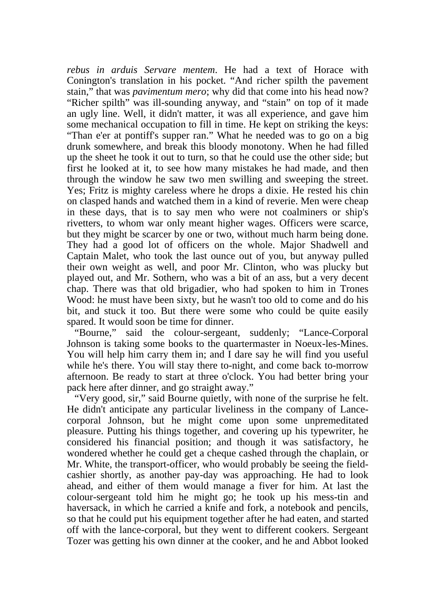*rebus in arduis Servare mentem*. He had a text of Horace with Conington's translation in his pocket. "And richer spilth the pavement stain," that was *pavimentum mero*; why did that come into his head now? "Richer spilth" was ill-sounding anyway, and "stain" on top of it made an ugly line. Well, it didn't matter, it was all experience, and gave him some mechanical occupation to fill in time. He kept on striking the keys: "Than e'er at pontiff's supper ran." What he needed was to go on a big drunk somewhere, and break this bloody monotony. When he had filled up the sheet he took it out to turn, so that he could use the other side; but first he looked at it, to see how many mistakes he had made, and then through the window he saw two men swilling and sweeping the street. Yes; Fritz is mighty careless where he drops a dixie. He rested his chin on clasped hands and watched them in a kind of reverie. Men were cheap in these days, that is to say men who were not coalminers or ship's rivetters, to whom war only meant higher wages. Officers were scarce, but they might be scarcer by one or two, without much harm being done. They had a good lot of officers on the whole. Major Shadwell and Captain Malet, who took the last ounce out of you, but anyway pulled their own weight as well, and poor Mr. Clinton, who was plucky but played out, and Mr. Sothern, who was a bit of an ass, but a very decent chap. There was that old brigadier, who had spoken to him in Trones Wood: he must have been sixty, but he wasn't too old to come and do his bit, and stuck it too. But there were some who could be quite easily spared. It would soon be time for dinner.

 "Bourne," said the colour-sergeant, suddenly; "Lance-Corporal Johnson is taking some books to the quartermaster in Noeux-les-Mines. You will help him carry them in; and I dare say he will find you useful while he's there. You will stay there to-night, and come back to-morrow afternoon. Be ready to start at three o'clock. You had better bring your pack here after dinner, and go straight away."

 "Very good, sir," said Bourne quietly, with none of the surprise he felt. He didn't anticipate any particular liveliness in the company of Lancecorporal Johnson, but he might come upon some unpremeditated pleasure. Putting his things together, and covering up his typewriter, he considered his financial position; and though it was satisfactory, he wondered whether he could get a cheque cashed through the chaplain, or Mr. White, the transport-officer, who would probably be seeing the fieldcashier shortly, as another pay-day was approaching. He had to look ahead, and either of them would manage a fiver for him. At last the colour-sergeant told him he might go; he took up his mess-tin and haversack, in which he carried a knife and fork, a notebook and pencils, so that he could put his equipment together after he had eaten, and started off with the lance-corporal, but they went to different cookers. Sergeant Tozer was getting his own dinner at the cooker, and he and Abbot looked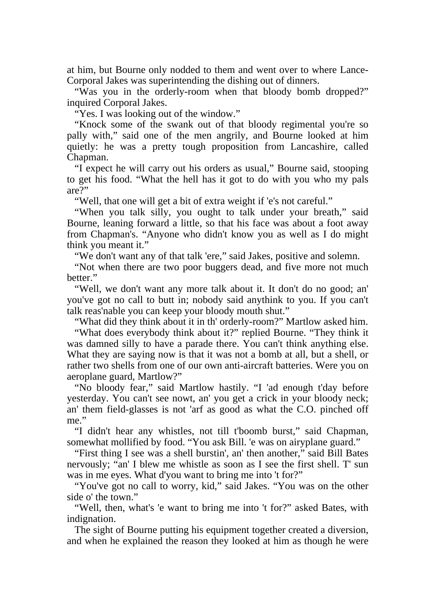at him, but Bourne only nodded to them and went over to where Lance-Corporal Jakes was superintending the dishing out of dinners.

 "Was you in the orderly-room when that bloody bomb dropped?" inquired Corporal Jakes.

"Yes. I was looking out of the window."

 "Knock some of the swank out of that bloody regimental you're so pally with," said one of the men angrily, and Bourne looked at him quietly: he was a pretty tough proposition from Lancashire, called Chapman.

 "I expect he will carry out his orders as usual," Bourne said, stooping to get his food. "What the hell has it got to do with you who my pals are?"

"Well, that one will get a bit of extra weight if 'e's not careful."

 "When you talk silly, you ought to talk under your breath," said Bourne, leaning forward a little, so that his face was about a foot away from Chapman's. "Anyone who didn't know you as well as I do might think you meant it."

"We don't want any of that talk 'ere," said Jakes, positive and solemn.

 "Not when there are two poor buggers dead, and five more not much better."

 "Well, we don't want any more talk about it. It don't do no good; an' you've got no call to butt in; nobody said anythink to you. If you can't talk reas'nable you can keep your bloody mouth shut."

"What did they think about it in th' orderly-room?" Martlow asked him.

 "What does everybody think about it?" replied Bourne. "They think it was damned silly to have a parade there. You can't think anything else. What they are saying now is that it was not a bomb at all, but a shell, or rather two shells from one of our own anti-aircraft batteries. Were you on aeroplane guard, Martlow?"

 "No bloody fear," said Martlow hastily. "I 'ad enough t'day before yesterday. You can't see nowt, an' you get a crick in your bloody neck; an' them field-glasses is not 'arf as good as what the C.O. pinched off me."

 "I didn't hear any whistles, not till t'boomb burst," said Chapman, somewhat mollified by food. "You ask Bill. 'e was on airyplane guard."

 "First thing I see was a shell burstin', an' then another," said Bill Bates nervously; "an' I blew me whistle as soon as I see the first shell. T' sun was in me eyes. What d'you want to bring me into 't for?"

 "You've got no call to worry, kid," said Jakes. "You was on the other side o' the town."

 "Well, then, what's 'e want to bring me into 't for?" asked Bates, with indignation.

 The sight of Bourne putting his equipment together created a diversion, and when he explained the reason they looked at him as though he were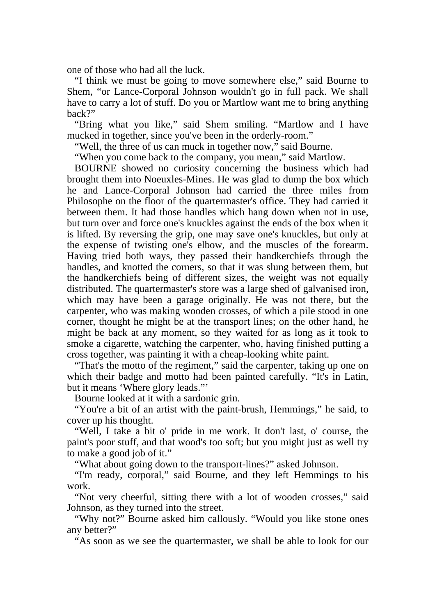one of those who had all the luck.

 "I think we must be going to move somewhere else," said Bourne to Shem, "or Lance-Corporal Johnson wouldn't go in full pack. We shall have to carry a lot of stuff. Do you or Martlow want me to bring anything back?"

 "Bring what you like," said Shem smiling. "Martlow and I have mucked in together, since you've been in the orderly-room."

"Well, the three of us can muck in together now," said Bourne.

"When you come back to the company, you mean," said Martlow.

 BOURNE showed no curiosity concerning the business which had brought them into Noeuxles-Mines. He was glad to dump the box which he and Lance-Corporal Johnson had carried the three miles from Philosophe on the floor of the quartermaster's office. They had carried it between them. It had those handles which hang down when not in use, but turn over and force one's knuckles against the ends of the box when it is lifted. By reversing the grip, one may save one's knuckles, but only at the expense of twisting one's elbow, and the muscles of the forearm. Having tried both ways, they passed their handkerchiefs through the handles, and knotted the corners, so that it was slung between them, but the handkerchiefs being of different sizes, the weight was not equally distributed. The quartermaster's store was a large shed of galvanised iron, which may have been a garage originally. He was not there, but the carpenter, who was making wooden crosses, of which a pile stood in one corner, thought he might be at the transport lines; on the other hand, he might be back at any moment, so they waited for as long as it took to smoke a cigarette, watching the carpenter, who, having finished putting a cross together, was painting it with a cheap-looking white paint.

 "That's the motto of the regiment," said the carpenter, taking up one on which their badge and motto had been painted carefully. "It's in Latin, but it means 'Where glory leads."'

Bourne looked at it with a sardonic grin.

 "You're a bit of an artist with the paint-brush, Hemmings," he said, to cover up his thought.

 "Well, I take a bit o' pride in me work. It don't last, o' course, the paint's poor stuff, and that wood's too soft; but you might just as well try to make a good job of it."

"What about going down to the transport-lines?" asked Johnson.

 "I'm ready, corporal," said Bourne, and they left Hemmings to his work.

 "Not very cheerful, sitting there with a lot of wooden crosses," said Johnson, as they turned into the street.

 "Why not?" Bourne asked him callously. "Would you like stone ones any better?"

"As soon as we see the quartermaster, we shall be able to look for our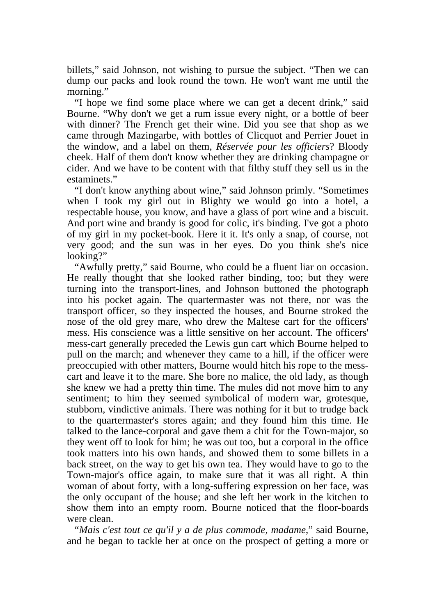billets," said Johnson, not wishing to pursue the subject. "Then we can dump our packs and look round the town. He won't want me until the morning."

 "I hope we find some place where we can get a decent drink," said Bourne. "Why don't we get a rum issue every night, or a bottle of beer with dinner? The French get their wine. Did you see that shop as we came through Mazingarbe, with bottles of Clicquot and Perrier Jouet in the window, and a label on them, *Réservée pour les officiers*? Bloody cheek. Half of them don't know whether they are drinking champagne or cider. And we have to be content with that filthy stuff they sell us in the estaminets."

 "I don't know anything about wine," said Johnson primly. "Sometimes when I took my girl out in Blighty we would go into a hotel, a respectable house, you know, and have a glass of port wine and a biscuit. And port wine and brandy is good for colic, it's binding. I've got a photo of my girl in my pocket-book. Here it it. It's only a snap, of course, not very good; and the sun was in her eyes. Do you think she's nice looking?"

 "Awfully pretty," said Bourne, who could be a fluent liar on occasion. He really thought that she looked rather binding, too; but they were turning into the transport-lines, and Johnson buttoned the photograph into his pocket again. The quartermaster was not there, nor was the transport officer, so they inspected the houses, and Bourne stroked the nose of the old grey mare, who drew the Maltese cart for the officers' mess. His conscience was a little sensitive on her account. The officers' mess-cart generally preceded the Lewis gun cart which Bourne helped to pull on the march; and whenever they came to a hill, if the officer were preoccupied with other matters, Bourne would hitch his rope to the messcart and leave it to the mare. She bore no malice, the old lady, as though she knew we had a pretty thin time. The mules did not move him to any sentiment; to him they seemed symbolical of modern war, grotesque, stubborn, vindictive animals. There was nothing for it but to trudge back to the quartermaster's stores again; and they found him this time. He talked to the lance-corporal and gave them a chit for the Town-major, so they went off to look for him; he was out too, but a corporal in the office took matters into his own hands, and showed them to some billets in a back street, on the way to get his own tea. They would have to go to the Town-major's office again, to make sure that it was all right. A thin woman of about forty, with a long-suffering expression on her face, was the only occupant of the house; and she left her work in the kitchen to show them into an empty room. Bourne noticed that the floor-boards were clean.

 "*Mais c'est tout ce qu'il y a de plus commode, madame*," said Bourne, and he began to tackle her at once on the prospect of getting a more or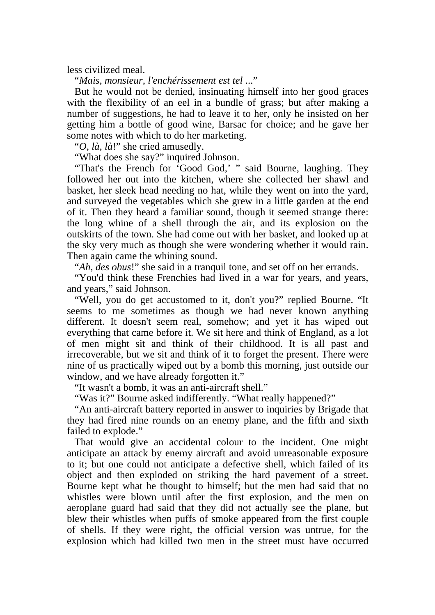less civilized meal.

"*Mais, monsieur, l'enchérissement est tel* ..."

 But he would not be denied, insinuating himself into her good graces with the flexibility of an eel in a bundle of grass; but after making a number of suggestions, he had to leave it to her, only he insisted on her getting him a bottle of good wine, Barsac for choice; and he gave her some notes with which to do her marketing.

"*O, là, là*!" she cried amusedly.

"What does she say?" inquired Johnson.

 "That's the French for 'Good God,' " said Bourne, laughing. They followed her out into the kitchen, where she collected her shawl and basket, her sleek head needing no hat, while they went on into the yard, and surveyed the vegetables which she grew in a little garden at the end of it. Then they heard a familiar sound, though it seemed strange there: the long whine of a shell through the air, and its explosion on the outskirts of the town. She had come out with her basket, and looked up at the sky very much as though she were wondering whether it would rain. Then again came the whining sound.

"*Ah, des obus*!" she said in a tranquil tone, and set off on her errands.

 "You'd think these Frenchies had lived in a war for years, and years, and years," said Johnson.

 "Well, you do get accustomed to it, don't you?" replied Bourne. "It seems to me sometimes as though we had never known anything different. It doesn't seem real, somehow; and yet it has wiped out everything that came before it. We sit here and think of England, as a lot of men might sit and think of their childhood. It is all past and irrecoverable, but we sit and think of it to forget the present. There were nine of us practically wiped out by a bomb this morning, just outside our window, and we have already forgotten it."

"It wasn't a bomb, it was an anti-aircraft shell."

"Was it?" Bourne asked indifferently. "What really happened?"

 "An anti-aircraft battery reported in answer to inquiries by Brigade that they had fired nine rounds on an enemy plane, and the fifth and sixth failed to explode."

 That would give an accidental colour to the incident. One might anticipate an attack by enemy aircraft and avoid unreasonable exposure to it; but one could not anticipate a defective shell, which failed of its object and then exploded on striking the hard pavement of a street. Bourne kept what he thought to himself; but the men had said that no whistles were blown until after the first explosion, and the men on aeroplane guard had said that they did not actually see the plane, but blew their whistles when puffs of smoke appeared from the first couple of shells. If they were right, the official version was untrue, for the explosion which had killed two men in the street must have occurred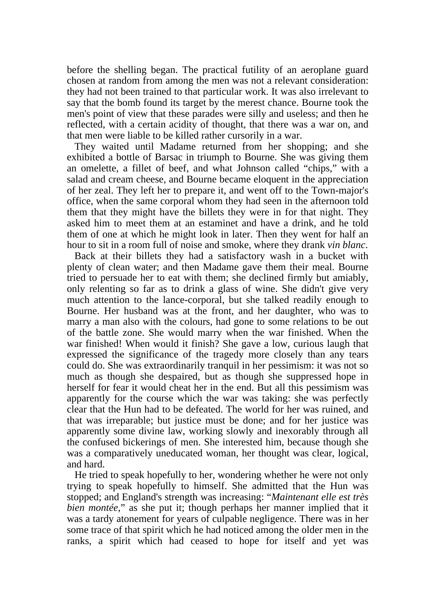before the shelling began. The practical futility of an aeroplane guard chosen at random from among the men was not a relevant consideration: they had not been trained to that particular work. It was also irrelevant to say that the bomb found its target by the merest chance. Bourne took the men's point of view that these parades were silly and useless; and then he reflected, with a certain acidity of thought, that there was a war on, and that men were liable to be killed rather cursorily in a war.

 They waited until Madame returned from her shopping; and she exhibited a bottle of Barsac in triumph to Bourne. She was giving them an omelette, a fillet of beef, and what Johnson called "chips," with a salad and cream cheese, and Bourne became eloquent in the appreciation of her zeal. They left her to prepare it, and went off to the Town-major's office, when the same corporal whom they had seen in the afternoon told them that they might have the billets they were in for that night. They asked him to meet them at an estaminet and have a drink, and he told them of one at which he might look in later. Then they went for half an hour to sit in a room full of noise and smoke, where they drank *vin blanc*.

 Back at their billets they had a satisfactory wash in a bucket with plenty of clean water; and then Madame gave them their meal. Bourne tried to persuade her to eat with them; she declined firmly but amiably, only relenting so far as to drink a glass of wine. She didn't give very much attention to the lance-corporal, but she talked readily enough to Bourne. Her husband was at the front, and her daughter, who was to marry a man also with the colours, had gone to some relations to be out of the battle zone. She would marry when the war finished. When the war finished! When would it finish? She gave a low, curious laugh that expressed the significance of the tragedy more closely than any tears could do. She was extraordinarily tranquil in her pessimism: it was not so much as though she despaired, but as though she suppressed hope in herself for fear it would cheat her in the end. But all this pessimism was apparently for the course which the war was taking: she was perfectly clear that the Hun had to be defeated. The world for her was ruined, and that was irreparable; but justice must be done; and for her justice was apparently some divine law, working slowly and inexorably through all the confused bickerings of men. She interested him, because though she was a comparatively uneducated woman, her thought was clear, logical, and hard.

 He tried to speak hopefully to her, wondering whether he were not only trying to speak hopefully to himself. She admitted that the Hun was stopped; and England's strength was increasing: "*Maintenant elle est très bien montée*," as she put it; though perhaps her manner implied that it was a tardy atonement for years of culpable negligence. There was in her some trace of that spirit which he had noticed among the older men in the ranks, a spirit which had ceased to hope for itself and yet was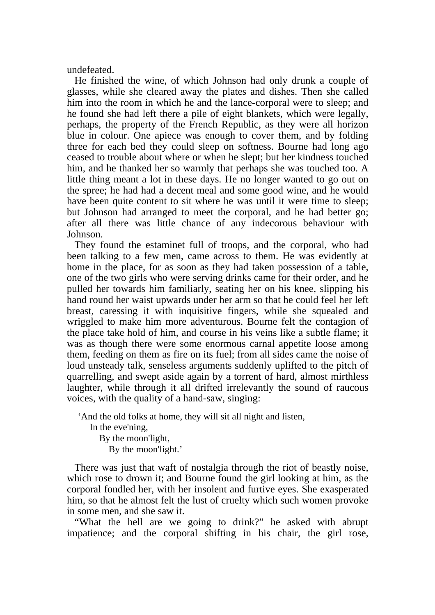undefeated.

 He finished the wine, of which Johnson had only drunk a couple of glasses, while she cleared away the plates and dishes. Then she called him into the room in which he and the lance-corporal were to sleep; and he found she had left there a pile of eight blankets, which were legally, perhaps, the property of the French Republic, as they were all horizon blue in colour. One apiece was enough to cover them, and by folding three for each bed they could sleep on softness. Bourne had long ago ceased to trouble about where or when he slept; but her kindness touched him, and he thanked her so warmly that perhaps she was touched too. A little thing meant a lot in these days. He no longer wanted to go out on the spree; he had had a decent meal and some good wine, and he would have been quite content to sit where he was until it were time to sleep; but Johnson had arranged to meet the corporal, and he had better go; after all there was little chance of any indecorous behaviour with Johnson.

 They found the estaminet full of troops, and the corporal, who had been talking to a few men, came across to them. He was evidently at home in the place, for as soon as they had taken possession of a table, one of the two girls who were serving drinks came for their order, and he pulled her towards him familiarly, seating her on his knee, slipping his hand round her waist upwards under her arm so that he could feel her left breast, caressing it with inquisitive fingers, while she squealed and wriggled to make him more adventurous. Bourne felt the contagion of the place take hold of him, and course in his veins like a subtle flame; it was as though there were some enormous carnal appetite loose among them, feeding on them as fire on its fuel; from all sides came the noise of loud unsteady talk, senseless arguments suddenly uplifted to the pitch of quarrelling, and swept aside again by a torrent of hard, almost mirthless laughter, while through it all drifted irrelevantly the sound of raucous voices, with the quality of a hand-saw, singing:

'And the old folks at home, they will sit all night and listen,

 In the eve'ning, By the moon'light,

By the moon'light.'

 There was just that waft of nostalgia through the riot of beastly noise, which rose to drown it; and Bourne found the girl looking at him, as the corporal fondled her, with her insolent and furtive eyes. She exasperated him, so that he almost felt the lust of cruelty which such women provoke in some men, and she saw it.

 "What the hell are we going to drink?" he asked with abrupt impatience; and the corporal shifting in his chair, the girl rose,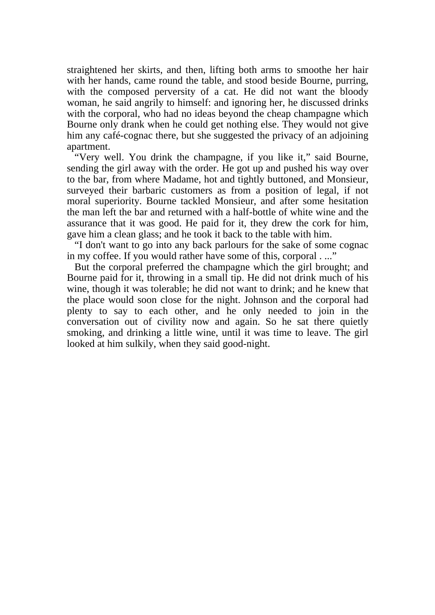straightened her skirts, and then, lifting both arms to smoothe her hair with her hands, came round the table, and stood beside Bourne, purring, with the composed perversity of a cat. He did not want the bloody woman, he said angrily to himself: and ignoring her, he discussed drinks with the corporal, who had no ideas beyond the cheap champagne which Bourne only drank when he could get nothing else. They would not give him any café-cognac there, but she suggested the privacy of an adjoining apartment.

 "Very well. You drink the champagne, if you like it," said Bourne, sending the girl away with the order. He got up and pushed his way over to the bar, from where Madame, hot and tightly buttoned, and Monsieur, surveyed their barbaric customers as from a position of legal, if not moral superiority. Bourne tackled Monsieur, and after some hesitation the man left the bar and returned with a half-bottle of white wine and the assurance that it was good. He paid for it, they drew the cork for him, gave him a clean glass; and he took it back to the table with him.

 "I don't want to go into any back parlours for the sake of some cognac in my coffee. If you would rather have some of this, corporal . ..."

 But the corporal preferred the champagne which the girl brought; and Bourne paid for it, throwing in a small tip. He did not drink much of his wine, though it was tolerable; he did not want to drink; and he knew that the place would soon close for the night. Johnson and the corporal had plenty to say to each other, and he only needed to join in the conversation out of civility now and again. So he sat there quietly smoking, and drinking a little wine, until it was time to leave. The girl looked at him sulkily, when they said good-night.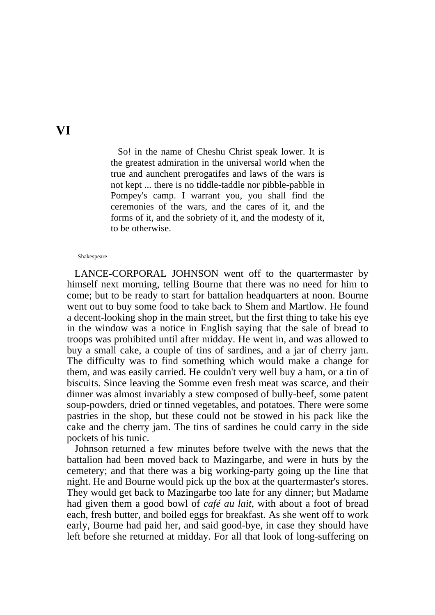**VI** 

 So! in the name of Cheshu Christ speak lower. It is the greatest admiration in the universal world when the true and aunchent prerogatifes and laws of the wars is not kept ... there is no tiddle-taddle nor pibble-pabble in Pompey's camp. I warrant you, you shall find the ceremonies of the wars, and the cares of it, and the forms of it, and the sobriety of it, and the modesty of it, to be otherwise.

### Shakespeare

 LANCE-CORPORAL JOHNSON went off to the quartermaster by himself next morning, telling Bourne that there was no need for him to come; but to be ready to start for battalion headquarters at noon. Bourne went out to buy some food to take back to Shem and Martlow. He found a decent-looking shop in the main street, but the first thing to take his eye in the window was a notice in English saying that the sale of bread to troops was prohibited until after midday. He went in, and was allowed to buy a small cake, a couple of tins of sardines, and a jar of cherry jam. The difficulty was to find something which would make a change for them, and was easily carried. He couldn't very well buy a ham, or a tin of biscuits. Since leaving the Somme even fresh meat was scarce, and their dinner was almost invariably a stew composed of bully-beef, some patent soup-powders, dried or tinned vegetables, and potatoes. There were some pastries in the shop, but these could not be stowed in his pack like the cake and the cherry jam. The tins of sardines he could carry in the side pockets of his tunic.

 Johnson returned a few minutes before twelve with the news that the battalion had been moved back to Mazingarbe, and were in huts by the cemetery; and that there was a big working-party going up the line that night. He and Bourne would pick up the box at the quartermaster's stores. They would get back to Mazingarbe too late for any dinner; but Madame had given them a good bowl of *café au lait*, with about a foot of bread each, fresh butter, and boiled eggs for breakfast. As she went off to work early, Bourne had paid her, and said good-bye, in case they should have left before she returned at midday. For all that look of long-suffering on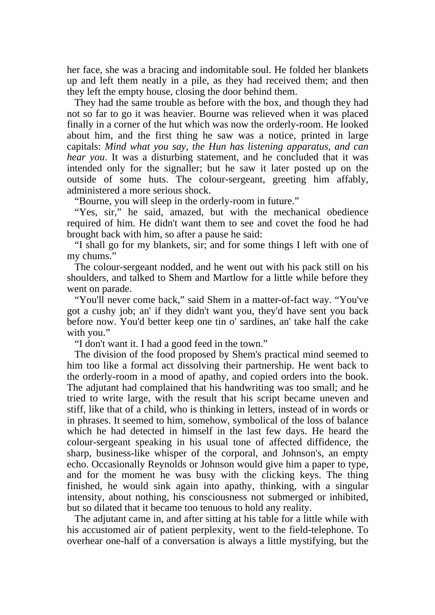her face, she was a bracing and indomitable soul. He folded her blankets up and left them neatly in a pile, as they had received them; and then they left the empty house, closing the door behind them.

 They had the same trouble as before with the box, and though they had not so far to go it was heavier. Bourne was relieved when it was placed finally in a corner of the hut which was now the orderly-room. He looked about him, and the first thing he saw was a notice, printed in large capitals: *Mind what you say, the Hun has listening apparatus, and can hear you*. It was a disturbing statement, and he concluded that it was intended only for the signaller; but he saw it later posted up on the outside of some huts. The colour-sergeant, greeting him affably, administered a more serious shock.

"Bourne, you will sleep in the orderly-room in future."

"Yes, sir," he said, amazed, but with the mechanical obedience required of him. He didn't want them to see and covet the food he had brought back with him, so after a pause he said:

 "I shall go for my blankets, sir; and for some things I left with one of my chums."

 The colour-sergeant nodded, and he went out with his pack still on his shoulders, and talked to Shem and Martlow for a little while before they went on parade.

 "You'll never come back," said Shem in a matter-of-fact way. "You've got a cushy job; an' if they didn't want you, they'd have sent you back before now. You'd better keep one tin o' sardines, an' take half the cake with you."

"I don't want it. I had a good feed in the town."

 The division of the food proposed by Shem's practical mind seemed to him too like a formal act dissolving their partnership. He went back to the orderly-room in a mood of apathy, and copied orders into the book. The adjutant had complained that his handwriting was too small; and he tried to write large, with the result that his script became uneven and stiff, like that of a child, who is thinking in letters, instead of in words or in phrases. It seemed to him, somehow, symbolical of the loss of balance which he had detected in himself in the last few days. He heard the colour-sergeant speaking in his usual tone of affected diffidence, the sharp, business-like whisper of the corporal, and Johnson's, an empty echo. Occasionally Reynolds or Johnson would give him a paper to type, and for the moment he was busy with the clicking keys. The thing finished, he would sink again into apathy, thinking, with a singular intensity, about nothing, his consciousness not submerged or inhibited, but so dilated that it became too tenuous to hold any reality.

 The adjutant came in, and after sitting at his table for a little while with his accustomed air of patient perplexity, went to the field-telephone. To overhear one-half of a conversation is always a little mystifying, but the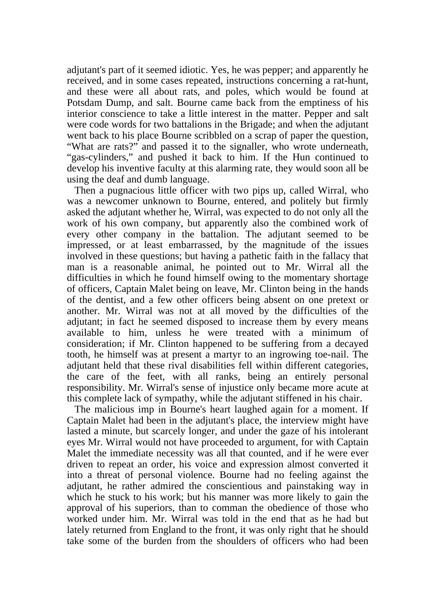adjutant's part of it seemed idiotic. Yes, he was pepper; and apparently he received, and in some cases repeated, instructions concerning a rat-hunt, and these were all about rats, and poles, which would be found at Potsdam Dump, and salt. Bourne came back from the emptiness of his interior conscience to take a little interest in the matter. Pepper and salt were code words for two battalions in the Brigade; and when the adjutant went back to his place Bourne scribbled on a scrap of paper the question, "What are rats?" and passed it to the signaller, who wrote underneath, "gas-cylinders," and pushed it back to him. If the Hun continued to develop his inventive faculty at this alarming rate, they would soon all be using the deaf and dumb language.

 Then a pugnacious little officer with two pips up, called Wirral, who was a newcomer unknown to Bourne, entered, and politely but firmly asked the adjutant whether he, Wirral, was expected to do not only all the work of his own company, but apparently also the combined work of every other company in the battalion. The adjutant seemed to be impressed, or at least embarrassed, by the magnitude of the issues involved in these questions; but having a pathetic faith in the fallacy that man is a reasonable animal, he pointed out to Mr. Wirral all the difficulties in which he found himself owing to the momentary shortage of officers, Captain Malet being on leave, Mr. Clinton being in the hands of the dentist, and a few other officers being absent on one pretext or another. Mr. Wirral was not at all moved by the difficulties of the adjutant; in fact he seemed disposed to increase them by every means available to him, unless he were treated with a minimum of consideration; if Mr. Clinton happened to be suffering from a decayed tooth, he himself was at present a martyr to an ingrowing toe-nail. The adjutant held that these rival disabilities fell within different categories, the care of the feet, with all ranks, being an entirely personal responsibility. Mr. Wirral's sense of injustice only became more acute at this complete lack of sympathy, while the adjutant stiffened in his chair.

 The malicious imp in Bourne's heart laughed again for a moment. If Captain Malet had been in the adjutant's place, the interview might have lasted a minute, but scarcely longer, and under the gaze of his intolerant eyes Mr. Wirral would not have proceeded to argument, for with Captain Malet the immediate necessity was all that counted, and if he were ever driven to repeat an order, his voice and expression almost converted it into a threat of personal violence. Bourne had no feeling against the adjutant, he rather admired the conscientious and painstaking way in which he stuck to his work; but his manner was more likely to gain the approval of his superiors, than to comman the obedience of those who worked under him. Mr. Wirral was told in the end that as he had but lately returned from England to the front, it was only right that he should take some of the burden from the shoulders of officers who had been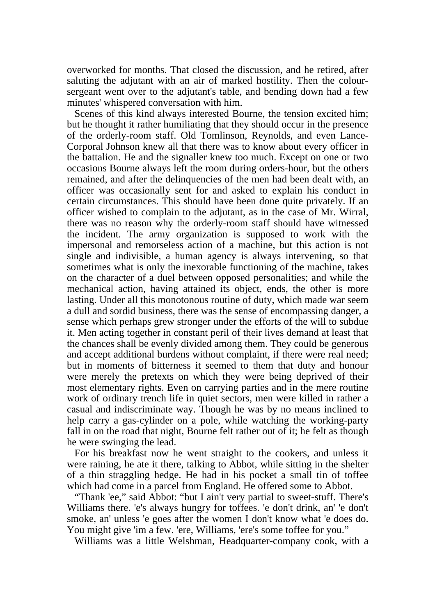overworked for months. That closed the discussion, and he retired, after saluting the adjutant with an air of marked hostility. Then the coloursergeant went over to the adjutant's table, and bending down had a few minutes' whispered conversation with him.

 Scenes of this kind always interested Bourne, the tension excited him; but he thought it rather humiliating that they should occur in the presence of the orderly-room staff. Old Tomlinson, Reynolds, and even Lance-Corporal Johnson knew all that there was to know about every officer in the battalion. He and the signaller knew too much. Except on one or two occasions Bourne always left the room during orders-hour, but the others remained, and after the delinquencies of the men had been dealt with, an officer was occasionally sent for and asked to explain his conduct in certain circumstances. This should have been done quite privately. If an officer wished to complain to the adjutant, as in the case of Mr. Wirral, there was no reason why the orderly-room staff should have witnessed the incident. The army organization is supposed to work with the impersonal and remorseless action of a machine, but this action is not single and indivisible, a human agency is always intervening, so that sometimes what is only the inexorable functioning of the machine, takes on the character of a duel between opposed personalities; and while the mechanical action, having attained its object, ends, the other is more lasting. Under all this monotonous routine of duty, which made war seem a dull and sordid business, there was the sense of encompassing danger, a sense which perhaps grew stronger under the efforts of the will to subdue it. Men acting together in constant peril of their lives demand at least that the chances shall be evenly divided among them. They could be generous and accept additional burdens without complaint, if there were real need; but in moments of bitterness it seemed to them that duty and honour were merely the pretexts on which they were being deprived of their most elementary rights. Even on carrying parties and in the mere routine work of ordinary trench life in quiet sectors, men were killed in rather a casual and indiscriminate way. Though he was by no means inclined to help carry a gas-cylinder on a pole, while watching the working-party fall in on the road that night, Bourne felt rather out of it; he felt as though he were swinging the lead.

 For his breakfast now he went straight to the cookers, and unless it were raining, he ate it there, talking to Abbot, while sitting in the shelter of a thin straggling hedge. He had in his pocket a small tin of toffee which had come in a parcel from England. He offered some to Abbot.

 "Thank 'ee," said Abbot: "but I ain't very partial to sweet-stuff. There's Williams there. 'e's always hungry for toffees. 'e don't drink, an' 'e don't smoke, an' unless 'e goes after the women I don't know what 'e does do. You might give 'im a few. 'ere, Williams, 'ere's some toffee for you."

Williams was a little Welshman, Headquarter-company cook, with a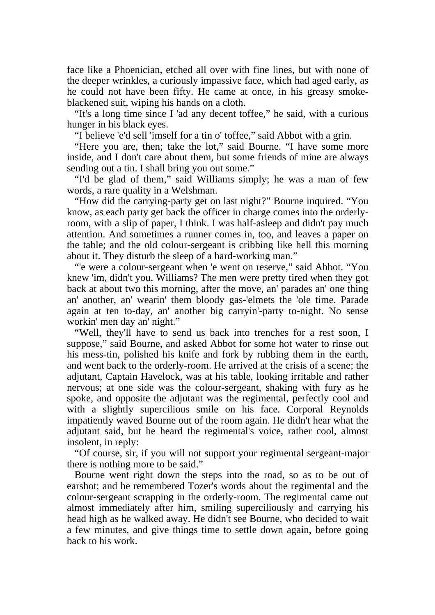face like a Phoenician, etched all over with fine lines, but with none of the deeper wrinkles, a curiously impassive face, which had aged early, as he could not have been fifty. He came at once, in his greasy smokeblackened suit, wiping his hands on a cloth.

 "It's a long time since I 'ad any decent toffee," he said, with a curious hunger in his black eyes.

"I believe 'e'd sell 'imself for a tin o' toffee," said Abbot with a grin.

 "Here you are, then; take the lot," said Bourne. "I have some more inside, and I don't care about them, but some friends of mine are always sending out a tin. I shall bring you out some."

 "I'd be glad of them," said Williams simply; he was a man of few words, a rare quality in a Welshman.

 "How did the carrying-party get on last night?" Bourne inquired. "You know, as each party get back the officer in charge comes into the orderlyroom, with a slip of paper, I think. I was half-asleep and didn't pay much attention. And sometimes a runner comes in, too, and leaves a paper on the table; and the old colour-sergeant is cribbing like hell this morning about it. They disturb the sleep of a hard-working man."

 "'e were a colour-sergeant when 'e went on reserve," said Abbot. "You knew 'im, didn't you, Williams? The men were pretty tired when they got back at about two this morning, after the move, an' parades an' one thing an' another, an' wearin' them bloody gas-'elmets the 'ole time. Parade again at ten to-day, an' another big carryin'-party to-night. No sense workin' men day an' night."

 "Well, they'll have to send us back into trenches for a rest soon, I suppose," said Bourne, and asked Abbot for some hot water to rinse out his mess-tin, polished his knife and fork by rubbing them in the earth, and went back to the orderly-room. He arrived at the crisis of a scene; the adjutant, Captain Havelock, was at his table, looking irritable and rather nervous; at one side was the colour-sergeant, shaking with fury as he spoke, and opposite the adjutant was the regimental, perfectly cool and with a slightly supercilious smile on his face. Corporal Reynolds impatiently waved Bourne out of the room again. He didn't hear what the adjutant said, but he heard the regimental's voice, rather cool, almost insolent, in reply:

 "Of course, sir, if you will not support your regimental sergeant-major there is nothing more to be said."

 Bourne went right down the steps into the road, so as to be out of earshot; and he remembered Tozer's words about the regimental and the colour-sergeant scrapping in the orderly-room. The regimental came out almost immediately after him, smiling superciliously and carrying his head high as he walked away. He didn't see Bourne, who decided to wait a few minutes, and give things time to settle down again, before going back to his work.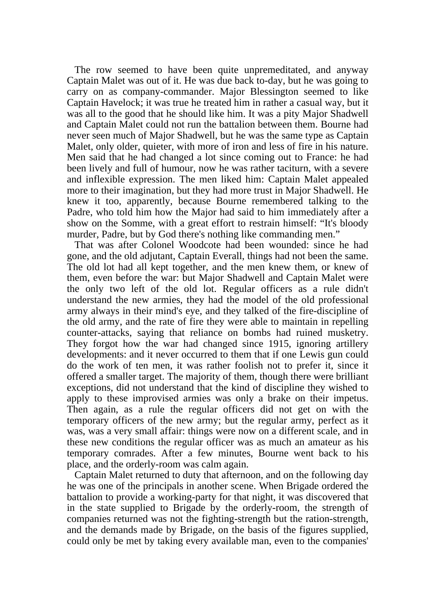The row seemed to have been quite unpremeditated, and anyway Captain Malet was out of it. He was due back to-day, but he was going to carry on as company-commander. Major Blessington seemed to like Captain Havelock; it was true he treated him in rather a casual way, but it was all to the good that he should like him. It was a pity Major Shadwell and Captain Malet could not run the battalion between them. Bourne had never seen much of Major Shadwell, but he was the same type as Captain Malet, only older, quieter, with more of iron and less of fire in his nature. Men said that he had changed a lot since coming out to France: he had been lively and full of humour, now he was rather taciturn, with a severe and inflexible expression. The men liked him: Captain Malet appealed more to their imagination, but they had more trust in Major Shadwell. He knew it too, apparently, because Bourne remembered talking to the Padre, who told him how the Major had said to him immediately after a show on the Somme, with a great effort to restrain himself: "It's bloody murder, Padre, but by God there's nothing like commanding men."

 That was after Colonel Woodcote had been wounded: since he had gone, and the old adjutant, Captain Everall, things had not been the same. The old lot had all kept together, and the men knew them, or knew of them, even before the war: but Major Shadwell and Captain Malet were the only two left of the old lot. Regular officers as a rule didn't understand the new armies, they had the model of the old professional army always in their mind's eye, and they talked of the fire-discipline of the old army, and the rate of fire they were able to maintain in repelling counter-attacks, saying that reliance on bombs had ruined musketry. They forgot how the war had changed since 1915, ignoring artillery developments: and it never occurred to them that if one Lewis gun could do the work of ten men, it was rather foolish not to prefer it, since it offered a smaller target. The majority of them, though there were brilliant exceptions, did not understand that the kind of discipline they wished to apply to these improvised armies was only a brake on their impetus. Then again, as a rule the regular officers did not get on with the temporary officers of the new army; but the regular army, perfect as it was, was a very small affair: things were now on a different scale, and in these new conditions the regular officer was as much an amateur as his temporary comrades. After a few minutes, Bourne went back to his place, and the orderly-room was calm again.

 Captain Malet returned to duty that afternoon, and on the following day he was one of the principals in another scene. When Brigade ordered the battalion to provide a working-party for that night, it was discovered that in the state supplied to Brigade by the orderly-room, the strength of companies returned was not the fighting-strength but the ration-strength, and the demands made by Brigade, on the basis of the figures supplied, could only be met by taking every available man, even to the companies'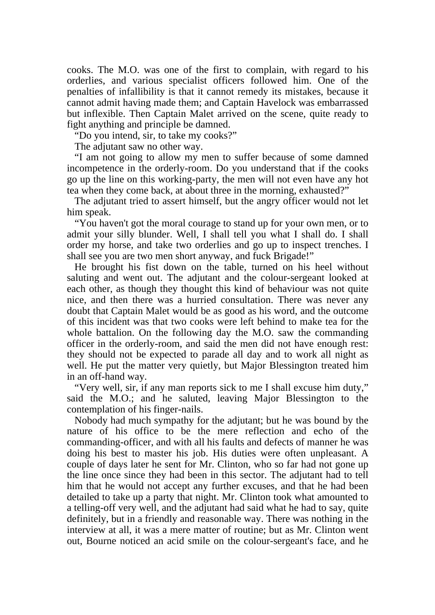cooks. The M.O. was one of the first to complain, with regard to his orderlies, and various specialist officers followed him. One of the penalties of infallibility is that it cannot remedy its mistakes, because it cannot admit having made them; and Captain Havelock was embarrassed but inflexible. Then Captain Malet arrived on the scene, quite ready to fight anything and principle be damned.

"Do you intend, sir, to take my cooks?"

The adjutant saw no other way.

 "I am not going to allow my men to suffer because of some damned incompetence in the orderly-room. Do you understand that if the cooks go up the line on this working-party, the men will not even have any hot tea when they come back, at about three in the morning, exhausted?"

 The adjutant tried to assert himself, but the angry officer would not let him speak.

 "You haven't got the moral courage to stand up for your own men, or to admit your silly blunder. Well, I shall tell you what I shall do. I shall order my horse, and take two orderlies and go up to inspect trenches. I shall see you are two men short anyway, and fuck Brigade!"

 He brought his fist down on the table, turned on his heel without saluting and went out. The adjutant and the colour-sergeant looked at each other, as though they thought this kind of behaviour was not quite nice, and then there was a hurried consultation. There was never any doubt that Captain Malet would be as good as his word, and the outcome of this incident was that two cooks were left behind to make tea for the whole battalion. On the following day the M.O. saw the commanding officer in the orderly-room, and said the men did not have enough rest: they should not be expected to parade all day and to work all night as well. He put the matter very quietly, but Major Blessington treated him in an off-hand way.

 "Very well, sir, if any man reports sick to me I shall excuse him duty," said the M.O.; and he saluted, leaving Major Blessington to the contemplation of his finger-nails.

 Nobody had much sympathy for the adjutant; but he was bound by the nature of his office to be the mere reflection and echo of the commanding-officer, and with all his faults and defects of manner he was doing his best to master his job. His duties were often unpleasant. A couple of days later he sent for Mr. Clinton, who so far had not gone up the line once since they had been in this sector. The adjutant had to tell him that he would not accept any further excuses, and that he had been detailed to take up a party that night. Mr. Clinton took what amounted to a telling-off very well, and the adjutant had said what he had to say, quite definitely, but in a friendly and reasonable way. There was nothing in the interview at all, it was a mere matter of routine; but as Mr. Clinton went out, Bourne noticed an acid smile on the colour-sergeant's face, and he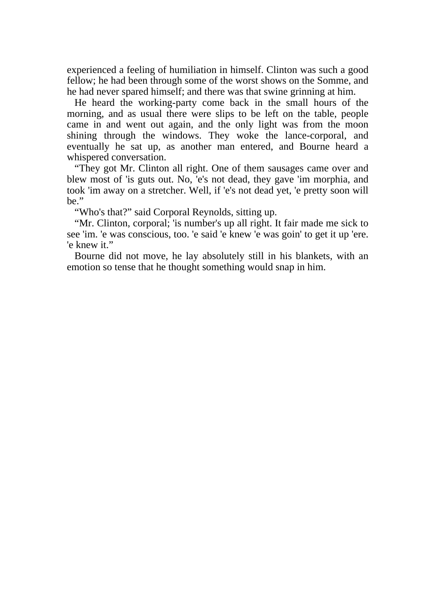experienced a feeling of humiliation in himself. Clinton was such a good fellow; he had been through some of the worst shows on the Somme, and he had never spared himself; and there was that swine grinning at him.

 He heard the working-party come back in the small hours of the morning, and as usual there were slips to be left on the table, people came in and went out again, and the only light was from the moon shining through the windows. They woke the lance-corporal, and eventually he sat up, as another man entered, and Bourne heard a whispered conversation.

 "They got Mr. Clinton all right. One of them sausages came over and blew most of 'is guts out. No, 'e's not dead, they gave 'im morphia, and took 'im away on a stretcher. Well, if 'e's not dead yet, 'e pretty soon will be."

"Who's that?" said Corporal Reynolds, sitting up.

 "Mr. Clinton, corporal; 'is number's up all right. It fair made me sick to see 'im. 'e was conscious, too. 'e said 'e knew 'e was goin' to get it up 'ere. 'e knew it."

 Bourne did not move, he lay absolutely still in his blankets, with an emotion so tense that he thought something would snap in him.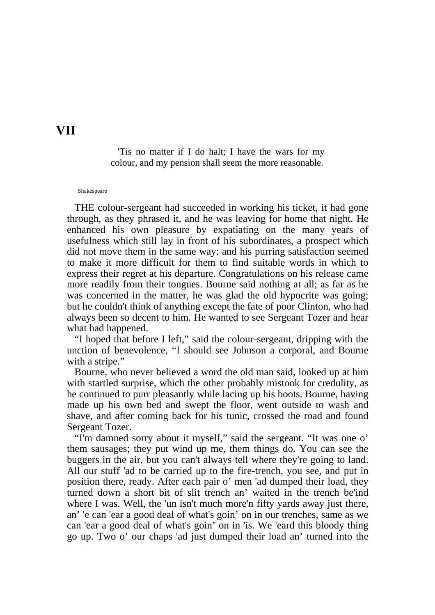'Tis no matter if I do halt; I have the wars for my colour, and my pension shall seem the more reasonable.

## Shakespeare

 THE colour-sergeant had succeeded in working his ticket, it had gone through, as they phrased it, and he was leaving for home that night. He enhanced his own pleasure by expatiating on the many years of usefulness which still lay in front of his subordinates, a prospect which did not move them in the same way: and his purring satisfaction seemed to make it more difficult for them to find suitable words in which to express their regret at his departure. Congratulations on his release came more readily from their tongues. Bourne said nothing at all; as far as he was concerned in the matter, he was glad the old hypocrite was going; but he couldn't think of anything except the fate of poor Clinton, who had always been so decent to him. He wanted to see Sergeant Tozer and hear what had happened.

 "I hoped that before I left," said the colour-sergeant, dripping with the unction of benevolence, "I should see Johnson a corporal, and Bourne with a stripe."

 Bourne, who never believed a word the old man said, looked up at him with startled surprise, which the other probably mistook for credulity, as he continued to purr pleasantly while lacing up his boots. Bourne, having made up his own bed and swept the floor, went outside to wash and shave, and after coming back for his tunic, crossed the road and found Sergeant Tozer.

 "I'm damned sorry about it myself," said the sergeant. "It was one o' them sausages; they put wind up me, them things do. You can see the buggers in the air, but you can't always tell where they're going to land. All our stuff 'ad to be carried up to the fire-trench, you see, and put in position there, ready. After each pair o' men 'ad dumped their load, they turned down a short bit of slit trench an' waited in the trench be'ind where I was. Well, the 'un isn't much more'n fifty yards away just there, an' 'e can 'ear a good deal of what's goin' on in our trenches, same as we can 'ear a good deal of what's goin' on in 'is. We 'eard this bloody thing go up. Two o' our chaps 'ad just dumped their load an' turned into the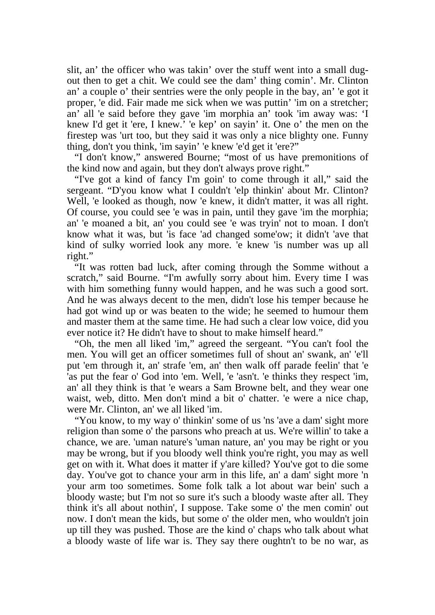slit, an' the officer who was takin' over the stuff went into a small dugout then to get a chit. We could see the dam' thing comin'. Mr. Clinton an' a couple o' their sentries were the only people in the bay, an' 'e got it proper, 'e did. Fair made me sick when we was puttin' 'im on a stretcher; an' all 'e said before they gave 'im morphia an' took 'im away was: 'I knew I'd get it 'ere, I knew.' 'e kep' on sayin' it. One o' the men on the firestep was 'urt too, but they said it was only a nice blighty one. Funny thing, don't you think, 'im sayin' 'e knew 'e'd get it 'ere?"

 "I don't know," answered Bourne; "most of us have premonitions of the kind now and again, but they don't always prove right."

 "I've got a kind of fancy I'm goin' to come through it all," said the sergeant. "D'you know what I couldn't 'elp thinkin' about Mr. Clinton? Well, 'e looked as though, now 'e knew, it didn't matter, it was all right. Of course, you could see 'e was in pain, until they gave 'im the morphia; an' 'e moaned a bit, an' you could see 'e was tryin' not to moan. I don't know what it was, but 'is face 'ad changed some'ow; it didn't 'ave that kind of sulky worried look any more. 'e knew 'is number was up all right."

 "It was rotten bad luck, after coming through the Somme without a scratch," said Bourne. "I'm awfully sorry about him. Every time I was with him something funny would happen, and he was such a good sort. And he was always decent to the men, didn't lose his temper because he had got wind up or was beaten to the wide; he seemed to humour them and master them at the same time. He had such a clear low voice, did you ever notice it? He didn't have to shout to make himself heard."

 "Oh, the men all liked 'im," agreed the sergeant. "You can't fool the men. You will get an officer sometimes full of shout an' swank, an' 'e'll put 'em through it, an' strafe 'em, an' then walk off parade feelin' that 'e 'as put the fear o' God into 'em. Well, 'e 'asn't. 'e thinks they respect 'im, an' all they think is that 'e wears a Sam Browne belt, and they wear one waist, web, ditto. Men don't mind a bit o' chatter. 'e were a nice chap, were Mr. Clinton, an' we all liked 'im.

 "You know, to my way o' thinkin' some of us 'ns 'ave a dam' sight more religion than some o' the parsons who preach at us. We're willin' to take a chance, we are. 'uman nature's 'uman nature, an' you may be right or you may be wrong, but if you bloody well think you're right, you may as well get on with it. What does it matter if y'are killed? You've got to die some day. You've got to chance your arm in this life, an' a dam' sight more 'n your arm too sometimes. Some folk talk a lot about war bein' such a bloody waste; but I'm not so sure it's such a bloody waste after all. They think it's all about nothin', I suppose. Take some o' the men comin' out now. I don't mean the kids, but some o' the older men, who wouldn't join up till they was pushed. Those are the kind o' chaps who talk about what a bloody waste of life war is. They say there oughtn't to be no war, as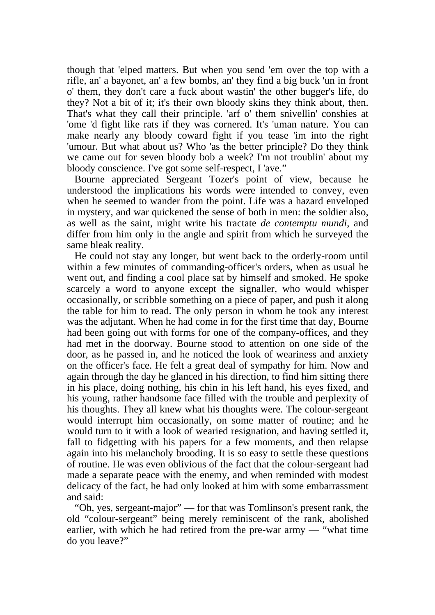though that 'elped matters. But when you send 'em over the top with a rifle, an' a bayonet, an' a few bombs, an' they find a big buck 'un in front o' them, they don't care a fuck about wastin' the other bugger's life, do they? Not a bit of it; it's their own bloody skins they think about, then. That's what they call their principle. 'arf o' them snivellin' conshies at 'ome 'd fight like rats if they was cornered. It's 'uman nature. You can make nearly any bloody coward fight if you tease 'im into the right 'umour. But what about us? Who 'as the better principle? Do they think we came out for seven bloody bob a week? I'm not troublin' about my bloody conscience. I've got some self-respect, I 'ave."

 Bourne appreciated Sergeant Tozer's point of view, because he understood the implications his words were intended to convey, even when he seemed to wander from the point. Life was a hazard enveloped in mystery, and war quickened the sense of both in men: the soldier also, as well as the saint, might write his tractate *de contemptu mundi*, and differ from him only in the angle and spirit from which he surveyed the same bleak reality.

 He could not stay any longer, but went back to the orderly-room until within a few minutes of commanding-officer's orders, when as usual he went out, and finding a cool place sat by himself and smoked. He spoke scarcely a word to anyone except the signaller, who would whisper occasionally, or scribble something on a piece of paper, and push it along the table for him to read. The only person in whom he took any interest was the adjutant. When he had come in for the first time that day, Bourne had been going out with forms for one of the company-offices, and they had met in the doorway. Bourne stood to attention on one side of the door, as he passed in, and he noticed the look of weariness and anxiety on the officer's face. He felt a great deal of sympathy for him. Now and again through the day he glanced in his direction, to find him sitting there in his place, doing nothing, his chin in his left hand, his eyes fixed, and his young, rather handsome face filled with the trouble and perplexity of his thoughts. They all knew what his thoughts were. The colour-sergeant would interrupt him occasionally, on some matter of routine; and he would turn to it with a look of wearied resignation, and having settled it, fall to fidgetting with his papers for a few moments, and then relapse again into his melancholy brooding. It is so easy to settle these questions of routine. He was even oblivious of the fact that the colour-sergeant had made a separate peace with the enemy, and when reminded with modest delicacy of the fact, he had only looked at him with some embarrassment and said:

 "Oh, yes, sergeant-major" — for that was Tomlinson's present rank, the old "colour-sergeant" being merely reminiscent of the rank, abolished earlier, with which he had retired from the pre-war army — "what time do you leave?"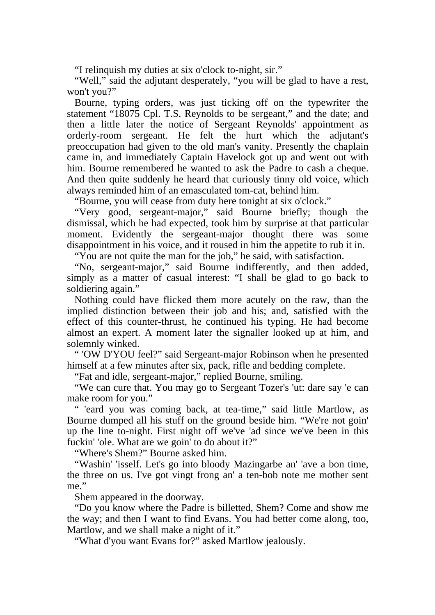"I relinquish my duties at six o'clock to-night, sir."

 "Well," said the adjutant desperately, "you will be glad to have a rest, won't you?"

 Bourne, typing orders, was just ticking off on the typewriter the statement "18075 Cpl. T.S. Reynolds to be sergeant," and the date; and then a little later the notice of Sergeant Reynolds' appointment as orderly-room sergeant. He felt the hurt which the adjutant's preoccupation had given to the old man's vanity. Presently the chaplain came in, and immediately Captain Havelock got up and went out with him. Bourne remembered he wanted to ask the Padre to cash a cheque. And then quite suddenly he heard that curiously tinny old voice, which always reminded him of an emasculated tom-cat, behind him.

"Bourne, you will cease from duty here tonight at six o'clock."

 "Very good, sergeant-major," said Bourne briefly; though the dismissal, which he had expected, took him by surprise at that particular moment. Evidently the sergeant-major thought there was some disappointment in his voice, and it roused in him the appetite to rub it in.

"You are not quite the man for the job," he said, with satisfaction.

 "No, sergeant-major," said Bourne indifferently, and then added, simply as a matter of casual interest: "I shall be glad to go back to soldiering again."

 Nothing could have flicked them more acutely on the raw, than the implied distinction between their job and his; and, satisfied with the effect of this counter-thrust, he continued his typing. He had become almost an expert. A moment later the signaller looked up at him, and solemnly winked.

 " 'OW D'YOU feel?" said Sergeant-major Robinson when he presented himself at a few minutes after six, pack, rifle and bedding complete.

"Fat and idle, sergeant-major," replied Bourne, smiling.

 "We can cure that. You may go to Sergeant Tozer's 'ut: dare say 'e can make room for you."

 " 'eard you was coming back, at tea-time," said little Martlow, as Bourne dumped all his stuff on the ground beside him. "We're not goin' up the line to-night. First night off we've 'ad since we've been in this fuckin' 'ole. What are we goin' to do about it?"

"Where's Shem?" Bourne asked him.

 "Washin' 'isself. Let's go into bloody Mazingarbe an' 'ave a bon time, the three on us. I've got vingt frong an' a ten-bob note me mother sent me."

Shem appeared in the doorway.

 "Do you know where the Padre is billetted, Shem? Come and show me the way; and then I want to find Evans. You had better come along, too, Martlow, and we shall make a night of it."

"What d'you want Evans for?" asked Martlow jealously.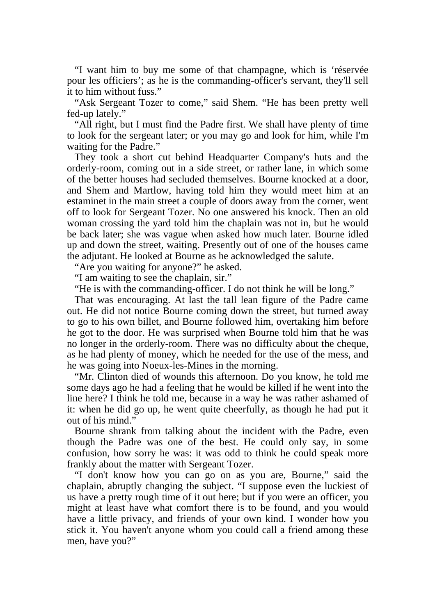"I want him to buy me some of that champagne, which is 'réservée pour les officiers'; as he is the commanding-officer's servant, they'll sell it to him without fuss."

 "Ask Sergeant Tozer to come," said Shem. "He has been pretty well fed-up lately."

 "All right, but I must find the Padre first. We shall have plenty of time to look for the sergeant later; or you may go and look for him, while I'm waiting for the Padre."

 They took a short cut behind Headquarter Company's huts and the orderly-room, coming out in a side street, or rather lane, in which some of the better houses had secluded themselves. Bourne knocked at a door, and Shem and Martlow, having told him they would meet him at an estaminet in the main street a couple of doors away from the corner, went off to look for Sergeant Tozer. No one answered his knock. Then an old woman crossing the yard told him the chaplain was not in, but he would be back later; she was vague when asked how much later. Bourne idled up and down the street, waiting. Presently out of one of the houses came the adjutant. He looked at Bourne as he acknowledged the salute.

"Are you waiting for anyone?" he asked.

"I am waiting to see the chaplain, sir."

"He is with the commanding-officer. I do not think he will be long."

 That was encouraging. At last the tall lean figure of the Padre came out. He did not notice Bourne coming down the street, but turned away to go to his own billet, and Bourne followed him, overtaking him before he got to the door. He was surprised when Bourne told him that he was no longer in the orderly-room. There was no difficulty about the cheque, as he had plenty of money, which he needed for the use of the mess, and he was going into Noeux-les-Mines in the morning.

 "Mr. Clinton died of wounds this afternoon. Do you know, he told me some days ago he had a feeling that he would be killed if he went into the line here? I think he told me, because in a way he was rather ashamed of it: when he did go up, he went quite cheerfully, as though he had put it out of his mind."

 Bourne shrank from talking about the incident with the Padre, even though the Padre was one of the best. He could only say, in some confusion, how sorry he was: it was odd to think he could speak more frankly about the matter with Sergeant Tozer.

 "I don't know how you can go on as you are, Bourne," said the chaplain, abruptly changing the subject. "I suppose even the luckiest of us have a pretty rough time of it out here; but if you were an officer, you might at least have what comfort there is to be found, and you would have a little privacy, and friends of your own kind. I wonder how you stick it. You haven't anyone whom you could call a friend among these men, have you?"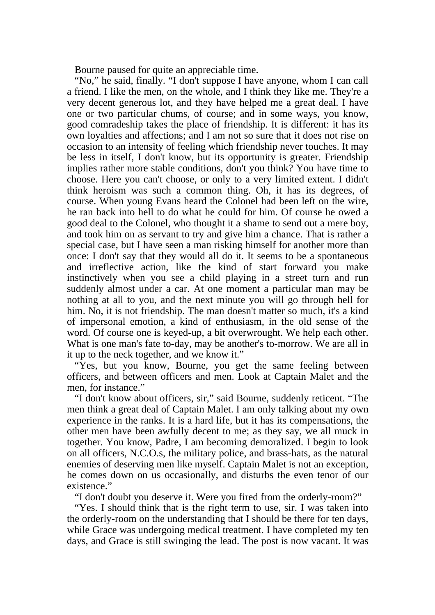Bourne paused for quite an appreciable time.

 "No," he said, finally. "I don't suppose I have anyone, whom I can call a friend. I like the men, on the whole, and I think they like me. They're a very decent generous lot, and they have helped me a great deal. I have one or two particular chums, of course; and in some ways, you know, good comradeship takes the place of friendship. It is different: it has its own loyalties and affections; and I am not so sure that it does not rise on occasion to an intensity of feeling which friendship never touches. It may be less in itself, I don't know, but its opportunity is greater. Friendship implies rather more stable conditions, don't you think? You have time to choose. Here you can't choose, or only to a very limited extent. I didn't think heroism was such a common thing. Oh, it has its degrees, of course. When young Evans heard the Colonel had been left on the wire, he ran back into hell to do what he could for him. Of course he owed a good deal to the Colonel, who thought it a shame to send out a mere boy, and took him on as servant to try and give him a chance. That is rather a special case, but I have seen a man risking himself for another more than once: I don't say that they would all do it. It seems to be a spontaneous and irreflective action, like the kind of start forward you make instinctively when you see a child playing in a street turn and run suddenly almost under a car. At one moment a particular man may be nothing at all to you, and the next minute you will go through hell for him. No, it is not friendship. The man doesn't matter so much, it's a kind of impersonal emotion, a kind of enthusiasm, in the old sense of the word. Of course one is keyed-up, a bit overwrought. We help each other. What is one man's fate to-day, may be another's to-morrow. We are all in it up to the neck together, and we know it."

 "Yes, but you know, Bourne, you get the same feeling between officers, and between officers and men. Look at Captain Malet and the men, for instance."

 "I don't know about officers, sir," said Bourne, suddenly reticent. "The men think a great deal of Captain Malet. I am only talking about my own experience in the ranks. It is a hard life, but it has its compensations, the other men have been awfully decent to me; as they say, we all muck in together. You know, Padre, I am becoming demoralized. I begin to look on all officers, N.C.O.s, the military police, and brass-hats, as the natural enemies of deserving men like myself. Captain Malet is not an exception, he comes down on us occasionally, and disturbs the even tenor of our existence."

"I don't doubt you deserve it. Were you fired from the orderly-room?"

 "Yes. I should think that is the right term to use, sir. I was taken into the orderly-room on the understanding that I should be there for ten days, while Grace was undergoing medical treatment. I have completed my ten days, and Grace is still swinging the lead. The post is now vacant. It was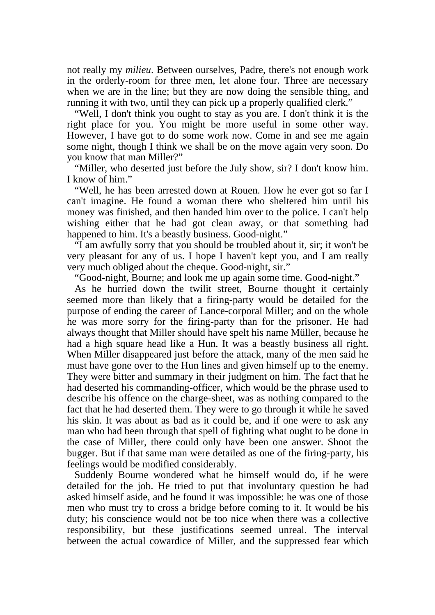not really my *milieu*. Between ourselves, Padre, there's not enough work in the orderly-room for three men, let alone four. Three are necessary when we are in the line; but they are now doing the sensible thing, and running it with two, until they can pick up a properly qualified clerk."

 "Well, I don't think you ought to stay as you are. I don't think it is the right place for you. You might be more useful in some other way. However, I have got to do some work now. Come in and see me again some night, though I think we shall be on the move again very soon. Do you know that man Miller?"

 "Miller, who deserted just before the July show, sir? I don't know him. I know of him."

 "Well, he has been arrested down at Rouen. How he ever got so far I can't imagine. He found a woman there who sheltered him until his money was finished, and then handed him over to the police. I can't help wishing either that he had got clean away, or that something had happened to him. It's a beastly business. Good-night."

 "I am awfully sorry that you should be troubled about it, sir; it won't be very pleasant for any of us. I hope I haven't kept you, and I am really very much obliged about the cheque. Good-night, sir."

"Good-night, Bourne; and look me up again some time. Good-night."

 As he hurried down the twilit street, Bourne thought it certainly seemed more than likely that a firing-party would be detailed for the purpose of ending the career of Lance-corporal Miller; and on the whole he was more sorry for the firing-party than for the prisoner. He had always thought that Miller should have spelt his name Müller, because he had a high square head like a Hun. It was a beastly business all right. When Miller disappeared just before the attack, many of the men said he must have gone over to the Hun lines and given himself up to the enemy. They were bitter and summary in their judgment on him. The fact that he had deserted his commanding-officer, which would be the phrase used to describe his offence on the charge-sheet, was as nothing compared to the fact that he had deserted them. They were to go through it while he saved his skin. It was about as bad as it could be, and if one were to ask any man who had been through that spell of fighting what ought to be done in the case of Miller, there could only have been one answer. Shoot the bugger. But if that same man were detailed as one of the firing-party, his feelings would be modified considerably.

 Suddenly Bourne wondered what he himself would do, if he were detailed for the job. He tried to put that involuntary question he had asked himself aside, and he found it was impossible: he was one of those men who must try to cross a bridge before coming to it. It would be his duty; his conscience would not be too nice when there was a collective responsibility, but these justifications seemed unreal. The interval between the actual cowardice of Miller, and the suppressed fear which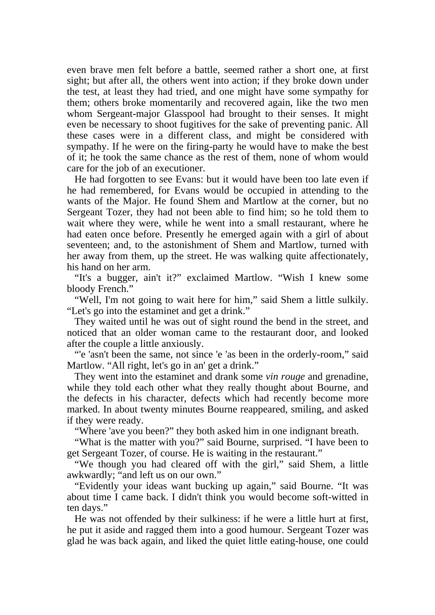even brave men felt before a battle, seemed rather a short one, at first sight; but after all, the others went into action; if they broke down under the test, at least they had tried, and one might have some sympathy for them; others broke momentarily and recovered again, like the two men whom Sergeant-major Glasspool had brought to their senses. It might even be necessary to shoot fugitives for the sake of preventing panic. All these cases were in a different class, and might be considered with sympathy. If he were on the firing-party he would have to make the best of it; he took the same chance as the rest of them, none of whom would care for the job of an executioner.

 He had forgotten to see Evans: but it would have been too late even if he had remembered, for Evans would be occupied in attending to the wants of the Major. He found Shem and Martlow at the corner, but no Sergeant Tozer, they had not been able to find him; so he told them to wait where they were, while he went into a small restaurant, where he had eaten once before. Presently he emerged again with a girl of about seventeen; and, to the astonishment of Shem and Martlow, turned with her away from them, up the street. He was walking quite affectionately, his hand on her arm.

 "It's a bugger, ain't it?" exclaimed Martlow. "Wish I knew some bloody French."

 "Well, I'm not going to wait here for him," said Shem a little sulkily. "Let's go into the estaminet and get a drink."

 They waited until he was out of sight round the bend in the street, and noticed that an older woman came to the restaurant door, and looked after the couple a little anxiously.

 "'e 'asn't been the same, not since 'e 'as been in the orderly-room," said Martlow. "All right, let's go in an' get a drink."

 They went into the estaminet and drank some *vin rouge* and grenadine, while they told each other what they really thought about Bourne, and the defects in his character, defects which had recently become more marked. In about twenty minutes Bourne reappeared, smiling, and asked if they were ready.

"Where 'ave you been?" they both asked him in one indignant breath.

 "What is the matter with you?" said Bourne, surprised. "I have been to get Sergeant Tozer, of course. He is waiting in the restaurant."

 "We though you had cleared off with the girl," said Shem, a little awkwardly; "and left us on our own."

 "Evidently your ideas want bucking up again," said Bourne. "It was about time I came back. I didn't think you would become soft-witted in ten days."

 He was not offended by their sulkiness: if he were a little hurt at first, he put it aside and ragged them into a good humour. Sergeant Tozer was glad he was back again, and liked the quiet little eating-house, one could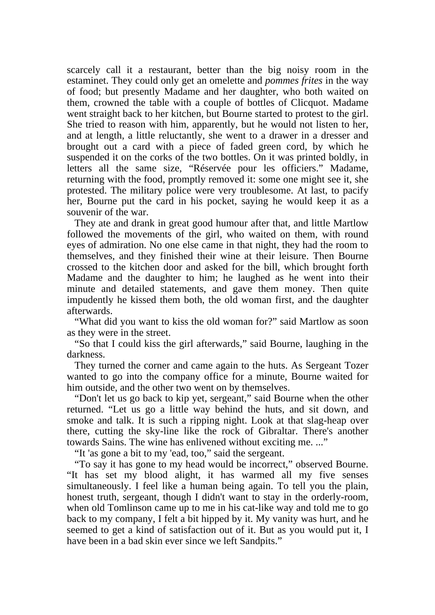scarcely call it a restaurant, better than the big noisy room in the estaminet. They could only get an omelette and *pommes frites* in the way of food; but presently Madame and her daughter, who both waited on them, crowned the table with a couple of bottles of Clicquot. Madame went straight back to her kitchen, but Bourne started to protest to the girl. She tried to reason with him, apparently, but he would not listen to her, and at length, a little reluctantly, she went to a drawer in a dresser and brought out a card with a piece of faded green cord, by which he suspended it on the corks of the two bottles. On it was printed boldly, in letters all the same size, "Réservée pour les officiers." Madame, returning with the food, promptly removed it: some one might see it, she protested. The military police were very troublesome. At last, to pacify her, Bourne put the card in his pocket, saying he would keep it as a souvenir of the war.

 They ate and drank in great good humour after that, and little Martlow followed the movements of the girl, who waited on them, with round eyes of admiration. No one else came in that night, they had the room to themselves, and they finished their wine at their leisure. Then Bourne crossed to the kitchen door and asked for the bill, which brought forth Madame and the daughter to him; he laughed as he went into their minute and detailed statements, and gave them money. Then quite impudently he kissed them both, the old woman first, and the daughter afterwards.

 "What did you want to kiss the old woman for?" said Martlow as soon as they were in the street.

 "So that I could kiss the girl afterwards," said Bourne, laughing in the darkness.

 They turned the corner and came again to the huts. As Sergeant Tozer wanted to go into the company office for a minute, Bourne waited for him outside, and the other two went on by themselves.

 "Don't let us go back to kip yet, sergeant," said Bourne when the other returned. "Let us go a little way behind the huts, and sit down, and smoke and talk. It is such a ripping night. Look at that slag-heap over there, cutting the sky-line like the rock of Gibraltar. There's another towards Sains. The wine has enlivened without exciting me. ..."

"It 'as gone a bit to my 'ead, too," said the sergeant.

 "To say it has gone to my head would be incorrect," observed Bourne. "It has set my blood alight, it has warmed all my five senses simultaneously. I feel like a human being again. To tell you the plain, honest truth, sergeant, though I didn't want to stay in the orderly-room, when old Tomlinson came up to me in his cat-like way and told me to go back to my company, I felt a bit hipped by it. My vanity was hurt, and he seemed to get a kind of satisfaction out of it. But as you would put it, I have been in a bad skin ever since we left Sandpits."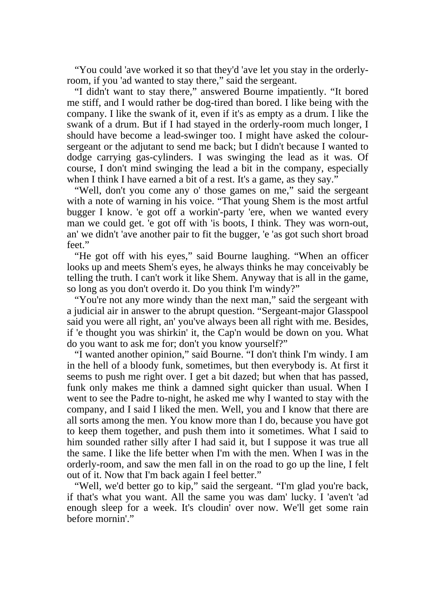"You could 'ave worked it so that they'd 'ave let you stay in the orderlyroom, if you 'ad wanted to stay there," said the sergeant.

 "I didn't want to stay there," answered Bourne impatiently. "It bored me stiff, and I would rather be dog-tired than bored. I like being with the company. I like the swank of it, even if it's as empty as a drum. I like the swank of a drum. But if I had stayed in the orderly-room much longer, I should have become a lead-swinger too. I might have asked the coloursergeant or the adjutant to send me back; but I didn't because I wanted to dodge carrying gas-cylinders. I was swinging the lead as it was. Of course, I don't mind swinging the lead a bit in the company, especially when I think I have earned a bit of a rest. It's a game, as they say."

 "Well, don't you come any o' those games on me," said the sergeant with a note of warning in his voice. "That young Shem is the most artful bugger I know. 'e got off a workin'-party 'ere, when we wanted every man we could get. 'e got off with 'is boots, I think. They was worn-out, an' we didn't 'ave another pair to fit the bugger, 'e 'as got such short broad feet."

 "He got off with his eyes," said Bourne laughing. "When an officer looks up and meets Shem's eyes, he always thinks he may conceivably be telling the truth. I can't work it like Shem. Anyway that is all in the game, so long as you don't overdo it. Do you think I'm windy?"

 "You're not any more windy than the next man," said the sergeant with a judicial air in answer to the abrupt question. "Sergeant-major Glasspool said you were all right, an' you've always been all right with me. Besides, if 'e thought you was shirkin' it, the Cap'n would be down on you. What do you want to ask me for; don't you know yourself?"

 "I wanted another opinion," said Bourne. "I don't think I'm windy. I am in the hell of a bloody funk, sometimes, but then everybody is. At first it seems to push me right over. I get a bit dazed; but when that has passed, funk only makes me think a damned sight quicker than usual. When I went to see the Padre to-night, he asked me why I wanted to stay with the company, and I said I liked the men. Well, you and I know that there are all sorts among the men. You know more than I do, because you have got to keep them together, and push them into it sometimes. What I said to him sounded rather silly after I had said it, but I suppose it was true all the same. I like the life better when I'm with the men. When I was in the orderly-room, and saw the men fall in on the road to go up the line, I felt out of it. Now that I'm back again I feel better."

 "Well, we'd better go to kip," said the sergeant. "I'm glad you're back, if that's what you want. All the same you was dam' lucky. I 'aven't 'ad enough sleep for a week. It's cloudin' over now. We'll get some rain before mornin'."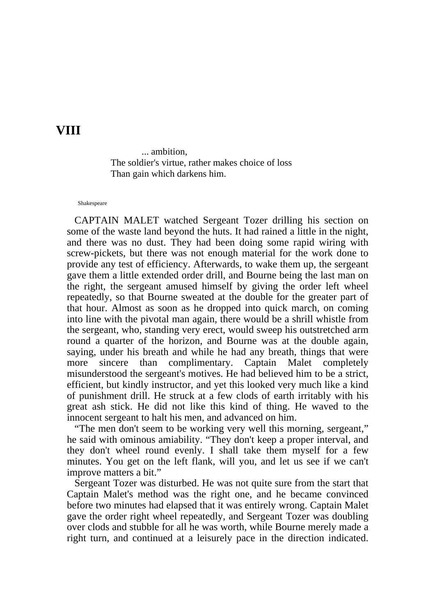## **VIII**

 ... ambition, The soldier's virtue, rather makes choice of loss Than gain which darkens him.

## Shakespeare

 CAPTAIN MALET watched Sergeant Tozer drilling his section on some of the waste land beyond the huts. It had rained a little in the night, and there was no dust. They had been doing some rapid wiring with screw-pickets, but there was not enough material for the work done to provide any test of efficiency. Afterwards, to wake them up, the sergeant gave them a little extended order drill, and Bourne being the last man on the right, the sergeant amused himself by giving the order left wheel repeatedly, so that Bourne sweated at the double for the greater part of that hour. Almost as soon as he dropped into quick march, on coming into line with the pivotal man again, there would be a shrill whistle from the sergeant, who, standing very erect, would sweep his outstretched arm round a quarter of the horizon, and Bourne was at the double again, saying, under his breath and while he had any breath, things that were more sincere than complimentary. Captain Malet completely misunderstood the sergeant's motives. He had believed him to be a strict, efficient, but kindly instructor, and yet this looked very much like a kind of punishment drill. He struck at a few clods of earth irritably with his great ash stick. He did not like this kind of thing. He waved to the innocent sergeant to halt his men, and advanced on him.

 "The men don't seem to be working very well this morning, sergeant," he said with ominous amiability. "They don't keep a proper interval, and they don't wheel round evenly. I shall take them myself for a few minutes. You get on the left flank, will you, and let us see if we can't improve matters a bit."

 Sergeant Tozer was disturbed. He was not quite sure from the start that Captain Malet's method was the right one, and he became convinced before two minutes had elapsed that it was entirely wrong. Captain Malet gave the order right wheel repeatedly, and Sergeant Tozer was doubling over clods and stubble for all he was worth, while Bourne merely made a right turn, and continued at a leisurely pace in the direction indicated.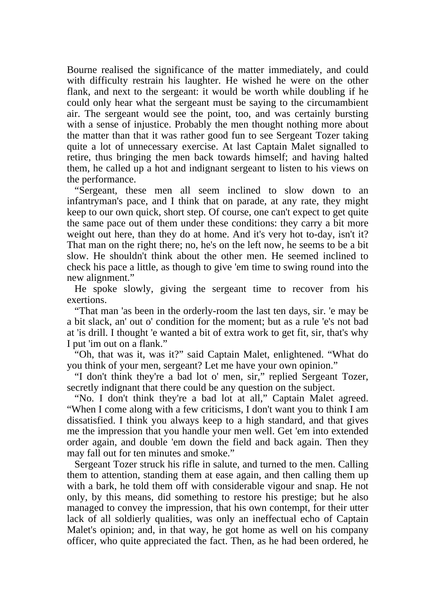Bourne realised the significance of the matter immediately, and could with difficulty restrain his laughter. He wished he were on the other flank, and next to the sergeant: it would be worth while doubling if he could only hear what the sergeant must be saying to the circumambient air. The sergeant would see the point, too, and was certainly bursting with a sense of injustice. Probably the men thought nothing more about the matter than that it was rather good fun to see Sergeant Tozer taking quite a lot of unnecessary exercise. At last Captain Malet signalled to retire, thus bringing the men back towards himself; and having halted them, he called up a hot and indignant sergeant to listen to his views on the performance.

 "Sergeant, these men all seem inclined to slow down to an infantryman's pace, and I think that on parade, at any rate, they might keep to our own quick, short step. Of course, one can't expect to get quite the same pace out of them under these conditions: they carry a bit more weight out here, than they do at home. And it's very hot to-day, isn't it? That man on the right there; no, he's on the left now, he seems to be a bit slow. He shouldn't think about the other men. He seemed inclined to check his pace a little, as though to give 'em time to swing round into the new alignment."

 He spoke slowly, giving the sergeant time to recover from his exertions.

 "That man 'as been in the orderly-room the last ten days, sir. 'e may be a bit slack, an' out o' condition for the moment; but as a rule 'e's not bad at 'is drill. I thought 'e wanted a bit of extra work to get fit, sir, that's why I put 'im out on a flank."

 "Oh, that was it, was it?" said Captain Malet, enlightened. "What do you think of your men, sergeant? Let me have your own opinion."

 "I don't think they're a bad lot o' men, sir," replied Sergeant Tozer, secretly indignant that there could be any question on the subject.

 "No. I don't think they're a bad lot at all," Captain Malet agreed. "When I come along with a few criticisms, I don't want you to think I am dissatisfied. I think you always keep to a high standard, and that gives me the impression that you handle your men well. Get 'em into extended order again, and double 'em down the field and back again. Then they may fall out for ten minutes and smoke."

 Sergeant Tozer struck his rifle in salute, and turned to the men. Calling them to attention, standing them at ease again, and then calling them up with a bark, he told them off with considerable vigour and snap. He not only, by this means, did something to restore his prestige; but he also managed to convey the impression, that his own contempt, for their utter lack of all soldierly qualities, was only an ineffectual echo of Captain Malet's opinion; and, in that way, he got home as well on his company officer, who quite appreciated the fact. Then, as he had been ordered, he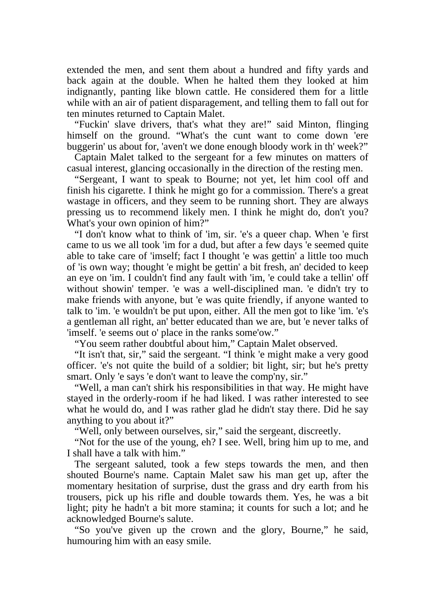extended the men, and sent them about a hundred and fifty yards and back again at the double. When he halted them they looked at him indignantly, panting like blown cattle. He considered them for a little while with an air of patient disparagement, and telling them to fall out for ten minutes returned to Captain Malet.

 "Fuckin' slave drivers, that's what they are!" said Minton, flinging himself on the ground. "What's the cunt want to come down 'ere buggerin' us about for, 'aven't we done enough bloody work in th' week?"

 Captain Malet talked to the sergeant for a few minutes on matters of casual interest, glancing occasionally in the direction of the resting men.

 "Sergeant, I want to speak to Bourne; not yet, let him cool off and finish his cigarette. I think he might go for a commission. There's a great wastage in officers, and they seem to be running short. They are always pressing us to recommend likely men. I think he might do, don't you? What's your own opinion of him?"

 "I don't know what to think of 'im, sir. 'e's a queer chap. When 'e first came to us we all took 'im for a dud, but after a few days 'e seemed quite able to take care of 'imself; fact I thought 'e was gettin' a little too much of 'is own way; thought 'e might be gettin' a bit fresh, an' decided to keep an eye on 'im. I couldn't find any fault with 'im, 'e could take a tellin' off without showin' temper. 'e was a well-disciplined man. 'e didn't try to make friends with anyone, but 'e was quite friendly, if anyone wanted to talk to 'im. 'e wouldn't be put upon, either. All the men got to like 'im. 'e's a gentleman all right, an' better educated than we are, but 'e never talks of 'imself. 'e seems out o' place in the ranks some'ow."

"You seem rather doubtful about him," Captain Malet observed.

 "It isn't that, sir," said the sergeant. "I think 'e might make a very good officer. 'e's not quite the build of a soldier; bit light, sir; but he's pretty smart. Only 'e says 'e don't want to leave the comp'ny, sir."

 "Well, a man can't shirk his responsibilities in that way. He might have stayed in the orderly-room if he had liked. I was rather interested to see what he would do, and I was rather glad he didn't stay there. Did he say anything to you about it?"

"Well, only between ourselves, sir," said the sergeant, discreetly.

 "Not for the use of the young, eh? I see. Well, bring him up to me, and I shall have a talk with him."

 The sergeant saluted, took a few steps towards the men, and then shouted Bourne's name. Captain Malet saw his man get up, after the momentary hesitation of surprise, dust the grass and dry earth from his trousers, pick up his rifle and double towards them. Yes, he was a bit light; pity he hadn't a bit more stamina; it counts for such a lot; and he acknowledged Bourne's salute.

 "So you've given up the crown and the glory, Bourne," he said, humouring him with an easy smile.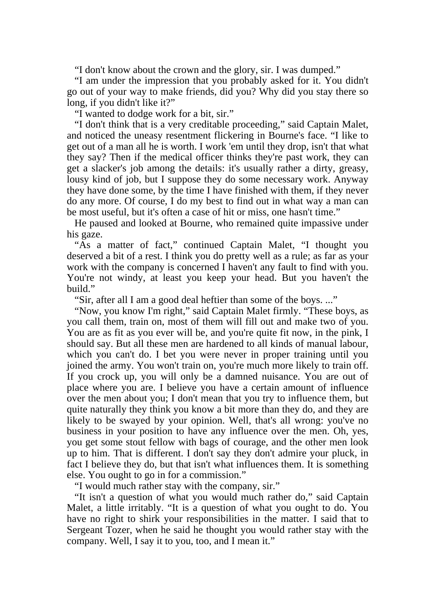"I don't know about the crown and the glory, sir. I was dumped."

 "I am under the impression that you probably asked for it. You didn't go out of your way to make friends, did you? Why did you stay there so long, if you didn't like it?"

"I wanted to dodge work for a bit, sir."

 "I don't think that is a very creditable proceeding," said Captain Malet, and noticed the uneasy resentment flickering in Bourne's face. "I like to get out of a man all he is worth. I work 'em until they drop, isn't that what they say? Then if the medical officer thinks they're past work, they can get a slacker's job among the details: it's usually rather a dirty, greasy, lousy kind of job, but I suppose they do some necessary work. Anyway they have done some, by the time I have finished with them, if they never do any more. Of course, I do my best to find out in what way a man can be most useful, but it's often a case of hit or miss, one hasn't time."

 He paused and looked at Bourne, who remained quite impassive under his gaze.

 "As a matter of fact," continued Captain Malet, "I thought you deserved a bit of a rest. I think you do pretty well as a rule; as far as your work with the company is concerned I haven't any fault to find with you. You're not windy, at least you keep your head. But you haven't the build."

"Sir, after all I am a good deal heftier than some of the boys. ..."

 "Now, you know I'm right," said Captain Malet firmly. "These boys, as you call them, train on, most of them will fill out and make two of you. You are as fit as you ever will be, and you're quite fit now, in the pink, I should say. But all these men are hardened to all kinds of manual labour, which you can't do. I bet you were never in proper training until you joined the army. You won't train on, you're much more likely to train off. If you crock up, you will only be a damned nuisance. You are out of place where you are. I believe you have a certain amount of influence over the men about you; I don't mean that you try to influence them, but quite naturally they think you know a bit more than they do, and they are likely to be swayed by your opinion. Well, that's all wrong: you've no business in your position to have any influence over the men. Oh, yes, you get some stout fellow with bags of courage, and the other men look up to him. That is different. I don't say they don't admire your pluck, in fact I believe they do, but that isn't what influences them. It is something else. You ought to go in for a commission."

"I would much rather stay with the company, sir."

 "It isn't a question of what you would much rather do," said Captain Malet, a little irritably. "It is a question of what you ought to do. You have no right to shirk your responsibilities in the matter. I said that to Sergeant Tozer, when he said he thought you would rather stay with the company. Well, I say it to you, too, and I mean it."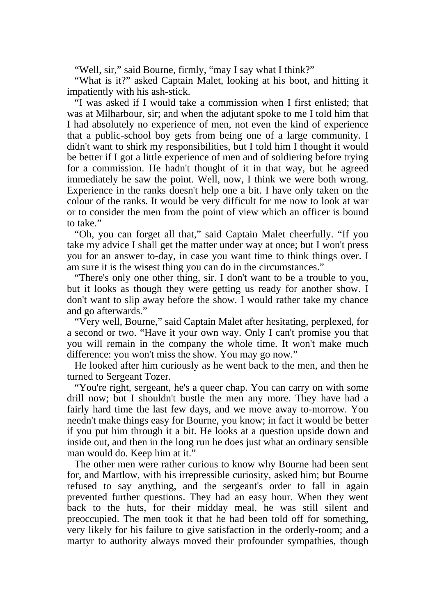"Well, sir," said Bourne, firmly, "may I say what I think?"

 "What is it?" asked Captain Malet, looking at his boot, and hitting it impatiently with his ash-stick.

 "I was asked if I would take a commission when I first enlisted; that was at Milharbour, sir; and when the adjutant spoke to me I told him that I had absolutely no experience of men, not even the kind of experience that a public-school boy gets from being one of a large community. I didn't want to shirk my responsibilities, but I told him I thought it would be better if I got a little experience of men and of soldiering before trying for a commission. He hadn't thought of it in that way, but he agreed immediately he saw the point. Well, now, I think we were both wrong. Experience in the ranks doesn't help one a bit. I have only taken on the colour of the ranks. It would be very difficult for me now to look at war or to consider the men from the point of view which an officer is bound to take."

 "Oh, you can forget all that," said Captain Malet cheerfully. "If you take my advice I shall get the matter under way at once; but I won't press you for an answer to-day, in case you want time to think things over. I am sure it is the wisest thing you can do in the circumstances."

 "There's only one other thing, sir. I don't want to be a trouble to you, but it looks as though they were getting us ready for another show. I don't want to slip away before the show. I would rather take my chance and go afterwards."

 "Very well, Bourne," said Captain Malet after hesitating, perplexed, for a second or two. "Have it your own way. Only I can't promise you that you will remain in the company the whole time. It won't make much difference: you won't miss the show. You may go now."

 He looked after him curiously as he went back to the men, and then he turned to Sergeant Tozer.

 "You're right, sergeant, he's a queer chap. You can carry on with some drill now; but I shouldn't bustle the men any more. They have had a fairly hard time the last few days, and we move away to-morrow. You needn't make things easy for Bourne, you know; in fact it would be better if you put him through it a bit. He looks at a question upside down and inside out, and then in the long run he does just what an ordinary sensible man would do. Keep him at it."

 The other men were rather curious to know why Bourne had been sent for, and Martlow, with his irrepressible curiosity, asked him; but Bourne refused to say anything, and the sergeant's order to fall in again prevented further questions. They had an easy hour. When they went back to the huts, for their midday meal, he was still silent and preoccupied. The men took it that he had been told off for something, very likely for his failure to give satisfaction in the orderly-room; and a martyr to authority always moved their profounder sympathies, though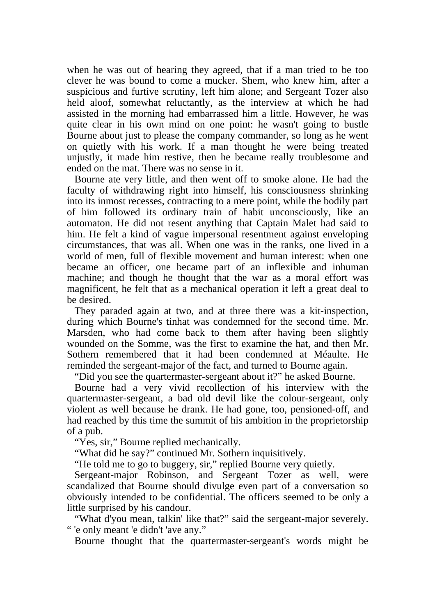when he was out of hearing they agreed, that if a man tried to be too clever he was bound to come a mucker. Shem, who knew him, after a suspicious and furtive scrutiny, left him alone; and Sergeant Tozer also held aloof, somewhat reluctantly, as the interview at which he had assisted in the morning had embarrassed him a little. However, he was quite clear in his own mind on one point: he wasn't going to bustle Bourne about just to please the company commander, so long as he went on quietly with his work. If a man thought he were being treated unjustly, it made him restive, then he became really troublesome and ended on the mat. There was no sense in it.

 Bourne ate very little, and then went off to smoke alone. He had the faculty of withdrawing right into himself, his consciousness shrinking into its inmost recesses, contracting to a mere point, while the bodily part of him followed its ordinary train of habit unconsciously, like an automaton. He did not resent anything that Captain Malet had said to him. He felt a kind of vague impersonal resentment against enveloping circumstances, that was all. When one was in the ranks, one lived in a world of men, full of flexible movement and human interest: when one became an officer, one became part of an inflexible and inhuman machine; and though he thought that the war as a moral effort was magnificent, he felt that as a mechanical operation it left a great deal to be desired.

 They paraded again at two, and at three there was a kit-inspection, during which Bourne's tinhat was condemned for the second time. Mr. Marsden, who had come back to them after having been slightly wounded on the Somme, was the first to examine the hat, and then Mr. Sothern remembered that it had been condemned at Méaulte. He reminded the sergeant-major of the fact, and turned to Bourne again.

"Did you see the quartermaster-sergeant about it?" he asked Bourne.

 Bourne had a very vivid recollection of his interview with the quartermaster-sergeant, a bad old devil like the colour-sergeant, only violent as well because he drank. He had gone, too, pensioned-off, and had reached by this time the summit of his ambition in the proprietorship of a pub.

"Yes, sir," Bourne replied mechanically.

"What did he say?" continued Mr. Sothern inquisitively.

"He told me to go to buggery, sir," replied Bourne very quietly.

 Sergeant-major Robinson, and Sergeant Tozer as well, were scandalized that Bourne should divulge even part of a conversation so obviously intended to be confidential. The officers seemed to be only a little surprised by his candour.

 "What d'you mean, talkin' like that?" said the sergeant-major severely. " 'e only meant 'e didn't 'ave any."

Bourne thought that the quartermaster-sergeant's words might be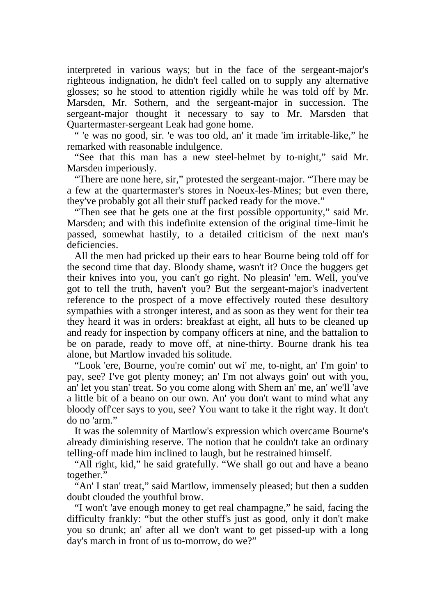interpreted in various ways; but in the face of the sergeant-major's righteous indignation, he didn't feel called on to supply any alternative glosses; so he stood to attention rigidly while he was told off by Mr. Marsden, Mr. Sothern, and the sergeant-major in succession. The sergeant-major thought it necessary to say to Mr. Marsden that Quartermaster-sergeant Leak had gone home.

 " 'e was no good, sir. 'e was too old, an' it made 'im irritable-like," he remarked with reasonable indulgence.

 "See that this man has a new steel-helmet by to-night," said Mr. Marsden imperiously.

 "There are none here, sir," protested the sergeant-major. "There may be a few at the quartermaster's stores in Noeux-les-Mines; but even there, they've probably got all their stuff packed ready for the move."

 "Then see that he gets one at the first possible opportunity," said Mr. Marsden; and with this indefinite extension of the original time-limit he passed, somewhat hastily, to a detailed criticism of the next man's deficiencies.

 All the men had pricked up their ears to hear Bourne being told off for the second time that day. Bloody shame, wasn't it? Once the buggers get their knives into you, you can't go right. No pleasin' 'em. Well, you've got to tell the truth, haven't you? But the sergeant-major's inadvertent reference to the prospect of a move effectively routed these desultory sympathies with a stronger interest, and as soon as they went for their tea they heard it was in orders: breakfast at eight, all huts to be cleaned up and ready for inspection by company officers at nine, and the battalion to be on parade, ready to move off, at nine-thirty. Bourne drank his tea alone, but Martlow invaded his solitude.

 "Look 'ere, Bourne, you're comin' out wi' me, to-night, an' I'm goin' to pay, see? I've got plenty money; an' I'm not always goin' out with you, an' let you stan' treat. So you come along with Shem an' me, an' we'll 'ave a little bit of a beano on our own. An' you don't want to mind what any bloody off'cer says to you, see? You want to take it the right way. It don't do no 'arm."

 It was the solemnity of Martlow's expression which overcame Bourne's already diminishing reserve. The notion that he couldn't take an ordinary telling-off made him inclined to laugh, but he restrained himself.

 "All right, kid," he said gratefully. "We shall go out and have a beano together."

 "An' I stan' treat," said Martlow, immensely pleased; but then a sudden doubt clouded the youthful brow.

 "I won't 'ave enough money to get real champagne," he said, facing the difficulty frankly: "but the other stuff's just as good, only it don't make you so drunk; an' after all we don't want to get pissed-up with a long day's march in front of us to-morrow, do we?"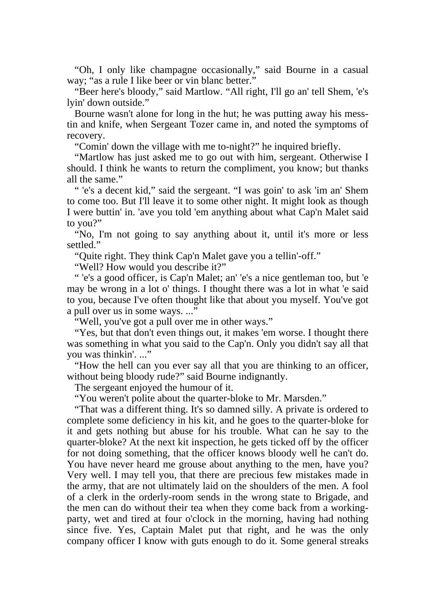"Oh, I only like champagne occasionally," said Bourne in a casual way; "as a rule I like beer or vin blanc better."

 "Beer here's bloody," said Martlow. "All right, I'll go an' tell Shem, 'e's lyin' down outside."

 Bourne wasn't alone for long in the hut; he was putting away his messtin and knife, when Sergeant Tozer came in, and noted the symptoms of recovery.

"Comin' down the village with me to-night?" he inquired briefly.

 "Martlow has just asked me to go out with him, sergeant. Otherwise I should. I think he wants to return the compliment, you know; but thanks all the same."

 " 'e's a decent kid," said the sergeant. "I was goin' to ask 'im an' Shem to come too. But I'll leave it to some other night. It might look as though I were buttin' in. 'ave you told 'em anything about what Cap'n Malet said to you?"

 "No, I'm not going to say anything about it, until it's more or less settled."

"Quite right. They think Cap'n Malet gave you a tellin'-off."

"Well? How would you describe it?"

 " 'e's a good officer, is Cap'n Malet; an' 'e's a nice gentleman too, but 'e may be wrong in a lot o' things. I thought there was a lot in what 'e said to you, because I've often thought like that about you myself. You've got a pull over us in some ways. ..."

"Well, you've got a pull over me in other ways."

 "Yes, but that don't even things out, it makes 'em worse. I thought there was something in what you said to the Cap'n. Only you didn't say all that you was thinkin'. ..."

 "How the hell can you ever say all that you are thinking to an officer, without being bloody rude?" said Bourne indignantly.

The sergeant enjoyed the humour of it.

"You weren't polite about the quarter-bloke to Mr. Marsden."

 "That was a different thing. It's so damned silly. A private is ordered to complete some deficiency in his kit, and he goes to the quarter-bloke for it and gets nothing but abuse for his trouble. What can he say to the quarter-bloke? At the next kit inspection, he gets ticked off by the officer for not doing something, that the officer knows bloody well he can't do. You have never heard me grouse about anything to the men, have you? Very well. I may tell you, that there are precious few mistakes made in the army, that are not ultimately laid on the shoulders of the men. A fool of a clerk in the orderly-room sends in the wrong state to Brigade, and the men can do without their tea when they come back from a workingparty, wet and tired at four o'clock in the morning, having had nothing since five. Yes, Captain Malet put that right, and he was the only company officer I know with guts enough to do it. Some general streaks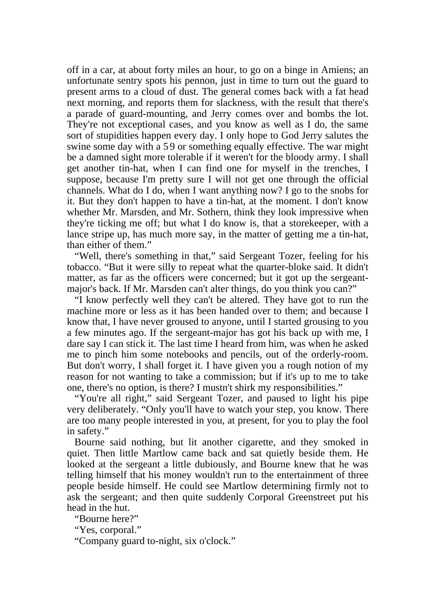off in a car, at about forty miles an hour, to go on a binge in Amiens; an unfortunate sentry spots his pennon, just in time to turn out the guard to present arms to a cloud of dust. The general comes back with a fat head next morning, and reports them for slackness, with the result that there's a parade of guard-mounting, and Jerry comes over and bombs the lot. They're not exceptional cases, and you know as well as I do, the same sort of stupidities happen every day. I only hope to God Jerry salutes the swine some day with a 59 or something equally effective. The war might be a damned sight more tolerable if it weren't for the bloody army. I shall get another tin-hat, when I can find one for myself in the trenches, I suppose, because I'm pretty sure I will not get one through the official channels. What do I do, when I want anything now? I go to the snobs for it. But they don't happen to have a tin-hat, at the moment. I don't know whether Mr. Marsden, and Mr. Sothern, think they look impressive when they're ticking me off; but what I do know is, that a storekeeper, with a lance stripe up, has much more say, in the matter of getting me a tin-hat, than either of them."

 "Well, there's something in that," said Sergeant Tozer, feeling for his tobacco. "But it were silly to repeat what the quarter-bloke said. It didn't matter, as far as the officers were concerned; but it got up the sergeantmajor's back. If Mr. Marsden can't alter things, do you think you can?"

 "I know perfectly well they can't be altered. They have got to run the machine more or less as it has been handed over to them; and because I know that, I have never groused to anyone, until I started grousing to you a few minutes ago. If the sergeant-major has got his back up with me, I dare say I can stick it. The last time I heard from him, was when he asked me to pinch him some notebooks and pencils, out of the orderly-room. But don't worry, I shall forget it. I have given you a rough notion of my reason for not wanting to take a commission; but if it's up to me to take one, there's no option, is there? I mustn't shirk my responsibilities."

 "You're all right," said Sergeant Tozer, and paused to light his pipe very deliberately. "Only you'll have to watch your step, you know. There are too many people interested in you, at present, for you to play the fool in safety."

 Bourne said nothing, but lit another cigarette, and they smoked in quiet. Then little Martlow came back and sat quietly beside them. He looked at the sergeant a little dubiously, and Bourne knew that he was telling himself that his money wouldn't run to the entertainment of three people beside himself. He could see Martlow determining firmly not to ask the sergeant; and then quite suddenly Corporal Greenstreet put his head in the hut.

"Bourne here?"

"Yes, corporal."

"Company guard to-night, six o'clock."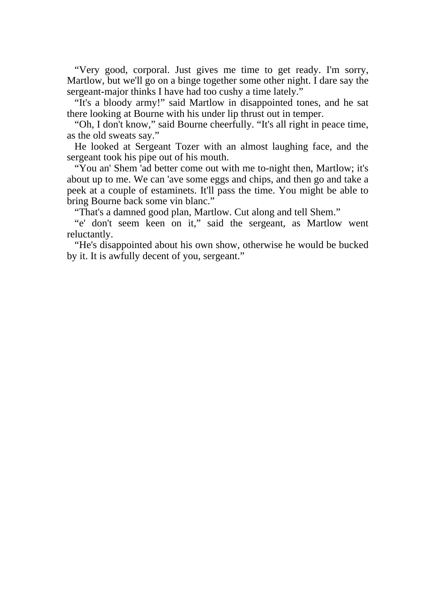"Very good, corporal. Just gives me time to get ready. I'm sorry, Martlow, but we'll go on a binge together some other night. I dare say the sergeant-major thinks I have had too cushy a time lately."

 "It's a bloody army!" said Martlow in disappointed tones, and he sat there looking at Bourne with his under lip thrust out in temper.

 "Oh, I don't know," said Bourne cheerfully. "It's all right in peace time, as the old sweats say."

 He looked at Sergeant Tozer with an almost laughing face, and the sergeant took his pipe out of his mouth.

 "You an' Shem 'ad better come out with me to-night then, Martlow; it's about up to me. We can 'ave some eggs and chips, and then go and take a peek at a couple of estaminets. It'll pass the time. You might be able to bring Bourne back some vin blanc."

"That's a damned good plan, Martlow. Cut along and tell Shem."

 "e' don't seem keen on it," said the sergeant, as Martlow went reluctantly.

 "He's disappointed about his own show, otherwise he would be bucked by it. It is awfully decent of you, sergeant."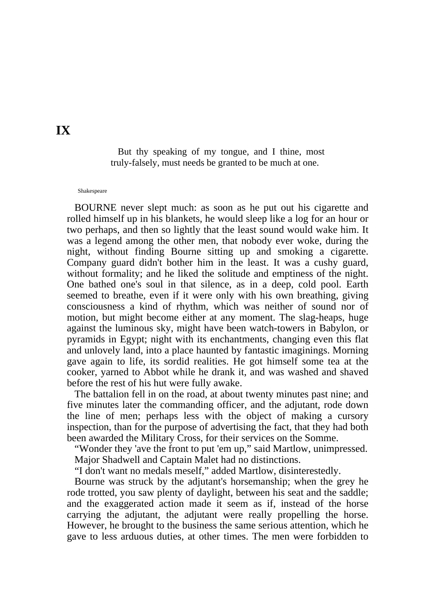But thy speaking of my tongue, and I thine, most truly-falsely, must needs be granted to be much at one.

## Shakespeare

 BOURNE never slept much: as soon as he put out his cigarette and rolled himself up in his blankets, he would sleep like a log for an hour or two perhaps, and then so lightly that the least sound would wake him. It was a legend among the other men, that nobody ever woke, during the night, without finding Bourne sitting up and smoking a cigarette. Company guard didn't bother him in the least. It was a cushy guard, without formality; and he liked the solitude and emptiness of the night. One bathed one's soul in that silence, as in a deep, cold pool. Earth seemed to breathe, even if it were only with his own breathing, giving consciousness a kind of rhythm, which was neither of sound nor of motion, but might become either at any moment. The slag-heaps, huge against the luminous sky, might have been watch-towers in Babylon, or pyramids in Egypt; night with its enchantments, changing even this flat and unlovely land, into a place haunted by fantastic imaginings. Morning gave again to life, its sordid realities. He got himself some tea at the cooker, yarned to Abbot while he drank it, and was washed and shaved before the rest of his hut were fully awake.

 The battalion fell in on the road, at about twenty minutes past nine; and five minutes later the commanding officer, and the adjutant, rode down the line of men; perhaps less with the object of making a cursory inspection, than for the purpose of advertising the fact, that they had both been awarded the Military Cross, for their services on the Somme.

 "Wonder they 'ave the front to put 'em up," said Martlow, unimpressed. Major Shadwell and Captain Malet had no distinctions.

"I don't want no medals meself," added Martlow, disinterestedly.

 Bourne was struck by the adjutant's horsemanship; when the grey he rode trotted, you saw plenty of daylight, between his seat and the saddle; and the exaggerated action made it seem as if, instead of the horse carrying the adjutant, the adjutant were really propelling the horse. However, he brought to the business the same serious attention, which he gave to less arduous duties, at other times. The men were forbidden to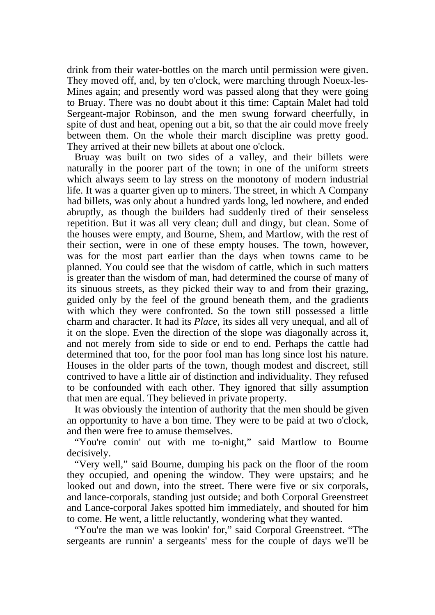drink from their water-bottles on the march until permission were given. They moved off, and, by ten o'clock, were marching through Noeux-les-Mines again; and presently word was passed along that they were going to Bruay. There was no doubt about it this time: Captain Malet had told Sergeant-major Robinson, and the men swung forward cheerfully, in spite of dust and heat, opening out a bit, so that the air could move freely between them. On the whole their march discipline was pretty good. They arrived at their new billets at about one o'clock.

 Bruay was built on two sides of a valley, and their billets were naturally in the poorer part of the town; in one of the uniform streets which always seem to lay stress on the monotony of modern industrial life. It was a quarter given up to miners. The street, in which A Company had billets, was only about a hundred yards long, led nowhere, and ended abruptly, as though the builders had suddenly tired of their senseless repetition. But it was all very clean; dull and dingy, but clean. Some of the houses were empty, and Bourne, Shem, and Martlow, with the rest of their section, were in one of these empty houses. The town, however, was for the most part earlier than the days when towns came to be planned. You could see that the wisdom of cattle, which in such matters is greater than the wisdom of man, had determined the course of many of its sinuous streets, as they picked their way to and from their grazing, guided only by the feel of the ground beneath them, and the gradients with which they were confronted. So the town still possessed a little charm and character. It had its *Place*, its sides all very unequal, and all of it on the slope. Even the direction of the slope was diagonally across it, and not merely from side to side or end to end. Perhaps the cattle had determined that too, for the poor fool man has long since lost his nature. Houses in the older parts of the town, though modest and discreet, still contrived to have a little air of distinction and individuality. They refused to be confounded with each other. They ignored that silly assumption that men are equal. They believed in private property.

 It was obviously the intention of authority that the men should be given an opportunity to have a bon time. They were to be paid at two o'clock, and then were free to amuse themselves.

 "You're comin' out with me to-night," said Martlow to Bourne decisively.

 "Very well," said Bourne, dumping his pack on the floor of the room they occupied, and opening the window. They were upstairs; and he looked out and down, into the street. There were five or six corporals, and lance-corporals, standing just outside; and both Corporal Greenstreet and Lance-corporal Jakes spotted him immediately, and shouted for him to come. He went, a little reluctantly, wondering what they wanted.

 "You're the man we was lookin' for," said Corporal Greenstreet. "The sergeants are runnin' a sergeants' mess for the couple of days we'll be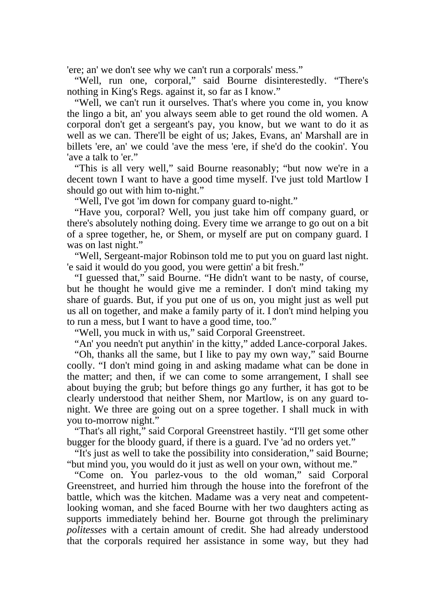'ere; an' we don't see why we can't run a corporals' mess."

 "Well, run one, corporal," said Bourne disinterestedly. "There's nothing in King's Regs. against it, so far as I know."

 "Well, we can't run it ourselves. That's where you come in, you know the lingo a bit, an' you always seem able to get round the old women. A corporal don't get a sergeant's pay, you know, but we want to do it as well as we can. There'll be eight of us; Jakes, Evans, an' Marshall are in billets 'ere, an' we could 'ave the mess 'ere, if she'd do the cookin'. You 'ave a talk to 'er."

 "This is all very well," said Bourne reasonably; "but now we're in a decent town I want to have a good time myself. I've just told Martlow I should go out with him to-night."

"Well, I've got 'im down for company guard to-night."

 "Have you, corporal? Well, you just take him off company guard, or there's absolutely nothing doing. Every time we arrange to go out on a bit of a spree together, he, or Shem, or myself are put on company guard. I was on last night."

 "Well, Sergeant-major Robinson told me to put you on guard last night. 'e said it would do you good, you were gettin' a bit fresh."

 "I guessed that," said Bourne. "He didn't want to be nasty, of course, but he thought he would give me a reminder. I don't mind taking my share of guards. But, if you put one of us on, you might just as well put us all on together, and make a family party of it. I don't mind helping you to run a mess, but I want to have a good time, too."

"Well, you muck in with us," said Corporal Greenstreet.

"An' you needn't put anythin' in the kitty," added Lance-corporal Jakes.

 "Oh, thanks all the same, but I like to pay my own way," said Bourne coolly. "I don't mind going in and asking madame what can be done in the matter; and then, if we can come to some arrangement, I shall see about buying the grub; but before things go any further, it has got to be clearly understood that neither Shem, nor Martlow, is on any guard tonight. We three are going out on a spree together. I shall muck in with you to-morrow night."

 "That's all right," said Corporal Greenstreet hastily. "I'll get some other bugger for the bloody guard, if there is a guard. I've 'ad no orders yet."

 "It's just as well to take the possibility into consideration," said Bourne; "but mind you, you would do it just as well on your own, without me."

 "Come on. You parlez-vous to the old woman," said Corporal Greenstreet, and hurried him through the house into the forefront of the battle, which was the kitchen. Madame was a very neat and competentlooking woman, and she faced Bourne with her two daughters acting as supports immediately behind her. Bourne got through the preliminary *politesses* with a certain amount of credit. She had already understood that the corporals required her assistance in some way, but they had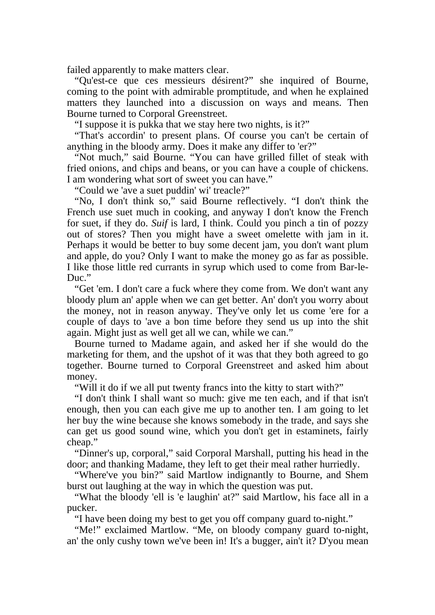failed apparently to make matters clear.

 "Qu'est-ce que ces messieurs désirent?" she inquired of Bourne, coming to the point with admirable promptitude, and when he explained matters they launched into a discussion on ways and means. Then Bourne turned to Corporal Greenstreet.

"I suppose it is pukka that we stay here two nights, is it?"

 "That's accordin' to present plans. Of course you can't be certain of anything in the bloody army. Does it make any differ to 'er?"

 "Not much," said Bourne. "You can have grilled fillet of steak with fried onions, and chips and beans, or you can have a couple of chickens. I am wondering what sort of sweet you can have."

"Could we 'ave a suet puddin' wi' treacle?"

 "No, I don't think so," said Bourne reflectively. "I don't think the French use suet much in cooking, and anyway I don't know the French for suet, if they do. *Suif* is lard, I think. Could you pinch a tin of pozzy out of stores? Then you might have a sweet omelette with jam in it. Perhaps it would be better to buy some decent jam, you don't want plum and apple, do you? Only I want to make the money go as far as possible. I like those little red currants in syrup which used to come from Bar-le-Duc."

 "Get 'em. I don't care a fuck where they come from. We don't want any bloody plum an' apple when we can get better. An' don't you worry about the money, not in reason anyway. They've only let us come 'ere for a couple of days to 'ave a bon time before they send us up into the shit again. Might just as well get all we can, while we can."

 Bourne turned to Madame again, and asked her if she would do the marketing for them, and the upshot of it was that they both agreed to go together. Bourne turned to Corporal Greenstreet and asked him about money.

"Will it do if we all put twenty francs into the kitty to start with?"

 "I don't think I shall want so much: give me ten each, and if that isn't enough, then you can each give me up to another ten. I am going to let her buy the wine because she knows somebody in the trade, and says she can get us good sound wine, which you don't get in estaminets, fairly cheap."

 "Dinner's up, corporal," said Corporal Marshall, putting his head in the door; and thanking Madame, they left to get their meal rather hurriedly.

 "Where've you bin?" said Martlow indignantly to Bourne, and Shem burst out laughing at the way in which the question was put.

 "What the bloody 'ell is 'e laughin' at?" said Martlow, his face all in a pucker.

"I have been doing my best to get you off company guard to-night."

 "Me!" exclaimed Martlow. "Me, on bloody company guard to-night, an' the only cushy town we've been in! It's a bugger, ain't it? D'you mean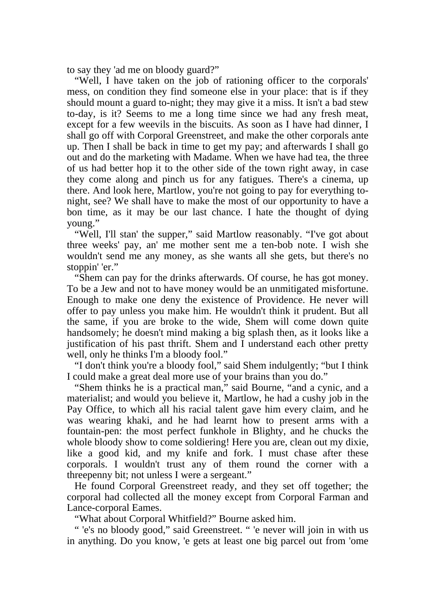to say they 'ad me on bloody guard?"

 "Well, I have taken on the job of rationing officer to the corporals' mess, on condition they find someone else in your place: that is if they should mount a guard to-night; they may give it a miss. It isn't a bad stew to-day, is it? Seems to me a long time since we had any fresh meat, except for a few weevils in the biscuits. As soon as I have had dinner, I shall go off with Corporal Greenstreet, and make the other corporals ante up. Then I shall be back in time to get my pay; and afterwards I shall go out and do the marketing with Madame. When we have had tea, the three of us had better hop it to the other side of the town right away, in case they come along and pinch us for any fatigues. There's a cinema, up there. And look here, Martlow, you're not going to pay for everything tonight, see? We shall have to make the most of our opportunity to have a bon time, as it may be our last chance. I hate the thought of dying young."

 "Well, I'll stan' the supper," said Martlow reasonably. "I've got about three weeks' pay, an' me mother sent me a ten-bob note. I wish she wouldn't send me any money, as she wants all she gets, but there's no stoppin' 'er."

 "Shem can pay for the drinks afterwards. Of course, he has got money. To be a Jew and not to have money would be an unmitigated misfortune. Enough to make one deny the existence of Providence. He never will offer to pay unless you make him. He wouldn't think it prudent. But all the same, if you are broke to the wide, Shem will come down quite handsomely; he doesn't mind making a big splash then, as it looks like a justification of his past thrift. Shem and I understand each other pretty well, only he thinks I'm a bloody fool."

 "I don't think you're a bloody fool," said Shem indulgently; "but I think I could make a great deal more use of your brains than you do."

 "Shem thinks he is a practical man," said Bourne, "and a cynic, and a materialist; and would you believe it, Martlow, he had a cushy job in the Pay Office, to which all his racial talent gave him every claim, and he was wearing khaki, and he had learnt how to present arms with a fountain-pen: the most perfect funkhole in Blighty, and he chucks the whole bloody show to come soldiering! Here you are, clean out my dixie, like a good kid, and my knife and fork. I must chase after these corporals. I wouldn't trust any of them round the corner with a threepenny bit; not unless I were a sergeant."

 He found Corporal Greenstreet ready, and they set off together; the corporal had collected all the money except from Corporal Farman and Lance-corporal Eames.

"What about Corporal Whitfield?" Bourne asked him.

 " 'e's no bloody good," said Greenstreet. " 'e never will join in with us in anything. Do you know, 'e gets at least one big parcel out from 'ome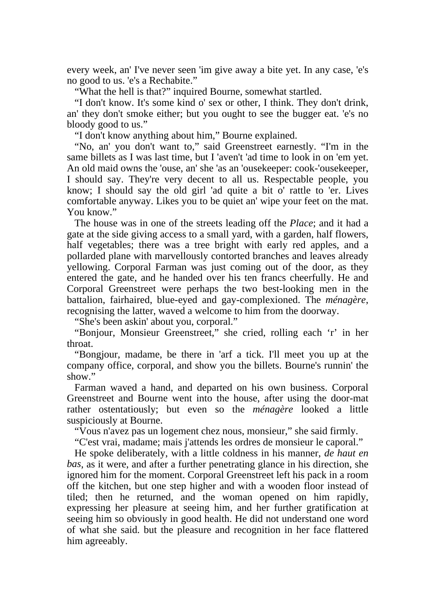every week, an' I've never seen 'im give away a bite yet. In any case, 'e's no good to us. 'e's a Rechabite."

"What the hell is that?" inquired Bourne, somewhat startled.

 "I don't know. It's some kind o' sex or other, I think. They don't drink, an' they don't smoke either; but you ought to see the bugger eat. 'e's no bloody good to us."

"I don't know anything about him," Bourne explained.

 "No, an' you don't want to," said Greenstreet earnestly. "I'm in the same billets as I was last time, but I 'aven't 'ad time to look in on 'em yet. An old maid owns the 'ouse, an' she 'as an 'ousekeeper: cook-'ousekeeper, I should say. They're very decent to all us. Respectable people, you know; I should say the old girl 'ad quite a bit o' rattle to 'er. Lives comfortable anyway. Likes you to be quiet an' wipe your feet on the mat. You know."

 The house was in one of the streets leading off the *Place*; and it had a gate at the side giving access to a small yard, with a garden, half flowers, half vegetables; there was a tree bright with early red apples, and a pollarded plane with marvellously contorted branches and leaves already yellowing. Corporal Farman was just coming out of the door, as they entered the gate, and he handed over his ten francs cheerfully. He and Corporal Greenstreet were perhaps the two best-looking men in the battalion, fairhaired, blue-eyed and gay-complexioned. The *ménagère*, recognising the latter, waved a welcome to him from the doorway.

"She's been askin' about you, corporal."

 "Bonjour, Monsieur Greenstreet," she cried, rolling each 'r' in her throat.

 "Bongjour, madame, be there in 'arf a tick. I'll meet you up at the company office, corporal, and show you the billets. Bourne's runnin' the show."

 Farman waved a hand, and departed on his own business. Corporal Greenstreet and Bourne went into the house, after using the door-mat rather ostentatiously; but even so the *ménagère* looked a little suspiciously at Bourne.

"Vous n'avez pas un logement chez nous, monsieur," she said firmly.

"C'est vrai, madame; mais j'attends les ordres de monsieur le caporal."

 He spoke deliberately, with a little coldness in his manner, *de haut en bas*, as it were, and after a further penetrating glance in his direction, she ignored him for the moment. Corporal Greenstreet left his pack in a room off the kitchen, but one step higher and with a wooden floor instead of tiled; then he returned, and the woman opened on him rapidly, expressing her pleasure at seeing him, and her further gratification at seeing him so obviously in good health. He did not understand one word of what she said. but the pleasure and recognition in her face flattered him agreeably.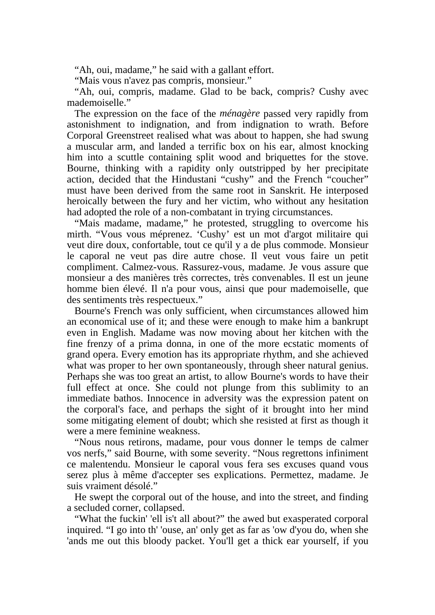"Ah, oui, madame," he said with a gallant effort.

"Mais vous n'avez pas compris, monsieur."

 "Ah, oui, compris, madame. Glad to be back, compris? Cushy avec mademoiselle."

 The expression on the face of the *ménagère* passed very rapidly from astonishment to indignation, and from indignation to wrath. Before Corporal Greenstreet realised what was about to happen, she had swung a muscular arm, and landed a terrific box on his ear, almost knocking him into a scuttle containing split wood and briquettes for the stove. Bourne, thinking with a rapidity only outstripped by her precipitate action, decided that the Hindustani "cushy" and the French "coucher" must have been derived from the same root in Sanskrit. He interposed heroically between the fury and her victim, who without any hesitation had adopted the role of a non-combatant in trying circumstances.

 "Mais madame, madame," he protested, struggling to overcome his mirth. "Vous vous méprenez. 'Cushy' est un mot d'argot militaire qui veut dire doux, confortable, tout ce qu'il y a de plus commode. Monsieur le caporal ne veut pas dire autre chose. Il veut vous faire un petit compliment. Calmez-vous. Rassurez-vous, madame. Je vous assure que monsieur a des manières très correctes, très convenables. Il est un jeune homme bien élevé. Il n'a pour vous, ainsi que pour mademoiselle, que des sentiments très respectueux."

 Bourne's French was only sufficient, when circumstances allowed him an economical use of it; and these were enough to make him a bankrupt even in English. Madame was now moving about her kitchen with the fine frenzy of a prima donna, in one of the more ecstatic moments of grand opera. Every emotion has its appropriate rhythm, and she achieved what was proper to her own spontaneously, through sheer natural genius. Perhaps she was too great an artist, to allow Bourne's words to have their full effect at once. She could not plunge from this sublimity to an immediate bathos. Innocence in adversity was the expression patent on the corporal's face, and perhaps the sight of it brought into her mind some mitigating element of doubt; which she resisted at first as though it were a mere feminine weakness.

 "Nous nous retirons, madame, pour vous donner le temps de calmer vos nerfs," said Bourne, with some severity. "Nous regrettons infiniment ce malentendu. Monsieur le caporal vous fera ses excuses quand vous serez plus à même d'accepter ses explications. Permettez, madame. Je suis vraiment désolé."

 He swept the corporal out of the house, and into the street, and finding a secluded corner, collapsed.

 "What the fuckin' 'ell is't all about?" the awed but exasperated corporal inquired. "I go into th' 'ouse, an' only get as far as 'ow d'you do, when she 'ands me out this bloody packet. You'll get a thick ear yourself, if you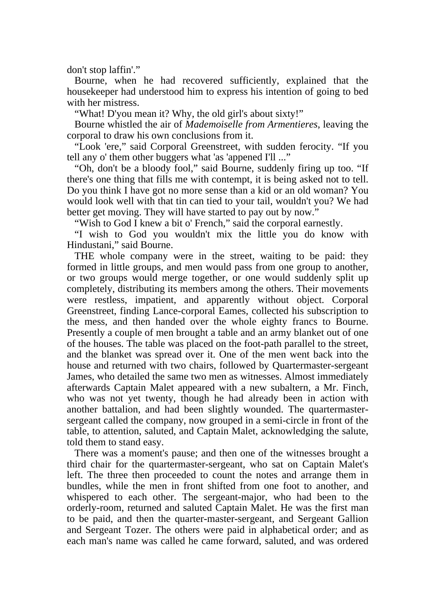don't stop laffin'."

 Bourne, when he had recovered sufficiently, explained that the housekeeper had understood him to express his intention of going to bed with her mistress.

"What! D'you mean it? Why, the old girl's about sixty!"

 Bourne whistled the air of *Mademoiselle from Armentieres*, leaving the corporal to draw his own conclusions from it.

 "Look 'ere," said Corporal Greenstreet, with sudden ferocity. "If you tell any o' them other buggers what 'as 'appened I'll ..."

 "Oh, don't be a bloody fool," said Bourne, suddenly firing up too. "If there's one thing that fills me with contempt, it is being asked not to tell. Do you think I have got no more sense than a kid or an old woman? You would look well with that tin can tied to your tail, wouldn't you? We had better get moving. They will have started to pay out by now."

"Wish to God I knew a bit o' French," said the corporal earnestly.

 "I wish to God you wouldn't mix the little you do know with Hindustani," said Bourne.

 THE whole company were in the street, waiting to be paid: they formed in little groups, and men would pass from one group to another, or two groups would merge together, or one would suddenly split up completely, distributing its members among the others. Their movements were restless, impatient, and apparently without object. Corporal Greenstreet, finding Lance-corporal Eames, collected his subscription to the mess, and then handed over the whole eighty francs to Bourne. Presently a couple of men brought a table and an army blanket out of one of the houses. The table was placed on the foot-path parallel to the street, and the blanket was spread over it. One of the men went back into the house and returned with two chairs, followed by Quartermaster-sergeant James, who detailed the same two men as witnesses. Almost immediately afterwards Captain Malet appeared with a new subaltern, a Mr. Finch, who was not yet twenty, though he had already been in action with another battalion, and had been slightly wounded. The quartermastersergeant called the company, now grouped in a semi-circle in front of the table, to attention, saluted, and Captain Malet, acknowledging the salute, told them to stand easy.

 There was a moment's pause; and then one of the witnesses brought a third chair for the quartermaster-sergeant, who sat on Captain Malet's left. The three then proceeded to count the notes and arrange them in bundles, while the men in front shifted from one foot to another, and whispered to each other. The sergeant-major, who had been to the orderly-room, returned and saluted Captain Malet. He was the first man to be paid, and then the quarter-master-sergeant, and Sergeant Gallion and Sergeant Tozer. The others were paid in alphabetical order; and as each man's name was called he came forward, saluted, and was ordered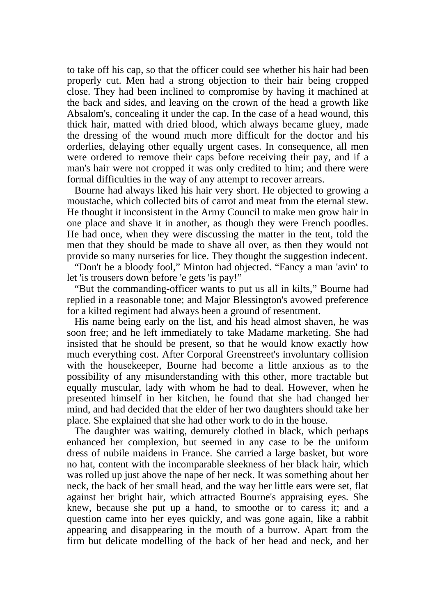to take off his cap, so that the officer could see whether his hair had been properly cut. Men had a strong objection to their hair being cropped close. They had been inclined to compromise by having it machined at the back and sides, and leaving on the crown of the head a growth like Absalom's, concealing it under the cap. In the case of a head wound, this thick hair, matted with dried blood, which always became gluey, made the dressing of the wound much more difficult for the doctor and his orderlies, delaying other equally urgent cases. In consequence, all men were ordered to remove their caps before receiving their pay, and if a man's hair were not cropped it was only credited to him; and there were formal difficulties in the way of any attempt to recover arrears.

 Bourne had always liked his hair very short. He objected to growing a moustache, which collected bits of carrot and meat from the eternal stew. He thought it inconsistent in the Army Council to make men grow hair in one place and shave it in another, as though they were French poodles. He had once, when they were discussing the matter in the tent, told the men that they should be made to shave all over, as then they would not provide so many nurseries for lice. They thought the suggestion indecent.

 "Don't be a bloody fool," Minton had objected. "Fancy a man 'avin' to let 'is trousers down before 'e gets 'is pay!"

 "But the commanding-officer wants to put us all in kilts," Bourne had replied in a reasonable tone; and Major Blessington's avowed preference for a kilted regiment had always been a ground of resentment.

 His name being early on the list, and his head almost shaven, he was soon free; and he left immediately to take Madame marketing. She had insisted that he should be present, so that he would know exactly how much everything cost. After Corporal Greenstreet's involuntary collision with the housekeeper, Bourne had become a little anxious as to the possibility of any misunderstanding with this other, more tractable but equally muscular, lady with whom he had to deal. However, when he presented himself in her kitchen, he found that she had changed her mind, and had decided that the elder of her two daughters should take her place. She explained that she had other work to do in the house.

 The daughter was waiting, demurely clothed in black, which perhaps enhanced her complexion, but seemed in any case to be the uniform dress of nubile maidens in France. She carried a large basket, but wore no hat, content with the incomparable sleekness of her black hair, which was rolled up just above the nape of her neck. It was something about her neck, the back of her small head, and the way her little ears were set, flat against her bright hair, which attracted Bourne's appraising eyes. She knew, because she put up a hand, to smoothe or to caress it; and a question came into her eyes quickly, and was gone again, like a rabbit appearing and disappearing in the mouth of a burrow. Apart from the firm but delicate modelling of the back of her head and neck, and her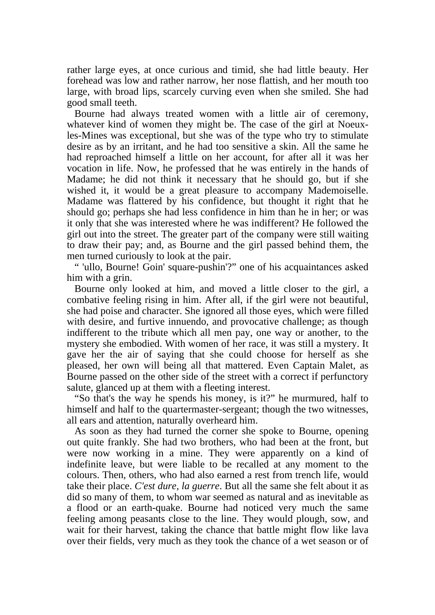rather large eyes, at once curious and timid, she had little beauty. Her forehead was low and rather narrow, her nose flattish, and her mouth too large, with broad lips, scarcely curving even when she smiled. She had good small teeth.

 Bourne had always treated women with a little air of ceremony, whatever kind of women they might be. The case of the girl at Noeuxles-Mines was exceptional, but she was of the type who try to stimulate desire as by an irritant, and he had too sensitive a skin. All the same he had reproached himself a little on her account, for after all it was her vocation in life. Now, he professed that he was entirely in the hands of Madame; he did not think it necessary that he should go, but if she wished it, it would be a great pleasure to accompany Mademoiselle. Madame was flattered by his confidence, but thought it right that he should go; perhaps she had less confidence in him than he in her; or was it only that she was interested where he was indifferent? He followed the girl out into the street. The greater part of the company were still waiting to draw their pay; and, as Bourne and the girl passed behind them, the men turned curiously to look at the pair.

 " 'ullo, Bourne! Goin' square-pushin'?" one of his acquaintances asked him with a grin.

 Bourne only looked at him, and moved a little closer to the girl, a combative feeling rising in him. After all, if the girl were not beautiful, she had poise and character. She ignored all those eyes, which were filled with desire, and furtive innuendo, and provocative challenge; as though indifferent to the tribute which all men pay, one way or another, to the mystery she embodied. With women of her race, it was still a mystery. It gave her the air of saying that she could choose for herself as she pleased, her own will being all that mattered. Even Captain Malet, as Bourne passed on the other side of the street with a correct if perfunctory salute, glanced up at them with a fleeting interest.

 "So that's the way he spends his money, is it?" he murmured, half to himself and half to the quartermaster-sergeant; though the two witnesses, all ears and attention, naturally overheard him.

 As soon as they had turned the corner she spoke to Bourne, opening out quite frankly. She had two brothers, who had been at the front, but were now working in a mine. They were apparently on a kind of indefinite leave, but were liable to be recalled at any moment to the colours. Then, others, who had also earned a rest from trench life, would take their place. *C'est dure, la guerre*. But all the same she felt about it as did so many of them, to whom war seemed as natural and as inevitable as a flood or an earth-quake. Bourne had noticed very much the same feeling among peasants close to the line. They would plough, sow, and wait for their harvest, taking the chance that battle might flow like lava over their fields, very much as they took the chance of a wet season or of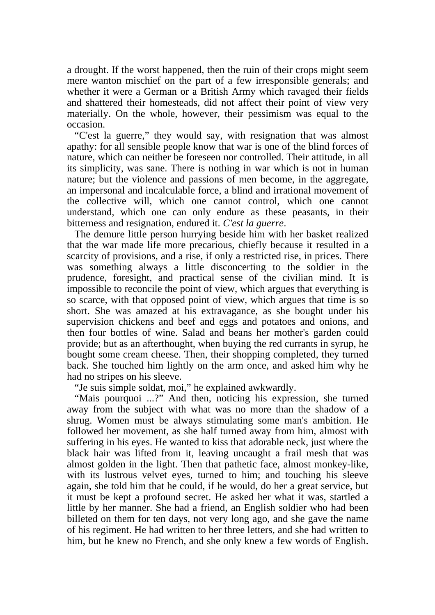a drought. If the worst happened, then the ruin of their crops might seem mere wanton mischief on the part of a few irresponsible generals; and whether it were a German or a British Army which ravaged their fields and shattered their homesteads, did not affect their point of view very materially. On the whole, however, their pessimism was equal to the occasion.

 "C'est la guerre," they would say, with resignation that was almost apathy: for all sensible people know that war is one of the blind forces of nature, which can neither be foreseen nor controlled. Their attitude, in all its simplicity, was sane. There is nothing in war which is not in human nature; but the violence and passions of men become, in the aggregate, an impersonal and incalculable force, a blind and irrational movement of the collective will, which one cannot control, which one cannot understand, which one can only endure as these peasants, in their bitterness and resignation, endured it. *C'est la guerre*.

 The demure little person hurrying beside him with her basket realized that the war made life more precarious, chiefly because it resulted in a scarcity of provisions, and a rise, if only a restricted rise, in prices. There was something always a little disconcerting to the soldier in the prudence, foresight, and practical sense of the civilian mind. It is impossible to reconcile the point of view, which argues that everything is so scarce, with that opposed point of view, which argues that time is so short. She was amazed at his extravagance, as she bought under his supervision chickens and beef and eggs and potatoes and onions, and then four bottles of wine. Salad and beans her mother's garden could provide; but as an afterthought, when buying the red currants in syrup, he bought some cream cheese. Then, their shopping completed, they turned back. She touched him lightly on the arm once, and asked him why he had no stripes on his sleeve.

"Je suis simple soldat, moi," he explained awkwardly.

"Mais pourquoi ...?" And then, noticing his expression, she turned away from the subject with what was no more than the shadow of a shrug. Women must be always stimulating some man's ambition. He followed her movement, as she half turned away from him, almost with suffering in his eyes. He wanted to kiss that adorable neck, just where the black hair was lifted from it, leaving uncaught a frail mesh that was almost golden in the light. Then that pathetic face, almost monkey-like, with its lustrous velvet eyes, turned to him; and touching his sleeve again, she told him that he could, if he would, do her a great service, but it must be kept a profound secret. He asked her what it was, startled a little by her manner. She had a friend, an English soldier who had been billeted on them for ten days, not very long ago, and she gave the name of his regiment. He had written to her three letters, and she had written to him, but he knew no French, and she only knew a few words of English.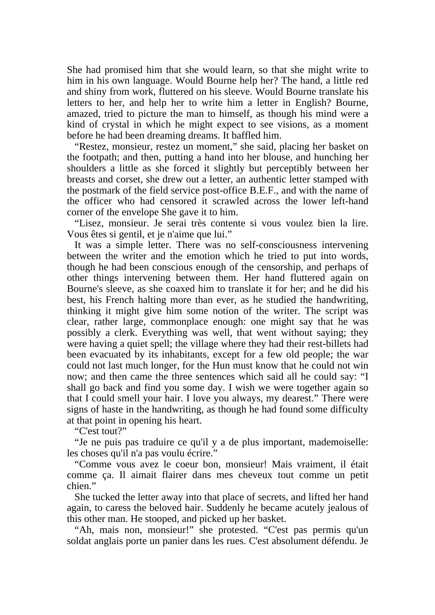She had promised him that she would learn, so that she might write to him in his own language. Would Bourne help her? The hand, a little red and shiny from work, fluttered on his sleeve. Would Bourne translate his letters to her, and help her to write him a letter in English? Bourne, amazed, tried to picture the man to himself, as though his mind were a kind of crystal in which he might expect to see visions, as a moment before he had been dreaming dreams. It baffled him.

 "Restez, monsieur, restez un moment," she said, placing her basket on the footpath; and then, putting a hand into her blouse, and hunching her shoulders a little as she forced it slightly but perceptibly between her breasts and corset, she drew out a letter, an authentic letter stamped with the postmark of the field service post-office B.E.F., and with the name of the officer who had censored it scrawled across the lower left-hand corner of the envelope She gave it to him.

 "Lisez, monsieur. Je serai très contente si vous voulez bien la lire. Vous êtes si gentil, et je n'aime que lui."

 It was a simple letter. There was no self-consciousness intervening between the writer and the emotion which he tried to put into words, though he had been conscious enough of the censorship, and perhaps of other things intervening between them. Her hand fluttered again on Bourne's sleeve, as she coaxed him to translate it for her; and he did his best, his French halting more than ever, as he studied the handwriting, thinking it might give him some notion of the writer. The script was clear, rather large, commonplace enough: one might say that he was possibly a clerk. Everything was well, that went without saying; they were having a quiet spell; the village where they had their rest-billets had been evacuated by its inhabitants, except for a few old people; the war could not last much longer, for the Hun must know that he could not win now; and then came the three sentences which said all he could say: "I shall go back and find you some day. I wish we were together again so that I could smell your hair. I love you always, my dearest." There were signs of haste in the handwriting, as though he had found some difficulty at that point in opening his heart.

"C'est tout?"

 "Je ne puis pas traduire ce qu'il y a de plus important, mademoiselle: les choses qu'il n'a pas voulu écrire."

 "Comme vous avez le coeur bon, monsieur! Mais vraiment, il était comme ça. Il aimait flairer dans mes cheveux tout comme un petit chien."

 She tucked the letter away into that place of secrets, and lifted her hand again, to caress the beloved hair. Suddenly he became acutely jealous of this other man. He stooped, and picked up her basket.

 "Ah, mais non, monsieur!" she protested. "C'est pas permis qu'un soldat anglais porte un panier dans les rues. C'est absolument défendu. Je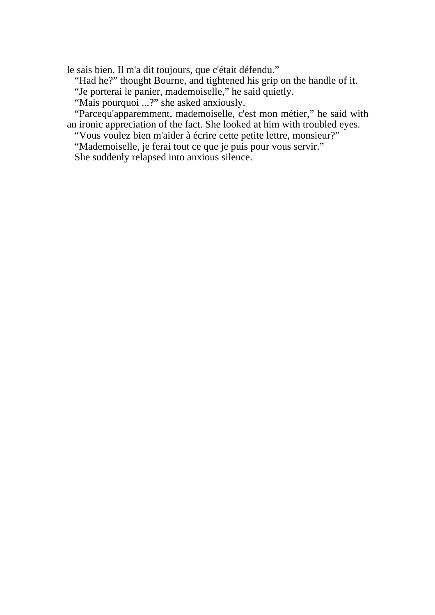le sais bien. Il m'a dit toujours, que c'était défendu."

"Had he?" thought Bourne, and tightened his grip on the handle of it.

"Je porterai le panier, mademoiselle," he said quietly.

"Mais pourquoi ...?" she asked anxiously.

 "Parcequ'apparemment, mademoiselle, c'est mon métier," he said with an ironic appreciation of the fact. She looked at him with troubled eyes.

"Vous voulez bien m'aider à écrire cette petite lettre, monsieur?"

"Mademoiselle, je ferai tout ce que je puis pour vous servir."

She suddenly relapsed into anxious silence.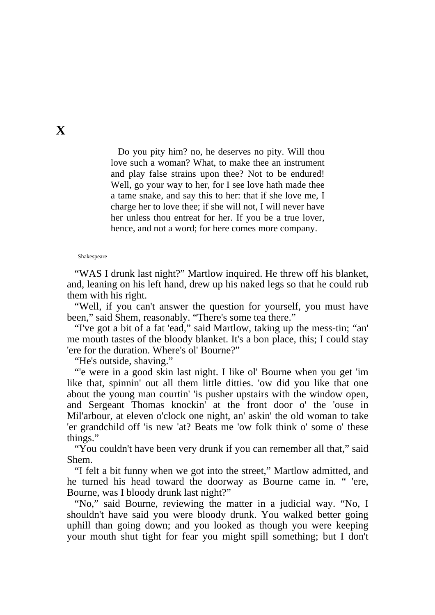Do you pity him? no, he deserves no pity. Will thou love such a woman? What, to make thee an instrument and play false strains upon thee? Not to be endured! Well, go your way to her, for I see love hath made thee a tame snake, and say this to her: that if she love me, I charge her to love thee; if she will not, I will never have her unless thou entreat for her. If you be a true lover, hence, and not a word; for here comes more company.

## Shakespeare

 "WAS I drunk last night?" Martlow inquired. He threw off his blanket, and, leaning on his left hand, drew up his naked legs so that he could rub them with his right.

 "Well, if you can't answer the question for yourself, you must have been," said Shem, reasonably. "There's some tea there."

 "I've got a bit of a fat 'ead," said Martlow, taking up the mess-tin; "an' me mouth tastes of the bloody blanket. It's a bon place, this; I could stay 'ere for the duration. Where's ol' Bourne?"

"He's outside, shaving."

 "'e were in a good skin last night. I like ol' Bourne when you get 'im like that, spinnin' out all them little ditties. 'ow did you like that one about the young man courtin' 'is pusher upstairs with the window open, and Sergeant Thomas knockin' at the front door o' the 'ouse in Mil'arbour, at eleven o'clock one night, an' askin' the old woman to take 'er grandchild off 'is new 'at? Beats me 'ow folk think o' some o' these things."

 "You couldn't have been very drunk if you can remember all that," said Shem.

 "I felt a bit funny when we got into the street," Martlow admitted, and he turned his head toward the doorway as Bourne came in. " 'ere, Bourne, was I bloody drunk last night?"

 "No," said Bourne, reviewing the matter in a judicial way. "No, I shouldn't have said you were bloody drunk. You walked better going uphill than going down; and you looked as though you were keeping your mouth shut tight for fear you might spill something; but I don't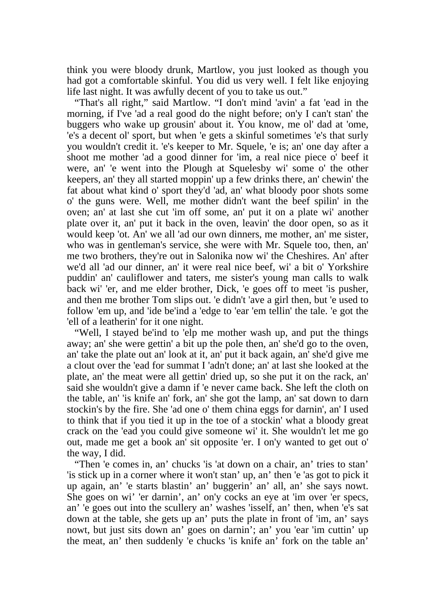think you were bloody drunk, Martlow, you just looked as though you had got a comfortable skinful. You did us very well. I felt like enjoying life last night. It was awfully decent of you to take us out."

 "That's all right," said Martlow. "I don't mind 'avin' a fat 'ead in the morning, if I've 'ad a real good do the night before; on'y I can't stan' the buggers who wake up grousin' about it. You know, me ol' dad at 'ome, 'e's a decent ol' sport, but when 'e gets a skinful sometimes 'e's that surly you wouldn't credit it. 'e's keeper to Mr. Squele, 'e is; an' one day after a shoot me mother 'ad a good dinner for 'im, a real nice piece o' beef it were, an' 'e went into the Plough at Squelesby wi' some o' the other keepers, an' they all started moppin' up a few drinks there, an' chewin' the fat about what kind o' sport they'd 'ad, an' what bloody poor shots some o' the guns were. Well, me mother didn't want the beef spilin' in the oven; an' at last she cut 'im off some, an' put it on a plate wi' another plate over it, an' put it back in the oven, leavin' the door open, so as it would keep 'ot. An' we all 'ad our own dinners, me mother, an' me sister, who was in gentleman's service, she were with Mr. Squele too, then, an' me two brothers, they're out in Salonika now wi' the Cheshires. An' after we'd all 'ad our dinner, an' it were real nice beef, wi' a bit o' Yorkshire puddin' an' cauliflower and taters, me sister's young man calls to walk back wi' 'er, and me elder brother, Dick, 'e goes off to meet 'is pusher, and then me brother Tom slips out. 'e didn't 'ave a girl then, but 'e used to follow 'em up, and 'ide be'ind a 'edge to 'ear 'em tellin' the tale. 'e got the 'ell of a leatherin' for it one night.

 "Well, I stayed be'ind to 'elp me mother wash up, and put the things away; an' she were gettin' a bit up the pole then, an' she'd go to the oven, an' take the plate out an' look at it, an' put it back again, an' she'd give me a clout over the 'ead for summat I 'adn't done; an' at last she looked at the plate, an' the meat were all gettin' dried up, so she put it on the rack, an' said she wouldn't give a damn if 'e never came back. She left the cloth on the table, an' 'is knife an' fork, an' she got the lamp, an' sat down to darn stockin's by the fire. She 'ad one o' them china eggs for darnin', an' I used to think that if you tied it up in the toe of a stockin' what a bloody great crack on the 'ead you could give someone wi' it. She wouldn't let me go out, made me get a book an' sit opposite 'er. I on'y wanted to get out o' the way, I did.

 "Then 'e comes in, an' chucks 'is 'at down on a chair, an' tries to stan' 'is stick up in a corner where it won't stan' up, an' then 'e 'as got to pick it up again, an' 'e starts blastin' an' buggerin' an' all, an' she says nowt. She goes on wi' 'er darnin', an' on'y cocks an eye at 'im over 'er specs, an' 'e goes out into the scullery an' washes 'isself, an' then, when 'e's sat down at the table, she gets up an' puts the plate in front of 'im, an' says nowt, but just sits down an' goes on darnin'; an' you 'ear 'im cuttin' up the meat, an' then suddenly 'e chucks 'is knife an' fork on the table an'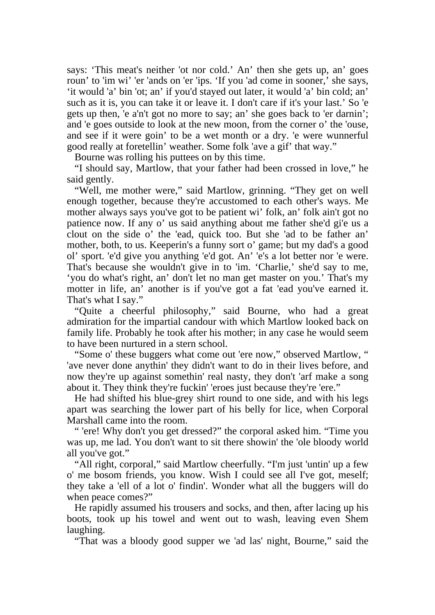says: 'This meat's neither 'ot nor cold.' An' then she gets up, an' goes roun' to 'im wi' 'er 'ands on 'er 'ips. 'If you 'ad come in sooner,' she says, 'it would 'a' bin 'ot; an' if you'd stayed out later, it would 'a' bin cold; an' such as it is, you can take it or leave it. I don't care if it's your last.' So 'e gets up then, 'e a'n't got no more to say; an' she goes back to 'er darnin'; and 'e goes outside to look at the new moon, from the corner o' the 'ouse, and see if it were goin' to be a wet month or a dry. 'e were wunnerful good really at foretellin' weather. Some folk 'ave a gif' that way."

Bourne was rolling his puttees on by this time.

 "I should say, Martlow, that your father had been crossed in love," he said gently.

 "Well, me mother were," said Martlow, grinning. "They get on well enough together, because they're accustomed to each other's ways. Me mother always says you've got to be patient wi' folk, an' folk ain't got no patience now. If any o' us said anything about me father she'd gi'e us a clout on the side o' the 'ead, quick too. But she 'ad to be father an' mother, both, to us. Keeperin's a funny sort o' game; but my dad's a good ol' sport. 'e'd give you anything 'e'd got. An' 'e's a lot better nor 'e were. That's because she wouldn't give in to 'im. 'Charlie,' she'd say to me, 'you do what's right, an' don't let no man get master on you.' That's my motter in life, an' another is if you've got a fat 'ead you've earned it. That's what I say."

 "Quite a cheerful philosophy," said Bourne, who had a great admiration for the impartial candour with which Martlow looked back on family life. Probably he took after his mother; in any case he would seem to have been nurtured in a stern school.

 "Some o' these buggers what come out 'ere now," observed Martlow, " 'ave never done anythin' they didn't want to do in their lives before, and now they're up against somethin' real nasty, they don't 'arf make a song about it. They think they're fuckin' 'eroes just because they're 'ere."

 He had shifted his blue-grey shirt round to one side, and with his legs apart was searching the lower part of his belly for lice, when Corporal Marshall came into the room.

 " 'ere! Why don't you get dressed?" the corporal asked him. "Time you was up, me lad. You don't want to sit there showin' the 'ole bloody world all you've got."

 "All right, corporal," said Martlow cheerfully. "I'm just 'untin' up a few o' me bosom friends, you know. Wish I could see all I've got, meself; they take a 'ell of a lot o' findin'. Wonder what all the buggers will do when peace comes?"

 He rapidly assumed his trousers and socks, and then, after lacing up his boots, took up his towel and went out to wash, leaving even Shem laughing.

"That was a bloody good supper we 'ad las' night, Bourne," said the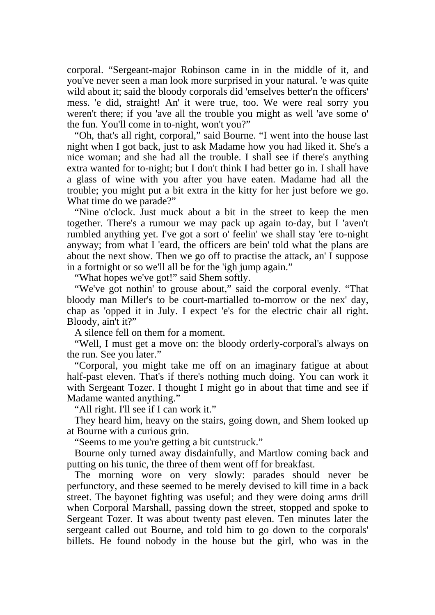corporal. "Sergeant-major Robinson came in in the middle of it, and you've never seen a man look more surprised in your natural. 'e was quite wild about it; said the bloody corporals did 'emselves better'n the officers' mess. 'e did, straight! An' it were true, too. We were real sorry you weren't there; if you 'ave all the trouble you might as well 'ave some o' the fun. You'll come in to-night, won't you?"

 "Oh, that's all right, corporal," said Bourne. "I went into the house last night when I got back, just to ask Madame how you had liked it. She's a nice woman; and she had all the trouble. I shall see if there's anything extra wanted for to-night; but I don't think I had better go in. I shall have a glass of wine with you after you have eaten. Madame had all the trouble; you might put a bit extra in the kitty for her just before we go. What time do we parade?"

 "Nine o'clock. Just muck about a bit in the street to keep the men together. There's a rumour we may pack up again to-day, but I 'aven't rumbled anything yet. I've got a sort o' feelin' we shall stay 'ere to-night anyway; from what I 'eard, the officers are bein' told what the plans are about the next show. Then we go off to practise the attack, an' I suppose in a fortnight or so we'll all be for the 'igh jump again."

"What hopes we've got!" said Shem softly.

 "We've got nothin' to grouse about," said the corporal evenly. "That bloody man Miller's to be court-martialled to-morrow or the nex' day, chap as 'opped it in July. I expect 'e's for the electric chair all right. Bloody, ain't it?"

A silence fell on them for a moment.

 "Well, I must get a move on: the bloody orderly-corporal's always on the run. See you later."

 "Corporal, you might take me off on an imaginary fatigue at about half-past eleven. That's if there's nothing much doing. You can work it with Sergeant Tozer. I thought I might go in about that time and see if Madame wanted anything."

"All right. I'll see if I can work it."

 They heard him, heavy on the stairs, going down, and Shem looked up at Bourne with a curious grin.

"Seems to me you're getting a bit cuntstruck."

 Bourne only turned away disdainfully, and Martlow coming back and putting on his tunic, the three of them went off for breakfast.

 The morning wore on very slowly: parades should never be perfunctory, and these seemed to be merely devised to kill time in a back street. The bayonet fighting was useful; and they were doing arms drill when Corporal Marshall, passing down the street, stopped and spoke to Sergeant Tozer. It was about twenty past eleven. Ten minutes later the sergeant called out Bourne, and told him to go down to the corporals' billets. He found nobody in the house but the girl, who was in the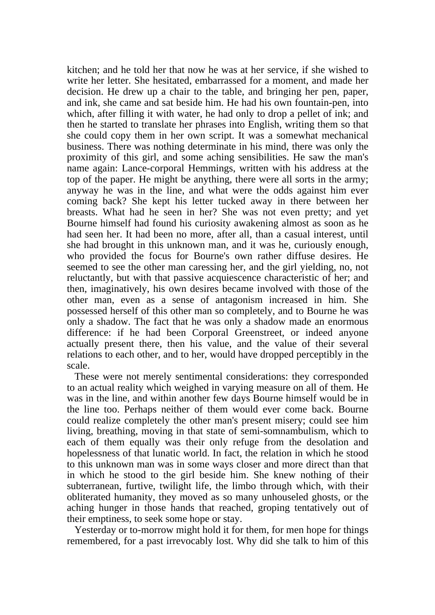kitchen; and he told her that now he was at her service, if she wished to write her letter. She hesitated, embarrassed for a moment, and made her decision. He drew up a chair to the table, and bringing her pen, paper, and ink, she came and sat beside him. He had his own fountain-pen, into which, after filling it with water, he had only to drop a pellet of ink; and then he started to translate her phrases into English, writing them so that she could copy them in her own script. It was a somewhat mechanical business. There was nothing determinate in his mind, there was only the proximity of this girl, and some aching sensibilities. He saw the man's name again: Lance-corporal Hemmings, written with his address at the top of the paper. He might be anything, there were all sorts in the army; anyway he was in the line, and what were the odds against him ever coming back? She kept his letter tucked away in there between her breasts. What had he seen in her? She was not even pretty; and yet Bourne himself had found his curiosity awakening almost as soon as he had seen her. It had been no more, after all, than a casual interest, until she had brought in this unknown man, and it was he, curiously enough, who provided the focus for Bourne's own rather diffuse desires. He seemed to see the other man caressing her, and the girl yielding, no, not reluctantly, but with that passive acquiescence characteristic of her; and then, imaginatively, his own desires became involved with those of the other man, even as a sense of antagonism increased in him. She possessed herself of this other man so completely, and to Bourne he was only a shadow. The fact that he was only a shadow made an enormous difference: if he had been Corporal Greenstreet, or indeed anyone actually present there, then his value, and the value of their several relations to each other, and to her, would have dropped perceptibly in the scale.

 These were not merely sentimental considerations: they corresponded to an actual reality which weighed in varying measure on all of them. He was in the line, and within another few days Bourne himself would be in the line too. Perhaps neither of them would ever come back. Bourne could realize completely the other man's present misery; could see him living, breathing, moving in that state of semi-somnambulism, which to each of them equally was their only refuge from the desolation and hopelessness of that lunatic world. In fact, the relation in which he stood to this unknown man was in some ways closer and more direct than that in which he stood to the girl beside him. She knew nothing of their subterranean, furtive, twilight life, the limbo through which, with their obliterated humanity, they moved as so many unhouseled ghosts, or the aching hunger in those hands that reached, groping tentatively out of their emptiness, to seek some hope or stay.

 Yesterday or to-morrow might hold it for them, for men hope for things remembered, for a past irrevocably lost. Why did she talk to him of this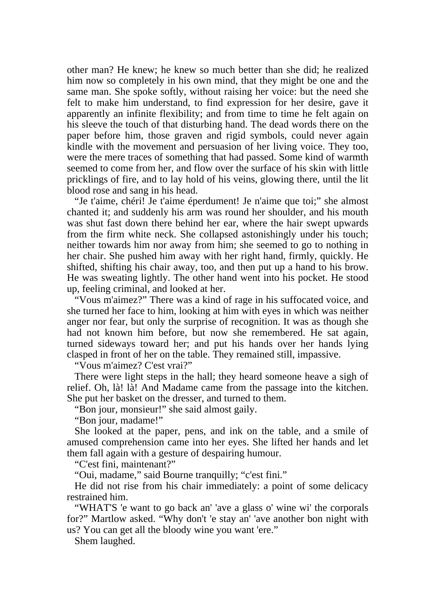other man? He knew; he knew so much better than she did; he realized him now so completely in his own mind, that they might be one and the same man. She spoke softly, without raising her voice: but the need she felt to make him understand, to find expression for her desire, gave it apparently an infinite flexibility; and from time to time he felt again on his sleeve the touch of that disturbing hand. The dead words there on the paper before him, those graven and rigid symbols, could never again kindle with the movement and persuasion of her living voice. They too, were the mere traces of something that had passed. Some kind of warmth seemed to come from her, and flow over the surface of his skin with little pricklings of fire, and to lay hold of his veins, glowing there, until the lit blood rose and sang in his head.

 "Je t'aime, chéri! Je t'aime éperdument! Je n'aime que toi;" she almost chanted it; and suddenly his arm was round her shoulder, and his mouth was shut fast down there behind her ear, where the hair swept upwards from the firm white neck. She collapsed astonishingly under his touch; neither towards him nor away from him; she seemed to go to nothing in her chair. She pushed him away with her right hand, firmly, quickly. He shifted, shifting his chair away, too, and then put up a hand to his brow. He was sweating lightly. The other hand went into his pocket. He stood up, feeling criminal, and looked at her.

 "Vous m'aimez?" There was a kind of rage in his suffocated voice, and she turned her face to him, looking at him with eyes in which was neither anger nor fear, but only the surprise of recognition. It was as though she had not known him before, but now she remembered. He sat again, turned sideways toward her; and put his hands over her hands lying clasped in front of her on the table. They remained still, impassive.

"Vous m'aimez? C'est vrai?"

 There were light steps in the hall; they heard someone heave a sigh of relief. Oh, là! là! And Madame came from the passage into the kitchen. She put her basket on the dresser, and turned to them.

"Bon jour, monsieur!" she said almost gaily.

"Bon jour, madame!"

 She looked at the paper, pens, and ink on the table, and a smile of amused comprehension came into her eyes. She lifted her hands and let them fall again with a gesture of despairing humour.

"C'est fini, maintenant?"

"Oui, madame," said Bourne tranquilly; "c'est fini."

 He did not rise from his chair immediately: a point of some delicacy restrained him.

 "WHAT'S 'e want to go back an' 'ave a glass o' wine wi' the corporals for?" Martlow asked. "Why don't 'e stay an' 'ave another bon night with us? You can get all the bloody wine you want 'ere."

Shem laughed.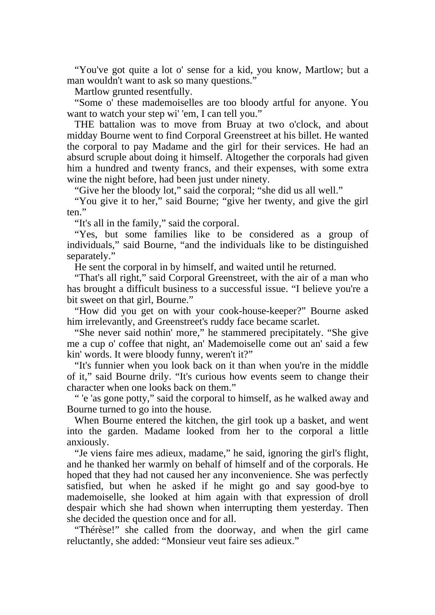"You've got quite a lot o' sense for a kid, you know, Martlow; but a man wouldn't want to ask so many questions."

Martlow grunted resentfully.

 "Some o' these mademoiselles are too bloody artful for anyone. You want to watch your step wi' 'em, I can tell you."

 THE battalion was to move from Bruay at two o'clock, and about midday Bourne went to find Corporal Greenstreet at his billet. He wanted the corporal to pay Madame and the girl for their services. He had an absurd scruple about doing it himself. Altogether the corporals had given him a hundred and twenty francs, and their expenses, with some extra wine the night before, had been just under ninety.

"Give her the bloody lot," said the corporal; "she did us all well."

 "You give it to her," said Bourne; "give her twenty, and give the girl ten."

"It's all in the family," said the corporal.

 "Yes, but some families like to be considered as a group of individuals," said Bourne, "and the individuals like to be distinguished separately."

He sent the corporal in by himself, and waited until he returned.

 "That's all right," said Corporal Greenstreet, with the air of a man who has brought a difficult business to a successful issue. "I believe you're a bit sweet on that girl, Bourne."

 "How did you get on with your cook-house-keeper?" Bourne asked him irrelevantly, and Greenstreet's ruddy face became scarlet.

 "She never said nothin' more," he stammered precipitately. "She give me a cup o' coffee that night, an' Mademoiselle come out an' said a few kin' words. It were bloody funny, weren't it?"

 "It's funnier when you look back on it than when you're in the middle of it," said Bourne drily. "It's curious how events seem to change their character when one looks back on them."

 " 'e 'as gone potty," said the corporal to himself, as he walked away and Bourne turned to go into the house.

 When Bourne entered the kitchen, the girl took up a basket, and went into the garden. Madame looked from her to the corporal a little anxiously.

 "Je viens faire mes adieux, madame," he said, ignoring the girl's flight, and he thanked her warmly on behalf of himself and of the corporals. He hoped that they had not caused her any inconvenience. She was perfectly satisfied, but when he asked if he might go and say good-bye to mademoiselle, she looked at him again with that expression of droll despair which she had shown when interrupting them yesterday. Then she decided the question once and for all.

 "Thérèse!" she called from the doorway, and when the girl came reluctantly, she added: "Monsieur veut faire ses adieux."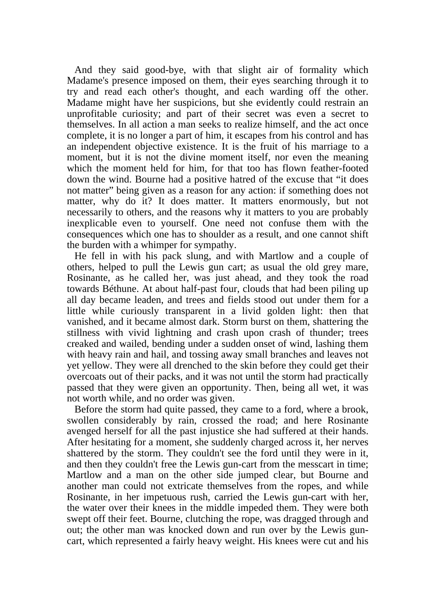And they said good-bye, with that slight air of formality which Madame's presence imposed on them, their eyes searching through it to try and read each other's thought, and each warding off the other. Madame might have her suspicions, but she evidently could restrain an unprofitable curiosity; and part of their secret was even a secret to themselves. In all action a man seeks to realize himself, and the act once complete, it is no longer a part of him, it escapes from his control and has an independent objective existence. It is the fruit of his marriage to a moment, but it is not the divine moment itself, nor even the meaning which the moment held for him, for that too has flown feather-footed down the wind. Bourne had a positive hatred of the excuse that "it does not matter" being given as a reason for any action: if something does not matter, why do it? It does matter. It matters enormously, but not necessarily to others, and the reasons why it matters to you are probably inexplicable even to yourself. One need not confuse them with the consequences which one has to shoulder as a result, and one cannot shift the burden with a whimper for sympathy.

 He fell in with his pack slung, and with Martlow and a couple of others, helped to pull the Lewis gun cart; as usual the old grey mare, Rosinante, as he called her, was just ahead, and they took the road towards Béthune. At about half-past four, clouds that had been piling up all day became leaden, and trees and fields stood out under them for a little while curiously transparent in a livid golden light: then that vanished, and it became almost dark. Storm burst on them, shattering the stillness with vivid lightning and crash upon crash of thunder; trees creaked and wailed, bending under a sudden onset of wind, lashing them with heavy rain and hail, and tossing away small branches and leaves not yet yellow. They were all drenched to the skin before they could get their overcoats out of their packs, and it was not until the storm had practically passed that they were given an opportunity. Then, being all wet, it was not worth while, and no order was given.

 Before the storm had quite passed, they came to a ford, where a brook, swollen considerably by rain, crossed the road; and here Rosinante avenged herself for all the past injustice she had suffered at their hands. After hesitating for a moment, she suddenly charged across it, her nerves shattered by the storm. They couldn't see the ford until they were in it, and then they couldn't free the Lewis gun-cart from the messcart in time; Martlow and a man on the other side jumped clear, but Bourne and another man could not extricate themselves from the ropes, and while Rosinante, in her impetuous rush, carried the Lewis gun-cart with her, the water over their knees in the middle impeded them. They were both swept off their feet. Bourne, clutching the rope, was dragged through and out; the other man was knocked down and run over by the Lewis guncart, which represented a fairly heavy weight. His knees were cut and his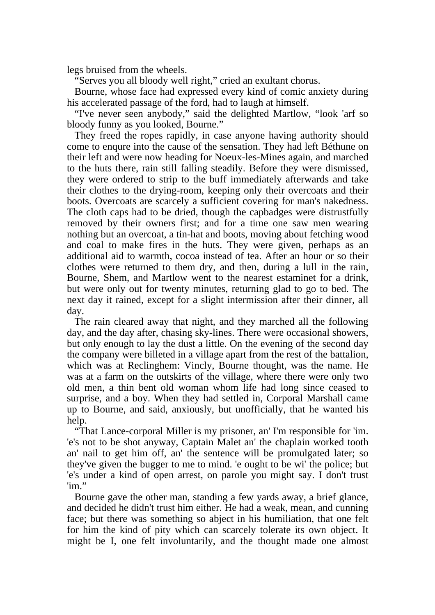legs bruised from the wheels.

"Serves you all bloody well right," cried an exultant chorus.

 Bourne, whose face had expressed every kind of comic anxiety during his accelerated passage of the ford, had to laugh at himself.

 "I've never seen anybody," said the delighted Martlow, "look 'arf so bloody funny as you looked, Bourne."

 They freed the ropes rapidly, in case anyone having authority should come to enqure into the cause of the sensation. They had left Béthune on their left and were now heading for Noeux-les-Mines again, and marched to the huts there, rain still falling steadily. Before they were dismissed, they were ordered to strip to the buff immediately afterwards and take their clothes to the drying-room, keeping only their overcoats and their boots. Overcoats are scarcely a sufficient covering for man's nakedness. The cloth caps had to be dried, though the capbadges were distrustfully removed by their owners first; and for a time one saw men wearing nothing but an overcoat, a tin-hat and boots, moving about fetching wood and coal to make fires in the huts. They were given, perhaps as an additional aid to warmth, cocoa instead of tea. After an hour or so their clothes were returned to them dry, and then, during a lull in the rain, Bourne, Shem, and Martlow went to the nearest estaminet for a drink, but were only out for twenty minutes, returning glad to go to bed. The next day it rained, except for a slight intermission after their dinner, all day.

 The rain cleared away that night, and they marched all the following day, and the day after, chasing sky-lines. There were occasional showers, but only enough to lay the dust a little. On the evening of the second day the company were billeted in a village apart from the rest of the battalion, which was at Reclinghem: Vincly, Bourne thought, was the name. He was at a farm on the outskirts of the village, where there were only two old men, a thin bent old woman whom life had long since ceased to surprise, and a boy. When they had settled in, Corporal Marshall came up to Bourne, and said, anxiously, but unofficially, that he wanted his help.

 "That Lance-corporal Miller is my prisoner, an' I'm responsible for 'im. 'e's not to be shot anyway, Captain Malet an' the chaplain worked tooth an' nail to get him off, an' the sentence will be promulgated later; so they've given the bugger to me to mind. 'e ought to be wi' the police; but 'e's under a kind of open arrest, on parole you might say. I don't trust 'im."

 Bourne gave the other man, standing a few yards away, a brief glance, and decided he didn't trust him either. He had a weak, mean, and cunning face; but there was something so abject in his humiliation, that one felt for him the kind of pity which can scarcely tolerate its own object. It might be I, one felt involuntarily, and the thought made one almost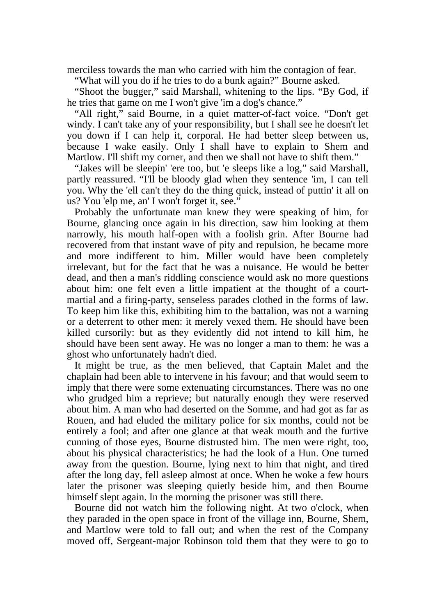merciless towards the man who carried with him the contagion of fear.

"What will you do if he tries to do a bunk again?" Bourne asked.

 "Shoot the bugger," said Marshall, whitening to the lips. "By God, if he tries that game on me I won't give 'im a dog's chance."

 "All right," said Bourne, in a quiet matter-of-fact voice. "Don't get windy. I can't take any of your responsibility, but I shall see he doesn't let you down if I can help it, corporal. He had better sleep between us, because I wake easily. Only I shall have to explain to Shem and Martlow. I'll shift my corner, and then we shall not have to shift them."

 "Jakes will be sleepin' 'ere too, but 'e sleeps like a log," said Marshall, partly reassured. "I'll be bloody glad when they sentence 'im, I can tell you. Why the 'ell can't they do the thing quick, instead of puttin' it all on us? You 'elp me, an' I won't forget it, see."

 Probably the unfortunate man knew they were speaking of him, for Bourne, glancing once again in his direction, saw him looking at them narrowly, his mouth half-open with a foolish grin. After Bourne had recovered from that instant wave of pity and repulsion, he became more and more indifferent to him. Miller would have been completely irrelevant, but for the fact that he was a nuisance. He would be better dead, and then a man's riddling conscience would ask no more questions about him: one felt even a little impatient at the thought of a courtmartial and a firing-party, senseless parades clothed in the forms of law. To keep him like this, exhibiting him to the battalion, was not a warning or a deterrent to other men: it merely vexed them. He should have been killed cursorily: but as they evidently did not intend to kill him, he should have been sent away. He was no longer a man to them: he was a ghost who unfortunately hadn't died.

 It might be true, as the men believed, that Captain Malet and the chaplain had been able to intervene in his favour; and that would seem to imply that there were some extenuating circumstances. There was no one who grudged him a reprieve; but naturally enough they were reserved about him. A man who had deserted on the Somme, and had got as far as Rouen, and had eluded the military police for six months, could not be entirely a fool; and after one glance at that weak mouth and the furtive cunning of those eyes, Bourne distrusted him. The men were right, too, about his physical characteristics; he had the look of a Hun. One turned away from the question. Bourne, lying next to him that night, and tired after the long day, fell asleep almost at once. When he woke a few hours later the prisoner was sleeping quietly beside him, and then Bourne himself slept again. In the morning the prisoner was still there.

 Bourne did not watch him the following night. At two o'clock, when they paraded in the open space in front of the village inn, Bourne, Shem, and Martlow were told to fall out; and when the rest of the Company moved off, Sergeant-major Robinson told them that they were to go to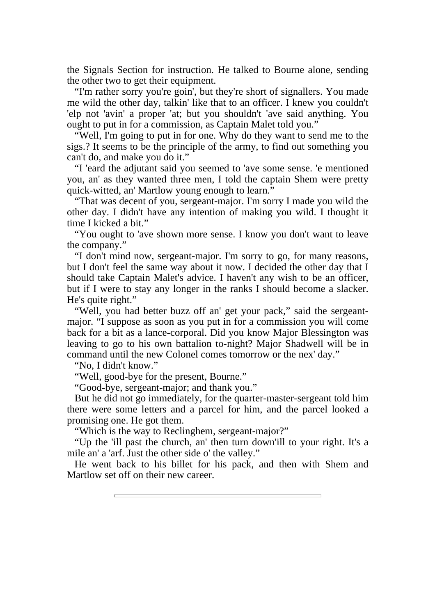the Signals Section for instruction. He talked to Bourne alone, sending the other two to get their equipment.

 "I'm rather sorry you're goin', but they're short of signallers. You made me wild the other day, talkin' like that to an officer. I knew you couldn't 'elp not 'avin' a proper 'at; but you shouldn't 'ave said anything. You ought to put in for a commission, as Captain Malet told you."

 "Well, I'm going to put in for one. Why do they want to send me to the sigs.? It seems to be the principle of the army, to find out something you can't do, and make you do it."

 "I 'eard the adjutant said you seemed to 'ave some sense. 'e mentioned you, an' as they wanted three men, I told the captain Shem were pretty quick-witted, an' Martlow young enough to learn."

 "That was decent of you, sergeant-major. I'm sorry I made you wild the other day. I didn't have any intention of making you wild. I thought it time I kicked a bit."

 "You ought to 'ave shown more sense. I know you don't want to leave the company."

 "I don't mind now, sergeant-major. I'm sorry to go, for many reasons, but I don't feel the same way about it now. I decided the other day that I should take Captain Malet's advice. I haven't any wish to be an officer, but if I were to stay any longer in the ranks I should become a slacker. He's quite right."

 "Well, you had better buzz off an' get your pack," said the sergeantmajor. "I suppose as soon as you put in for a commission you will come back for a bit as a lance-corporal. Did you know Major Blessington was leaving to go to his own battalion to-night? Major Shadwell will be in command until the new Colonel comes tomorrow or the nex' day."

"No, I didn't know."

"Well, good-bye for the present, Bourne."

"Good-bye, sergeant-major; and thank you."

 But he did not go immediately, for the quarter-master-sergeant told him there were some letters and a parcel for him, and the parcel looked a promising one. He got them.

"Which is the way to Reclinghem, sergeant-major?"

 "Up the 'ill past the church, an' then turn down'ill to your right. It's a mile an' a 'arf. Just the other side o' the valley."

 He went back to his billet for his pack, and then with Shem and Martlow set off on their new career.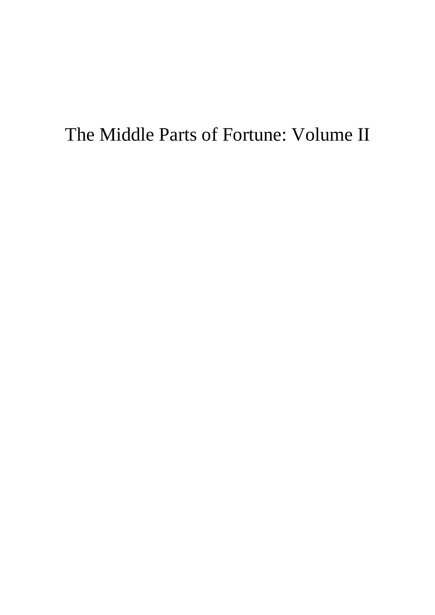## The Middle Parts of Fortune: Volume II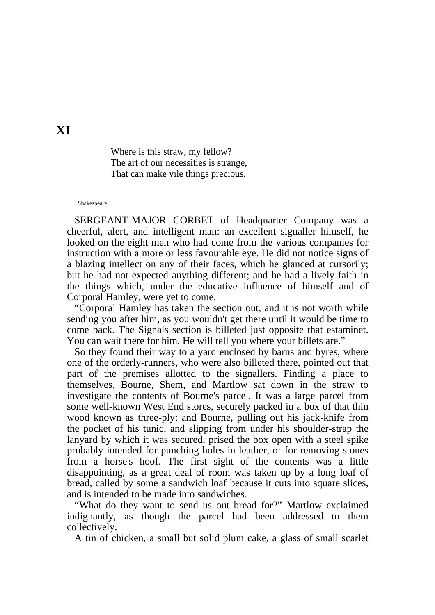Where is this straw, my fellow? The art of our necessities is strange, That can make vile things precious.

## Shakespeare

 SERGEANT-MAJOR CORBET of Headquarter Company was a cheerful, alert, and intelligent man: an excellent signaller himself, he looked on the eight men who had come from the various companies for instruction with a more or less favourable eye. He did not notice signs of a blazing intellect on any of their faces, which he glanced at cursorily; but he had not expected anything different; and he had a lively faith in the things which, under the educative influence of himself and of Corporal Hamley, were yet to come.

 "Corporal Hamley has taken the section out, and it is not worth while sending you after him, as you wouldn't get there until it would be time to come back. The Signals section is billeted just opposite that estaminet. You can wait there for him. He will tell you where your billets are."

 So they found their way to a yard enclosed by barns and byres, where one of the orderly-runners, who were also billeted there, pointed out that part of the premises allotted to the signallers. Finding a place to themselves, Bourne, Shem, and Martlow sat down in the straw to investigate the contents of Bourne's parcel. It was a large parcel from some well-known West End stores, securely packed in a box of that thin wood known as three-ply; and Bourne, pulling out his jack-knife from the pocket of his tunic, and slipping from under his shoulder-strap the lanyard by which it was secured, prised the box open with a steel spike probably intended for punching holes in leather, or for removing stones from a horse's hoof. The first sight of the contents was a little disappointing, as a great deal of room was taken up by a long loaf of bread, called by some a sandwich loaf because it cuts into square slices, and is intended to be made into sandwiches.

 "What do they want to send us out bread for?" Martlow exclaimed indignantly, as though the parcel had been addressed to them collectively.

A tin of chicken, a small but solid plum cake, a glass of small scarlet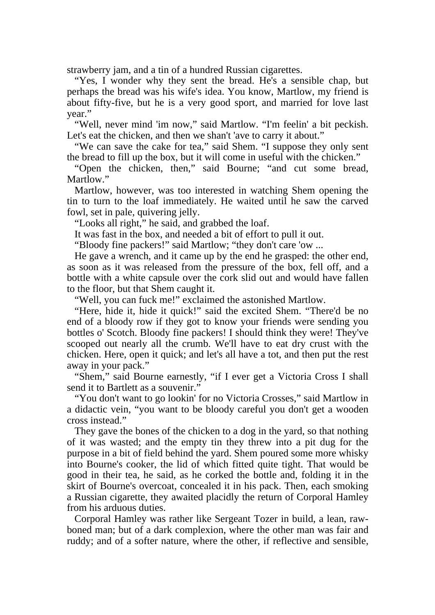strawberry jam, and a tin of a hundred Russian cigarettes.

 "Yes, I wonder why they sent the bread. He's a sensible chap, but perhaps the bread was his wife's idea. You know, Martlow, my friend is about fifty-five, but he is a very good sport, and married for love last year."

 "Well, never mind 'im now," said Martlow. "I'm feelin' a bit peckish. Let's eat the chicken, and then we shan't 'ave to carry it about."

 "We can save the cake for tea," said Shem. "I suppose they only sent the bread to fill up the box, but it will come in useful with the chicken."

 "Open the chicken, then," said Bourne; "and cut some bread, Martlow."

 Martlow, however, was too interested in watching Shem opening the tin to turn to the loaf immediately. He waited until he saw the carved fowl, set in pale, quivering jelly.

"Looks all right," he said, and grabbed the loaf.

It was fast in the box, and needed a bit of effort to pull it out.

"Bloody fine packers!" said Martlow; "they don't care 'ow ...

 He gave a wrench, and it came up by the end he grasped: the other end, as soon as it was released from the pressure of the box, fell off, and a bottle with a white capsule over the cork slid out and would have fallen to the floor, but that Shem caught it.

"Well, you can fuck me!" exclaimed the astonished Martlow.

 "Here, hide it, hide it quick!" said the excited Shem. "There'd be no end of a bloody row if they got to know your friends were sending you bottles o' Scotch. Bloody fine packers! I should think they were! They've scooped out nearly all the crumb. We'll have to eat dry crust with the chicken. Here, open it quick; and let's all have a tot, and then put the rest away in your pack."

 "Shem," said Bourne earnestly, "if I ever get a Victoria Cross I shall send it to Bartlett as a souvenir."

 "You don't want to go lookin' for no Victoria Crosses," said Martlow in a didactic vein, "you want to be bloody careful you don't get a wooden cross instead."

 They gave the bones of the chicken to a dog in the yard, so that nothing of it was wasted; and the empty tin they threw into a pit dug for the purpose in a bit of field behind the yard. Shem poured some more whisky into Bourne's cooker, the lid of which fitted quite tight. That would be good in their tea, he said, as he corked the bottle and, folding it in the skirt of Bourne's overcoat, concealed it in his pack. Then, each smoking a Russian cigarette, they awaited placidly the return of Corporal Hamley from his arduous duties.

 Corporal Hamley was rather like Sergeant Tozer in build, a lean, rawboned man; but of a dark complexion, where the other man was fair and ruddy; and of a softer nature, where the other, if reflective and sensible,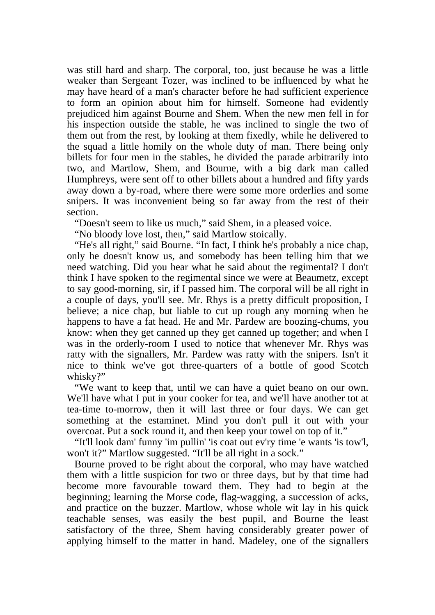was still hard and sharp. The corporal, too, just because he was a little weaker than Sergeant Tozer, was inclined to be influenced by what he may have heard of a man's character before he had sufficient experience to form an opinion about him for himself. Someone had evidently prejudiced him against Bourne and Shem. When the new men fell in for his inspection outside the stable, he was inclined to single the two of them out from the rest, by looking at them fixedly, while he delivered to the squad a little homily on the whole duty of man. There being only billets for four men in the stables, he divided the parade arbitrarily into two, and Martlow, Shem, and Bourne, with a big dark man called Humphreys, were sent off to other billets about a hundred and fifty yards away down a by-road, where there were some more orderlies and some snipers. It was inconvenient being so far away from the rest of their section.

"Doesn't seem to like us much," said Shem, in a pleased voice.

"No bloody love lost, then," said Martlow stoically.

 "He's all right," said Bourne. "In fact, I think he's probably a nice chap, only he doesn't know us, and somebody has been telling him that we need watching. Did you hear what he said about the regimental? I don't think I have spoken to the regimental since we were at Beaumetz, except to say good-morning, sir, if I passed him. The corporal will be all right in a couple of days, you'll see. Mr. Rhys is a pretty difficult proposition, I believe; a nice chap, but liable to cut up rough any morning when he happens to have a fat head. He and Mr. Pardew are boozing-chums, you know: when they get canned up they get canned up together; and when I was in the orderly-room I used to notice that whenever Mr. Rhys was ratty with the signallers, Mr. Pardew was ratty with the snipers. Isn't it nice to think we've got three-quarters of a bottle of good Scotch whisky?"

 "We want to keep that, until we can have a quiet beano on our own. We'll have what I put in your cooker for tea, and we'll have another tot at tea-time to-morrow, then it will last three or four days. We can get something at the estaminet. Mind you don't pull it out with your overcoat. Put a sock round it, and then keep your towel on top of it."

 "It'll look dam' funny 'im pullin' 'is coat out ev'ry time 'e wants 'is tow'l, won't it?" Martlow suggested. "It'll be all right in a sock."

 Bourne proved to be right about the corporal, who may have watched them with a little suspicion for two or three days, but by that time had become more favourable toward them. They had to begin at the beginning; learning the Morse code, flag-wagging, a succession of acks, and practice on the buzzer. Martlow, whose whole wit lay in his quick teachable senses, was easily the best pupil, and Bourne the least satisfactory of the three, Shem having considerably greater power of applying himself to the matter in hand. Madeley, one of the signallers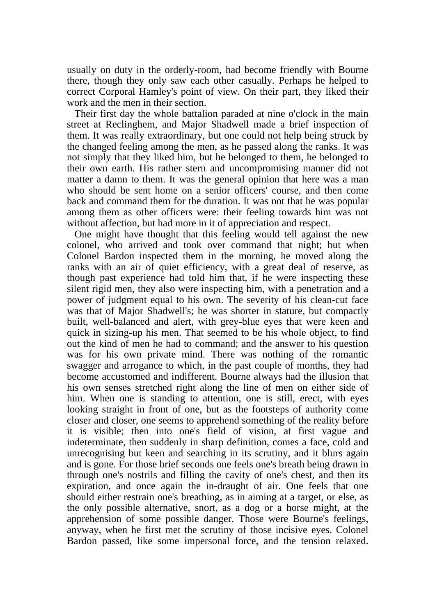usually on duty in the orderly-room, had become friendly with Bourne there, though they only saw each other casually. Perhaps he helped to correct Corporal Hamley's point of view. On their part, they liked their work and the men in their section.

 Their first day the whole battalion paraded at nine o'clock in the main street at Reclinghem, and Major Shadwell made a brief inspection of them. It was really extraordinary, but one could not help being struck by the changed feeling among the men, as he passed along the ranks. It was not simply that they liked him, but he belonged to them, he belonged to their own earth. His rather stern and uncompromising manner did not matter a damn to them. It was the general opinion that here was a man who should be sent home on a senior officers' course, and then come back and command them for the duration. It was not that he was popular among them as other officers were: their feeling towards him was not without affection, but had more in it of appreciation and respect.

 One might have thought that this feeling would tell against the new colonel, who arrived and took over command that night; but when Colonel Bardon inspected them in the morning, he moved along the ranks with an air of quiet efficiency, with a great deal of reserve, as though past experience had told him that, if he were inspecting these silent rigid men, they also were inspecting him, with a penetration and a power of judgment equal to his own. The severity of his clean-cut face was that of Major Shadwell's; he was shorter in stature, but compactly built, well-balanced and alert, with grey-blue eyes that were keen and quick in sizing-up his men. That seemed to be his whole object, to find out the kind of men he had to command; and the answer to his question was for his own private mind. There was nothing of the romantic swagger and arrogance to which, in the past couple of months, they had become accustomed and indifferent. Bourne always had the illusion that his own senses stretched right along the line of men on either side of him. When one is standing to attention, one is still, erect, with eyes looking straight in front of one, but as the footsteps of authority come closer and closer, one seems to apprehend something of the reality before it is visible; then into one's field of vision, at first vague and indeterminate, then suddenly in sharp definition, comes a face, cold and unrecognising but keen and searching in its scrutiny, and it blurs again and is gone. For those brief seconds one feels one's breath being drawn in through one's nostrils and filling the cavity of one's chest, and then its expiration, and once again the in-draught of air. One feels that one should either restrain one's breathing, as in aiming at a target, or else, as the only possible alternative, snort, as a dog or a horse might, at the apprehension of some possible danger. Those were Bourne's feelings, anyway, when he first met the scrutiny of those incisive eyes. Colonel Bardon passed, like some impersonal force, and the tension relaxed.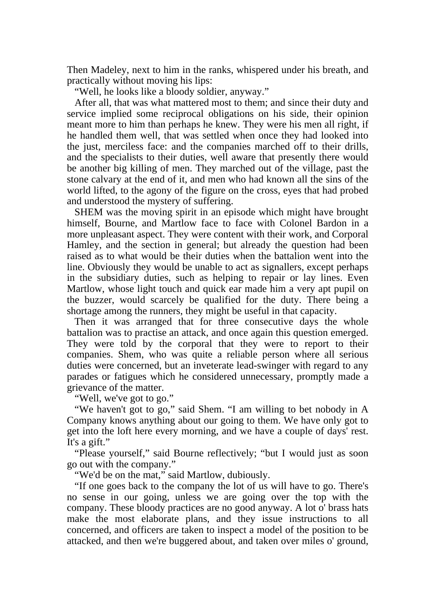Then Madeley, next to him in the ranks, whispered under his breath, and practically without moving his lips:

"Well, he looks like a bloody soldier, anyway."

 After all, that was what mattered most to them; and since their duty and service implied some reciprocal obligations on his side, their opinion meant more to him than perhaps he knew. They were his men all right, if he handled them well, that was settled when once they had looked into the just, merciless face: and the companies marched off to their drills, and the specialists to their duties, well aware that presently there would be another big killing of men. They marched out of the village, past the stone calvary at the end of it, and men who had known all the sins of the world lifted, to the agony of the figure on the cross, eyes that had probed and understood the mystery of suffering.

 SHEM was the moving spirit in an episode which might have brought himself, Bourne, and Martlow face to face with Colonel Bardon in a more unpleasant aspect. They were content with their work, and Corporal Hamley, and the section in general; but already the question had been raised as to what would be their duties when the battalion went into the line. Obviously they would be unable to act as signallers, except perhaps in the subsidiary duties, such as helping to repair or lay lines. Even Martlow, whose light touch and quick ear made him a very apt pupil on the buzzer, would scarcely be qualified for the duty. There being a shortage among the runners, they might be useful in that capacity.

 Then it was arranged that for three consecutive days the whole battalion was to practise an attack, and once again this question emerged. They were told by the corporal that they were to report to their companies. Shem, who was quite a reliable person where all serious duties were concerned, but an inveterate lead-swinger with regard to any parades or fatigues which he considered unnecessary, promptly made a grievance of the matter.

"Well, we've got to go."

 "We haven't got to go," said Shem. "I am willing to bet nobody in A Company knows anything about our going to them. We have only got to get into the loft here every morning, and we have a couple of days' rest. It's a gift."

 "Please yourself," said Bourne reflectively; "but I would just as soon go out with the company."

"We'd be on the mat," said Martlow, dubiously.

 "If one goes back to the company the lot of us will have to go. There's no sense in our going, unless we are going over the top with the company. These bloody practices are no good anyway. A lot o' brass hats make the most elaborate plans, and they issue instructions to all concerned, and officers are taken to inspect a model of the position to be attacked, and then we're buggered about, and taken over miles o' ground,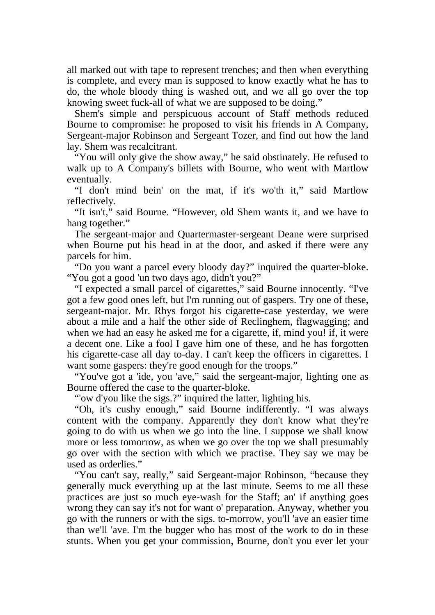all marked out with tape to represent trenches; and then when everything is complete, and every man is supposed to know exactly what he has to do, the whole bloody thing is washed out, and we all go over the top knowing sweet fuck-all of what we are supposed to be doing."

 Shem's simple and perspicuous account of Staff methods reduced Bourne to compromise: he proposed to visit his friends in A Company, Sergeant-major Robinson and Sergeant Tozer, and find out how the land lay. Shem was recalcitrant.

 "You will only give the show away," he said obstinately. He refused to walk up to A Company's billets with Bourne, who went with Martlow eventually.

 "I don't mind bein' on the mat, if it's wo'th it," said Martlow reflectively.

 "It isn't," said Bourne. "However, old Shem wants it, and we have to hang together."

 The sergeant-major and Quartermaster-sergeant Deane were surprised when Bourne put his head in at the door, and asked if there were any parcels for him.

 "Do you want a parcel every bloody day?" inquired the quarter-bloke. "You got a good 'un two days ago, didn't you?"

 "I expected a small parcel of cigarettes," said Bourne innocently. "I've got a few good ones left, but I'm running out of gaspers. Try one of these, sergeant-major. Mr. Rhys forgot his cigarette-case yesterday, we were about a mile and a half the other side of Reclinghem, flagwagging; and when we had an easy he asked me for a cigarette, if, mind you! if, it were a decent one. Like a fool I gave him one of these, and he has forgotten his cigarette-case all day to-day. I can't keep the officers in cigarettes. I want some gaspers: they're good enough for the troops."

 "You've got a 'ide, you 'ave," said the sergeant-major, lighting one as Bourne offered the case to the quarter-bloke.

"'ow d'you like the sigs.?" inquired the latter, lighting his.

 "Oh, it's cushy enough," said Bourne indifferently. "I was always content with the company. Apparently they don't know what they're going to do with us when we go into the line. I suppose we shall know more or less tomorrow, as when we go over the top we shall presumably go over with the section with which we practise. They say we may be used as orderlies."

 "You can't say, really," said Sergeant-major Robinson, "because they generally muck everything up at the last minute. Seems to me all these practices are just so much eye-wash for the Staff; an' if anything goes wrong they can say it's not for want o' preparation. Anyway, whether you go with the runners or with the sigs. to-morrow, you'll 'ave an easier time than we'll 'ave. I'm the bugger who has most of the work to do in these stunts. When you get your commission, Bourne, don't you ever let your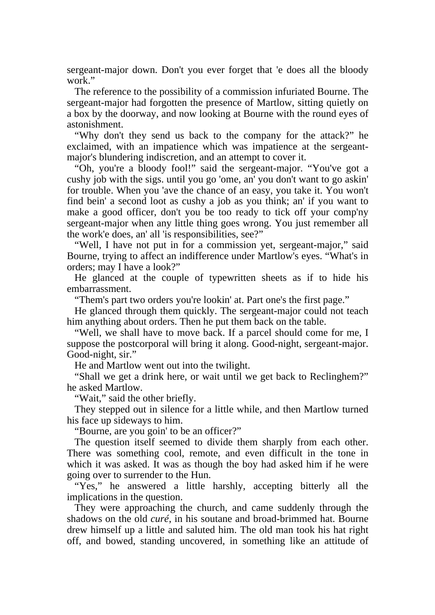sergeant-major down. Don't you ever forget that 'e does all the bloody work"

 The reference to the possibility of a commission infuriated Bourne. The sergeant-major had forgotten the presence of Martlow, sitting quietly on a box by the doorway, and now looking at Bourne with the round eyes of astonishment.

 "Why don't they send us back to the company for the attack?" he exclaimed, with an impatience which was impatience at the sergeantmajor's blundering indiscretion, and an attempt to cover it.

 "Oh, you're a bloody fool!" said the sergeant-major. "You've got a cushy job with the sigs. until you go 'ome, an' you don't want to go askin' for trouble. When you 'ave the chance of an easy, you take it. You won't find bein' a second loot as cushy a job as you think; an' if you want to make a good officer, don't you be too ready to tick off your comp'ny sergeant-major when any little thing goes wrong. You just remember all the work'e does, an' all 'is responsibilities, see?"

 "Well, I have not put in for a commission yet, sergeant-major," said Bourne, trying to affect an indifference under Martlow's eyes. "What's in orders; may I have a look?"

 He glanced at the couple of typewritten sheets as if to hide his embarrassment.

"Them's part two orders you're lookin' at. Part one's the first page."

 He glanced through them quickly. The sergeant-major could not teach him anything about orders. Then he put them back on the table.

 "Well, we shall have to move back. If a parcel should come for me, I suppose the postcorporal will bring it along. Good-night, sergeant-major. Good-night, sir."

He and Martlow went out into the twilight.

 "Shall we get a drink here, or wait until we get back to Reclinghem?" he asked Martlow.

"Wait," said the other briefly.

 They stepped out in silence for a little while, and then Martlow turned his face up sideways to him.

"Bourne, are you goin' to be an officer?"

 The question itself seemed to divide them sharply from each other. There was something cool, remote, and even difficult in the tone in which it was asked. It was as though the boy had asked him if he were going over to surrender to the Hun.

 "Yes," he answered a little harshly, accepting bitterly all the implications in the question.

 They were approaching the church, and came suddenly through the shadows on the old *curé*, in his soutane and broad-brimmed hat. Bourne drew himself up a little and saluted him. The old man took his hat right off, and bowed, standing uncovered, in something like an attitude of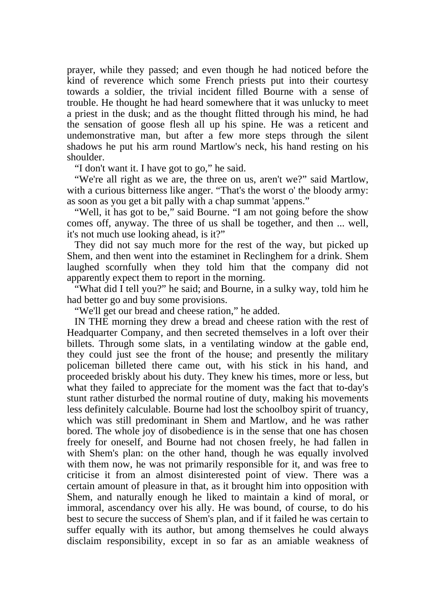prayer, while they passed; and even though he had noticed before the kind of reverence which some French priests put into their courtesy towards a soldier, the trivial incident filled Bourne with a sense of trouble. He thought he had heard somewhere that it was unlucky to meet a priest in the dusk; and as the thought flitted through his mind, he had the sensation of goose flesh all up his spine. He was a reticent and undemonstrative man, but after a few more steps through the silent shadows he put his arm round Martlow's neck, his hand resting on his shoulder.

"I don't want it. I have got to go," he said.

 "We're all right as we are, the three on us, aren't we?" said Martlow, with a curious bitterness like anger. "That's the worst o' the bloody army: as soon as you get a bit pally with a chap summat 'appens."

 "Well, it has got to be," said Bourne. "I am not going before the show comes off, anyway. The three of us shall be together, and then ... well, it's not much use looking ahead, is it?"

 They did not say much more for the rest of the way, but picked up Shem, and then went into the estaminet in Reclinghem for a drink. Shem laughed scornfully when they told him that the company did not apparently expect them to report in the morning.

 "What did I tell you?" he said; and Bourne, in a sulky way, told him he had better go and buy some provisions.

"We'll get our bread and cheese ration," he added.

 IN THE morning they drew a bread and cheese ration with the rest of Headquarter Company, and then secreted themselves in a loft over their billets. Through some slats, in a ventilating window at the gable end, they could just see the front of the house; and presently the military policeman billeted there came out, with his stick in his hand, and proceeded briskly about his duty. They knew his times, more or less, but what they failed to appreciate for the moment was the fact that to-day's stunt rather disturbed the normal routine of duty, making his movements less definitely calculable. Bourne had lost the schoolboy spirit of truancy, which was still predominant in Shem and Martlow, and he was rather bored. The whole joy of disobedience is in the sense that one has chosen freely for oneself, and Bourne had not chosen freely, he had fallen in with Shem's plan: on the other hand, though he was equally involved with them now, he was not primarily responsible for it, and was free to criticise it from an almost disinterested point of view. There was a certain amount of pleasure in that, as it brought him into opposition with Shem, and naturally enough he liked to maintain a kind of moral, or immoral, ascendancy over his ally. He was bound, of course, to do his best to secure the success of Shem's plan, and if it failed he was certain to suffer equally with its author, but among themselves he could always disclaim responsibility, except in so far as an amiable weakness of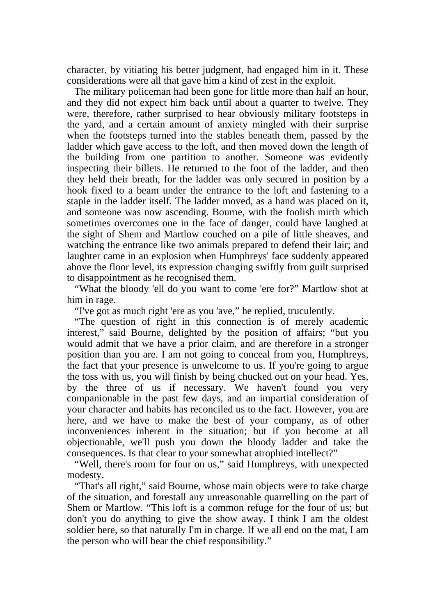character, by vitiating his better judgment, had engaged him in it. These considerations were all that gave him a kind of zest in the exploit.

 The military policeman had been gone for little more than half an hour, and they did not expect him back until about a quarter to twelve. They were, therefore, rather surprised to hear obviously military footsteps in the yard, and a certain amount of anxiety mingled with their surprise when the footsteps turned into the stables beneath them, passed by the ladder which gave access to the loft, and then moved down the length of the building from one partition to another. Someone was evidently inspecting their billets. He returned to the foot of the ladder, and then they held their breath, for the ladder was only secured in position by a hook fixed to a beam under the entrance to the loft and fastening to a staple in the ladder itself. The ladder moved, as a hand was placed on it, and someone was now ascending. Bourne, with the foolish mirth which sometimes overcomes one in the face of danger, could have laughed at the sight of Shem and Martlow couched on a pile of little sheaves, and watching the entrance like two animals prepared to defend their lair; and laughter came in an explosion when Humphreys' face suddenly appeared above the floor level, its expression changing swiftly from guilt surprised to disappointment as he recognised them.

 "What the bloody 'ell do you want to come 'ere for?" Martlow shot at him in rage.

"I've got as much right 'ere as you 'ave," he replied, truculently.

 "The question of right in this connection is of merely academic interest," said Bourne, delighted by the position of affairs; "but you would admit that we have a prior claim, and are therefore in a stronger position than you are. I am not going to conceal from you, Humphreys, the fact that your presence is unwelcome to us. If you're going to argue the toss with us, you will finish by being chucked out on your head. Yes, by the three of us if necessary. We haven't found you very companionable in the past few days, and an impartial consideration of your character and habits has reconciled us to the fact. However, you are here, and we have to make the best of your company, as of other inconveniences inherent in the situation; but if you become at all objectionable, we'll push you down the bloody ladder and take the consequences. Is that clear to your somewhat atrophied intellect?"

 "Well, there's room for four on us," said Humphreys, with unexpected modesty.

 "That's all right," said Bourne, whose main objects were to take charge of the situation, and forestall any unreasonable quarrelling on the part of Shem or Martlow. "This loft is a common refuge for the four of us; but don't you do anything to give the show away. I think I am the oldest soldier here, so that naturally I'm in charge. If we all end on the mat, I am the person who will bear the chief responsibility."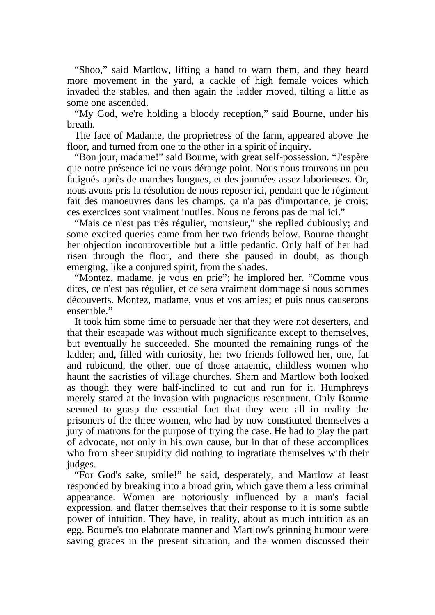"Shoo," said Martlow, lifting a hand to warn them, and they heard more movement in the yard, a cackle of high female voices which invaded the stables, and then again the ladder moved, tilting a little as some one ascended.

 "My God, we're holding a bloody reception," said Bourne, under his breath.

 The face of Madame, the proprietress of the farm, appeared above the floor, and turned from one to the other in a spirit of inquiry.

 "Bon jour, madame!" said Bourne, with great self-possession. "J'espère que notre présence ici ne vous dérange point. Nous nous trouvons un peu fatigués après de marches longues, et des journées assez laborieuses. Or, nous avons pris la résolution de nous reposer ici, pendant que le régiment fait des manoeuvres dans les champs. ça n'a pas d'importance, je crois; ces exercices sont vraiment inutiles. Nous ne ferons pas de mal ici."

 "Mais ce n'est pas très régulier, monsieur," she replied dubiously; and some excited queries came from her two friends below. Bourne thought her objection incontrovertible but a little pedantic. Only half of her had risen through the floor, and there she paused in doubt, as though emerging, like a conjured spirit, from the shades.

 "Montez, madame, je vous en prie"; he implored her. "Comme vous dites, ce n'est pas régulier, et ce sera vraiment dommage si nous sommes découverts. Montez, madame, vous et vos amies; et puis nous causerons ensemble."

 It took him some time to persuade her that they were not deserters, and that their escapade was without much significance except to themselves, but eventually he succeeded. She mounted the remaining rungs of the ladder; and, filled with curiosity, her two friends followed her, one, fat and rubicund, the other, one of those anaemic, childless women who haunt the sacristies of village churches. Shem and Martlow both looked as though they were half-inclined to cut and run for it. Humphreys merely stared at the invasion with pugnacious resentment. Only Bourne seemed to grasp the essential fact that they were all in reality the prisoners of the three women, who had by now constituted themselves a jury of matrons for the purpose of trying the case. He had to play the part of advocate, not only in his own cause, but in that of these accomplices who from sheer stupidity did nothing to ingratiate themselves with their judges.

 "For God's sake, smile!" he said, desperately, and Martlow at least responded by breaking into a broad grin, which gave them a less criminal appearance. Women are notoriously influenced by a man's facial expression, and flatter themselves that their response to it is some subtle power of intuition. They have, in reality, about as much intuition as an egg. Bourne's too elaborate manner and Martlow's grinning humour were saving graces in the present situation, and the women discussed their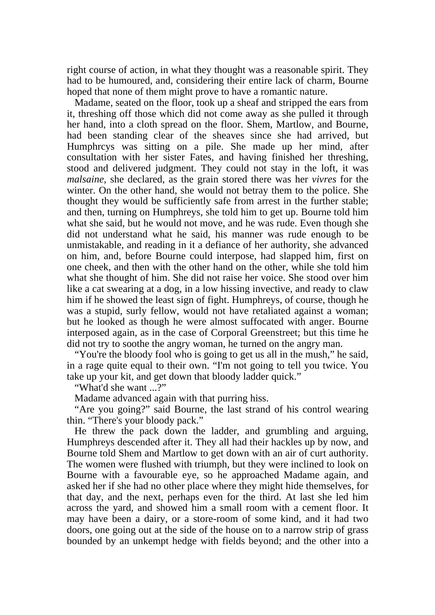right course of action, in what they thought was a reasonable spirit. They had to be humoured, and, considering their entire lack of charm, Bourne hoped that none of them might prove to have a romantic nature.

 Madame, seated on the floor, took up a sheaf and stripped the ears from it, threshing off those which did not come away as she pulled it through her hand, into a cloth spread on the floor. Shem, Martlow, and Bourne, had been standing clear of the sheaves since she had arrived, but Humphrcys was sitting on a pile. She made up her mind, after consultation with her sister Fates, and having finished her threshing, stood and delivered judgment. They could not stay in the loft, it was *malsaine*, she declared, as the grain stored there was her *vivres* for the winter. On the other hand, she would not betray them to the police. She thought they would be sufficiently safe from arrest in the further stable; and then, turning on Humphreys, she told him to get up. Bourne told him what she said, but he would not move, and he was rude. Even though she did not understand what he said, his manner was rude enough to be unmistakable, and reading in it a defiance of her authority, she advanced on him, and, before Bourne could interpose, had slapped him, first on one cheek, and then with the other hand on the other, while she told him what she thought of him. She did not raise her voice. She stood over him like a cat swearing at a dog, in a low hissing invective, and ready to claw him if he showed the least sign of fight. Humphreys, of course, though he was a stupid, surly fellow, would not have retaliated against a woman; but he looked as though he were almost suffocated with anger. Bourne interposed again, as in the case of Corporal Greenstreet; but this time he did not try to soothe the angry woman, he turned on the angry man.

 "You're the bloody fool who is going to get us all in the mush," he said, in a rage quite equal to their own. "I'm not going to tell you twice. You take up your kit, and get down that bloody ladder quick."

"What'd she want ...?"

Madame advanced again with that purring hiss.

 "Are you going?" said Bourne, the last strand of his control wearing thin. "There's your bloody pack."

 He threw the pack down the ladder, and grumbling and arguing, Humphreys descended after it. They all had their hackles up by now, and Bourne told Shem and Martlow to get down with an air of curt authority. The women were flushed with triumph, but they were inclined to look on Bourne with a favourable eye, so he approached Madame again, and asked her if she had no other place where they might hide themselves, for that day, and the next, perhaps even for the third. At last she led him across the yard, and showed him a small room with a cement floor. It may have been a dairy, or a store-room of some kind, and it had two doors, one going out at the side of the house on to a narrow strip of grass bounded by an unkempt hedge with fields beyond; and the other into a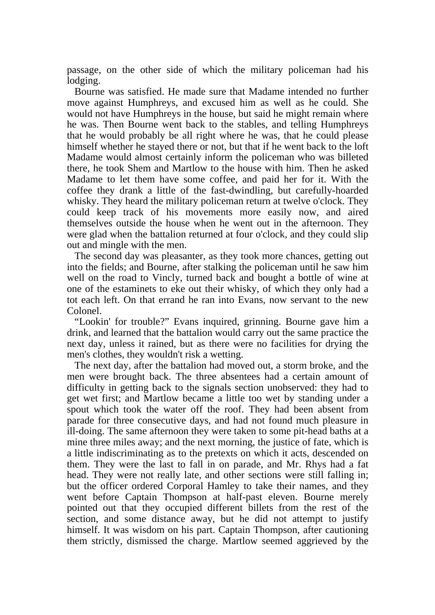passage, on the other side of which the military policeman had his lodging.

 Bourne was satisfied. He made sure that Madame intended no further move against Humphreys, and excused him as well as he could. She would not have Humphreys in the house, but said he might remain where he was. Then Bourne went back to the stables, and telling Humphreys that he would probably be all right where he was, that he could please himself whether he stayed there or not, but that if he went back to the loft Madame would almost certainly inform the policeman who was billeted there, he took Shem and Martlow to the house with him. Then he asked Madame to let them have some coffee, and paid her for it. With the coffee they drank a little of the fast-dwindling, but carefully-hoarded whisky. They heard the military policeman return at twelve o'clock. They could keep track of his movements more easily now, and aired themselves outside the house when he went out in the afternoon. They were glad when the battalion returned at four o'clock, and they could slip out and mingle with the men.

 The second day was pleasanter, as they took more chances, getting out into the fields; and Bourne, after stalking the policeman until he saw him well on the road to Vincly, turned back and bought a bottle of wine at one of the estaminets to eke out their whisky, of which they only had a tot each left. On that errand he ran into Evans, now servant to the new Colonel.

 "Lookin' for trouble?" Evans inquired, grinning. Bourne gave him a drink, and learned that the battalion would carry out the same practice the next day, unless it rained, but as there were no facilities for drying the men's clothes, they wouldn't risk a wetting.

 The next day, after the battalion had moved out, a storm broke, and the men were brought back. The three absentees had a certain amount of difficulty in getting back to the signals section unobserved: they had to get wet first; and Martlow became a little too wet by standing under a spout which took the water off the roof. They had been absent from parade for three consecutive days, and had not found much pleasure in ill-doing. The same afternoon they were taken to some pit-head baths at a mine three miles away; and the next morning, the justice of fate, which is a little indiscriminating as to the pretexts on which it acts, descended on them. They were the last to fall in on parade, and Mr. Rhys had a fat head. They were not really late, and other sections were still falling in; but the officer ordered Corporal Hamley to take their names, and they went before Captain Thompson at half-past eleven. Bourne merely pointed out that they occupied different billets from the rest of the section, and some distance away, but he did not attempt to justify himself. It was wisdom on his part. Captain Thompson, after cautioning them strictly, dismissed the charge. Martlow seemed aggrieved by the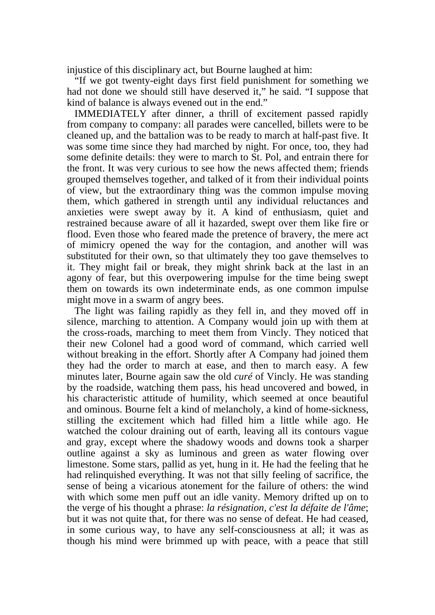injustice of this disciplinary act, but Bourne laughed at him:

 "If we got twenty-eight days first field punishment for something we had not done we should still have deserved it," he said. "I suppose that kind of balance is always evened out in the end."

 IMMEDIATELY after dinner, a thrill of excitement passed rapidly from company to company: all parades were cancelled, billets were to be cleaned up, and the battalion was to be ready to march at half-past five. It was some time since they had marched by night. For once, too, they had some definite details: they were to march to St. Pol, and entrain there for the front. It was very curious to see how the news affected them; friends grouped themselves together, and talked of it from their individual points of view, but the extraordinary thing was the common impulse moving them, which gathered in strength until any individual reluctances and anxieties were swept away by it. A kind of enthusiasm, quiet and restrained because aware of all it hazarded, swept over them like fire or flood. Even those who feared made the pretence of bravery, the mere act of mimicry opened the way for the contagion, and another will was substituted for their own, so that ultimately they too gave themselves to it. They might fail or break, they might shrink back at the last in an agony of fear, but this overpowering impulse for the time being swept them on towards its own indeterminate ends, as one common impulse might move in a swarm of angry bees.

 The light was failing rapidly as they fell in, and they moved off in silence, marching to attention. A Company would join up with them at the cross-roads, marching to meet them from Vincly. They noticed that their new Colonel had a good word of command, which carried well without breaking in the effort. Shortly after A Company had joined them they had the order to march at ease, and then to march easy. A few minutes later, Bourne again saw the old *curé* of Vincly. He was standing by the roadside, watching them pass, his head uncovered and bowed, in his characteristic attitude of humility, which seemed at once beautiful and ominous. Bourne felt a kind of melancholy, a kind of home-sickness, stilling the excitement which had filled him a little while ago. He watched the colour draining out of earth, leaving all its contours vague and gray, except where the shadowy woods and downs took a sharper outline against a sky as luminous and green as water flowing over limestone. Some stars, pallid as yet, hung in it. He had the feeling that he had relinquished everything. It was not that silly feeling of sacrifice, the sense of being a vicarious atonement for the failure of others: the wind with which some men puff out an idle vanity. Memory drifted up on to the verge of his thought a phrase: *la résignation, c'est la défaite de l'âme*; but it was not quite that, for there was no sense of defeat. He had ceased, in some curious way, to have any self-consciousness at all; it was as though his mind were brimmed up with peace, with a peace that still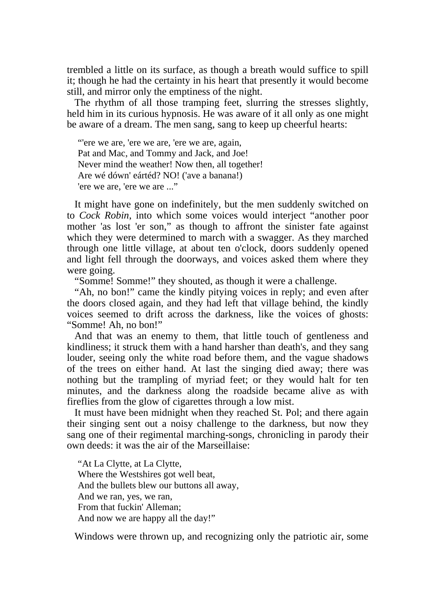trembled a little on its surface, as though a breath would suffice to spill it; though he had the certainty in his heart that presently it would become still, and mirror only the emptiness of the night.

 The rhythm of all those tramping feet, slurring the stresses slightly, held him in its curious hypnosis. He was aware of it all only as one might be aware of a dream. The men sang, sang to keep up cheerful hearts:

"'ere we are, 'ere we are, 'ere we are, again, Pat and Mac, and Tommy and Jack, and Joe! Never mind the weather! Now then, all together! Are wé dówn' eártéd? NO! ('ave a banana!) 'ere we are, 'ere we are ..."

 It might have gone on indefinitely, but the men suddenly switched on to *Cock Robin*, into which some voices would interject "another poor mother 'as lost 'er son," as though to affront the sinister fate against which they were determined to march with a swagger. As they marched through one little village, at about ten o'clock, doors suddenly opened and light fell through the doorways, and voices asked them where they were going.

"Somme! Somme!" they shouted, as though it were a challenge.

 "Ah, no bon!" came the kindly pitying voices in reply; and even after the doors closed again, and they had left that village behind, the kindly voices seemed to drift across the darkness, like the voices of ghosts: "Somme! Ah, no bon!"

 And that was an enemy to them, that little touch of gentleness and kindliness; it struck them with a hand harsher than death's, and they sang louder, seeing only the white road before them, and the vague shadows of the trees on either hand. At last the singing died away; there was nothing but the trampling of myriad feet; or they would halt for ten minutes, and the darkness along the roadside became alive as with fireflies from the glow of cigarettes through a low mist.

 It must have been midnight when they reached St. Pol; and there again their singing sent out a noisy challenge to the darkness, but now they sang one of their regimental marching-songs, chronicling in parody their own deeds: it was the air of the Marseillaise:

"At La Clytte, at La Clytte, Where the Westshires got well beat, And the bullets blew our buttons all away, And we ran, yes, we ran, From that fuckin' Alleman; And now we are happy all the day!"

Windows were thrown up, and recognizing only the patriotic air, some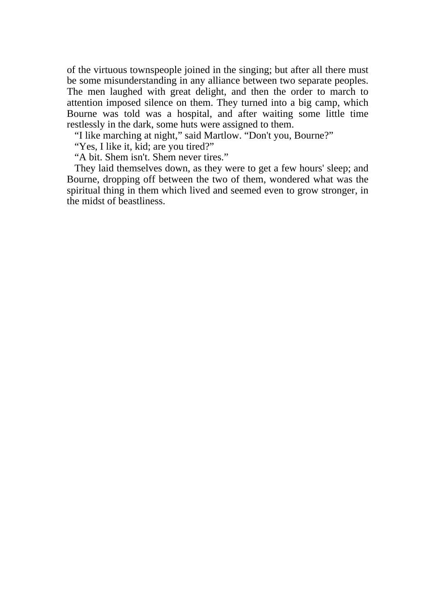of the virtuous townspeople joined in the singing; but after all there must be some misunderstanding in any alliance between two separate peoples. The men laughed with great delight, and then the order to march to attention imposed silence on them. They turned into a big camp, which Bourne was told was a hospital, and after waiting some little time restlessly in the dark, some huts were assigned to them.

"I like marching at night," said Martlow. "Don't you, Bourne?"

"Yes, I like it, kid; are you tired?"

"A bit. Shem isn't. Shem never tires."

 They laid themselves down, as they were to get a few hours' sleep; and Bourne, dropping off between the two of them, wondered what was the spiritual thing in them which lived and seemed even to grow stronger, in the midst of beastliness.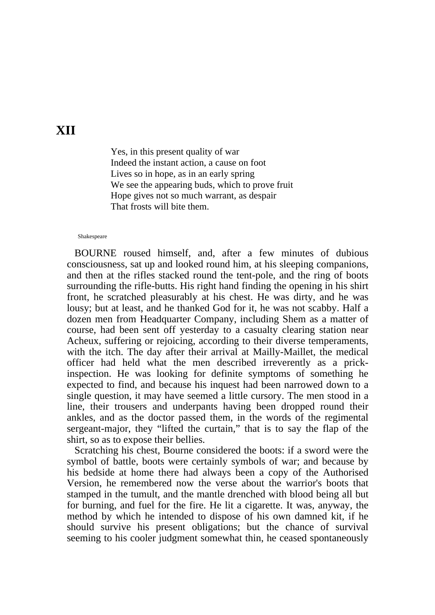## **XII**

Yes, in this present quality of war Indeed the instant action, a cause on foot Lives so in hope, as in an early spring We see the appearing buds, which to prove fruit Hope gives not so much warrant, as despair That frosts will bite them.

Shakespeare

 BOURNE roused himself, and, after a few minutes of dubious consciousness, sat up and looked round him, at his sleeping companions, and then at the rifles stacked round the tent-pole, and the ring of boots surrounding the rifle-butts. His right hand finding the opening in his shirt front, he scratched pleasurably at his chest. He was dirty, and he was lousy; but at least, and he thanked God for it, he was not scabby. Half a dozen men from Headquarter Company, including Shem as a matter of course, had been sent off yesterday to a casualty clearing station near Acheux, suffering or rejoicing, according to their diverse temperaments, with the itch. The day after their arrival at Mailly-Maillet, the medical officer had held what the men described irreverently as a prickinspection. He was looking for definite symptoms of something he expected to find, and because his inquest had been narrowed down to a single question, it may have seemed a little cursory. The men stood in a line, their trousers and underpants having been dropped round their ankles, and as the doctor passed them, in the words of the regimental sergeant-major, they "lifted the curtain," that is to say the flap of the shirt, so as to expose their bellies.

 Scratching his chest, Bourne considered the boots: if a sword were the symbol of battle, boots were certainly symbols of war; and because by his bedside at home there had always been a copy of the Authorised Version, he remembered now the verse about the warrior's boots that stamped in the tumult, and the mantle drenched with blood being all but for burning, and fuel for the fire. He lit a cigarette. It was, anyway, the method by which he intended to dispose of his own damned kit, if he should survive his present obligations; but the chance of survival seeming to his cooler judgment somewhat thin, he ceased spontaneously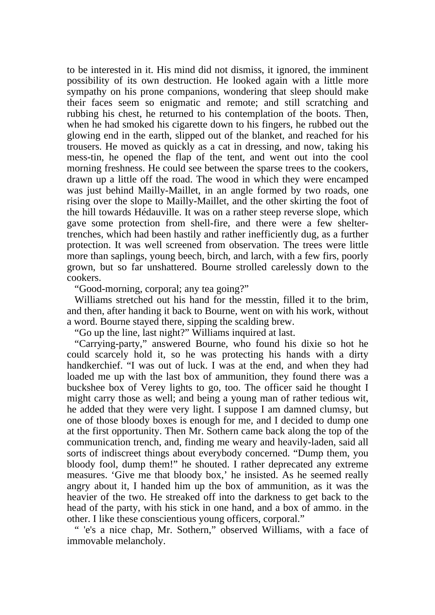to be interested in it. His mind did not dismiss, it ignored, the imminent possibility of its own destruction. He looked again with a little more sympathy on his prone companions, wondering that sleep should make their faces seem so enigmatic and remote; and still scratching and rubbing his chest, he returned to his contemplation of the boots. Then, when he had smoked his cigarette down to his fingers, he rubbed out the glowing end in the earth, slipped out of the blanket, and reached for his trousers. He moved as quickly as a cat in dressing, and now, taking his mess-tin, he opened the flap of the tent, and went out into the cool morning freshness. He could see between the sparse trees to the cookers, drawn up a little off the road. The wood in which they were encamped was just behind Mailly-Maillet, in an angle formed by two roads, one rising over the slope to Mailly-Maillet, and the other skirting the foot of the hill towards Hédauville. It was on a rather steep reverse slope, which gave some protection from shell-fire, and there were a few sheltertrenches, which had been hastily and rather inefficiently dug, as a further protection. It was well screened from observation. The trees were little more than saplings, young beech, birch, and larch, with a few firs, poorly grown, but so far unshattered. Bourne strolled carelessly down to the cookers.

"Good-morning, corporal; any tea going?"

 Williams stretched out his hand for the messtin, filled it to the brim, and then, after handing it back to Bourne, went on with his work, without a word. Bourne stayed there, sipping the scalding brew.

"Go up the line, last night?" Williams inquired at last.

 "Carrying-party," answered Bourne, who found his dixie so hot he could scarcely hold it, so he was protecting his hands with a dirty handkerchief. "I was out of luck. I was at the end, and when they had loaded me up with the last box of ammunition, they found there was a buckshee box of Verey lights to go, too. The officer said he thought I might carry those as well; and being a young man of rather tedious wit, he added that they were very light. I suppose I am damned clumsy, but one of those bloody boxes is enough for me, and I decided to dump one at the first opportunity. Then Mr. Sothern came back along the top of the communication trench, and, finding me weary and heavily-laden, said all sorts of indiscreet things about everybody concerned. "Dump them, you bloody fool, dump them!" he shouted. I rather deprecated any extreme measures. 'Give me that bloody box,' he insisted. As he seemed really angry about it, I handed him up the box of ammunition, as it was the heavier of the two. He streaked off into the darkness to get back to the head of the party, with his stick in one hand, and a box of ammo. in the other. I like these conscientious young officers, corporal."

 " 'e's a nice chap, Mr. Sothern," observed Williams, with a face of immovable melancholy.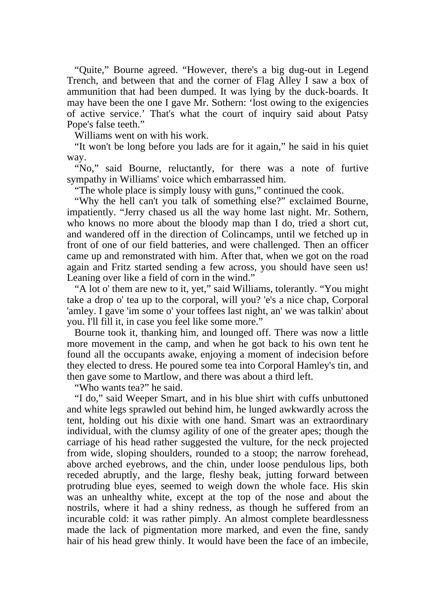"Quite," Bourne agreed. "However, there's a big dug-out in Legend Trench, and between that and the corner of Flag Alley I saw a box of ammunition that had been dumped. It was lying by the duck-boards. It may have been the one I gave Mr. Sothern: 'lost owing to the exigencies of active service.' That's what the court of inquiry said about Patsy Pope's false teeth."

Williams went on with his work.

 "It won't be long before you lads are for it again," he said in his quiet way.

 "No," said Bourne, reluctantly, for there was a note of furtive sympathy in Williams' voice which embarrassed him.

"The whole place is simply lousy with guns," continued the cook.

 "Why the hell can't you talk of something else?" exclaimed Bourne, impatiently. "Jerry chased us all the way home last night. Mr. Sothern, who knows no more about the bloody map than I do, tried a short cut, and wandered off in the direction of Colincamps, until we fetched up in front of one of our field batteries, and were challenged. Then an officer came up and remonstrated with him. After that, when we got on the road again and Fritz started sending a few across, you should have seen us! Leaning over like a field of corn in the wind."

 "A lot o' them are new to it, yet," said Williams, tolerantly. "You might take a drop o' tea up to the corporal, will you? 'e's a nice chap, Corporal 'amley. I gave 'im some o' your toffees last night, an' we was talkin' about you. I'll fill it, in case you feel like some more."

 Bourne took it, thanking him, and lounged off. There was now a little more movement in the camp, and when he got back to his own tent he found all the occupants awake, enjoying a moment of indecision before they elected to dress. He poured some tea into Corporal Hamley's tin, and then gave some to Martlow, and there was about a third left.

"Who wants tea?" he said.

 "I do," said Weeper Smart, and in his blue shirt with cuffs unbuttoned and white legs sprawled out behind him, he lunged awkwardly across the tent, holding out his dixie with one hand. Smart was an extraordinary individual, with the clumsy agility of one of the greater apes; though the carriage of his head rather suggested the vulture, for the neck projected from wide, sloping shoulders, rounded to a stoop; the narrow forehead, above arched eyebrows, and the chin, under loose pendulous lips, both receded abruptly, and the large, fleshy beak, jutting forward between protruding blue eyes, seemed to weigh down the whole face. His skin was an unhealthy white, except at the top of the nose and about the nostrils, where it had a shiny redness, as though he suffered from an incurable cold: it was rather pimply. An almost complete beardlessness made the lack of pigmentation more marked, and even the fine, sandy hair of his head grew thinly. It would have been the face of an imbecile,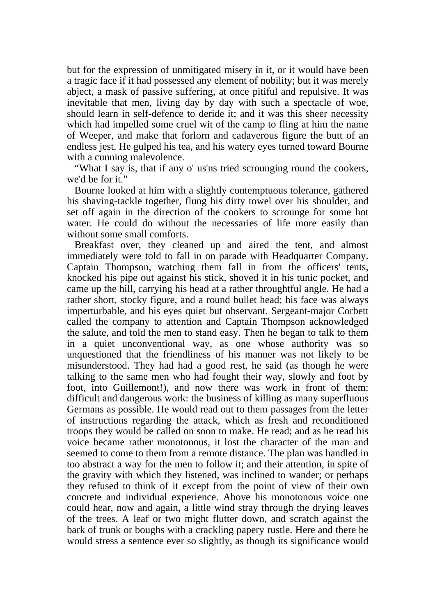but for the expression of unmitigated misery in it, or it would have been a tragic face if it had possessed any element of nobility; but it was merely abject, a mask of passive suffering, at once pitiful and repulsive. It was inevitable that men, living day by day with such a spectacle of woe, should learn in self-defence to deride it; and it was this sheer necessity which had impelled some cruel wit of the camp to fling at him the name of Weeper, and make that forlorn and cadaverous figure the butt of an endless jest. He gulped his tea, and his watery eyes turned toward Bourne with a cunning malevolence.

 "What I say is, that if any o' us'ns tried scrounging round the cookers, we'd be for it."

 Bourne looked at him with a slightly contemptuous tolerance, gathered his shaving-tackle together, flung his dirty towel over his shoulder, and set off again in the direction of the cookers to scrounge for some hot water. He could do without the necessaries of life more easily than without some small comforts.

 Breakfast over, they cleaned up and aired the tent, and almost immediately were told to fall in on parade with Headquarter Company. Captain Thompson, watching them fall in from the officers' tents, knocked his pipe out against his stick, shoved it in his tunic pocket, and came up the hill, carrying his head at a rather throughtful angle. He had a rather short, stocky figure, and a round bullet head; his face was always imperturbable, and his eyes quiet but observant. Sergeant-major Corbett called the company to attention and Captain Thompson acknowledged the salute, and told the men to stand easy. Then he began to talk to them in a quiet unconventional way, as one whose authority was so unquestioned that the friendliness of his manner was not likely to be misunderstood. They had had a good rest, he said (as though he were talking to the same men who had fought their way, slowly and foot by foot, into Guillemont!), and now there was work in front of them: difficult and dangerous work: the business of killing as many superfluous Germans as possible. He would read out to them passages from the letter of instructions regarding the attack, which as fresh and reconditioned troops they would be called on soon to make. He read; and as he read his voice became rather monotonous, it lost the character of the man and seemed to come to them from a remote distance. The plan was handled in too abstract a way for the men to follow it; and their attention, in spite of the gravity with which they listened, was inclined to wander; or perhaps they refused to think of it except from the point of view of their own concrete and individual experience. Above his monotonous voice one could hear, now and again, a little wind stray through the drying leaves of the trees. A leaf or two might flutter down, and scratch against the bark of trunk or boughs with a crackling papery rustle. Here and there he would stress a sentence ever so slightly, as though its significance would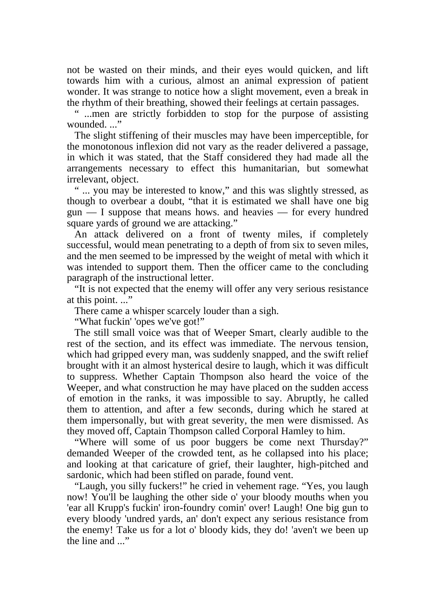not be wasted on their minds, and their eyes would quicken, and lift towards him with a curious, almost an animal expression of patient wonder. It was strange to notice how a slight movement, even a break in the rhythm of their breathing, showed their feelings at certain passages.

 " ...men are strictly forbidden to stop for the purpose of assisting wounded..."

 The slight stiffening of their muscles may have been imperceptible, for the monotonous inflexion did not vary as the reader delivered a passage, in which it was stated, that the Staff considered they had made all the arrangements necessary to effect this humanitarian, but somewhat irrelevant, object.

 " ... you may be interested to know," and this was slightly stressed, as though to overbear a doubt, "that it is estimated we shall have one big gun — I suppose that means hows. and heavies — for every hundred square vards of ground we are attacking."

 An attack delivered on a front of twenty miles, if completely successful, would mean penetrating to a depth of from six to seven miles, and the men seemed to be impressed by the weight of metal with which it was intended to support them. Then the officer came to the concluding paragraph of the instructional letter.

 "It is not expected that the enemy will offer any very serious resistance at this point. ..."

There came a whisper scarcely louder than a sigh.

"What fuckin' 'opes we've got!"

 The still small voice was that of Weeper Smart, clearly audible to the rest of the section, and its effect was immediate. The nervous tension, which had gripped every man, was suddenly snapped, and the swift relief brought with it an almost hysterical desire to laugh, which it was difficult to suppress. Whether Captain Thompson also heard the voice of the Weeper, and what construction he may have placed on the sudden access of emotion in the ranks, it was impossible to say. Abruptly, he called them to attention, and after a few seconds, during which he stared at them impersonally, but with great severity, the men were dismissed. As they moved off, Captain Thompson called Corporal Hamley to him.

 "Where will some of us poor buggers be come next Thursday?" demanded Weeper of the crowded tent, as he collapsed into his place; and looking at that caricature of grief, their laughter, high-pitched and sardonic, which had been stifled on parade, found vent.

 "Laugh, you silly fuckers!" he cried in vehement rage. "Yes, you laugh now! You'll be laughing the other side o' your bloody mouths when you 'ear all Krupp's fuckin' iron-foundry comin' over! Laugh! One big gun to every bloody 'undred yards, an' don't expect any serious resistance from the enemy! Take us for a lot o' bloody kids, they do! 'aven't we been up the line and ..."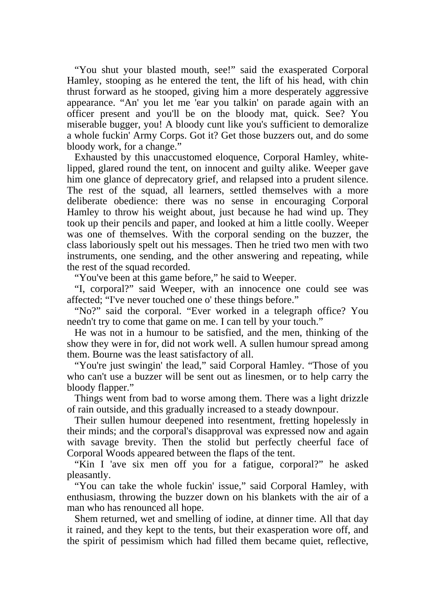"You shut your blasted mouth, see!" said the exasperated Corporal Hamley, stooping as he entered the tent, the lift of his head, with chin thrust forward as he stooped, giving him a more desperately aggressive appearance. "An' you let me 'ear you talkin' on parade again with an officer present and you'll be on the bloody mat, quick. See? You miserable bugger, you! A bloody cunt like you's sufficient to demoralize a whole fuckin' Army Corps. Got it? Get those buzzers out, and do some bloody work, for a change."

 Exhausted by this unaccustomed eloquence, Corporal Hamley, whitelipped, glared round the tent, on innocent and guilty alike. Weeper gave him one glance of deprecatory grief, and relapsed into a prudent silence. The rest of the squad, all learners, settled themselves with a more deliberate obedience: there was no sense in encouraging Corporal Hamley to throw his weight about, just because he had wind up. They took up their pencils and paper, and looked at him a little coolly. Weeper was one of themselves. With the corporal sending on the buzzer, the class laboriously spelt out his messages. Then he tried two men with two instruments, one sending, and the other answering and repeating, while the rest of the squad recorded.

"You've been at this game before," he said to Weeper.

 "I, corporal?" said Weeper, with an innocence one could see was affected; "I've never touched one o' these things before."

 "No?" said the corporal. "Ever worked in a telegraph office? You needn't try to come that game on me. I can tell by your touch."

 He was not in a humour to be satisfied, and the men, thinking of the show they were in for, did not work well. A sullen humour spread among them. Bourne was the least satisfactory of all.

 "You're just swingin' the lead," said Corporal Hamley. "Those of you who can't use a buzzer will be sent out as linesmen, or to help carry the bloody flapper."

 Things went from bad to worse among them. There was a light drizzle of rain outside, and this gradually increased to a steady downpour.

 Their sullen humour deepened into resentment, fretting hopelessly in their minds; and the corporal's disapproval was expressed now and again with savage brevity. Then the stolid but perfectly cheerful face of Corporal Woods appeared between the flaps of the tent.

 "Kin I 'ave six men off you for a fatigue, corporal?" he asked pleasantly.

 "You can take the whole fuckin' issue," said Corporal Hamley, with enthusiasm, throwing the buzzer down on his blankets with the air of a man who has renounced all hope.

 Shem returned, wet and smelling of iodine, at dinner time. All that day it rained, and they kept to the tents, but their exasperation wore off, and the spirit of pessimism which had filled them became quiet, reflective,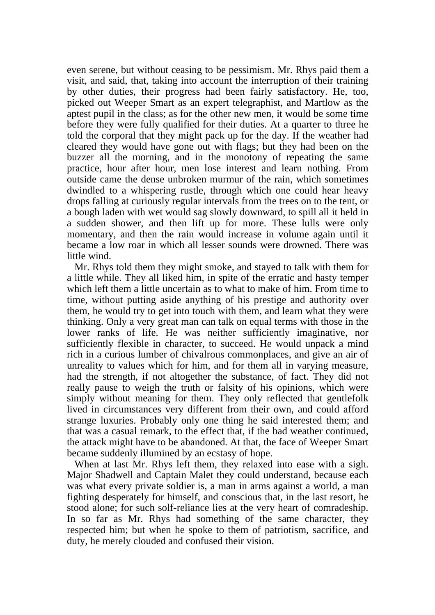even serene, but without ceasing to be pessimism. Mr. Rhys paid them a visit, and said, that, taking into account the interruption of their training by other duties, their progress had been fairly satisfactory. He, too, picked out Weeper Smart as an expert telegraphist, and Martlow as the aptest pupil in the class; as for the other new men, it would be some time before they were fully qualified for their duties. At a quarter to three he told the corporal that they might pack up for the day. If the weather had cleared they would have gone out with flags; but they had been on the buzzer all the morning, and in the monotony of repeating the same practice, hour after hour, men lose interest and learn nothing. From outside came the dense unbroken murmur of the rain, which sometimes dwindled to a whispering rustle, through which one could hear heavy drops falling at curiously regular intervals from the trees on to the tent, or a bough laden with wet would sag slowly downward, to spill all it held in a sudden shower, and then lift up for more. These lulls were only momentary, and then the rain would increase in volume again until it became a low roar in which all lesser sounds were drowned. There was little wind.

 Mr. Rhys told them they might smoke, and stayed to talk with them for a little while. They all liked him, in spite of the erratic and hasty temper which left them a little uncertain as to what to make of him. From time to time, without putting aside anything of his prestige and authority over them, he would try to get into touch with them, and learn what they were thinking. Only a very great man can talk on equal terms with those in the lower ranks of life. He was neither sufficiently imaginative, nor sufficiently flexible in character, to succeed. He would unpack a mind rich in a curious lumber of chivalrous commonplaces, and give an air of unreality to values which for him, and for them all in varying measure, had the strength, if not altogether the substance, of fact. They did not really pause to weigh the truth or falsity of his opinions, which were simply without meaning for them. They only reflected that gentlefolk lived in circumstances very different from their own, and could afford strange luxuries. Probably only one thing he said interested them; and that was a casual remark, to the effect that, if the bad weather continued, the attack might have to be abandoned. At that, the face of Weeper Smart became suddenly illumined by an ecstasy of hope.

 When at last Mr. Rhys left them, they relaxed into ease with a sigh. Major Shadwell and Captain Malet they could understand, because each was what every private soldier is, a man in arms against a world, a man fighting desperately for himself, and conscious that, in the last resort, he stood alone; for such solf-reliance lies at the very heart of comradeship. In so far as Mr. Rhys had something of the same character, they respected him; but when he spoke to them of patriotism, sacrifice, and duty, he merely clouded and confused their vision.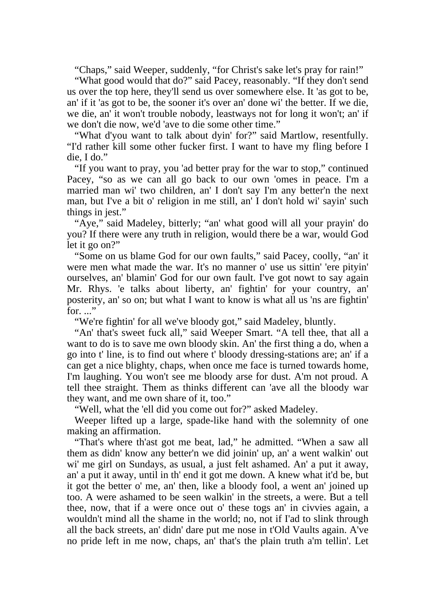"Chaps," said Weeper, suddenly, "for Christ's sake let's pray for rain!"

 "What good would that do?" said Pacey, reasonably. "If they don't send us over the top here, they'll send us over somewhere else. It 'as got to be, an' if it 'as got to be, the sooner it's over an' done wi' the better. If we die, we die, an' it won't trouble nobody, leastways not for long it won't; an' if we don't die now, we'd 'ave to die some other time."

 "What d'you want to talk about dyin' for?" said Martlow, resentfully. "I'd rather kill some other fucker first. I want to have my fling before I die, I do."

 "If you want to pray, you 'ad better pray for the war to stop," continued Pacey, "so as we can all go back to our own 'omes in peace. I'm a married man wi' two children, an' I don't say I'm any better'n the next man, but I've a bit o' religion in me still, an' I don't hold wi' sayin' such things in jest."

 "Aye," said Madeley, bitterly; "an' what good will all your prayin' do you? If there were any truth in religion, would there be a war, would God let it go on?"

 "Some on us blame God for our own faults," said Pacey, coolly, "an' it were men what made the war. It's no manner o' use us sittin' 'ere pityin' ourselves, an' blamin' God for our own fault. I've got nowt to say again Mr. Rhys. 'e talks about liberty, an' fightin' for your country, an' posterity, an' so on; but what I want to know is what all us 'ns are fightin' for.  $\mathbb{R}^n$ 

"We're fightin' for all we've bloody got," said Madeley, bluntly.

 "An' that's sweet fuck all," said Weeper Smart. "A tell thee, that all a want to do is to save me own bloody skin. An' the first thing a do, when a go into t' line, is to find out where t' bloody dressing-stations are; an' if a can get a nice blighty, chaps, when once me face is turned towards home, I'm laughing. You won't see me bloody arse for dust. A'm not proud. A tell thee straight. Them as thinks different can 'ave all the bloody war they want, and me own share of it, too."

"Well, what the 'ell did you come out for?" asked Madeley.

 Weeper lifted up a large, spade-like hand with the solemnity of one making an affirmation.

 "That's where th'ast got me beat, lad," he admitted. "When a saw all them as didn' know any better'n we did joinin' up, an' a went walkin' out wi' me girl on Sundays, as usual, a just felt ashamed. An' a put it away, an' a put it away, until in th' end it got me down. A knew what it'd be, but it got the better o' me, an' then, like a bloody fool, a went an' joined up too. A were ashamed to be seen walkin' in the streets, a were. But a tell thee, now, that if a were once out o' these togs an' in civvies again, a wouldn't mind all the shame in the world; no, not if I'ad to slink through all the back streets, an' didn' dare put me nose in t'Old Vaults again. A've no pride left in me now, chaps, an' that's the plain truth a'm tellin'. Let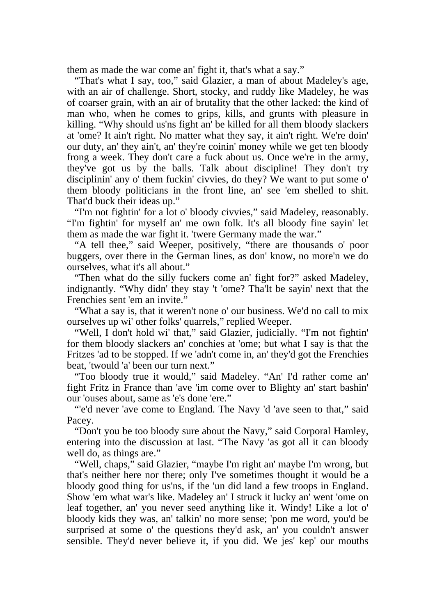them as made the war come an' fight it, that's what a say."

 "That's what I say, too," said Glazier, a man of about Madeley's age, with an air of challenge. Short, stocky, and ruddy like Madeley, he was of coarser grain, with an air of brutality that the other lacked: the kind of man who, when he comes to grips, kills, and grunts with pleasure in killing. "Why should us'ns fight an' be killed for all them bloody slackers at 'ome? It ain't right. No matter what they say, it ain't right. We're doin' our duty, an' they ain't, an' they're coinin' money while we get ten bloody frong a week. They don't care a fuck about us. Once we're in the army, they've got us by the balls. Talk about discipline! They don't try disciplinin' any o' them fuckin' civvies, do they? We want to put some o' them bloody politicians in the front line, an' see 'em shelled to shit. That'd buck their ideas up."

 "I'm not fightin' for a lot o' bloody civvies," said Madeley, reasonably. "I'm fightin' for myself an' me own folk. It's all bloody fine sayin' let them as made the war fight it. 'twere Germany made the war."

 "A tell thee," said Weeper, positively, "there are thousands o' poor buggers, over there in the German lines, as don' know, no more'n we do ourselves, what it's all about."

 "Then what do the silly fuckers come an' fight for?" asked Madeley, indignantly. "Why didn' they stay 't 'ome? Tha'lt be sayin' next that the Frenchies sent 'em an invite."

 "What a say is, that it weren't none o' our business. We'd no call to mix ourselves up wi' other folks' quarrels," replied Weeper.

 "Well, I don't hold wi' that," said Glazier, judicially. "I'm not fightin' for them bloody slackers an' conchies at 'ome; but what I say is that the Fritzes 'ad to be stopped. If we 'adn't come in, an' they'd got the Frenchies beat, 'twould 'a' been our turn next."

 "Too bloody true it would," said Madeley. "An' I'd rather come an' fight Fritz in France than 'ave 'im come over to Blighty an' start bashin' our 'ouses about, same as 'e's done 'ere."

 "'e'd never 'ave come to England. The Navy 'd 'ave seen to that," said Pacey.

 "Don't you be too bloody sure about the Navy," said Corporal Hamley, entering into the discussion at last. "The Navy 'as got all it can bloody well do, as things are."

 "Well, chaps," said Glazier, "maybe I'm right an' maybe I'm wrong, but that's neither here nor there; only I've sometimes thought it would be a bloody good thing for us'ns, if the 'un did land a few troops in England. Show 'em what war's like. Madeley an' I struck it lucky an' went 'ome on leaf together, an' you never seed anything like it. Windy! Like a lot o' bloody kids they was, an' talkin' no more sense; 'pon me word, you'd be surprised at some o' the questions they'd ask, an' you couldn't answer sensible. They'd never believe it, if you did. We jes' kep' our mouths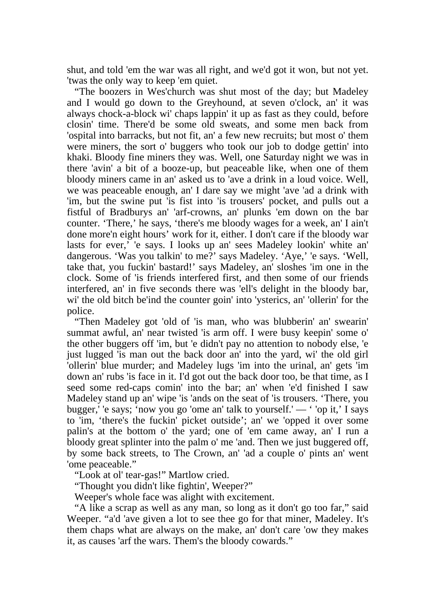shut, and told 'em the war was all right, and we'd got it won, but not yet. 'twas the only way to keep 'em quiet.

 "The boozers in Wes'church was shut most of the day; but Madeley and I would go down to the Greyhound, at seven o'clock, an' it was always chock-a-block wi' chaps lappin' it up as fast as they could, before closin' time. There'd be some old sweats, and some men back from 'ospital into barracks, but not fit, an' a few new recruits; but most o' them were miners, the sort o' buggers who took our job to dodge gettin' into khaki. Bloody fine miners they was. Well, one Saturday night we was in there 'avin' a bit of a booze-up, but peaceable like, when one of them bloody miners came in an' asked us to 'ave a drink in a loud voice. Well, we was peaceable enough, an' I dare say we might 'ave 'ad a drink with 'im, but the swine put 'is fist into 'is trousers' pocket, and pulls out a fistful of Bradburys an' 'arf-crowns, an' plunks 'em down on the bar counter. 'There,' he says, 'there's me bloody wages for a week, an' I ain't done more'n eight hours' work for it, either. I don't care if the bloody war lasts for ever,' 'e says. I looks up an' sees Madeley lookin' white an' dangerous. 'Was you talkin' to me?' says Madeley. 'Aye,' 'e says. 'Well, take that, you fuckin' bastard!' says Madeley, an' sloshes 'im one in the clock. Some of 'is friends interfered first, and then some of our friends interfered, an' in five seconds there was 'ell's delight in the bloody bar, wi' the old bitch be'ind the counter goin' into 'ysterics, an' 'ollerin' for the police.

 "Then Madeley got 'old of 'is man, who was blubberin' an' swearin' summat awful, an' near twisted 'is arm off. I were busy keepin' some o' the other buggers off 'im, but 'e didn't pay no attention to nobody else, 'e just lugged 'is man out the back door an' into the yard, wi' the old girl 'ollerin' blue murder; and Madeley lugs 'im into the urinal, an' gets 'im down an' rubs 'is face in it. I'd got out the back door too, be that time, as I seed some red-caps comin' into the bar; an' when 'e'd finished I saw Madeley stand up an' wipe 'is 'ands on the seat of 'is trousers. 'There, you bugger,' 'e says; 'now you go 'ome an' talk to yourself.' — ' 'op it,' I says to 'im, 'there's the fuckin' picket outside'; an' we 'opped it over some palin's at the bottom o' the yard; one of 'em came away, an' I run a bloody great splinter into the palm o' me 'and. Then we just buggered off, by some back streets, to The Crown, an' 'ad a couple o' pints an' went 'ome peaceable."

"Look at ol' tear-gas!" Martlow cried.

"Thought you didn't like fightin', Weeper?"

Weeper's whole face was alight with excitement.

 "A like a scrap as well as any man, so long as it don't go too far," said Weeper. "a'd 'ave given a lot to see thee go for that miner, Madeley. It's them chaps what are always on the make, an' don't care 'ow they makes it, as causes 'arf the wars. Them's the bloody cowards."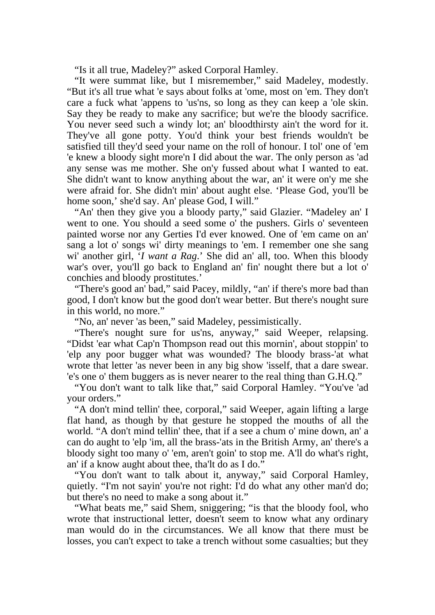"Is it all true, Madeley?" asked Corporal Hamley.

 "It were summat like, but I misremember," said Madeley, modestly. "But it's all true what 'e says about folks at 'ome, most on 'em. They don't care a fuck what 'appens to 'us'ns, so long as they can keep a 'ole skin. Say they be ready to make any sacrifice; but we're the bloody sacrifice. You never seed such a windy lot; an' bloodthirsty ain't the word for it. They've all gone potty. You'd think your best friends wouldn't be satisfied till they'd seed your name on the roll of honour. I tol' one of 'em 'e knew a bloody sight more'n I did about the war. The only person as 'ad any sense was me mother. She on'y fussed about what I wanted to eat. She didn't want to know anything about the war, an' it were on'y me she were afraid for. She didn't min' about aught else. 'Please God, you'll be home soon,' she'd say. An' please God, I will."

 "An' then they give you a bloody party," said Glazier. "Madeley an' I went to one. You should a seed some o' the pushers. Girls o' seventeen painted worse nor any Gerties I'd ever knowed. One of 'em came on an' sang a lot o' songs wi' dirty meanings to 'em. I remember one she sang wi' another girl, '*I want a Rag*.' She did an' all, too. When this bloody war's over, you'll go back to England an' fin' nought there but a lot o' conchies and bloody prostitutes.'

 "There's good an' bad," said Pacey, mildly, "an' if there's more bad than good, I don't know but the good don't wear better. But there's nought sure in this world, no more."

"No, an' never 'as been," said Madeley, pessimistically.

 "There's nought sure for us'ns, anyway," said Weeper, relapsing. "Didst 'ear what Cap'n Thompson read out this mornin', about stoppin' to 'elp any poor bugger what was wounded? The bloody brass-'at what wrote that letter 'as never been in any big show 'isself, that a dare swear. 'e's one o' them buggers as is never nearer to the real thing than G.H.Q."

 "You don't want to talk like that," said Corporal Hamley. "You've 'ad your orders."

 "A don't mind tellin' thee, corporal," said Weeper, again lifting a large flat hand, as though by that gesture he stopped the mouths of all the world. "A don't mind tellin' thee, that if a see a chum o' mine down, an' a can do aught to 'elp 'im, all the brass-'ats in the British Army, an' there's a bloody sight too many o' 'em, aren't goin' to stop me. A'll do what's right, an' if a know aught about thee, tha'lt do as I do."

 "You don't want to talk about it, anyway," said Corporal Hamley, quietly. "I'm not sayin' you're not right: I'd do what any other man'd do; but there's no need to make a song about it."

 "What beats me," said Shem, sniggering; "is that the bloody fool, who wrote that instructional letter, doesn't seem to know what any ordinary man would do in the circumstances. We all know that there must be losses, you can't expect to take a trench without some casualties; but they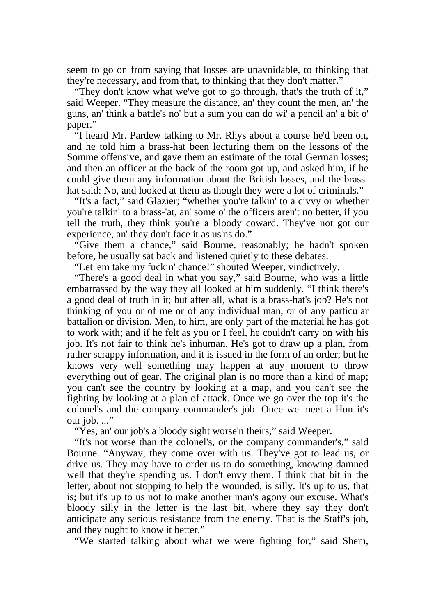seem to go on from saying that losses are unavoidable, to thinking that they're necessary, and from that, to thinking that they don't matter."

 "They don't know what we've got to go through, that's the truth of it," said Weeper. "They measure the distance, an' they count the men, an' the guns, an' think a battle's no' but a sum you can do wi' a pencil an' a bit o' paper."

 "I heard Mr. Pardew talking to Mr. Rhys about a course he'd been on, and he told him a brass-hat been lecturing them on the lessons of the Somme offensive, and gave them an estimate of the total German losses; and then an officer at the back of the room got up, and asked him, if he could give them any information about the British losses, and the brasshat said: No, and looked at them as though they were a lot of criminals."

 "It's a fact," said Glazier; "whether you're talkin' to a civvy or whether you're talkin' to a brass-'at, an' some o' the officers aren't no better, if you tell the truth, they think you're a bloody coward. They've not got our experience, an' they don't face it as us'ns do."

 "Give them a chance," said Bourne, reasonably; he hadn't spoken before, he usually sat back and listened quietly to these debates.

"Let 'em take my fuckin' chance!" shouted Weeper, vindictively.

 "There's a good deal in what you say," said Bourne, who was a little embarrassed by the way they all looked at him suddenly. "I think there's a good deal of truth in it; but after all, what is a brass-hat's job? He's not thinking of you or of me or of any individual man, or of any particular battalion or division. Men, to him, are only part of the material he has got to work with; and if he felt as you or I feel, he couldn't carry on with his job. It's not fair to think he's inhuman. He's got to draw up a plan, from rather scrappy information, and it is issued in the form of an order; but he knows very well something may happen at any moment to throw everything out of gear. The original plan is no more than a kind of map; you can't see the country by looking at a map, and you can't see the fighting by looking at a plan of attack. Once we go over the top it's the colonel's and the company commander's job. Once we meet a Hun it's our job. ..."

"Yes, an' our job's a bloody sight worse'n theirs," said Weeper.

 "It's not worse than the colonel's, or the company commander's," said Bourne. "Anyway, they come over with us. They've got to lead us, or drive us. They may have to order us to do something, knowing damned well that they're spending us. I don't envy them. I think that bit in the letter, about not stopping to help the wounded, is silly. It's up to us, that is; but it's up to us not to make another man's agony our excuse. What's bloody silly in the letter is the last bit, where they say they don't anticipate any serious resistance from the enemy. That is the Staff's job, and they ought to know it better."

"We started talking about what we were fighting for," said Shem,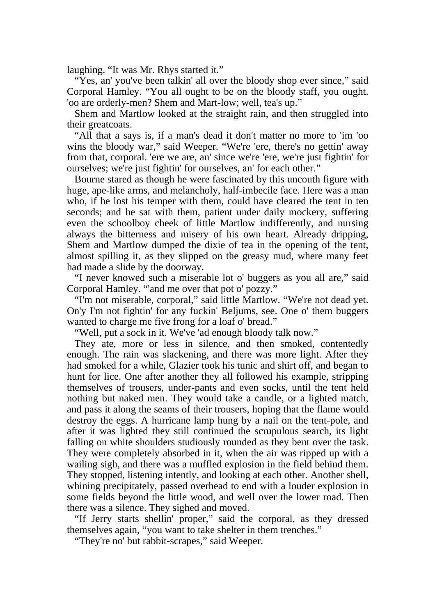laughing. "It was Mr. Rhys started it."

"Yes, an' you've been talkin' all over the bloody shop ever since," said Corporal Hamley. "You all ought to be on the bloody staff, you ought. 'oo are orderly-men? Shem and Mart-low; well, tea's up."

 Shem and Martlow looked at the straight rain, and then struggled into their greatcoats.

 "All that a says is, if a man's dead it don't matter no more to 'im 'oo wins the bloody war," said Weeper. "We're 'ere, there's no gettin' away from that, corporal. 'ere we are, an' since we're 'ere, we're just fightin' for ourselves; we're just fightin' for ourselves, an' for each other."

 Bourne stared as though he were fascinated by this uncouth figure with huge, ape-like arms, and melancholy, half-imbecile face. Here was a man who, if he lost his temper with them, could have cleared the tent in ten seconds; and he sat with them, patient under daily mockery, suffering even the schoolboy cheek of little Martlow indifferently, and nursing always the bitterness and misery of his own heart. Already dripping, Shem and Martlow dumped the dixie of tea in the opening of the tent, almost spilling it, as they slipped on the greasy mud, where many feet had made a slide by the doorway.

 "I never knowed such a miserable lot o' buggers as you all are," said Corporal Hamley. "'and me over that pot o' pozzy."

 "I'm not miserable, corporal," said little Martlow. "We're not dead yet. On'y I'm not fightin' for any fuckin' Beljums, see. One o' them buggers wanted to charge me five frong for a loaf o' bread."

"Well, put a sock in it. We've 'ad enough bloody talk now."

 They ate, more or less in silence, and then smoked, contentedly enough. The rain was slackening, and there was more light. After they had smoked for a while, Glazier took his tunic and shirt off, and began to hunt for lice. One after another they all followed his example, stripping themselves of trousers, under-pants and even socks, until the tent held nothing but naked men. They would take a candle, or a lighted match, and pass it along the seams of their trousers, hoping that the flame would destroy the eggs. A hurricane lamp hung by a nail on the tent-pole, and after it was lighted they still continued the scrupulous search, its light falling on white shoulders studiously rounded as they bent over the task. They were completely absorbed in it, when the air was ripped up with a wailing sigh, and there was a muffled explosion in the field behind them. They stopped, listening intently, and looking at each other. Another shell, whining precipitately, passed overhead to end with a louder explosion in some fields beyond the little wood, and well over the lower road. Then there was a silence. They sighed and moved.

 "If Jerry starts shellin' proper," said the corporal, as they dressed themselves again, "you want to take shelter in them trenches."

"They're no' but rabbit-scrapes," said Weeper.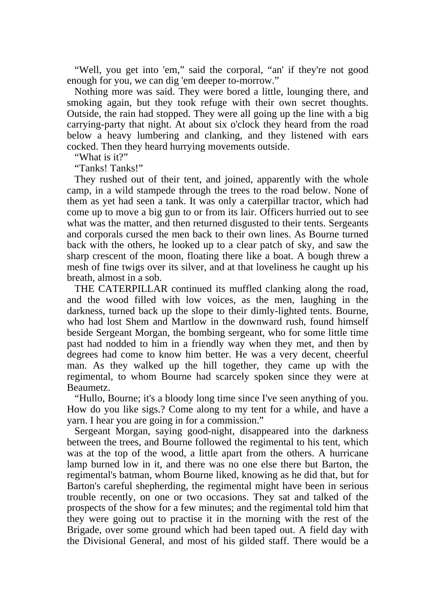"Well, you get into 'em," said the corporal, "an' if they're not good enough for you, we can dig 'em deeper to-morrow."

 Nothing more was said. They were bored a little, lounging there, and smoking again, but they took refuge with their own secret thoughts. Outside, the rain had stopped. They were all going up the line with a big carrying-party that night. At about six o'clock they heard from the road below a heavy lumbering and clanking, and they listened with ears cocked. Then they heard hurrying movements outside.

"What is it?"

"Tanks! Tanks!"

 They rushed out of their tent, and joined, apparently with the whole camp, in a wild stampede through the trees to the road below. None of them as yet had seen a tank. It was only a caterpillar tractor, which had come up to move a big gun to or from its lair. Officers hurried out to see what was the matter, and then returned disgusted to their tents. Sergeants and corporals cursed the men back to their own lines. As Bourne turned back with the others, he looked up to a clear patch of sky, and saw the sharp crescent of the moon, floating there like a boat. A bough threw a mesh of fine twigs over its silver, and at that loveliness he caught up his breath, almost in a sob.

 THE CATERPILLAR continued its muffled clanking along the road, and the wood filled with low voices, as the men, laughing in the darkness, turned back up the slope to their dimly-lighted tents. Bourne, who had lost Shem and Martlow in the downward rush, found himself beside Sergeant Morgan, the bombing sergeant, who for some little time past had nodded to him in a friendly way when they met, and then by degrees had come to know him better. He was a very decent, cheerful man. As they walked up the hill together, they came up with the regimental, to whom Bourne had scarcely spoken since they were at Beaumetz.

 "Hullo, Bourne; it's a bloody long time since I've seen anything of you. How do you like sigs.? Come along to my tent for a while, and have a yarn. I hear you are going in for a commission."

 Sergeant Morgan, saying good-night, disappeared into the darkness between the trees, and Bourne followed the regimental to his tent, which was at the top of the wood, a little apart from the others. A hurricane lamp burned low in it, and there was no one else there but Barton, the regimental's batman, whom Bourne liked, knowing as he did that, but for Barton's careful shepherding, the regimental might have been in serious trouble recently, on one or two occasions. They sat and talked of the prospects of the show for a few minutes; and the regimental told him that they were going out to practise it in the morning with the rest of the Brigade, over some ground which had been taped out. A field day with the Divisional General, and most of his gilded staff. There would be a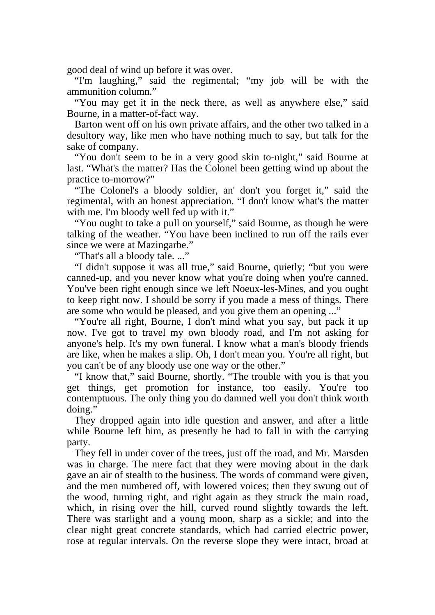good deal of wind up before it was over.

 "I'm laughing," said the regimental; "my job will be with the ammunition column."

 "You may get it in the neck there, as well as anywhere else," said Bourne, in a matter-of-fact way.

 Barton went off on his own private affairs, and the other two talked in a desultory way, like men who have nothing much to say, but talk for the sake of company.

 "You don't seem to be in a very good skin to-night," said Bourne at last. "What's the matter? Has the Colonel been getting wind up about the practice to-morrow?"

 "The Colonel's a bloody soldier, an' don't you forget it," said the regimental, with an honest appreciation. "I don't know what's the matter with me. I'm bloody well fed up with it."

 "You ought to take a pull on yourself," said Bourne, as though he were talking of the weather. "You have been inclined to run off the rails ever since we were at Mazingarbe."

"That's all a bloody tale. ..."

 "I didn't suppose it was all true," said Bourne, quietly; "but you were canned-up, and you never know what you're doing when you're canned. You've been right enough since we left Noeux-les-Mines, and you ought to keep right now. I should be sorry if you made a mess of things. There are some who would be pleased, and you give them an opening ..."

 "You're all right, Bourne, I don't mind what you say, but pack it up now. I've got to travel my own bloody road, and I'm not asking for anyone's help. It's my own funeral. I know what a man's bloody friends are like, when he makes a slip. Oh, I don't mean you. You're all right, but you can't be of any bloody use one way or the other."

 "I know that," said Bourne, shortly. "The trouble with you is that you get things, get promotion for instance, too easily. You're too contemptuous. The only thing you do damned well you don't think worth doing."

 They dropped again into idle question and answer, and after a little while Bourne left him, as presently he had to fall in with the carrying party.

 They fell in under cover of the trees, just off the road, and Mr. Marsden was in charge. The mere fact that they were moving about in the dark gave an air of stealth to the business. The words of command were given, and the men numbered off, with lowered voices; then they swung out of the wood, turning right, and right again as they struck the main road, which, in rising over the hill, curved round slightly towards the left. There was starlight and a young moon, sharp as a sickle; and into the clear night great concrete standards, which had carried electric power, rose at regular intervals. On the reverse slope they were intact, broad at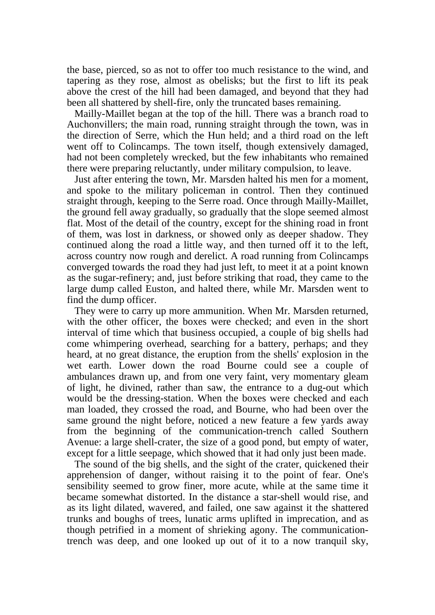the base, pierced, so as not to offer too much resistance to the wind, and tapering as they rose, almost as obelisks; but the first to lift its peak above the crest of the hill had been damaged, and beyond that they had been all shattered by shell-fire, only the truncated bases remaining.

 Mailly-Maillet began at the top of the hill. There was a branch road to Auchonvillers; the main road, running straight through the town, was in the direction of Serre, which the Hun held; and a third road on the left went off to Colincamps. The town itself, though extensively damaged, had not been completely wrecked, but the few inhabitants who remained there were preparing reluctantly, under military compulsion, to leave.

 Just after entering the town, Mr. Marsden halted his men for a moment, and spoke to the military policeman in control. Then they continued straight through, keeping to the Serre road. Once through Mailly-Maillet, the ground fell away gradually, so gradually that the slope seemed almost flat. Most of the detail of the country, except for the shining road in front of them, was lost in darkness, or showed only as deeper shadow. They continued along the road a little way, and then turned off it to the left, across country now rough and derelict. A road running from Colincamps converged towards the road they had just left, to meet it at a point known as the sugar-refinery; and, just before striking that road, they came to the large dump called Euston, and halted there, while Mr. Marsden went to find the dump officer.

 They were to carry up more ammunition. When Mr. Marsden returned, with the other officer, the boxes were checked; and even in the short interval of time which that business occupied, a couple of big shells had come whimpering overhead, searching for a battery, perhaps; and they heard, at no great distance, the eruption from the shells' explosion in the wet earth. Lower down the road Bourne could see a couple of ambulances drawn up, and from one very faint, very momentary gleam of light, he divined, rather than saw, the entrance to a dug-out which would be the dressing-station. When the boxes were checked and each man loaded, they crossed the road, and Bourne, who had been over the same ground the night before, noticed a new feature a few yards away from the beginning of the communication-trench called Southern Avenue: a large shell-crater, the size of a good pond, but empty of water, except for a little seepage, which showed that it had only just been made.

 The sound of the big shells, and the sight of the crater, quickened their apprehension of danger, without raising it to the point of fear. One's sensibility seemed to grow finer, more acute, while at the same time it became somewhat distorted. In the distance a star-shell would rise, and as its light dilated, wavered, and failed, one saw against it the shattered trunks and boughs of trees, lunatic arms uplifted in imprecation, and as though petrified in a moment of shrieking agony. The communicationtrench was deep, and one looked up out of it to a now tranquil sky,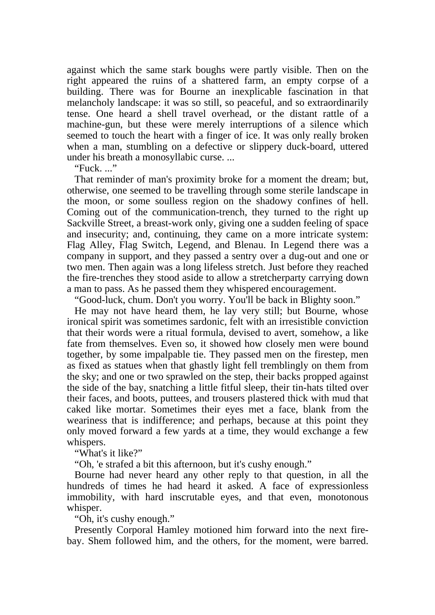against which the same stark boughs were partly visible. Then on the right appeared the ruins of a shattered farm, an empty corpse of a building. There was for Bourne an inexplicable fascination in that melancholy landscape: it was so still, so peaceful, and so extraordinarily tense. One heard a shell travel overhead, or the distant rattle of a machine-gun, but these were merely interruptions of a silence which seemed to touch the heart with a finger of ice. It was only really broken when a man, stumbling on a defective or slippery duck-board, uttered under his breath a monosyllabic curse. ...

"Fuck. ..."

 That reminder of man's proximity broke for a moment the dream; but, otherwise, one seemed to be travelling through some sterile landscape in the moon, or some soulless region on the shadowy confines of hell. Coming out of the communication-trench, they turned to the right up Sackville Street, a breast-work only, giving one a sudden feeling of space and insecurity; and, continuing, they came on a more intricate system: Flag Alley, Flag Switch, Legend, and Blenau. In Legend there was a company in support, and they passed a sentry over a dug-out and one or two men. Then again was a long lifeless stretch. Just before they reached the fire-trenches they stood aside to allow a stretcherparty carrying down a man to pass. As he passed them they whispered encouragement.

"Good-luck, chum. Don't you worry. You'll be back in Blighty soon."

 He may not have heard them, he lay very still; but Bourne, whose ironical spirit was sometimes sardonic, felt with an irresistible conviction that their words were a ritual formula, devised to avert, somehow, a like fate from themselves. Even so, it showed how closely men were bound together, by some impalpable tie. They passed men on the firestep, men as fixed as statues when that ghastly light fell tremblingly on them from the sky; and one or two sprawled on the step, their backs propped against the side of the bay, snatching a little fitful sleep, their tin-hats tilted over their faces, and boots, puttees, and trousers plastered thick with mud that caked like mortar. Sometimes their eyes met a face, blank from the weariness that is indifference; and perhaps, because at this point they only moved forward a few yards at a time, they would exchange a few whispers.

"What's it like?"

"Oh, 'e strafed a bit this afternoon, but it's cushy enough."

 Bourne had never heard any other reply to that question, in all the hundreds of times he had heard it asked. A face of expressionless immobility, with hard inscrutable eyes, and that even, monotonous whisper.

"Oh, it's cushy enough."

 Presently Corporal Hamley motioned him forward into the next firebay. Shem followed him, and the others, for the moment, were barred.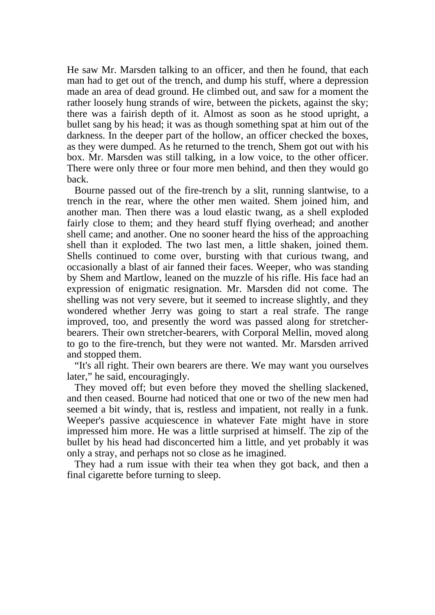He saw Mr. Marsden talking to an officer, and then he found, that each man had to get out of the trench, and dump his stuff, where a depression made an area of dead ground. He climbed out, and saw for a moment the rather loosely hung strands of wire, between the pickets, against the sky; there was a fairish depth of it. Almost as soon as he stood upright, a bullet sang by his head; it was as though something spat at him out of the darkness. In the deeper part of the hollow, an officer checked the boxes, as they were dumped. As he returned to the trench, Shem got out with his box. Mr. Marsden was still talking, in a low voice, to the other officer. There were only three or four more men behind, and then they would go back.

 Bourne passed out of the fire-trench by a slit, running slantwise, to a trench in the rear, where the other men waited. Shem joined him, and another man. Then there was a loud elastic twang, as a shell exploded fairly close to them; and they heard stuff flying overhead; and another shell came; and another. One no sooner heard the hiss of the approaching shell than it exploded. The two last men, a little shaken, joined them. Shells continued to come over, bursting with that curious twang, and occasionally a blast of air fanned their faces. Weeper, who was standing by Shem and Martlow, leaned on the muzzle of his rifle. His face had an expression of enigmatic resignation. Mr. Marsden did not come. The shelling was not very severe, but it seemed to increase slightly, and they wondered whether Jerry was going to start a real strafe. The range improved, too, and presently the word was passed along for stretcherbearers. Their own stretcher-bearers, with Corporal Mellin, moved along to go to the fire-trench, but they were not wanted. Mr. Marsden arrived and stopped them.

 "It's all right. Their own bearers are there. We may want you ourselves later," he said, encouragingly.

 They moved off; but even before they moved the shelling slackened, and then ceased. Bourne had noticed that one or two of the new men had seemed a bit windy, that is, restless and impatient, not really in a funk. Weeper's passive acquiescence in whatever Fate might have in store impressed him more. He was a little surprised at himself. The zip of the bullet by his head had disconcerted him a little, and yet probably it was only a stray, and perhaps not so close as he imagined.

 They had a rum issue with their tea when they got back, and then a final cigarette before turning to sleep.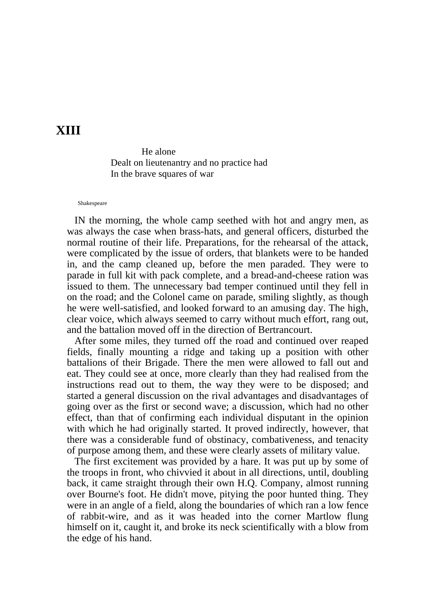## **XIII**

 He alone Dealt on lieutenantry and no practice had In the brave squares of war

## Shakespeare

 IN the morning, the whole camp seethed with hot and angry men, as was always the case when brass-hats, and general officers, disturbed the normal routine of their life. Preparations, for the rehearsal of the attack, were complicated by the issue of orders, that blankets were to be handed in, and the camp cleaned up, before the men paraded. They were to parade in full kit with pack complete, and a bread-and-cheese ration was issued to them. The unnecessary bad temper continued until they fell in on the road; and the Colonel came on parade, smiling slightly, as though he were well-satisfied, and looked forward to an amusing day. The high, clear voice, which always seemed to carry without much effort, rang out, and the battalion moved off in the direction of Bertrancourt.

 After some miles, they turned off the road and continued over reaped fields, finally mounting a ridge and taking up a position with other battalions of their Brigade. There the men were allowed to fall out and eat. They could see at once, more clearly than they had realised from the instructions read out to them, the way they were to be disposed; and started a general discussion on the rival advantages and disadvantages of going over as the first or second wave; a discussion, which had no other effect, than that of confirming each individual disputant in the opinion with which he had originally started. It proved indirectly, however, that there was a considerable fund of obstinacy, combativeness, and tenacity of purpose among them, and these were clearly assets of military value.

 The first excitement was provided by a hare. It was put up by some of the troops in front, who chivvied it about in all directions, until, doubling back, it came straight through their own H.Q. Company, almost running over Bourne's foot. He didn't move, pitying the poor hunted thing. They were in an angle of a field, along the boundaries of which ran a low fence of rabbit-wire, and as it was headed into the corner Martlow flung himself on it, caught it, and broke its neck scientifically with a blow from the edge of his hand.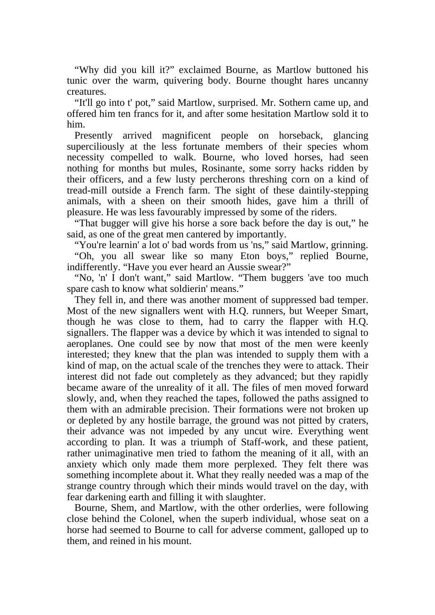"Why did you kill it?" exclaimed Bourne, as Martlow buttoned his tunic over the warm, quivering body. Bourne thought hares uncanny creatures.

 "It'll go into t' pot," said Martlow, surprised. Mr. Sothern came up, and offered him ten francs for it, and after some hesitation Martlow sold it to him.

 Presently arrived magnificent people on horseback, glancing superciliously at the less fortunate members of their species whom necessity compelled to walk. Bourne, who loved horses, had seen nothing for months but mules, Rosinante, some sorry hacks ridden by their officers, and a few lusty percherons threshing corn on a kind of tread-mill outside a French farm. The sight of these daintily-stepping animals, with a sheen on their smooth hides, gave him a thrill of pleasure. He was less favourably impressed by some of the riders.

 "That bugger will give his horse a sore back before the day is out," he said, as one of the great men cantered by importantly.

 "You're learnin' a lot o' bad words from us 'ns," said Martlow, grinning. "Oh, you all swear like so many Eton boys," replied Bourne, indifferently. "Have you ever heard an Aussie swear?"

 "No, 'n' I don't want," said Martlow. "Them buggers 'ave too much spare cash to know what soldierin' means."

 They fell in, and there was another moment of suppressed bad temper. Most of the new signallers went with H.Q. runners, but Weeper Smart, though he was close to them, had to carry the flapper with H.Q. signallers. The flapper was a device by which it was intended to signal to aeroplanes. One could see by now that most of the men were keenly interested; they knew that the plan was intended to supply them with a kind of map, on the actual scale of the trenches they were to attack. Their interest did not fade out completely as they advanced; but they rapidly became aware of the unreality of it all. The files of men moved forward slowly, and, when they reached the tapes, followed the paths assigned to them with an admirable precision. Their formations were not broken up or depleted by any hostile barrage, the ground was not pitted by craters, their advance was not impeded by any uncut wire. Everything went according to plan. It was a triumph of Staff-work, and these patient, rather unimaginative men tried to fathom the meaning of it all, with an anxiety which only made them more perplexed. They felt there was something incomplete about it. What they really needed was a map of the strange country through which their minds would travel on the day, with fear darkening earth and filling it with slaughter.

 Bourne, Shem, and Martlow, with the other orderlies, were following close behind the Colonel, when the superb individual, whose seat on a horse had seemed to Bourne to call for adverse comment, galloped up to them, and reined in his mount.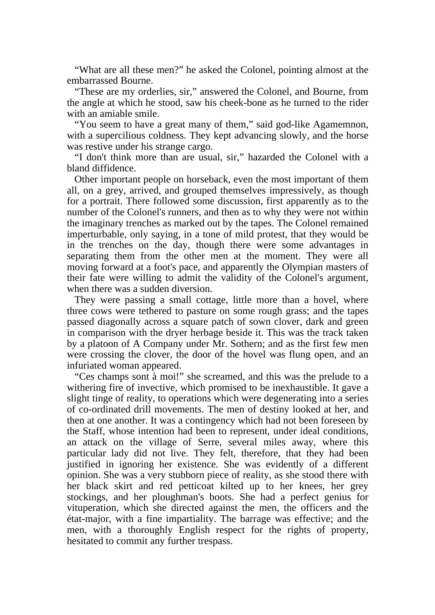"What are all these men?" he asked the Colonel, pointing almost at the embarrassed Bourne.

 "These are my orderlies, sir," answered the Colonel, and Bourne, from the angle at which he stood, saw his cheek-bone as he turned to the rider with an amiable smile.

 "You seem to have a great many of them," said god-like Agamemnon, with a supercilious coldness. They kept advancing slowly, and the horse was restive under his strange cargo.

 "I don't think more than are usual, sir," hazarded the Colonel with a bland diffidence.

 Other important people on horseback, even the most important of them all, on a grey, arrived, and grouped themselves impressively, as though for a portrait. There followed some discussion, first apparently as to the number of the Colonel's runners, and then as to why they were not within the imaginary trenches as marked out by the tapes. The Colonel remained imperturbable, only saying, in a tone of mild protest, that they would be in the trenches on the day, though there were some advantages in separating them from the other men at the moment. They were all moving forward at a foot's pace, and apparently the Olympian masters of their fate were willing to admit the validity of the Colonel's argument, when there was a sudden diversion.

 They were passing a small cottage, little more than a hovel, where three cows were tethered to pasture on some rough grass; and the tapes passed diagonally across a square patch of sown clover, dark and green in comparison with the dryer herbage beside it. This was the track taken by a platoon of A Company under Mr. Sothern; and as the first few men were crossing the clover, the door of the hovel was flung open, and an infuriated woman appeared.

 "Ces champs sont à moi!" she screamed, and this was the prelude to a withering fire of invective, which promised to be inexhaustible. It gave a slight tinge of reality, to operations which were degenerating into a series of co-ordinated drill movements. The men of destiny looked at her, and then at one another. It was a contingency which had not been foreseen by the Staff, whose intention had been to represent, under ideal conditions, an attack on the village of Serre, several miles away, where this particular lady did not live. They felt, therefore, that they had been justified in ignoring her existence. She was evidently of a different opinion. She was a very stubborn piece of reality, as she stood there with her black skirt and red petticoat kilted up to her knees, her grey stockings, and her ploughman's boots. She had a perfect genius for vituperation, which she directed against the men, the officers and the état-major, with a fine impartiality. The barrage was effective; and the men, with a thoroughly English respect for the rights of property, hesitated to commit any further trespass.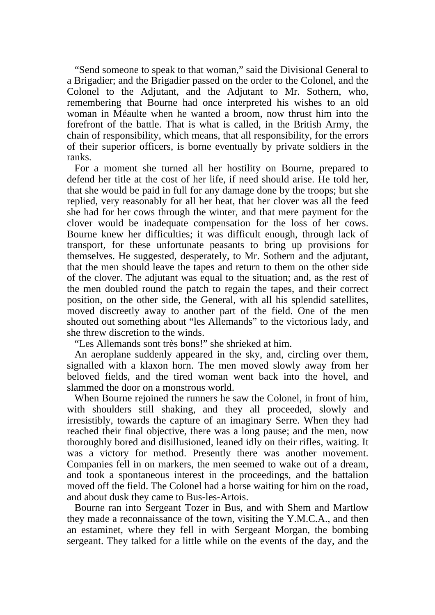"Send someone to speak to that woman," said the Divisional General to a Brigadier; and the Brigadier passed on the order to the Colonel, and the Colonel to the Adjutant, and the Adjutant to Mr. Sothern, who, remembering that Bourne had once interpreted his wishes to an old woman in Méaulte when he wanted a broom, now thrust him into the forefront of the battle. That is what is called, in the British Army, the chain of responsibility, which means, that all responsibility, for the errors of their superior officers, is borne eventually by private soldiers in the ranks.

 For a moment she turned all her hostility on Bourne, prepared to defend her title at the cost of her life, if need should arise. He told her, that she would be paid in full for any damage done by the troops; but she replied, very reasonably for all her heat, that her clover was all the feed she had for her cows through the winter, and that mere payment for the clover would be inadequate compensation for the loss of her cows. Bourne knew her difficulties; it was difficult enough, through lack of transport, for these unfortunate peasants to bring up provisions for themselves. He suggested, desperately, to Mr. Sothern and the adjutant, that the men should leave the tapes and return to them on the other side of the clover. The adjutant was equal to the situation; and, as the rest of the men doubled round the patch to regain the tapes, and their correct position, on the other side, the General, with all his splendid satellites, moved discreetly away to another part of the field. One of the men shouted out something about "les Allemands" to the victorious lady, and she threw discretion to the winds.

"Les Allemands sont très bons!" she shrieked at him.

 An aeroplane suddenly appeared in the sky, and, circling over them, signalled with a klaxon horn. The men moved slowly away from her beloved fields, and the tired woman went back into the hovel, and slammed the door on a monstrous world.

 When Bourne rejoined the runners he saw the Colonel, in front of him, with shoulders still shaking, and they all proceeded, slowly and irresistibly, towards the capture of an imaginary Serre. When they had reached their final objective, there was a long pause; and the men, now thoroughly bored and disillusioned, leaned idly on their rifles, waiting. It was a victory for method. Presently there was another movement. Companies fell in on markers, the men seemed to wake out of a dream, and took a spontaneous interest in the proceedings, and the battalion moved off the field. The Colonel had a horse waiting for him on the road, and about dusk they came to Bus-les-Artois.

 Bourne ran into Sergeant Tozer in Bus, and with Shem and Martlow they made a reconnaissance of the town, visiting the Y.M.C.A., and then an estaminet, where they fell in with Sergeant Morgan, the bombing sergeant. They talked for a little while on the events of the day, and the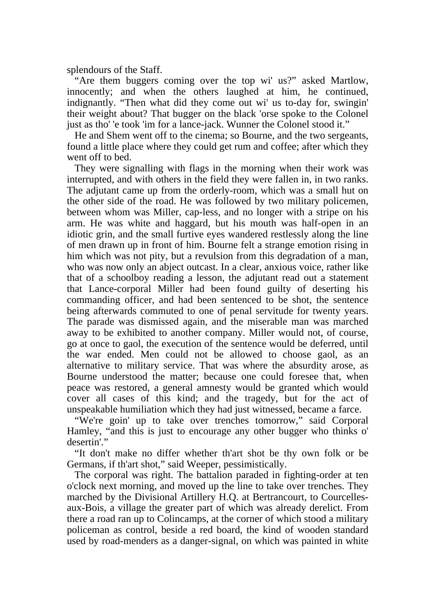splendours of the Staff.

 "Are them buggers coming over the top wi' us?" asked Martlow, innocently; and when the others laughed at him, he continued, indignantly. "Then what did they come out wi' us to-day for, swingin' their weight about? That bugger on the black 'orse spoke to the Colonel just as tho' 'e took 'im for a lance-jack. Wunner the Colonel stood it."

 He and Shem went off to the cinema; so Bourne, and the two sergeants, found a little place where they could get rum and coffee; after which they went off to bed.

 They were signalling with flags in the morning when their work was interrupted, and with others in the field they were fallen in, in two ranks. The adjutant came up from the orderly-room, which was a small hut on the other side of the road. He was followed by two military policemen, between whom was Miller, cap-less, and no longer with a stripe on his arm. He was white and haggard, but his mouth was half-open in an idiotic grin, and the small furtive eyes wandered restlessly along the line of men drawn up in front of him. Bourne felt a strange emotion rising in him which was not pity, but a revulsion from this degradation of a man, who was now only an abject outcast. In a clear, anxious voice, rather like that of a schoolboy reading a lesson, the adjutant read out a statement that Lance-corporal Miller had been found guilty of deserting his commanding officer, and had been sentenced to be shot, the sentence being afterwards commuted to one of penal servitude for twenty years. The parade was dismissed again, and the miserable man was marched away to be exhibited to another company. Miller would not, of course, go at once to gaol, the execution of the sentence would be deferred, until the war ended. Men could not be allowed to choose gaol, as an alternative to military service. That was where the absurdity arose, as Bourne understood the matter; because one could foresee that, when peace was restored, a general amnesty would be granted which would cover all cases of this kind; and the tragedy, but for the act of unspeakable humiliation which they had just witnessed, became a farce.

 "We're goin' up to take over trenches tomorrow," said Corporal Hamley, "and this is just to encourage any other bugger who thinks o' desertin'."

 "It don't make no differ whether th'art shot be thy own folk or be Germans, if th'art shot," said Weeper, pessimistically.

 The corporal was right. The battalion paraded in fighting-order at ten o'clock next morning, and moved up the line to take over trenches. They marched by the Divisional Artillery H.Q. at Bertrancourt, to Courcellesaux-Bois, a village the greater part of which was already derelict. From there a road ran up to Colincamps, at the corner of which stood a military policeman as control, beside a red board, the kind of wooden standard used by road-menders as a danger-signal, on which was painted in white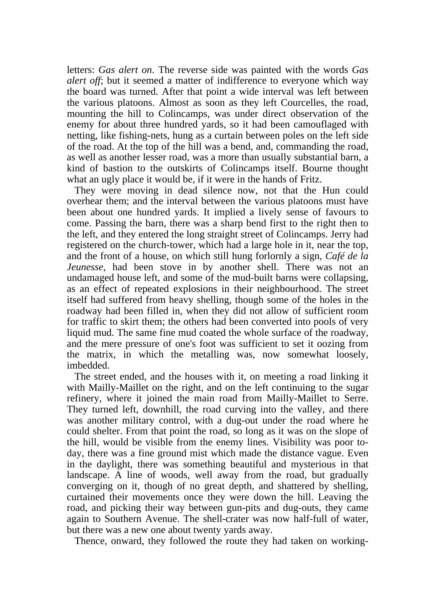letters: *Gas alert on*. The reverse side was painted with the words *Gas alert off*; but it seemed a matter of indifference to everyone which way the board was turned. After that point a wide interval was left between the various platoons. Almost as soon as they left Courcelles, the road, mounting the hill to Colincamps, was under direct observation of the enemy for about three hundred yards, so it had been camouflaged with netting, like fishing-nets, hung as a curtain between poles on the left side of the road. At the top of the hill was a bend, and, commanding the road, as well as another lesser road, was a more than usually substantial barn, a kind of bastion to the outskirts of Colincamps itself. Bourne thought what an ugly place it would be, if it were in the hands of Fritz.

 They were moving in dead silence now, not that the Hun could overhear them; and the interval between the various platoons must have been about one hundred yards. It implied a lively sense of favours to come. Passing the barn, there was a sharp bend first to the right then to the left, and they entered the long straight street of Colincamps. Jerry had registered on the church-tower, which had a large hole in it, near the top, and the front of a house, on which still hung forlornly a sign, *Café de la Jeunesse*, had been stove in by another shell. There was not an undamaged house left, and some of the mud-built barns were collapsing, as an effect of repeated explosions in their neighbourhood. The street itself had suffered from heavy shelling, though some of the holes in the roadway had been filled in, when they did not allow of sufficient room for traffic to skirt them; the others had been converted into pools of very liquid mud. The same fine mud coated the whole surface of the roadway, and the mere pressure of one's foot was sufficient to set it oozing from the matrix, in which the metalling was, now somewhat loosely, imbedded.

 The street ended, and the houses with it, on meeting a road linking it with Mailly-Maillet on the right, and on the left continuing to the sugar refinery, where it joined the main road from Mailly-Maillet to Serre. They turned left, downhill, the road curving into the valley, and there was another military control, with a dug-out under the road where he could shelter. From that point the road, so long as it was on the slope of the hill, would be visible from the enemy lines. Visibility was poor today, there was a fine ground mist which made the distance vague. Even in the daylight, there was something beautiful and mysterious in that landscape. A line of woods, well away from the road, but gradually converging on it, though of no great depth, and shattered by shelling, curtained their movements once they were down the hill. Leaving the road, and picking their way between gun-pits and dug-outs, they came again to Southern Avenue. The shell-crater was now half-full of water, but there was a new one about twenty yards away.

Thence, onward, they followed the route they had taken on working-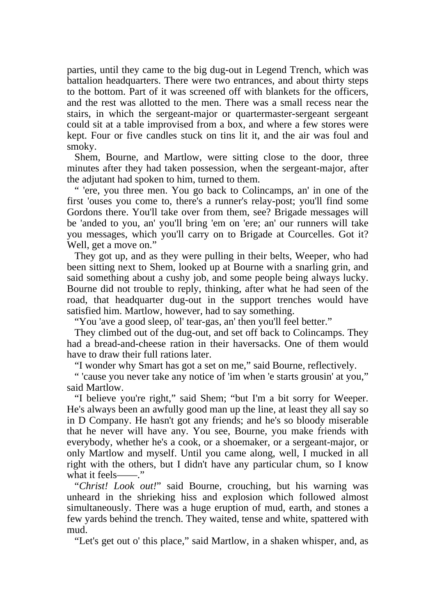parties, until they came to the big dug-out in Legend Trench, which was battalion headquarters. There were two entrances, and about thirty steps to the bottom. Part of it was screened off with blankets for the officers, and the rest was allotted to the men. There was a small recess near the stairs, in which the sergeant-major or quartermaster-sergeant sergeant could sit at a table improvised from a box, and where a few stores were kept. Four or five candles stuck on tins lit it, and the air was foul and smoky.

 Shem, Bourne, and Martlow, were sitting close to the door, three minutes after they had taken possession, when the sergeant-major, after the adjutant had spoken to him, turned to them.

 " 'ere, you three men. You go back to Colincamps, an' in one of the first 'ouses you come to, there's a runner's relay-post; you'll find some Gordons there. You'll take over from them, see? Brigade messages will be 'anded to you, an' you'll bring 'em on 'ere; an' our runners will take you messages, which you'll carry on to Brigade at Courcelles. Got it? Well, get a move on."

 They got up, and as they were pulling in their belts, Weeper, who had been sitting next to Shem, looked up at Bourne with a snarling grin, and said something about a cushy job, and some people being always lucky. Bourne did not trouble to reply, thinking, after what he had seen of the road, that headquarter dug-out in the support trenches would have satisfied him. Martlow, however, had to say something.

"You 'ave a good sleep, ol' tear-gas, an' then you'll feel better."

 They climbed out of the dug-out, and set off back to Colincamps. They had a bread-and-cheese ration in their haversacks. One of them would have to draw their full rations later.

"I wonder why Smart has got a set on me," said Bourne, reflectively.

 " 'cause you never take any notice of 'im when 'e starts grousin' at you," said Martlow.

 "I believe you're right," said Shem; "but I'm a bit sorry for Weeper. He's always been an awfully good man up the line, at least they all say so in D Company. He hasn't got any friends; and he's so bloody miserable that he never will have any. You see, Bourne, you make friends with everybody, whether he's a cook, or a shoemaker, or a sergeant-major, or only Martlow and myself. Until you came along, well, I mucked in all right with the others, but I didn't have any particular chum, so I know what it feels——."

 "*Christ! Look out!*" said Bourne, crouching, but his warning was unheard in the shrieking hiss and explosion which followed almost simultaneously. There was a huge eruption of mud, earth, and stones a few yards behind the trench. They waited, tense and white, spattered with mud.

"Let's get out o' this place," said Martlow, in a shaken whisper, and, as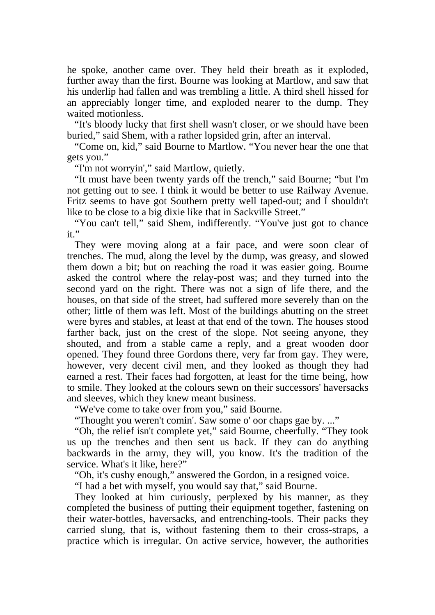he spoke, another came over. They held their breath as it exploded, further away than the first. Bourne was looking at Martlow, and saw that his underlip had fallen and was trembling a little. A third shell hissed for an appreciably longer time, and exploded nearer to the dump. They waited motionless.

 "It's bloody lucky that first shell wasn't closer, or we should have been buried," said Shem, with a rather lopsided grin, after an interval.

 "Come on, kid," said Bourne to Martlow. "You never hear the one that gets you."

"I'm not worryin'," said Martlow, quietly.

 "It must have been twenty yards off the trench," said Bourne; "but I'm not getting out to see. I think it would be better to use Railway Avenue. Fritz seems to have got Southern pretty well taped-out; and I shouldn't like to be close to a big dixie like that in Sackville Street."

 "You can't tell," said Shem, indifferently. "You've just got to chance it."

 They were moving along at a fair pace, and were soon clear of trenches. The mud, along the level by the dump, was greasy, and slowed them down a bit; but on reaching the road it was easier going. Bourne asked the control where the relay-post was; and they turned into the second yard on the right. There was not a sign of life there, and the houses, on that side of the street, had suffered more severely than on the other; little of them was left. Most of the buildings abutting on the street were byres and stables, at least at that end of the town. The houses stood farther back, just on the crest of the slope. Not seeing anyone, they shouted, and from a stable came a reply, and a great wooden door opened. They found three Gordons there, very far from gay. They were, however, very decent civil men, and they looked as though they had earned a rest. Their faces had forgotten, at least for the time being, how to smile. They looked at the colours sewn on their successors' haversacks and sleeves, which they knew meant business.

"We've come to take over from you," said Bourne.

"Thought you weren't comin'. Saw some o' oor chaps gae by. ..."

 "Oh, the relief isn't complete yet," said Bourne, cheerfully. "They took us up the trenches and then sent us back. If they can do anything backwards in the army, they will, you know. It's the tradition of the service. What's it like, here?"

"Oh, it's cushy enough," answered the Gordon, in a resigned voice.

"I had a bet with myself, you would say that," said Bourne.

 They looked at him curiously, perplexed by his manner, as they completed the business of putting their equipment together, fastening on their water-bottles, haversacks, and entrenching-tools. Their packs they carried slung, that is, without fastening them to their cross-straps, a practice which is irregular. On active service, however, the authorities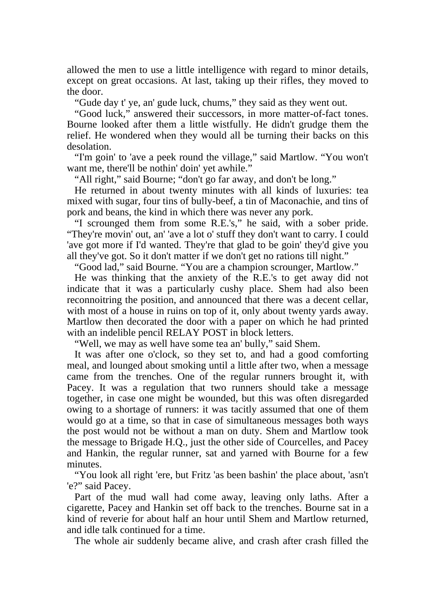allowed the men to use a little intelligence with regard to minor details, except on great occasions. At last, taking up their rifles, they moved to the door.

"Gude day t' ye, an' gude luck, chums," they said as they went out.

 "Good luck," answered their successors, in more matter-of-fact tones. Bourne looked after them a little wistfully. He didn't grudge them the relief. He wondered when they would all be turning their backs on this desolation.

 "I'm goin' to 'ave a peek round the village," said Martlow. "You won't want me, there'll be nothin' doin' yet awhile."

"All right," said Bourne; "don't go far away, and don't be long."

 He returned in about twenty minutes with all kinds of luxuries: tea mixed with sugar, four tins of bully-beef, a tin of Maconachie, and tins of pork and beans, the kind in which there was never any pork.

 "I scrounged them from some R.E.'s," he said, with a sober pride. "They're movin' out, an' 'ave a lot o' stuff they don't want to carry. I could 'ave got more if I'd wanted. They're that glad to be goin' they'd give you all they've got. So it don't matter if we don't get no rations till night."

"Good lad," said Bourne. "You are a champion scrounger, Martlow."

 He was thinking that the anxiety of the R.E.'s to get away did not indicate that it was a particularly cushy place. Shem had also been reconnoitring the position, and announced that there was a decent cellar, with most of a house in ruins on top of it, only about twenty yards away. Martlow then decorated the door with a paper on which he had printed with an indelible pencil RELAY POST in block letters.

"Well, we may as well have some tea an' bully," said Shem.

 It was after one o'clock, so they set to, and had a good comforting meal, and lounged about smoking until a little after two, when a message came from the trenches. One of the regular runners brought it, with Pacey. It was a regulation that two runners should take a message together, in case one might be wounded, but this was often disregarded owing to a shortage of runners: it was tacitly assumed that one of them would go at a time, so that in case of simultaneous messages both ways the post would not be without a man on duty. Shem and Martlow took the message to Brigade H.Q., just the other side of Courcelles, and Pacey and Hankin, the regular runner, sat and yarned with Bourne for a few minutes.

 "You look all right 'ere, but Fritz 'as been bashin' the place about, 'asn't 'e?" said Pacey.

 Part of the mud wall had come away, leaving only laths. After a cigarette, Pacey and Hankin set off back to the trenches. Bourne sat in a kind of reverie for about half an hour until Shem and Martlow returned, and idle talk continued for a time.

The whole air suddenly became alive, and crash after crash filled the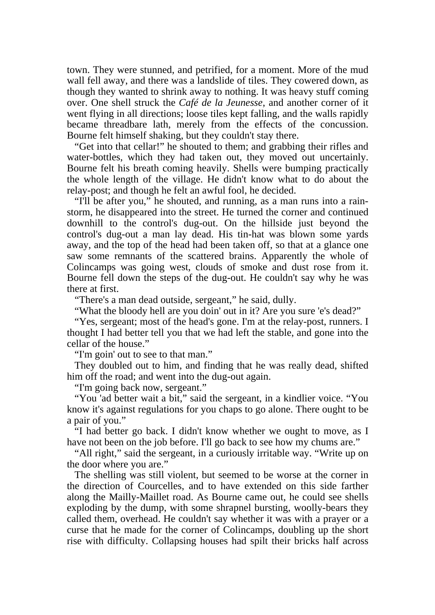town. They were stunned, and petrified, for a moment. More of the mud wall fell away, and there was a landslide of tiles. They cowered down, as though they wanted to shrink away to nothing. It was heavy stuff coming over. One shell struck the *Café de la Jeunesse*, and another corner of it went flying in all directions; loose tiles kept falling, and the walls rapidly became threadbare lath, merely from the effects of the concussion. Bourne felt himself shaking, but they couldn't stay there.

 "Get into that cellar!" he shouted to them; and grabbing their rifles and water-bottles, which they had taken out, they moved out uncertainly. Bourne felt his breath coming heavily. Shells were bumping practically the whole length of the village. He didn't know what to do about the relay-post; and though he felt an awful fool, he decided.

 "I'll be after you," he shouted, and running, as a man runs into a rainstorm, he disappeared into the street. He turned the corner and continued downhill to the control's dug-out. On the hillside just beyond the control's dug-out a man lay dead. His tin-hat was blown some yards away, and the top of the head had been taken off, so that at a glance one saw some remnants of the scattered brains. Apparently the whole of Colincamps was going west, clouds of smoke and dust rose from it. Bourne fell down the steps of the dug-out. He couldn't say why he was there at first.

"There's a man dead outside, sergeant," he said, dully.

"What the bloody hell are you doin' out in it? Are you sure 'e's dead?"

 "Yes, sergeant; most of the head's gone. I'm at the relay-post, runners. I thought I had better tell you that we had left the stable, and gone into the cellar of the house."

"I'm goin' out to see to that man."

 They doubled out to him, and finding that he was really dead, shifted him off the road; and went into the dug-out again.

"I'm going back now, sergeant."

 "You 'ad better wait a bit," said the sergeant, in a kindlier voice. "You know it's against regulations for you chaps to go alone. There ought to be a pair of you."

 "I had better go back. I didn't know whether we ought to move, as I have not been on the job before. I'll go back to see how my chums are."

 "All right," said the sergeant, in a curiously irritable way. "Write up on the door where you are."

 The shelling was still violent, but seemed to be worse at the corner in the direction of Courcelles, and to have extended on this side farther along the Mailly-Maillet road. As Bourne came out, he could see shells exploding by the dump, with some shrapnel bursting, woolly-bears they called them, overhead. He couldn't say whether it was with a prayer or a curse that he made for the corner of Colincamps, doubling up the short rise with difficulty. Collapsing houses had spilt their bricks half across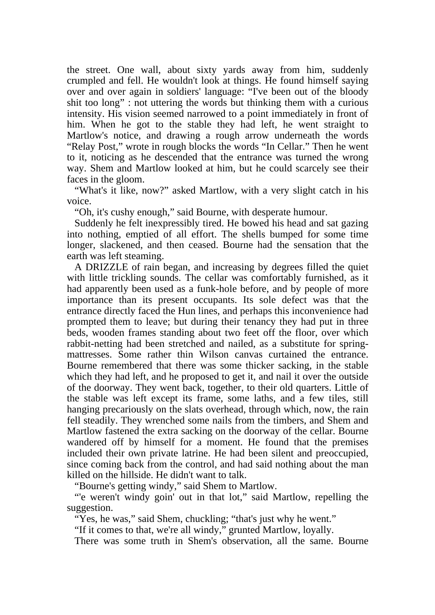the street. One wall, about sixty yards away from him, suddenly crumpled and fell. He wouldn't look at things. He found himself saying over and over again in soldiers' language: "I've been out of the bloody shit too long" : not uttering the words but thinking them with a curious intensity. His vision seemed narrowed to a point immediately in front of him. When he got to the stable they had left, he went straight to Martlow's notice, and drawing a rough arrow underneath the words "Relay Post," wrote in rough blocks the words "In Cellar." Then he went to it, noticing as he descended that the entrance was turned the wrong way. Shem and Martlow looked at him, but he could scarcely see their faces in the gloom.

 "What's it like, now?" asked Martlow, with a very slight catch in his voice.

"Oh, it's cushy enough," said Bourne, with desperate humour.

 Suddenly he felt inexpressibly tired. He bowed his head and sat gazing into nothing, emptied of all effort. The shells bumped for some time longer, slackened, and then ceased. Bourne had the sensation that the earth was left steaming.

 A DRIZZLE of rain began, and increasing by degrees filled the quiet with little trickling sounds. The cellar was comfortably furnished, as it had apparently been used as a funk-hole before, and by people of more importance than its present occupants. Its sole defect was that the entrance directly faced the Hun lines, and perhaps this inconvenience had prompted them to leave; but during their tenancy they had put in three beds, wooden frames standing about two feet off the floor, over which rabbit-netting had been stretched and nailed, as a substitute for springmattresses. Some rather thin Wilson canvas curtained the entrance. Bourne remembered that there was some thicker sacking, in the stable which they had left, and he proposed to get it, and nail it over the outside of the doorway. They went back, together, to their old quarters. Little of the stable was left except its frame, some laths, and a few tiles, still hanging precariously on the slats overhead, through which, now, the rain fell steadily. They wrenched some nails from the timbers, and Shem and Martlow fastened the extra sacking on the doorway of the cellar. Bourne wandered off by himself for a moment. He found that the premises included their own private latrine. He had been silent and preoccupied, since coming back from the control, and had said nothing about the man killed on the hillside. He didn't want to talk.

"Bourne's getting windy," said Shem to Martlow.

 "'e weren't windy goin' out in that lot," said Martlow, repelling the suggestion.

"Yes, he was," said Shem, chuckling; "that's just why he went."

"If it comes to that, we're all windy," grunted Martlow, loyally.

There was some truth in Shem's observation, all the same. Bourne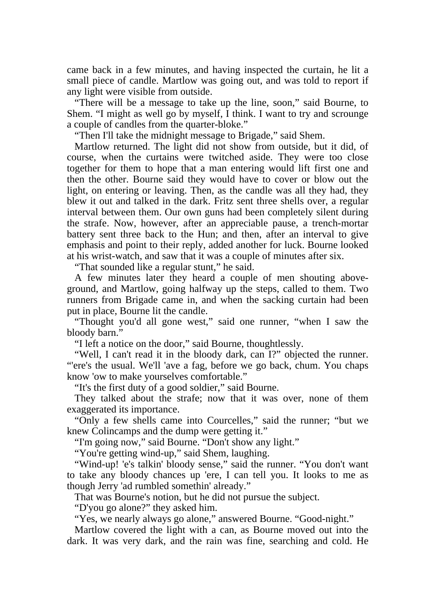came back in a few minutes, and having inspected the curtain, he lit a small piece of candle. Martlow was going out, and was told to report if any light were visible from outside.

 "There will be a message to take up the line, soon," said Bourne, to Shem. "I might as well go by myself, I think. I want to try and scrounge a couple of candles from the quarter-bloke."

"Then I'll take the midnight message to Brigade," said Shem.

 Martlow returned. The light did not show from outside, but it did, of course, when the curtains were twitched aside. They were too close together for them to hope that a man entering would lift first one and then the other. Bourne said they would have to cover or blow out the light, on entering or leaving. Then, as the candle was all they had, they blew it out and talked in the dark. Fritz sent three shells over, a regular interval between them. Our own guns had been completely silent during the strafe. Now, however, after an appreciable pause, a trench-mortar battery sent three back to the Hun; and then, after an interval to give emphasis and point to their reply, added another for luck. Bourne looked at his wrist-watch, and saw that it was a couple of minutes after six.

"That sounded like a regular stunt," he said.

 A few minutes later they heard a couple of men shouting aboveground, and Martlow, going halfway up the steps, called to them. Two runners from Brigade came in, and when the sacking curtain had been put in place, Bourne lit the candle.

 "Thought you'd all gone west," said one runner, "when I saw the bloody barn."

"I left a notice on the door," said Bourne, thoughtlessly.

 "Well, I can't read it in the bloody dark, can I?" objected the runner. "'ere's the usual. We'll 'ave a fag, before we go back, chum. You chaps know 'ow to make yourselves comfortable."

"It's the first duty of a good soldier," said Bourne.

 They talked about the strafe; now that it was over, none of them exaggerated its importance.

 "Only a few shells came into Courcelles," said the runner; "but we knew Colincamps and the dump were getting it."

"I'm going now," said Bourne. "Don't show any light."

"You're getting wind-up," said Shem, laughing.

 "Wind-up! 'e's talkin' bloody sense," said the runner. "You don't want to take any bloody chances up 'ere, I can tell you. It looks to me as though Jerry 'ad rumbled somethin' already."

That was Bourne's notion, but he did not pursue the subject.

"D'you go alone?" they asked him.

"Yes, we nearly always go alone," answered Bourne. "Good-night."

 Martlow covered the light with a can, as Bourne moved out into the dark. It was very dark, and the rain was fine, searching and cold. He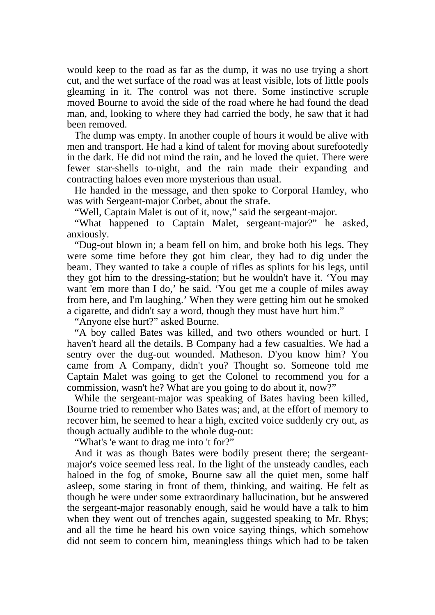would keep to the road as far as the dump, it was no use trying a short cut, and the wet surface of the road was at least visible, lots of little pools gleaming in it. The control was not there. Some instinctive scruple moved Bourne to avoid the side of the road where he had found the dead man, and, looking to where they had carried the body, he saw that it had been removed.

 The dump was empty. In another couple of hours it would be alive with men and transport. He had a kind of talent for moving about surefootedly in the dark. He did not mind the rain, and he loved the quiet. There were fewer star-shells to-night, and the rain made their expanding and contracting haloes even more mysterious than usual.

 He handed in the message, and then spoke to Corporal Hamley, who was with Sergeant-major Corbet, about the strafe.

"Well, Captain Malet is out of it, now," said the sergeant-major.

 "What happened to Captain Malet, sergeant-major?" he asked, anxiously.

 "Dug-out blown in; a beam fell on him, and broke both his legs. They were some time before they got him clear, they had to dig under the beam. They wanted to take a couple of rifles as splints for his legs, until they got him to the dressing-station; but he wouldn't have it. 'You may want 'em more than I do,' he said. 'You get me a couple of miles away from here, and I'm laughing.' When they were getting him out he smoked a cigarette, and didn't say a word, though they must have hurt him."

"Anyone else hurt?" asked Bourne.

 "A boy called Bates was killed, and two others wounded or hurt. I haven't heard all the details. B Company had a few casualties. We had a sentry over the dug-out wounded. Matheson. D'you know him? You came from A Company, didn't you? Thought so. Someone told me Captain Malet was going to get the Colonel to recommend you for a commission, wasn't he? What are you going to do about it, now?"

 While the sergeant-major was speaking of Bates having been killed, Bourne tried to remember who Bates was; and, at the effort of memory to recover him, he seemed to hear a high, excited voice suddenly cry out, as though actually audible to the whole dug-out:

"What's 'e want to drag me into 't for?"

 And it was as though Bates were bodily present there; the sergeantmajor's voice seemed less real. In the light of the unsteady candles, each haloed in the fog of smoke, Bourne saw all the quiet men, some half asleep, some staring in front of them, thinking, and waiting. He felt as though he were under some extraordinary hallucination, but he answered the sergeant-major reasonably enough, said he would have a talk to him when they went out of trenches again, suggested speaking to Mr. Rhys; and all the time he heard his own voice saying things, which somehow did not seem to concern him, meaningless things which had to be taken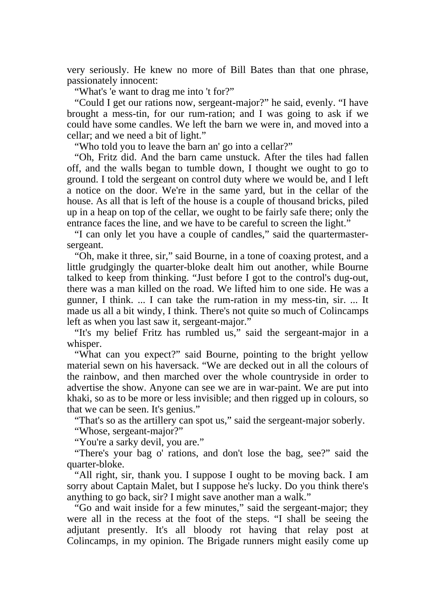very seriously. He knew no more of Bill Bates than that one phrase, passionately innocent:

"What's 'e want to drag me into 't for?"

 "Could I get our rations now, sergeant-major?" he said, evenly. "I have brought a mess-tin, for our rum-ration; and I was going to ask if we could have some candles. We left the barn we were in, and moved into a cellar; and we need a bit of light."

"Who told you to leave the barn an' go into a cellar?"

 "Oh, Fritz did. And the barn came unstuck. After the tiles had fallen off, and the walls began to tumble down, I thought we ought to go to ground. I told the sergeant on control duty where we would be, and I left a notice on the door. We're in the same yard, but in the cellar of the house. As all that is left of the house is a couple of thousand bricks, piled up in a heap on top of the cellar, we ought to be fairly safe there; only the entrance faces the line, and we have to be careful to screen the light."

 "I can only let you have a couple of candles," said the quartermastersergeant.

 "Oh, make it three, sir," said Bourne, in a tone of coaxing protest, and a little grudgingly the quarter-bloke dealt him out another, while Bourne talked to keep from thinking. "Just before I got to the control's dug-out, there was a man killed on the road. We lifted him to one side. He was a gunner, I think. ... I can take the rum-ration in my mess-tin, sir. ... It made us all a bit windy, I think. There's not quite so much of Colincamps left as when you last saw it, sergeant-major."

 "It's my belief Fritz has rumbled us," said the sergeant-major in a whisper.

 "What can you expect?" said Bourne, pointing to the bright yellow material sewn on his haversack. "We are decked out in all the colours of the rainbow, and then marched over the whole countryside in order to advertise the show. Anyone can see we are in war-paint. We are put into khaki, so as to be more or less invisible; and then rigged up in colours, so that we can be seen. It's genius."

"That's so as the artillery can spot us," said the sergeant-major soberly.

"Whose, sergeant-major?"

"You're a sarky devil, you are."

 "There's your bag o' rations, and don't lose the bag, see?" said the quarter-bloke.

 "All right, sir, thank you. I suppose I ought to be moving back. I am sorry about Captain Malet, but I suppose he's lucky. Do you think there's anything to go back, sir? I might save another man a walk."

 "Go and wait inside for a few minutes," said the sergeant-major; they were all in the recess at the foot of the steps. "I shall be seeing the adjutant presently. It's all bloody rot having that relay post at Colincamps, in my opinion. The Brigade runners might easily come up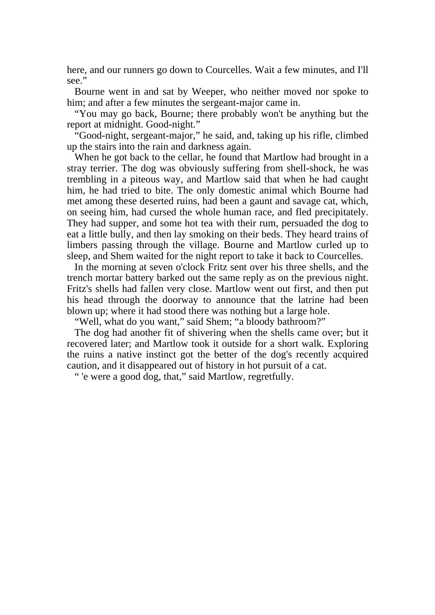here, and our runners go down to Courcelles. Wait a few minutes, and I'll see."

 Bourne went in and sat by Weeper, who neither moved nor spoke to him; and after a few minutes the sergeant-major came in.

 "You may go back, Bourne; there probably won't be anything but the report at midnight. Good-night."

 "Good-night, sergeant-major," he said, and, taking up his rifle, climbed up the stairs into the rain and darkness again.

 When he got back to the cellar, he found that Martlow had brought in a stray terrier. The dog was obviously suffering from shell-shock, he was trembling in a piteous way, and Martlow said that when he had caught him, he had tried to bite. The only domestic animal which Bourne had met among these deserted ruins, had been a gaunt and savage cat, which, on seeing him, had cursed the whole human race, and fled precipitately. They had supper, and some hot tea with their rum, persuaded the dog to eat a little bully, and then lay smoking on their beds. They heard trains of limbers passing through the village. Bourne and Martlow curled up to sleep, and Shem waited for the night report to take it back to Courcelles.

 In the morning at seven o'clock Fritz sent over his three shells, and the trench mortar battery barked out the same reply as on the previous night. Fritz's shells had fallen very close. Martlow went out first, and then put his head through the doorway to announce that the latrine had been blown up; where it had stood there was nothing but a large hole.

"Well, what do you want," said Shem; "a bloody bathroom?"

 The dog had another fit of shivering when the shells came over; but it recovered later; and Martlow took it outside for a short walk. Exploring the ruins a native instinct got the better of the dog's recently acquired caution, and it disappeared out of history in hot pursuit of a cat.

" 'e were a good dog, that," said Martlow, regretfully.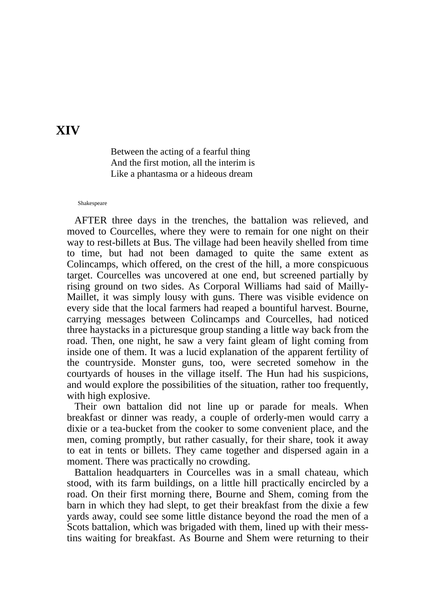Between the acting of a fearful thing And the first motion, all the interim is Like a phantasma or a hideous dream

## Shakespeare

 AFTER three days in the trenches, the battalion was relieved, and moved to Courcelles, where they were to remain for one night on their way to rest-billets at Bus. The village had been heavily shelled from time to time, but had not been damaged to quite the same extent as Colincamps, which offered, on the crest of the hill, a more conspicuous target. Courcelles was uncovered at one end, but screened partially by rising ground on two sides. As Corporal Williams had said of Mailly-Maillet, it was simply lousy with guns. There was visible evidence on every side that the local farmers had reaped a bountiful harvest. Bourne, carrying messages between Colincamps and Courcelles, had noticed three haystacks in a picturesque group standing a little way back from the road. Then, one night, he saw a very faint gleam of light coming from inside one of them. It was a lucid explanation of the apparent fertility of the countryside. Monster guns, too, were secreted somehow in the courtyards of houses in the village itself. The Hun had his suspicions, and would explore the possibilities of the situation, rather too frequently, with high explosive.

 Their own battalion did not line up or parade for meals. When breakfast or dinner was ready, a couple of orderly-men would carry a dixie or a tea-bucket from the cooker to some convenient place, and the men, coming promptly, but rather casually, for their share, took it away to eat in tents or billets. They came together and dispersed again in a moment. There was practically no crowding.

 Battalion headquarters in Courcelles was in a small chateau, which stood, with its farm buildings, on a little hill practically encircled by a road. On their first morning there, Bourne and Shem, coming from the barn in which they had slept, to get their breakfast from the dixie a few yards away, could see some little distance beyond the road the men of a Scots battalion, which was brigaded with them, lined up with their messtins waiting for breakfast. As Bourne and Shem were returning to their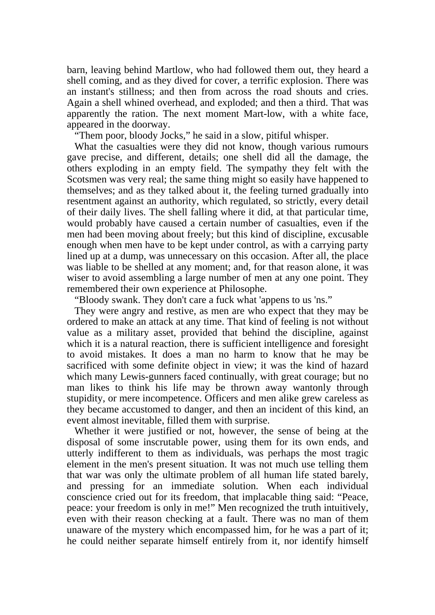barn, leaving behind Martlow, who had followed them out, they heard a shell coming, and as they dived for cover, a terrific explosion. There was an instant's stillness; and then from across the road shouts and cries. Again a shell whined overhead, and exploded; and then a third. That was apparently the ration. The next moment Mart-low, with a white face, appeared in the doorway.

"Them poor, bloody Jocks," he said in a slow, pitiful whisper.

 What the casualties were they did not know, though various rumours gave precise, and different, details; one shell did all the damage, the others exploding in an empty field. The sympathy they felt with the Scotsmen was very real; the same thing might so easily have happened to themselves; and as they talked about it, the feeling turned gradually into resentment against an authority, which regulated, so strictly, every detail of their daily lives. The shell falling where it did, at that particular time, would probably have caused a certain number of casualties, even if the men had been moving about freely; but this kind of discipline, excusable enough when men have to be kept under control, as with a carrying party lined up at a dump, was unnecessary on this occasion. After all, the place was liable to be shelled at any moment; and, for that reason alone, it was wiser to avoid assembling a large number of men at any one point. They remembered their own experience at Philosophe.

"Bloody swank. They don't care a fuck what 'appens to us 'ns."

 They were angry and restive, as men are who expect that they may be ordered to make an attack at any time. That kind of feeling is not without value as a military asset, provided that behind the discipline, against which it is a natural reaction, there is sufficient intelligence and foresight to avoid mistakes. It does a man no harm to know that he may be sacrificed with some definite object in view; it was the kind of hazard which many Lewis-gunners faced continually, with great courage; but no man likes to think his life may be thrown away wantonly through stupidity, or mere incompetence. Officers and men alike grew careless as they became accustomed to danger, and then an incident of this kind, an event almost inevitable, filled them with surprise.

 Whether it were justified or not, however, the sense of being at the disposal of some inscrutable power, using them for its own ends, and utterly indifferent to them as individuals, was perhaps the most tragic element in the men's present situation. It was not much use telling them that war was only the ultimate problem of all human life stated barely, and pressing for an immediate solution. When each individual conscience cried out for its freedom, that implacable thing said: "Peace, peace: your freedom is only in me!" Men recognized the truth intuitively, even with their reason checking at a fault. There was no man of them unaware of the mystery which encompassed him, for he was a part of it; he could neither separate himself entirely from it, nor identify himself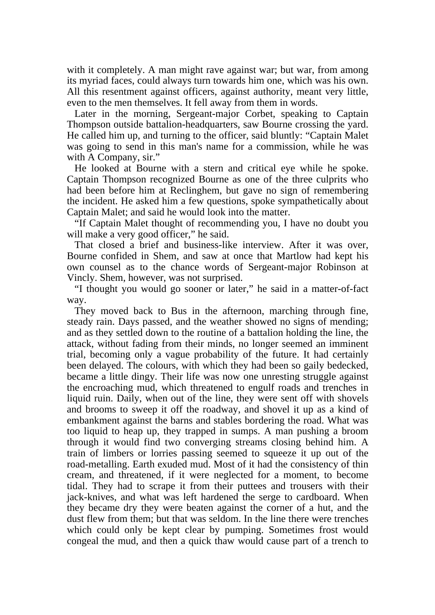with it completely. A man might rave against war; but war, from among its myriad faces, could always turn towards him one, which was his own. All this resentment against officers, against authority, meant very little, even to the men themselves. It fell away from them in words.

 Later in the morning, Sergeant-major Corbet, speaking to Captain Thompson outside battalion-headquarters, saw Bourne crossing the yard. He called him up, and turning to the officer, said bluntly: "Captain Malet was going to send in this man's name for a commission, while he was with A Company, sir."

 He looked at Bourne with a stern and critical eye while he spoke. Captain Thompson recognized Bourne as one of the three culprits who had been before him at Reclinghem, but gave no sign of remembering the incident. He asked him a few questions, spoke sympathetically about Captain Malet; and said he would look into the matter.

 "If Captain Malet thought of recommending you, I have no doubt you will make a very good officer," he said.

 That closed a brief and business-like interview. After it was over, Bourne confided in Shem, and saw at once that Martlow had kept his own counsel as to the chance words of Sergeant-major Robinson at Vincly. Shem, however, was not surprised.

 "I thought you would go sooner or later," he said in a matter-of-fact way.

 They moved back to Bus in the afternoon, marching through fine, steady rain. Days passed, and the weather showed no signs of mending; and as they settled down to the routine of a battalion holding the line, the attack, without fading from their minds, no longer seemed an imminent trial, becoming only a vague probability of the future. It had certainly been delayed. The colours, with which they had been so gaily bedecked, became a little dingy. Their life was now one unresting struggle against the encroaching mud, which threatened to engulf roads and trenches in liquid ruin. Daily, when out of the line, they were sent off with shovels and brooms to sweep it off the roadway, and shovel it up as a kind of embankment against the barns and stables bordering the road. What was too liquid to heap up, they trapped in sumps. A man pushing a broom through it would find two converging streams closing behind him. A train of limbers or lorries passing seemed to squeeze it up out of the road-metalling. Earth exuded mud. Most of it had the consistency of thin cream, and threatened, if it were neglected for a moment, to become tidal. They had to scrape it from their puttees and trousers with their jack-knives, and what was left hardened the serge to cardboard. When they became dry they were beaten against the corner of a hut, and the dust flew from them; but that was seldom. In the line there were trenches which could only be kept clear by pumping. Sometimes frost would congeal the mud, and then a quick thaw would cause part of a trench to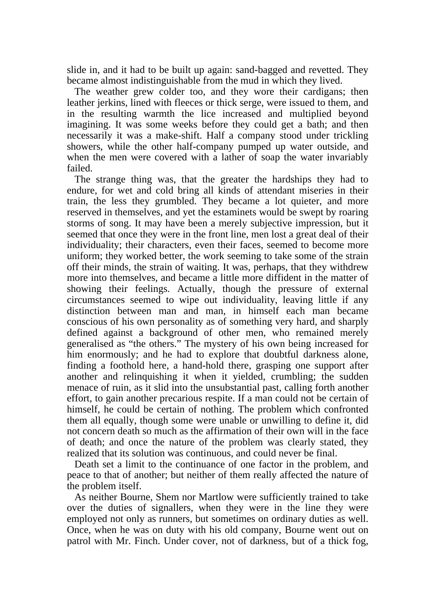slide in, and it had to be built up again: sand-bagged and revetted. They became almost indistinguishable from the mud in which they lived.

 The weather grew colder too, and they wore their cardigans; then leather jerkins, lined with fleeces or thick serge, were issued to them, and in the resulting warmth the lice increased and multiplied beyond imagining. It was some weeks before they could get a bath; and then necessarily it was a make-shift. Half a company stood under trickling showers, while the other half-company pumped up water outside, and when the men were covered with a lather of soap the water invariably failed.

 The strange thing was, that the greater the hardships they had to endure, for wet and cold bring all kinds of attendant miseries in their train, the less they grumbled. They became a lot quieter, and more reserved in themselves, and yet the estaminets would be swept by roaring storms of song. It may have been a merely subjective impression, but it seemed that once they were in the front line, men lost a great deal of their individuality; their characters, even their faces, seemed to become more uniform; they worked better, the work seeming to take some of the strain off their minds, the strain of waiting. It was, perhaps, that they withdrew more into themselves, and became a little more diffident in the matter of showing their feelings. Actually, though the pressure of external circumstances seemed to wipe out individuality, leaving little if any distinction between man and man, in himself each man became conscious of his own personality as of something very hard, and sharply defined against a background of other men, who remained merely generalised as "the others." The mystery of his own being increased for him enormously; and he had to explore that doubtful darkness alone, finding a foothold here, a hand-hold there, grasping one support after another and relinquishing it when it yielded, crumbling; the sudden menace of ruin, as it slid into the unsubstantial past, calling forth another effort, to gain another precarious respite. If a man could not be certain of himself, he could be certain of nothing. The problem which confronted them all equally, though some were unable or unwilling to define it, did not concern death so much as the affirmation of their own will in the face of death; and once the nature of the problem was clearly stated, they realized that its solution was continuous, and could never be final.

 Death set a limit to the continuance of one factor in the problem, and peace to that of another; but neither of them really affected the nature of the problem itself.

 As neither Bourne, Shem nor Martlow were sufficiently trained to take over the duties of signallers, when they were in the line they were employed not only as runners, but sometimes on ordinary duties as well. Once, when he was on duty with his old company, Bourne went out on patrol with Mr. Finch. Under cover, not of darkness, but of a thick fog,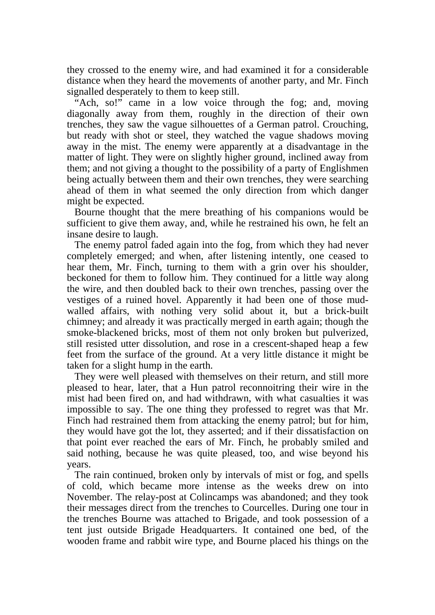they crossed to the enemy wire, and had examined it for a considerable distance when they heard the movements of another party, and Mr. Finch signalled desperately to them to keep still.

 "Ach, so!" came in a low voice through the fog; and, moving diagonally away from them, roughly in the direction of their own trenches, they saw the vague silhouettes of a German patrol. Crouching, but ready with shot or steel, they watched the vague shadows moving away in the mist. The enemy were apparently at a disadvantage in the matter of light. They were on slightly higher ground, inclined away from them; and not giving a thought to the possibility of a party of Englishmen being actually between them and their own trenches, they were searching ahead of them in what seemed the only direction from which danger might be expected.

 Bourne thought that the mere breathing of his companions would be sufficient to give them away, and, while he restrained his own, he felt an insane desire to laugh.

 The enemy patrol faded again into the fog, from which they had never completely emerged; and when, after listening intently, one ceased to hear them, Mr. Finch, turning to them with a grin over his shoulder, beckoned for them to follow him. They continued for a little way along the wire, and then doubled back to their own trenches, passing over the vestiges of a ruined hovel. Apparently it had been one of those mudwalled affairs, with nothing very solid about it, but a brick-built chimney; and already it was practically merged in earth again; though the smoke-blackened bricks, most of them not only broken but pulverized, still resisted utter dissolution, and rose in a crescent-shaped heap a few feet from the surface of the ground. At a very little distance it might be taken for a slight hump in the earth.

 They were well pleased with themselves on their return, and still more pleased to hear, later, that a Hun patrol reconnoitring their wire in the mist had been fired on, and had withdrawn, with what casualties it was impossible to say. The one thing they professed to regret was that Mr. Finch had restrained them from attacking the enemy patrol; but for him, they would have got the lot, they asserted; and if their dissatisfaction on that point ever reached the ears of Mr. Finch, he probably smiled and said nothing, because he was quite pleased, too, and wise beyond his years.

 The rain continued, broken only by intervals of mist or fog, and spells of cold, which became more intense as the weeks drew on into November. The relay-post at Colincamps was abandoned; and they took their messages direct from the trenches to Courcelles. During one tour in the trenches Bourne was attached to Brigade, and took possession of a tent just outside Brigade Headquarters. It contained one bed, of the wooden frame and rabbit wire type, and Bourne placed his things on the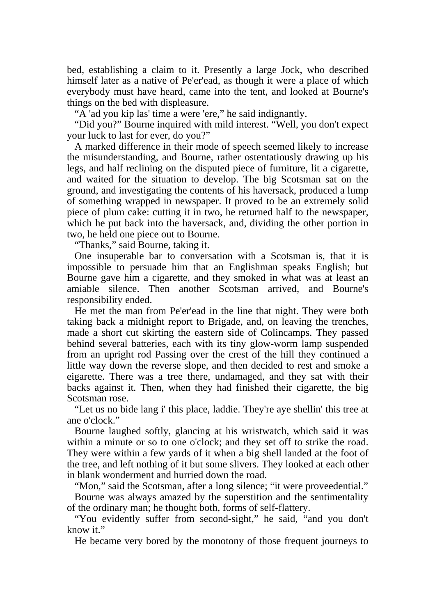bed, establishing a claim to it. Presently a large Jock, who described himself later as a native of Pe'er'ead, as though it were a place of which everybody must have heard, came into the tent, and looked at Bourne's things on the bed with displeasure.

"A 'ad you kip las' time a were 'ere," he said indignantly.

 "Did you?" Bourne inquired with mild interest. "Well, you don't expect your luck to last for ever, do you?"

 A marked difference in their mode of speech seemed likely to increase the misunderstanding, and Bourne, rather ostentatiously drawing up his legs, and half reclining on the disputed piece of furniture, lit a cigarette, and waited for the situation to develop. The big Scotsman sat on the ground, and investigating the contents of his haversack, produced a lump of something wrapped in newspaper. It proved to be an extremely solid piece of plum cake: cutting it in two, he returned half to the newspaper, which he put back into the haversack, and, dividing the other portion in two, he held one piece out to Bourne.

"Thanks," said Bourne, taking it.

 One insuperable bar to conversation with a Scotsman is, that it is impossible to persuade him that an Englishman speaks English; but Bourne gave him a cigarette, and they smoked in what was at least an amiable silence. Then another Scotsman arrived, and Bourne's responsibility ended.

 He met the man from Pe'er'ead in the line that night. They were both taking back a midnight report to Brigade, and, on leaving the trenches, made a short cut skirting the eastern side of Colincamps. They passed behind several batteries, each with its tiny glow-worm lamp suspended from an upright rod Passing over the crest of the hill they continued a little way down the reverse slope, and then decided to rest and smoke a eigarette. There was a tree there, undamaged, and they sat with their backs against it. Then, when they had finished their cigarette, the big Scotsman rose.

 "Let us no bide lang i' this place, laddie. They're aye shellin' this tree at ane o'clock."

 Bourne laughed softly, glancing at his wristwatch, which said it was within a minute or so to one o'clock; and they set off to strike the road. They were within a few yards of it when a big shell landed at the foot of the tree, and left nothing of it but some slivers. They looked at each other in blank wonderment and hurried down the road.

"Mon," said the Scotsman, after a long silence; "it were proveedential."

 Bourne was always amazed by the superstition and the sentimentality of the ordinary man; he thought both, forms of self-flattery.

 "You evidently suffer from second-sight," he said, "and you don't know it."

He became very bored by the monotony of those frequent journeys to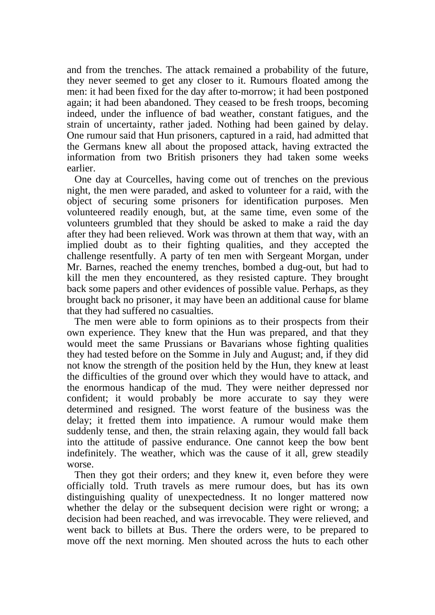and from the trenches. The attack remained a probability of the future, they never seemed to get any closer to it. Rumours floated among the men: it had been fixed for the day after to-morrow; it had been postponed again; it had been abandoned. They ceased to be fresh troops, becoming indeed, under the influence of bad weather, constant fatigues, and the strain of uncertainty, rather jaded. Nothing had been gained by delay. One rumour said that Hun prisoners, captured in a raid, had admitted that the Germans knew all about the proposed attack, having extracted the information from two British prisoners they had taken some weeks earlier.

 One day at Courcelles, having come out of trenches on the previous night, the men were paraded, and asked to volunteer for a raid, with the object of securing some prisoners for identification purposes. Men volunteered readily enough, but, at the same time, even some of the volunteers grumbled that they should be asked to make a raid the day after they had been relieved. Work was thrown at them that way, with an implied doubt as to their fighting qualities, and they accepted the challenge resentfully. A party of ten men with Sergeant Morgan, under Mr. Barnes, reached the enemy trenches, bombed a dug-out, but had to kill the men they encountered, as they resisted capture. They brought back some papers and other evidences of possible value. Perhaps, as they brought back no prisoner, it may have been an additional cause for blame that they had suffered no casualties.

 The men were able to form opinions as to their prospects from their own experience. They knew that the Hun was prepared, and that they would meet the same Prussians or Bavarians whose fighting qualities they had tested before on the Somme in July and August; and, if they did not know the strength of the position held by the Hun, they knew at least the difficulties of the ground over which they would have to attack, and the enormous handicap of the mud. They were neither depressed nor confident; it would probably be more accurate to say they were determined and resigned. The worst feature of the business was the delay; it fretted them into impatience. A rumour would make them suddenly tense, and then, the strain relaxing again, they would fall back into the attitude of passive endurance. One cannot keep the bow bent indefinitely. The weather, which was the cause of it all, grew steadily worse.

 Then they got their orders; and they knew it, even before they were officially told. Truth travels as mere rumour does, but has its own distinguishing quality of unexpectedness. It no longer mattered now whether the delay or the subsequent decision were right or wrong; a decision had been reached, and was irrevocable. They were relieved, and went back to billets at Bus. There the orders were, to be prepared to move off the next morning. Men shouted across the huts to each other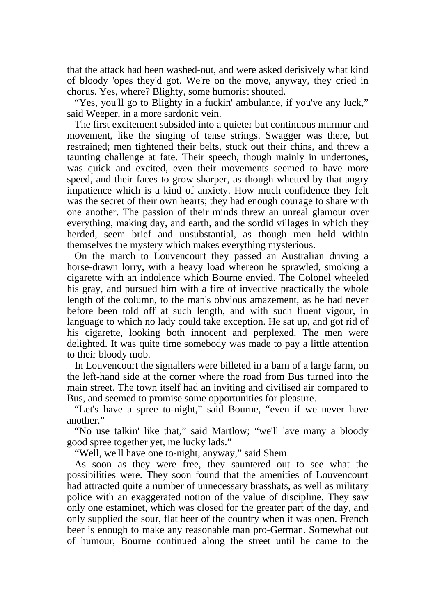that the attack had been washed-out, and were asked derisively what kind of bloody 'opes they'd got. We're on the move, anyway, they cried in chorus. Yes, where? Blighty, some humorist shouted.

 "Yes, you'll go to Blighty in a fuckin' ambulance, if you've any luck," said Weeper, in a more sardonic vein.

 The first excitement subsided into a quieter but continuous murmur and movement, like the singing of tense strings. Swagger was there, but restrained; men tightened their belts, stuck out their chins, and threw a taunting challenge at fate. Their speech, though mainly in undertones, was quick and excited, even their movements seemed to have more speed, and their faces to grow sharper, as though whetted by that angry impatience which is a kind of anxiety. How much confidence they felt was the secret of their own hearts; they had enough courage to share with one another. The passion of their minds threw an unreal glamour over everything, making day, and earth, and the sordid villages in which they herded, seem brief and unsubstantial, as though men held within themselves the mystery which makes everything mysterious.

 On the march to Louvencourt they passed an Australian driving a horse-drawn lorry, with a heavy load whereon he sprawled, smoking a cigarette with an indolence which Bourne envied. The Colonel wheeled his gray, and pursued him with a fire of invective practically the whole length of the column, to the man's obvious amazement, as he had never before been told off at such length, and with such fluent vigour, in language to which no lady could take exception. He sat up, and got rid of his cigarette, looking both innocent and perplexed. The men were delighted. It was quite time somebody was made to pay a little attention to their bloody mob.

 In Louvencourt the signallers were billeted in a barn of a large farm, on the left-hand side at the corner where the road from Bus turned into the main street. The town itself had an inviting and civilised air compared to Bus, and seemed to promise some opportunities for pleasure.

 "Let's have a spree to-night," said Bourne, "even if we never have another."

 "No use talkin' like that," said Martlow; "we'll 'ave many a bloody good spree together yet, me lucky lads."

"Well, we'll have one to-night, anyway," said Shem.

 As soon as they were free, they sauntered out to see what the possibilities were. They soon found that the amenities of Louvencourt had attracted quite a number of unnecessary brasshats, as well as military police with an exaggerated notion of the value of discipline. They saw only one estaminet, which was closed for the greater part of the day, and only supplied the sour, flat beer of the country when it was open. French beer is enough to make any reasonable man pro-German. Somewhat out of humour, Bourne continued along the street until he came to the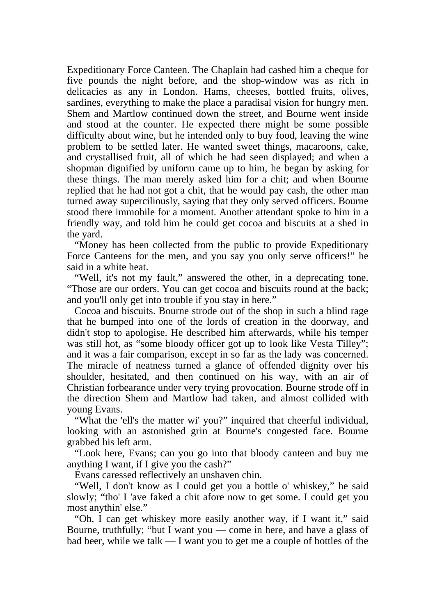Expeditionary Force Canteen. The Chaplain had cashed him a cheque for five pounds the night before, and the shop-window was as rich in delicacies as any in London. Hams, cheeses, bottled fruits, olives, sardines, everything to make the place a paradisal vision for hungry men. Shem and Martlow continued down the street, and Bourne went inside and stood at the counter. He expected there might be some possible difficulty about wine, but he intended only to buy food, leaving the wine problem to be settled later. He wanted sweet things, macaroons, cake, and crystallised fruit, all of which he had seen displayed; and when a shopman dignified by uniform came up to him, he began by asking for these things. The man merely asked him for a chit; and when Bourne replied that he had not got a chit, that he would pay cash, the other man turned away superciliously, saying that they only served officers. Bourne stood there immobile for a moment. Another attendant spoke to him in a friendly way, and told him he could get cocoa and biscuits at a shed in the yard.

 "Money has been collected from the public to provide Expeditionary Force Canteens for the men, and you say you only serve officers!" he said in a white heat.

 "Well, it's not my fault," answered the other, in a deprecating tone. "Those are our orders. You can get cocoa and biscuits round at the back; and you'll only get into trouble if you stay in here."

 Cocoa and biscuits. Bourne strode out of the shop in such a blind rage that he bumped into one of the lords of creation in the doorway, and didn't stop to apologise. He described him afterwards, while his temper was still hot, as "some bloody officer got up to look like Vesta Tilley"; and it was a fair comparison, except in so far as the lady was concerned. The miracle of neatness turned a glance of offended dignity over his shoulder, hesitated, and then continued on his way, with an air of Christian forbearance under very trying provocation. Bourne strode off in the direction Shem and Martlow had taken, and almost collided with young Evans.

 "What the 'ell's the matter wi' you?" inquired that cheerful individual, looking with an astonished grin at Bourne's congested face. Bourne grabbed his left arm.

 "Look here, Evans; can you go into that bloody canteen and buy me anything I want, if I give you the cash?"

Evans caressed reflectively an unshaven chin.

 "Well, I don't know as I could get you a bottle o' whiskey," he said slowly; "tho' I 'ave faked a chit afore now to get some. I could get you most anythin' else."

 "Oh, I can get whiskey more easily another way, if I want it," said Bourne, truthfully; "but I want you — come in here, and have a glass of bad beer, while we talk — I want you to get me a couple of bottles of the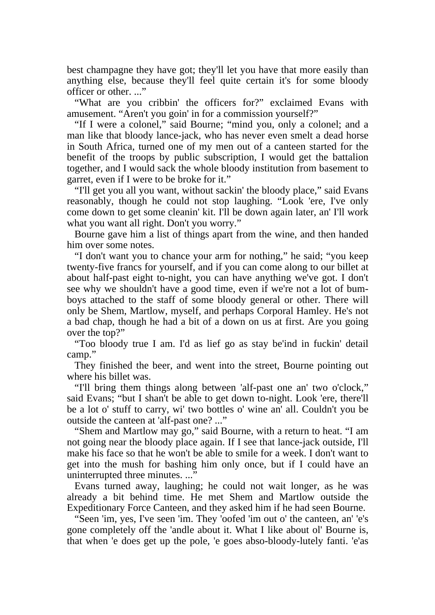best champagne they have got; they'll let you have that more easily than anything else, because they'll feel quite certain it's for some bloody officer or other. ..."

 "What are you cribbin' the officers for?" exclaimed Evans with amusement. "Aren't you goin' in for a commission yourself?"

 "If I were a colonel," said Bourne; "mind you, only a colonel; and a man like that bloody lance-jack, who has never even smelt a dead horse in South Africa, turned one of my men out of a canteen started for the benefit of the troops by public subscription, I would get the battalion together, and I would sack the whole bloody institution from basement to garret, even if I were to be broke for it."

 "I'll get you all you want, without sackin' the bloody place," said Evans reasonably, though he could not stop laughing. "Look 'ere, I've only come down to get some cleanin' kit. I'll be down again later, an' I'll work what you want all right. Don't you worry."

 Bourne gave him a list of things apart from the wine, and then handed him over some notes.

 "I don't want you to chance your arm for nothing," he said; "you keep twenty-five francs for yourself, and if you can come along to our billet at about half-past eight to-night, you can have anything we've got. I don't see why we shouldn't have a good time, even if we're not a lot of bumboys attached to the staff of some bloody general or other. There will only be Shem, Martlow, myself, and perhaps Corporal Hamley. He's not a bad chap, though he had a bit of a down on us at first. Are you going over the top?"

 "Too bloody true I am. I'd as lief go as stay be'ind in fuckin' detail camp."

 They finished the beer, and went into the street, Bourne pointing out where his billet was.

 "I'll bring them things along between 'alf-past one an' two o'clock," said Evans; "but I shan't be able to get down to-night. Look 'ere, there'll be a lot o' stuff to carry, wi' two bottles o' wine an' all. Couldn't you be outside the canteen at 'alf-past one? ..."

 "Shem and Martlow may go," said Bourne, with a return to heat. "I am not going near the bloody place again. If I see that lance-jack outside, I'll make his face so that he won't be able to smile for a week. I don't want to get into the mush for bashing him only once, but if I could have an uninterrupted three minutes. ...'

 Evans turned away, laughing; he could not wait longer, as he was already a bit behind time. He met Shem and Martlow outside the Expeditionary Force Canteen, and they asked him if he had seen Bourne.

 "Seen 'im, yes, I've seen 'im. They 'oofed 'im out o' the canteen, an' 'e's gone completely off the 'andle about it. What I like about ol' Bourne is, that when 'e does get up the pole, 'e goes abso-bloody-lutely fanti. 'e'as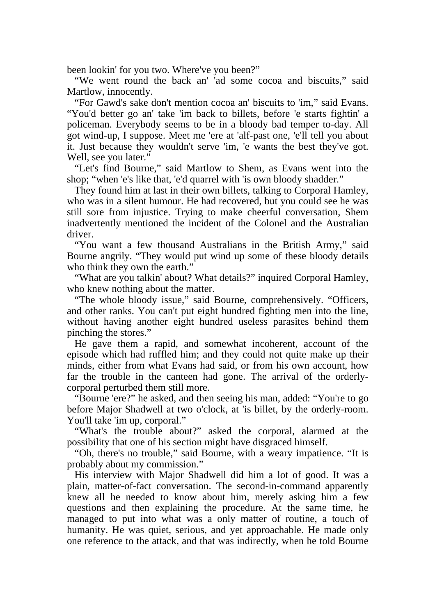been lookin' for you two. Where've you been?"

 "We went round the back an' 'ad some cocoa and biscuits," said Martlow, innocently.

 "For Gawd's sake don't mention cocoa an' biscuits to 'im," said Evans. "You'd better go an' take 'im back to billets, before 'e starts fightin' a policeman. Everybody seems to be in a bloody bad temper to-day. All got wind-up, I suppose. Meet me 'ere at 'alf-past one, 'e'll tell you about it. Just because they wouldn't serve 'im, 'e wants the best they've got. Well, see you later."

 "Let's find Bourne," said Martlow to Shem, as Evans went into the shop; "when 'e's like that, 'e'd quarrel with 'is own bloody shadder."

 They found him at last in their own billets, talking to Corporal Hamley, who was in a silent humour. He had recovered, but you could see he was still sore from injustice. Trying to make cheerful conversation, Shem inadvertently mentioned the incident of the Colonel and the Australian driver.

 "You want a few thousand Australians in the British Army," said Bourne angrily. "They would put wind up some of these bloody details who think they own the earth."

 "What are you talkin' about? What details?" inquired Corporal Hamley, who knew nothing about the matter.

 "The whole bloody issue," said Bourne, comprehensively. "Officers, and other ranks. You can't put eight hundred fighting men into the line, without having another eight hundred useless parasites behind them pinching the stores."

 He gave them a rapid, and somewhat incoherent, account of the episode which had ruffled him; and they could not quite make up their minds, either from what Evans had said, or from his own account, how far the trouble in the canteen had gone. The arrival of the orderlycorporal perturbed them still more.

 "Bourne 'ere?" he asked, and then seeing his man, added: "You're to go before Major Shadwell at two o'clock, at 'is billet, by the orderly-room. You'll take 'im up, corporal."

 "What's the trouble about?" asked the corporal, alarmed at the possibility that one of his section might have disgraced himself.

 "Oh, there's no trouble," said Bourne, with a weary impatience. "It is probably about my commission."

 His interview with Major Shadwell did him a lot of good. It was a plain, matter-of-fact conversation. The second-in-command apparently knew all he needed to know about him, merely asking him a few questions and then explaining the procedure. At the same time, he managed to put into what was a only matter of routine, a touch of humanity. He was quiet, serious, and yet approachable. He made only one reference to the attack, and that was indirectly, when he told Bourne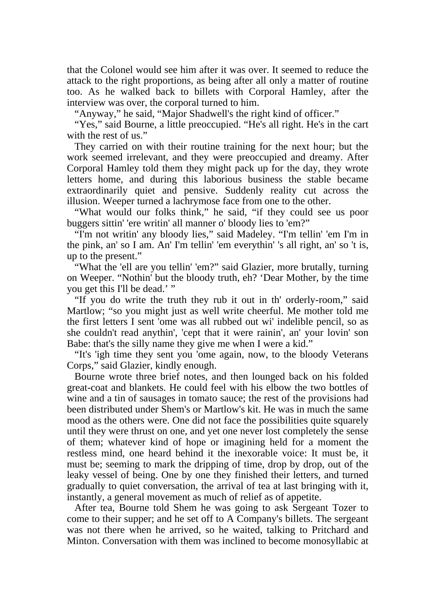that the Colonel would see him after it was over. It seemed to reduce the attack to the right proportions, as being after all only a matter of routine too. As he walked back to billets with Corporal Hamley, after the interview was over, the corporal turned to him.

"Anyway," he said, "Major Shadwell's the right kind of officer."

 "Yes," said Bourne, a little preoccupied. "He's all right. He's in the cart with the rest of us."

 They carried on with their routine training for the next hour; but the work seemed irrelevant, and they were preoccupied and dreamy. After Corporal Hamley told them they might pack up for the day, they wrote letters home, and during this laborious business the stable became extraordinarily quiet and pensive. Suddenly reality cut across the illusion. Weeper turned a lachrymose face from one to the other.

 "What would our folks think," he said, "if they could see us poor buggers sittin' 'ere writin' all manner o' bloody lies to 'em?"

 "I'm not writin' any bloody lies," said Madeley. "I'm tellin' 'em I'm in the pink, an' so I am. An' I'm tellin' 'em everythin' 's all right, an' so 't is, up to the present."

 "What the 'ell are you tellin' 'em?" said Glazier, more brutally, turning on Weeper. "Nothin' but the bloody truth, eh? 'Dear Mother, by the time you get this I'll be dead.' "

 "If you do write the truth they rub it out in th' orderly-room," said Martlow; "so you might just as well write cheerful. Me mother told me the first letters I sent 'ome was all rubbed out wi' indelible pencil, so as she couldn't read anythin', 'cept that it were rainin', an' your lovin' son Babe: that's the silly name they give me when I were a kid."

 "It's 'igh time they sent you 'ome again, now, to the bloody Veterans Corps," said Glazier, kindly enough.

 Bourne wrote three brief notes, and then lounged back on his folded great-coat and blankets. He could feel with his elbow the two bottles of wine and a tin of sausages in tomato sauce; the rest of the provisions had been distributed under Shem's or Martlow's kit. He was in much the same mood as the others were. One did not face the possibilities quite squarely until they were thrust on one, and yet one never lost completely the sense of them; whatever kind of hope or imagining held for a moment the restless mind, one heard behind it the inexorable voice: It must be, it must be; seeming to mark the dripping of time, drop by drop, out of the leaky vessel of being. One by one they finished their letters, and turned gradually to quiet conversation, the arrival of tea at last bringing with it, instantly, a general movement as much of relief as of appetite.

 After tea, Bourne told Shem he was going to ask Sergeant Tozer to come to their supper; and he set off to A Company's billets. The sergeant was not there when he arrived, so he waited, talking to Pritchard and Minton. Conversation with them was inclined to become monosyllabic at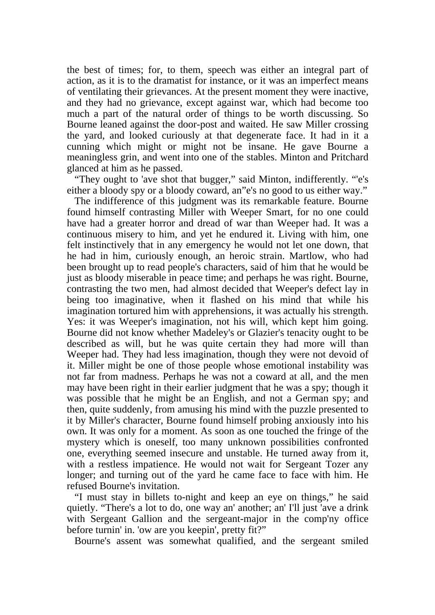the best of times; for, to them, speech was either an integral part of action, as it is to the dramatist for instance, or it was an imperfect means of ventilating their grievances. At the present moment they were inactive, and they had no grievance, except against war, which had become too much a part of the natural order of things to be worth discussing. So Bourne leaned against the door-post and waited. He saw Miller crossing the yard, and looked curiously at that degenerate face. It had in it a cunning which might or might not be insane. He gave Bourne a meaningless grin, and went into one of the stables. Minton and Pritchard glanced at him as he passed.

 "They ought to 'ave shot that bugger," said Minton, indifferently. "'e's either a bloody spy or a bloody coward, an"e's no good to us either way."

 The indifference of this judgment was its remarkable feature. Bourne found himself contrasting Miller with Weeper Smart, for no one could have had a greater horror and dread of war than Weeper had. It was a continuous misery to him, and yet he endured it. Living with him, one felt instinctively that in any emergency he would not let one down, that he had in him, curiously enough, an heroic strain. Martlow, who had been brought up to read people's characters, said of him that he would be just as bloody miserable in peace time; and perhaps he was right. Bourne, contrasting the two men, had almost decided that Weeper's defect lay in being too imaginative, when it flashed on his mind that while his imagination tortured him with apprehensions, it was actually his strength. Yes: it was Weeper's imagination, not his will, which kept him going. Bourne did not know whether Madeley's or Glazier's tenacity ought to be described as will, but he was quite certain they had more will than Weeper had. They had less imagination, though they were not devoid of it. Miller might be one of those people whose emotional instability was not far from madness. Perhaps he was not a coward at all, and the men may have been right in their earlier judgment that he was a spy; though it was possible that he might be an English, and not a German spy; and then, quite suddenly, from amusing his mind with the puzzle presented to it by Miller's character, Bourne found himself probing anxiously into his own. It was only for a moment. As soon as one touched the fringe of the mystery which is oneself, too many unknown possibilities confronted one, everything seemed insecure and unstable. He turned away from it, with a restless impatience. He would not wait for Sergeant Tozer any longer; and turning out of the yard he came face to face with him. He refused Bourne's invitation.

 "I must stay in billets to-night and keep an eye on things," he said quietly. "There's a lot to do, one way an' another; an' I'll just 'ave a drink with Sergeant Gallion and the sergeant-major in the comp'ny office before turnin' in. 'ow are you keepin', pretty fit?"

Bourne's assent was somewhat qualified, and the sergeant smiled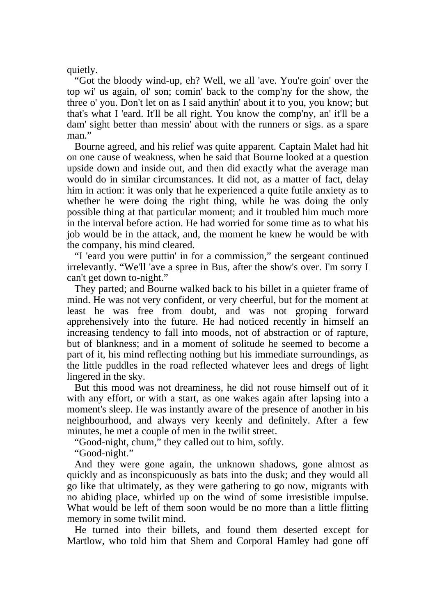quietly.

 "Got the bloody wind-up, eh? Well, we all 'ave. You're goin' over the top wi' us again, ol' son; comin' back to the comp'ny for the show, the three o' you. Don't let on as I said anythin' about it to you, you know; but that's what I 'eard. It'll be all right. You know the comp'ny, an' it'll be a dam' sight better than messin' about with the runners or sigs. as a spare man"

 Bourne agreed, and his relief was quite apparent. Captain Malet had hit on one cause of weakness, when he said that Bourne looked at a question upside down and inside out, and then did exactly what the average man would do in similar circumstances. It did not, as a matter of fact, delay him in action: it was only that he experienced a quite futile anxiety as to whether he were doing the right thing, while he was doing the only possible thing at that particular moment; and it troubled him much more in the interval before action. He had worried for some time as to what his job would be in the attack, and, the moment he knew he would be with the company, his mind cleared.

 "I 'eard you were puttin' in for a commission," the sergeant continued irrelevantly. "We'll 'ave a spree in Bus, after the show's over. I'm sorry I can't get down to-night."

 They parted; and Bourne walked back to his billet in a quieter frame of mind. He was not very confident, or very cheerful, but for the moment at least he was free from doubt, and was not groping forward apprehensively into the future. He had noticed recently in himself an increasing tendency to fall into moods, not of abstraction or of rapture, but of blankness; and in a moment of solitude he seemed to become a part of it, his mind reflecting nothing but his immediate surroundings, as the little puddles in the road reflected whatever lees and dregs of light lingered in the sky.

 But this mood was not dreaminess, he did not rouse himself out of it with any effort, or with a start, as one wakes again after lapsing into a moment's sleep. He was instantly aware of the presence of another in his neighbourhood, and always very keenly and definitely. After a few minutes, he met a couple of men in the twilit street.

"Good-night, chum," they called out to him, softly.

"Good-night."

 And they were gone again, the unknown shadows, gone almost as quickly and as inconspicuously as bats into the dusk; and they would all go like that ultimately, as they were gathering to go now, migrants with no abiding place, whirled up on the wind of some irresistible impulse. What would be left of them soon would be no more than a little flitting memory in some twilit mind.

 He turned into their billets, and found them deserted except for Martlow, who told him that Shem and Corporal Hamley had gone off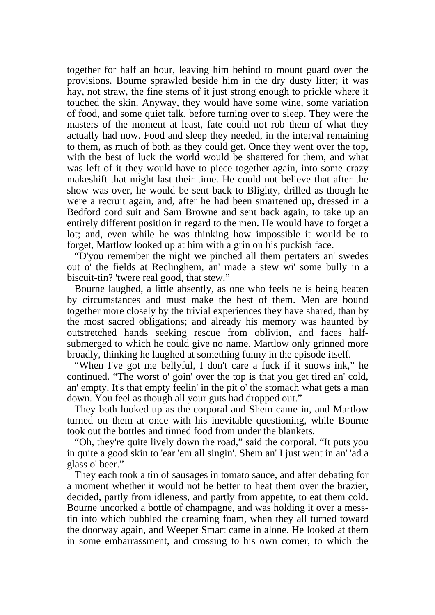together for half an hour, leaving him behind to mount guard over the provisions. Bourne sprawled beside him in the dry dusty litter; it was hay, not straw, the fine stems of it just strong enough to prickle where it touched the skin. Anyway, they would have some wine, some variation of food, and some quiet talk, before turning over to sleep. They were the masters of the moment at least, fate could not rob them of what they actually had now. Food and sleep they needed, in the interval remaining to them, as much of both as they could get. Once they went over the top, with the best of luck the world would be shattered for them, and what was left of it they would have to piece together again, into some crazy makeshift that might last their time. He could not believe that after the show was over, he would be sent back to Blighty, drilled as though he were a recruit again, and, after he had been smartened up, dressed in a Bedford cord suit and Sam Browne and sent back again, to take up an entirely different position in regard to the men. He would have to forget a lot; and, even while he was thinking how impossible it would be to forget, Martlow looked up at him with a grin on his puckish face.

 "D'you remember the night we pinched all them pertaters an' swedes out o' the fields at Reclinghem, an' made a stew wi' some bully in a biscuit-tin? 'twere real good, that stew."

 Bourne laughed, a little absently, as one who feels he is being beaten by circumstances and must make the best of them. Men are bound together more closely by the trivial experiences they have shared, than by the most sacred obligations; and already his memory was haunted by outstretched hands seeking rescue from oblivion, and faces halfsubmerged to which he could give no name. Martlow only grinned more broadly, thinking he laughed at something funny in the episode itself.

 "When I've got me bellyful, I don't care a fuck if it snows ink," he continued. "The worst o' goin' over the top is that you get tired an' cold, an' empty. It's that empty feelin' in the pit o' the stomach what gets a man down. You feel as though all your guts had dropped out."

 They both looked up as the corporal and Shem came in, and Martlow turned on them at once with his inevitable questioning, while Bourne took out the bottles and tinned food from under the blankets.

 "Oh, they're quite lively down the road," said the corporal. "It puts you in quite a good skin to 'ear 'em all singin'. Shem an' I just went in an' 'ad a glass o' beer."

 They each took a tin of sausages in tomato sauce, and after debating for a moment whether it would not be better to heat them over the brazier, decided, partly from idleness, and partly from appetite, to eat them cold. Bourne uncorked a bottle of champagne, and was holding it over a messtin into which bubbled the creaming foam, when they all turned toward the doorway again, and Weeper Smart came in alone. He looked at them in some embarrassment, and crossing to his own corner, to which the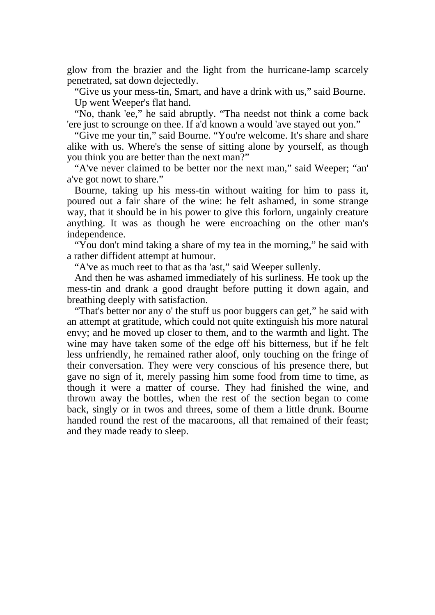glow from the brazier and the light from the hurricane-lamp scarcely penetrated, sat down dejectedly.

 "Give us your mess-tin, Smart, and have a drink with us," said Bourne. Up went Weeper's flat hand.

 "No, thank 'ee," he said abruptly. "Tha needst not think a come back 'ere just to scrounge on thee. If a'd known a would 'ave stayed out yon."

 "Give me your tin," said Bourne. "You're welcome. It's share and share alike with us. Where's the sense of sitting alone by yourself, as though you think you are better than the next man?"

 "A've never claimed to be better nor the next man," said Weeper; "an' a've got nowt to share."

 Bourne, taking up his mess-tin without waiting for him to pass it, poured out a fair share of the wine: he felt ashamed, in some strange way, that it should be in his power to give this forlorn, ungainly creature anything. It was as though he were encroaching on the other man's independence.

 "You don't mind taking a share of my tea in the morning," he said with a rather diffident attempt at humour.

"A've as much reet to that as tha 'ast," said Weeper sullenly.

 And then he was ashamed immediately of his surliness. He took up the mess-tin and drank a good draught before putting it down again, and breathing deeply with satisfaction.

 "That's better nor any o' the stuff us poor buggers can get," he said with an attempt at gratitude, which could not quite extinguish his more natural envy; and he moved up closer to them, and to the warmth and light. The wine may have taken some of the edge off his bitterness, but if he felt less unfriendly, he remained rather aloof, only touching on the fringe of their conversation. They were very conscious of his presence there, but gave no sign of it, merely passing him some food from time to time, as though it were a matter of course. They had finished the wine, and thrown away the bottles, when the rest of the section began to come back, singly or in twos and threes, some of them a little drunk. Bourne handed round the rest of the macaroons, all that remained of their feast; and they made ready to sleep.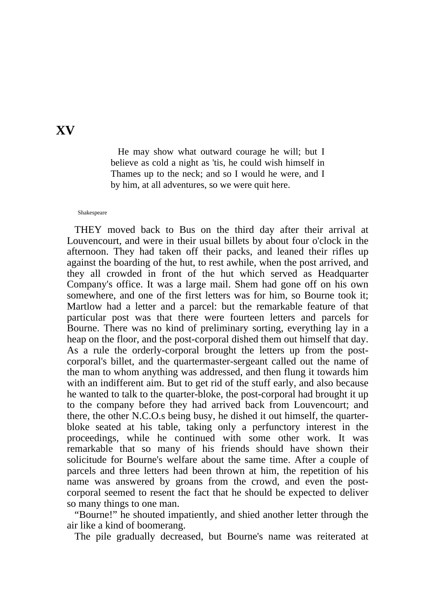He may show what outward courage he will; but I believe as cold a night as 'tis, he could wish himself in Thames up to the neck; and so I would he were, and I by him, at all adventures, so we were quit here.

Shakespeare

 THEY moved back to Bus on the third day after their arrival at Louvencourt, and were in their usual billets by about four o'clock in the afternoon. They had taken off their packs, and leaned their rifles up against the boarding of the hut, to rest awhile, when the post arrived, and they all crowded in front of the hut which served as Headquarter Company's office. It was a large mail. Shem had gone off on his own somewhere, and one of the first letters was for him, so Bourne took it; Martlow had a letter and a parcel: but the remarkable feature of that particular post was that there were fourteen letters and parcels for Bourne. There was no kind of preliminary sorting, everything lay in a heap on the floor, and the post-corporal dished them out himself that day. As a rule the orderly-corporal brought the letters up from the postcorporal's billet, and the quartermaster-sergeant called out the name of the man to whom anything was addressed, and then flung it towards him with an indifferent aim. But to get rid of the stuff early, and also because he wanted to talk to the quarter-bloke, the post-corporal had brought it up to the company before they had arrived back from Louvencourt; and there, the other N.C.O.s being busy, he dished it out himself, the quarterbloke seated at his table, taking only a perfunctory interest in the proceedings, while he continued with some other work. It was remarkable that so many of his friends should have shown their solicitude for Bourne's welfare about the same time. After a couple of parcels and three letters had been thrown at him, the repetition of his name was answered by groans from the crowd, and even the postcorporal seemed to resent the fact that he should be expected to deliver so many things to one man.

 "Bourne!" he shouted impatiently, and shied another letter through the air like a kind of boomerang.

The pile gradually decreased, but Bourne's name was reiterated at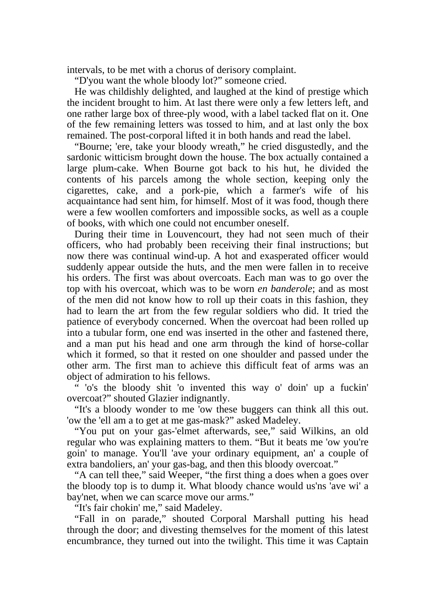intervals, to be met with a chorus of derisory complaint.

"D'you want the whole bloody lot?" someone cried.

 He was childishly delighted, and laughed at the kind of prestige which the incident brought to him. At last there were only a few letters left, and one rather large box of three-ply wood, with a label tacked flat on it. One of the few remaining letters was tossed to him, and at last only the box remained. The post-corporal lifted it in both hands and read the label.

 "Bourne; 'ere, take your bloody wreath," he cried disgustedly, and the sardonic witticism brought down the house. The box actually contained a large plum-cake. When Bourne got back to his hut, he divided the contents of his parcels among the whole section, keeping only the cigarettes, cake, and a pork-pie, which a farmer's wife of his acquaintance had sent him, for himself. Most of it was food, though there were a few woollen comforters and impossible socks, as well as a couple of books, with which one could not encumber oneself.

 During their time in Louvencourt, they had not seen much of their officers, who had probably been receiving their final instructions; but now there was continual wind-up. A hot and exasperated officer would suddenly appear outside the huts, and the men were fallen in to receive his orders. The first was about overcoats. Each man was to go over the top with his overcoat, which was to be worn *en banderole*; and as most of the men did not know how to roll up their coats in this fashion, they had to learn the art from the few regular soldiers who did. It tried the patience of everybody concerned. When the overcoat had been rolled up into a tubular form, one end was inserted in the other and fastened there, and a man put his head and one arm through the kind of horse-collar which it formed, so that it rested on one shoulder and passed under the other arm. The first man to achieve this difficult feat of arms was an object of admiration to his fellows.

 " 'o's the bloody shit 'o invented this way o' doin' up a fuckin' overcoat?" shouted Glazier indignantly.

 "It's a bloody wonder to me 'ow these buggers can think all this out. 'ow the 'ell am a to get at me gas-mask?" asked Madeley.

 "You put on your gas-'elmet afterwards, see," said Wilkins, an old regular who was explaining matters to them. "But it beats me 'ow you're goin' to manage. You'll 'ave your ordinary equipment, an' a couple of extra bandoliers, an' your gas-bag, and then this bloody overcoat."

 "A can tell thee," said Weeper, "the first thing a does when a goes over the bloody top is to dump it. What bloody chance would us'ns 'ave wi' a bay'net, when we can scarce move our arms."

"It's fair chokin' me," said Madeley.

 "Fall in on parade," shouted Corporal Marshall putting his head through the door; and divesting themselves for the moment of this latest encumbrance, they turned out into the twilight. This time it was Captain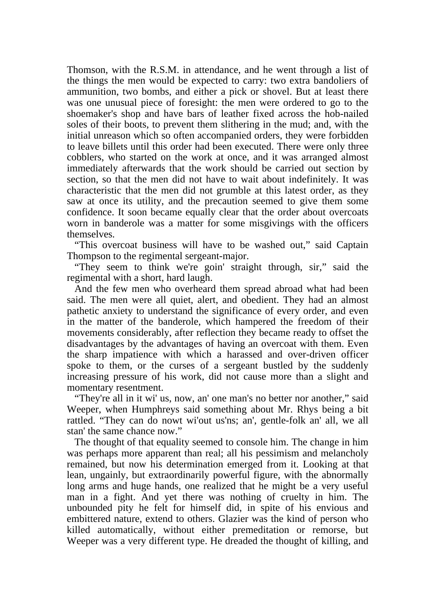Thomson, with the R.S.M. in attendance, and he went through a list of the things the men would be expected to carry: two extra bandoliers of ammunition, two bombs, and either a pick or shovel. But at least there was one unusual piece of foresight: the men were ordered to go to the shoemaker's shop and have bars of leather fixed across the hob-nailed soles of their boots, to prevent them slithering in the mud; and, with the initial unreason which so often accompanied orders, they were forbidden to leave billets until this order had been executed. There were only three cobblers, who started on the work at once, and it was arranged almost immediately afterwards that the work should be carried out section by section, so that the men did not have to wait about indefinitely. It was characteristic that the men did not grumble at this latest order, as they saw at once its utility, and the precaution seemed to give them some confidence. It soon became equally clear that the order about overcoats worn in banderole was a matter for some misgivings with the officers themselves.

 "This overcoat business will have to be washed out," said Captain Thompson to the regimental sergeant-major.

 "They seem to think we're goin' straight through, sir," said the regimental with a short, hard laugh.

 And the few men who overheard them spread abroad what had been said. The men were all quiet, alert, and obedient. They had an almost pathetic anxiety to understand the significance of every order, and even in the matter of the banderole, which hampered the freedom of their movements considerably, after reflection they became ready to offset the disadvantages by the advantages of having an overcoat with them. Even the sharp impatience with which a harassed and over-driven officer spoke to them, or the curses of a sergeant bustled by the suddenly increasing pressure of his work, did not cause more than a slight and momentary resentment.

 "They're all in it wi' us, now, an' one man's no better nor another," said Weeper, when Humphreys said something about Mr. Rhys being a bit rattled. "They can do nowt wi'out us'ns; an', gentle-folk an' all, we all stan' the same chance now."

 The thought of that equality seemed to console him. The change in him was perhaps more apparent than real; all his pessimism and melancholy remained, but now his determination emerged from it. Looking at that lean, ungainly, but extraordinarily powerful figure, with the abnormally long arms and huge hands, one realized that he might be a very useful man in a fight. And yet there was nothing of cruelty in him. The unbounded pity he felt for himself did, in spite of his envious and embittered nature, extend to others. Glazier was the kind of person who killed automatically, without either premeditation or remorse, but Weeper was a very different type. He dreaded the thought of killing, and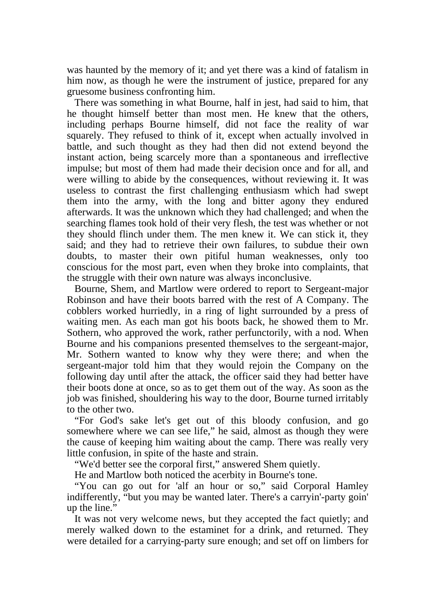was haunted by the memory of it; and yet there was a kind of fatalism in him now, as though he were the instrument of justice, prepared for any gruesome business confronting him.

 There was something in what Bourne, half in jest, had said to him, that he thought himself better than most men. He knew that the others, including perhaps Bourne himself, did not face the reality of war squarely. They refused to think of it, except when actually involved in battle, and such thought as they had then did not extend beyond the instant action, being scarcely more than a spontaneous and irreflective impulse; but most of them had made their decision once and for all, and were willing to abide by the consequences, without reviewing it. It was useless to contrast the first challenging enthusiasm which had swept them into the army, with the long and bitter agony they endured afterwards. It was the unknown which they had challenged; and when the searching flames took hold of their very flesh, the test was whether or not they should flinch under them. The men knew it. We can stick it, they said; and they had to retrieve their own failures, to subdue their own doubts, to master their own pitiful human weaknesses, only too conscious for the most part, even when they broke into complaints, that the struggle with their own nature was always inconclusive.

 Bourne, Shem, and Martlow were ordered to report to Sergeant-major Robinson and have their boots barred with the rest of A Company. The cobblers worked hurriedly, in a ring of light surrounded by a press of waiting men. As each man got his boots back, he showed them to Mr. Sothern, who approved the work, rather perfunctorily, with a nod. When Bourne and his companions presented themselves to the sergeant-major, Mr. Sothern wanted to know why they were there; and when the sergeant-major told him that they would rejoin the Company on the following day until after the attack, the officer said they had better have their boots done at once, so as to get them out of the way. As soon as the job was finished, shouldering his way to the door, Bourne turned irritably to the other two.

 "For God's sake let's get out of this bloody confusion, and go somewhere where we can see life," he said, almost as though they were the cause of keeping him waiting about the camp. There was really very little confusion, in spite of the haste and strain.

"We'd better see the corporal first," answered Shem quietly.

He and Martlow both noticed the acerbity in Bourne's tone.

 "You can go out for 'alf an hour or so," said Corporal Hamley indifferently, "but you may be wanted later. There's a carryin'-party goin' up the line."

 It was not very welcome news, but they accepted the fact quietly; and merely walked down to the estaminet for a drink, and returned. They were detailed for a carrying-party sure enough; and set off on limbers for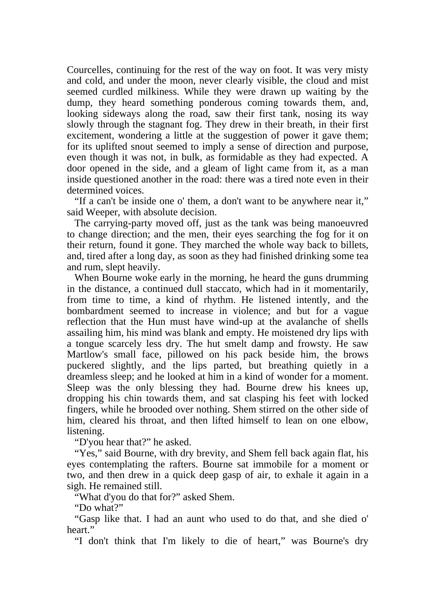Courcelles, continuing for the rest of the way on foot. It was very misty and cold, and under the moon, never clearly visible, the cloud and mist seemed curdled milkiness. While they were drawn up waiting by the dump, they heard something ponderous coming towards them, and, looking sideways along the road, saw their first tank, nosing its way slowly through the stagnant fog. They drew in their breath, in their first excitement, wondering a little at the suggestion of power it gave them; for its uplifted snout seemed to imply a sense of direction and purpose, even though it was not, in bulk, as formidable as they had expected. A door opened in the side, and a gleam of light came from it, as a man inside questioned another in the road: there was a tired note even in their determined voices.

 "If a can't be inside one o' them, a don't want to be anywhere near it," said Weeper, with absolute decision.

 The carrying-party moved off, just as the tank was being manoeuvred to change direction; and the men, their eyes searching the fog for it on their return, found it gone. They marched the whole way back to billets, and, tired after a long day, as soon as they had finished drinking some tea and rum, slept heavily.

 When Bourne woke early in the morning, he heard the guns drumming in the distance, a continued dull staccato, which had in it momentarily, from time to time, a kind of rhythm. He listened intently, and the bombardment seemed to increase in violence; and but for a vague reflection that the Hun must have wind-up at the avalanche of shells assailing him, his mind was blank and empty. He moistened dry lips with a tongue scarcely less dry. The hut smelt damp and frowsty. He saw Martlow's small face, pillowed on his pack beside him, the brows puckered slightly, and the lips parted, but breathing quietly in a dreamless sleep; and he looked at him in a kind of wonder for a moment. Sleep was the only blessing they had. Bourne drew his knees up, dropping his chin towards them, and sat clasping his feet with locked fingers, while he brooded over nothing. Shem stirred on the other side of him, cleared his throat, and then lifted himself to lean on one elbow, listening.

"D'you hear that?" he asked.

"Yes," said Bourne, with dry brevity, and Shem fell back again flat, his eyes contemplating the rafters. Bourne sat immobile for a moment or two, and then drew in a quick deep gasp of air, to exhale it again in a sigh. He remained still.

"What d'you do that for?" asked Shem.

"Do what?"

 "Gasp like that. I had an aunt who used to do that, and she died o' heart."

"I don't think that I'm likely to die of heart," was Bourne's dry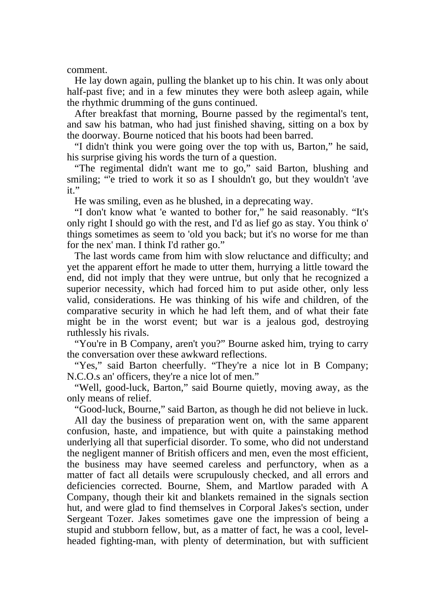comment.

 He lay down again, pulling the blanket up to his chin. It was only about half-past five; and in a few minutes they were both asleep again, while the rhythmic drumming of the guns continued.

 After breakfast that morning, Bourne passed by the regimental's tent, and saw his batman, who had just finished shaving, sitting on a box by the doorway. Bourne noticed that his boots had been barred.

 "I didn't think you were going over the top with us, Barton," he said, his surprise giving his words the turn of a question.

 "The regimental didn't want me to go," said Barton, blushing and smiling; "'e tried to work it so as I shouldn't go, but they wouldn't 'ave  $it$ ."

He was smiling, even as he blushed, in a deprecating way.

 "I don't know what 'e wanted to bother for," he said reasonably. "It's only right I should go with the rest, and I'd as lief go as stay. You think o' things sometimes as seem to 'old you back; but it's no worse for me than for the nex' man. I think I'd rather go."

 The last words came from him with slow reluctance and difficulty; and yet the apparent effort he made to utter them, hurrying a little toward the end, did not imply that they were untrue, but only that he recognized a superior necessity, which had forced him to put aside other, only less valid, considerations. He was thinking of his wife and children, of the comparative security in which he had left them, and of what their fate might be in the worst event; but war is a jealous god, destroying ruthlessly his rivals.

 "You're in B Company, aren't you?" Bourne asked him, trying to carry the conversation over these awkward reflections.

"Yes," said Barton cheerfully. "They're a nice lot in B Company; N.C.O.s an' officers, they're a nice lot of men."

 "Well, good-luck, Barton," said Bourne quietly, moving away, as the only means of relief.

 "Good-luck, Bourne," said Barton, as though he did not believe in luck. All day the business of preparation went on, with the same apparent confusion, haste, and impatience, but with quite a painstaking method underlying all that superficial disorder. To some, who did not understand the negligent manner of British officers and men, even the most efficient, the business may have seemed careless and perfunctory, when as a matter of fact all details were scrupulously checked, and all errors and deficiencies corrected. Bourne, Shem, and Martlow paraded with A Company, though their kit and blankets remained in the signals section hut, and were glad to find themselves in Corporal Jakes's section, under Sergeant Tozer. Jakes sometimes gave one the impression of being a stupid and stubborn fellow, but, as a matter of fact, he was a cool, levelheaded fighting-man, with plenty of determination, but with sufficient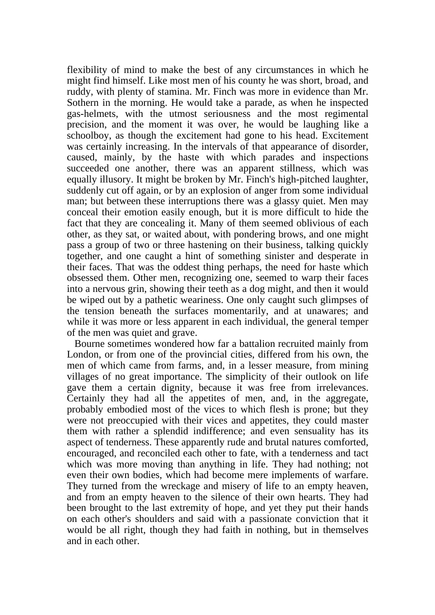flexibility of mind to make the best of any circumstances in which he might find himself. Like most men of his county he was short, broad, and ruddy, with plenty of stamina. Mr. Finch was more in evidence than Mr. Sothern in the morning. He would take a parade, as when he inspected gas-helmets, with the utmost seriousness and the most regimental precision, and the moment it was over, he would be laughing like a schoolboy, as though the excitement had gone to his head. Excitement was certainly increasing. In the intervals of that appearance of disorder, caused, mainly, by the haste with which parades and inspections succeeded one another, there was an apparent stillness, which was equally illusory. It might be broken by Mr. Finch's high-pitched laughter, suddenly cut off again, or by an explosion of anger from some individual man; but between these interruptions there was a glassy quiet. Men may conceal their emotion easily enough, but it is more difficult to hide the fact that they are concealing it. Many of them seemed oblivious of each other, as they sat, or waited about, with pondering brows, and one might pass a group of two or three hastening on their business, talking quickly together, and one caught a hint of something sinister and desperate in their faces. That was the oddest thing perhaps, the need for haste which obsessed them. Other men, recognizing one, seemed to warp their faces into a nervous grin, showing their teeth as a dog might, and then it would be wiped out by a pathetic weariness. One only caught such glimpses of the tension beneath the surfaces momentarily, and at unawares; and while it was more or less apparent in each individual, the general temper of the men was quiet and grave.

 Bourne sometimes wondered how far a battalion recruited mainly from London, or from one of the provincial cities, differed from his own, the men of which came from farms, and, in a lesser measure, from mining villages of no great importance. The simplicity of their outlook on life gave them a certain dignity, because it was free from irrelevances. Certainly they had all the appetites of men, and, in the aggregate, probably embodied most of the vices to which flesh is prone; but they were not preoccupied with their vices and appetites, they could master them with rather a splendid indifference; and even sensuality has its aspect of tenderness. These apparently rude and brutal natures comforted, encouraged, and reconciled each other to fate, with a tenderness and tact which was more moving than anything in life. They had nothing; not even their own bodies, which had become mere implements of warfare. They turned from the wreckage and misery of life to an empty heaven, and from an empty heaven to the silence of their own hearts. They had been brought to the last extremity of hope, and yet they put their hands on each other's shoulders and said with a passionate conviction that it would be all right, though they had faith in nothing, but in themselves and in each other.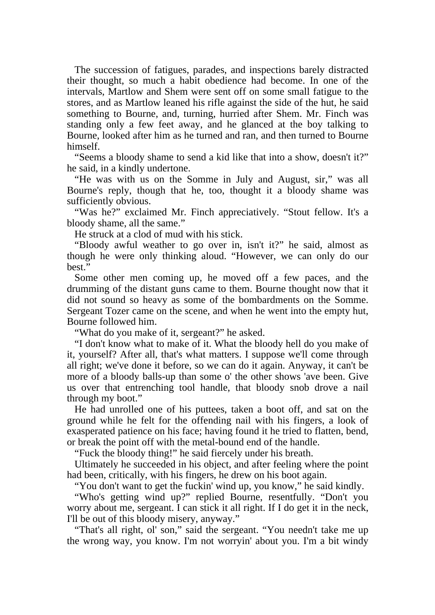The succession of fatigues, parades, and inspections barely distracted their thought, so much a habit obedience had become. In one of the intervals, Martlow and Shem were sent off on some small fatigue to the stores, and as Martlow leaned his rifle against the side of the hut, he said something to Bourne, and, turning, hurried after Shem. Mr. Finch was standing only a few feet away, and he glanced at the boy talking to Bourne, looked after him as he turned and ran, and then turned to Bourne himself.

 "Seems a bloody shame to send a kid like that into a show, doesn't it?" he said, in a kindly undertone.

 "He was with us on the Somme in July and August, sir," was all Bourne's reply, though that he, too, thought it a bloody shame was sufficiently obvious.

 "Was he?" exclaimed Mr. Finch appreciatively. "Stout fellow. It's a bloody shame, all the same."

He struck at a clod of mud with his stick.

 "Bloody awful weather to go over in, isn't it?" he said, almost as though he were only thinking aloud. "However, we can only do our best."

 Some other men coming up, he moved off a few paces, and the drumming of the distant guns came to them. Bourne thought now that it did not sound so heavy as some of the bombardments on the Somme. Sergeant Tozer came on the scene, and when he went into the empty hut, Bourne followed him.

"What do you make of it, sergeant?" he asked.

 "I don't know what to make of it. What the bloody hell do you make of it, yourself? After all, that's what matters. I suppose we'll come through all right; we've done it before, so we can do it again. Anyway, it can't be more of a bloody balls-up than some o' the other shows 'ave been. Give us over that entrenching tool handle, that bloody snob drove a nail through my boot."

 He had unrolled one of his puttees, taken a boot off, and sat on the ground while he felt for the offending nail with his fingers, a look of exasperated patience on his face; having found it he tried to flatten, bend, or break the point off with the metal-bound end of the handle.

"Fuck the bloody thing!" he said fiercely under his breath.

 Ultimately he succeeded in his object, and after feeling where the point had been, critically, with his fingers, he drew on his boot again.

"You don't want to get the fuckin' wind up, you know," he said kindly.

 "Who's getting wind up?" replied Bourne, resentfully. "Don't you worry about me, sergeant. I can stick it all right. If I do get it in the neck, I'll be out of this bloody misery, anyway."

 "That's all right, ol' son," said the sergeant. "You needn't take me up the wrong way, you know. I'm not worryin' about you. I'm a bit windy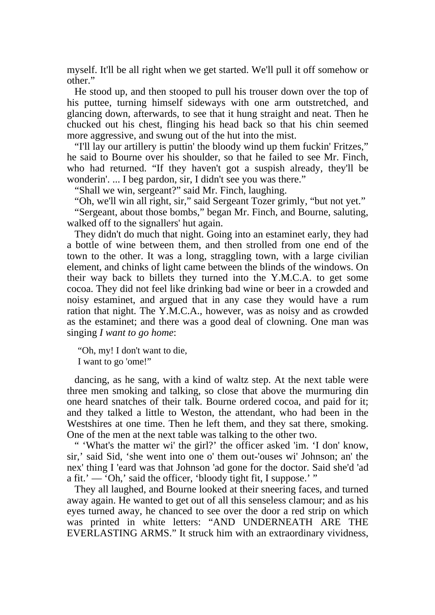myself. It'll be all right when we get started. We'll pull it off somehow or other."

 He stood up, and then stooped to pull his trouser down over the top of his puttee, turning himself sideways with one arm outstretched, and glancing down, afterwards, to see that it hung straight and neat. Then he chucked out his chest, flinging his head back so that his chin seemed more aggressive, and swung out of the hut into the mist.

 "I'll lay our artillery is puttin' the bloody wind up them fuckin' Fritzes," he said to Bourne over his shoulder, so that he failed to see Mr. Finch, who had returned. "If they haven't got a suspish already, they'll be wonderin'. ... I beg pardon, sir, I didn't see you was there."

"Shall we win, sergeant?" said Mr. Finch, laughing.

 "Oh, we'll win all right, sir," said Sergeant Tozer grimly, "but not yet." "Sergeant, about those bombs," began Mr. Finch, and Bourne, saluting, walked off to the signallers' hut again.

 They didn't do much that night. Going into an estaminet early, they had a bottle of wine between them, and then strolled from one end of the town to the other. It was a long, straggling town, with a large civilian element, and chinks of light came between the blinds of the windows. On their way back to billets they turned into the Y.M.C.A. to get some cocoa. They did not feel like drinking bad wine or beer in a crowded and noisy estaminet, and argued that in any case they would have a rum ration that night. The Y.M.C.A., however, was as noisy and as crowded as the estaminet; and there was a good deal of clowning. One man was singing *I want to go home*:

"Oh, my! I don't want to die, I want to go 'ome!"

 dancing, as he sang, with a kind of waltz step. At the next table were three men smoking and talking, so close that above the murmuring din one heard snatches of their talk. Bourne ordered cocoa, and paid for it; and they talked a little to Weston, the attendant, who had been in the Westshires at one time. Then he left them, and they sat there, smoking. One of the men at the next table was talking to the other two.

 " 'What's the matter wi' the girl?' the officer asked 'im. 'I don' know, sir,' said Sid, 'she went into one o' them out-'ouses wi' Johnson; an' the nex' thing I 'eard was that Johnson 'ad gone for the doctor. Said she'd 'ad a fit.'  $\sim$  'Oh,' said the officer, 'bloody tight fit, I suppose.' "

 They all laughed, and Bourne looked at their sneering faces, and turned away again. He wanted to get out of all this senseless clamour; and as his eyes turned away, he chanced to see over the door a red strip on which was printed in white letters: "AND UNDERNEATH ARE THE EVERLASTING ARMS." It struck him with an extraordinary vividness,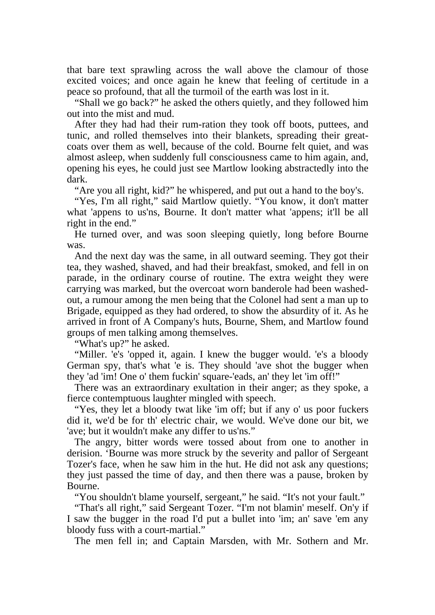that bare text sprawling across the wall above the clamour of those excited voices; and once again he knew that feeling of certitude in a peace so profound, that all the turmoil of the earth was lost in it.

 "Shall we go back?" he asked the others quietly, and they followed him out into the mist and mud.

 After they had had their rum-ration they took off boots, puttees, and tunic, and rolled themselves into their blankets, spreading their greatcoats over them as well, because of the cold. Bourne felt quiet, and was almost asleep, when suddenly full consciousness came to him again, and, opening his eyes, he could just see Martlow looking abstractedly into the dark.

"Are you all right, kid?" he whispered, and put out a hand to the boy's.

 "Yes, I'm all right," said Martlow quietly. "You know, it don't matter what 'appens to us'ns, Bourne. It don't matter what 'appens; it'll be all right in the end."

 He turned over, and was soon sleeping quietly, long before Bourne was.

 And the next day was the same, in all outward seeming. They got their tea, they washed, shaved, and had their breakfast, smoked, and fell in on parade, in the ordinary course of routine. The extra weight they were carrying was marked, but the overcoat worn banderole had been washedout, a rumour among the men being that the Colonel had sent a man up to Brigade, equipped as they had ordered, to show the absurdity of it. As he arrived in front of A Company's huts, Bourne, Shem, and Martlow found groups of men talking among themselves.

"What's up?" he asked.

 "Miller. 'e's 'opped it, again. I knew the bugger would. 'e's a bloody German spy, that's what 'e is. They should 'ave shot the bugger when they 'ad 'im! One o' them fuckin' square-'eads, an' they let 'im off!"

 There was an extraordinary exultation in their anger; as they spoke, a fierce contemptuous laughter mingled with speech.

 "Yes, they let a bloody twat like 'im off; but if any o' us poor fuckers did it, we'd be for th' electric chair, we would. We've done our bit, we 'ave; but it wouldn't make any differ to us'ns."

 The angry, bitter words were tossed about from one to another in derision. 'Bourne was more struck by the severity and pallor of Sergeant Tozer's face, when he saw him in the hut. He did not ask any questions; they just passed the time of day, and then there was a pause, broken by Bourne.

"You shouldn't blame yourself, sergeant," he said. "It's not your fault."

 "That's all right," said Sergeant Tozer. "I'm not blamin' meself. On'y if I saw the bugger in the road I'd put a bullet into 'im; an' save 'em any bloody fuss with a court-martial."

The men fell in; and Captain Marsden, with Mr. Sothern and Mr.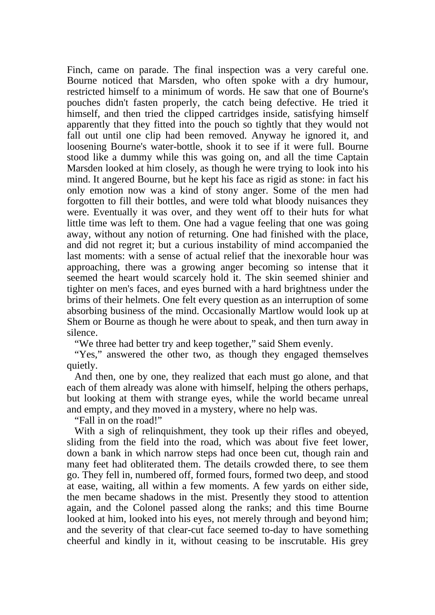Finch, came on parade. The final inspection was a very careful one. Bourne noticed that Marsden, who often spoke with a dry humour, restricted himself to a minimum of words. He saw that one of Bourne's pouches didn't fasten properly, the catch being defective. He tried it himself, and then tried the clipped cartridges inside, satisfying himself apparently that they fitted into the pouch so tightly that they would not fall out until one clip had been removed. Anyway he ignored it, and loosening Bourne's water-bottle, shook it to see if it were full. Bourne stood like a dummy while this was going on, and all the time Captain Marsden looked at him closely, as though he were trying to look into his mind. It angered Bourne, but he kept his face as rigid as stone: in fact his only emotion now was a kind of stony anger. Some of the men had forgotten to fill their bottles, and were told what bloody nuisances they were. Eventually it was over, and they went off to their huts for what little time was left to them. One had a vague feeling that one was going away, without any notion of returning. One had finished with the place, and did not regret it; but a curious instability of mind accompanied the last moments: with a sense of actual relief that the inexorable hour was approaching, there was a growing anger becoming so intense that it seemed the heart would scarcely hold it. The skin seemed shinier and tighter on men's faces, and eyes burned with a hard brightness under the brims of their helmets. One felt every question as an interruption of some absorbing business of the mind. Occasionally Martlow would look up at Shem or Bourne as though he were about to speak, and then turn away in silence.

"We three had better try and keep together," said Shem evenly.

 "Yes," answered the other two, as though they engaged themselves quietly.

 And then, one by one, they realized that each must go alone, and that each of them already was alone with himself, helping the others perhaps, but looking at them with strange eyes, while the world became unreal and empty, and they moved in a mystery, where no help was.

"Fall in on the road!"

 With a sigh of relinquishment, they took up their rifles and obeyed, sliding from the field into the road, which was about five feet lower, down a bank in which narrow steps had once been cut, though rain and many feet had obliterated them. The details crowded there, to see them go. They fell in, numbered off, formed fours, formed two deep, and stood at ease, waiting, all within a few moments. A few yards on either side, the men became shadows in the mist. Presently they stood to attention again, and the Colonel passed along the ranks; and this time Bourne looked at him, looked into his eyes, not merely through and beyond him; and the severity of that clear-cut face seemed to-day to have something cheerful and kindly in it, without ceasing to be inscrutable. His grey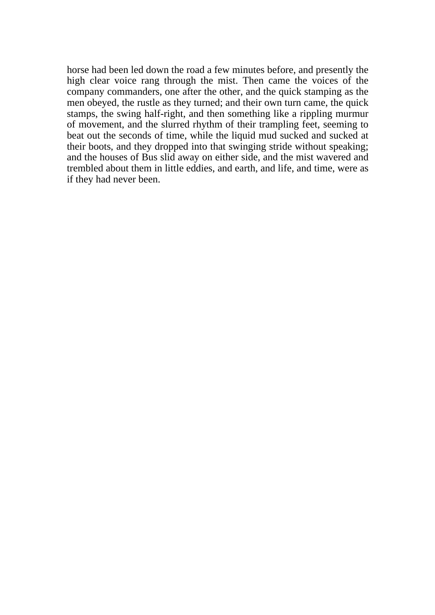horse had been led down the road a few minutes before, and presently the high clear voice rang through the mist. Then came the voices of the company commanders, one after the other, and the quick stamping as the men obeyed, the rustle as they turned; and their own turn came, the quick stamps, the swing half-right, and then something like a rippling murmur of movement, and the slurred rhythm of their trampling feet, seeming to beat out the seconds of time, while the liquid mud sucked and sucked at their boots, and they dropped into that swinging stride without speaking; and the houses of Bus slid away on either side, and the mist wavered and trembled about them in little eddies, and earth, and life, and time, were as if they had never been.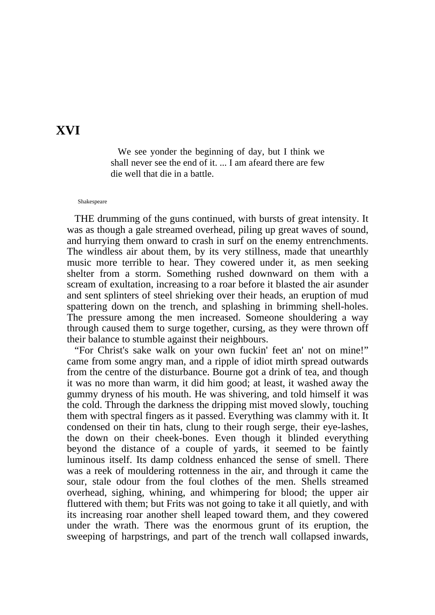We see yonder the beginning of day, but I think we shall never see the end of it. ... I am afeard there are few die well that die in a battle.

### Shakespeare

 THE drumming of the guns continued, with bursts of great intensity. It was as though a gale streamed overhead, piling up great waves of sound, and hurrying them onward to crash in surf on the enemy entrenchments. The windless air about them, by its very stillness, made that unearthly music more terrible to hear. They cowered under it, as men seeking shelter from a storm. Something rushed downward on them with a scream of exultation, increasing to a roar before it blasted the air asunder and sent splinters of steel shrieking over their heads, an eruption of mud spattering down on the trench, and splashing in brimming shell-holes. The pressure among the men increased. Someone shouldering a way through caused them to surge together, cursing, as they were thrown off their balance to stumble against their neighbours.

 "For Christ's sake walk on your own fuckin' feet an' not on mine!" came from some angry man, and a ripple of idiot mirth spread outwards from the centre of the disturbance. Bourne got a drink of tea, and though it was no more than warm, it did him good; at least, it washed away the gummy dryness of his mouth. He was shivering, and told himself it was the cold. Through the darkness the dripping mist moved slowly, touching them with spectral fingers as it passed. Everything was clammy with it. It condensed on their tin hats, clung to their rough serge, their eye-lashes, the down on their cheek-bones. Even though it blinded everything beyond the distance of a couple of yards, it seemed to be faintly luminous itself. Its damp coldness enhanced the sense of smell. There was a reek of mouldering rottenness in the air, and through it came the sour, stale odour from the foul clothes of the men. Shells streamed overhead, sighing, whining, and whimpering for blood; the upper air fluttered with them; but Frits was not going to take it all quietly, and with its increasing roar another shell leaped toward them, and they cowered under the wrath. There was the enormous grunt of its eruption, the sweeping of harpstrings, and part of the trench wall collapsed inwards,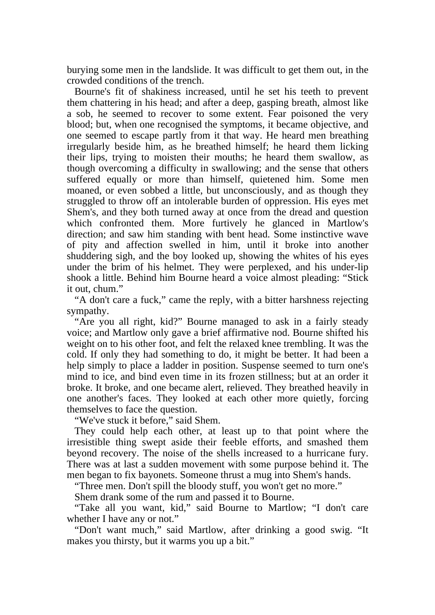burying some men in the landslide. It was difficult to get them out, in the crowded conditions of the trench.

 Bourne's fit of shakiness increased, until he set his teeth to prevent them chattering in his head; and after a deep, gasping breath, almost like a sob, he seemed to recover to some extent. Fear poisoned the very blood; but, when one recognised the symptoms, it became objective, and one seemed to escape partly from it that way. He heard men breathing irregularly beside him, as he breathed himself; he heard them licking their lips, trying to moisten their mouths; he heard them swallow, as though overcoming a difficulty in swallowing; and the sense that others suffered equally or more than himself, quietened him. Some men moaned, or even sobbed a little, but unconsciously, and as though they struggled to throw off an intolerable burden of oppression. His eyes met Shem's, and they both turned away at once from the dread and question which confronted them. More furtively he glanced in Martlow's direction; and saw him standing with bent head. Some instinctive wave of pity and affection swelled in him, until it broke into another shuddering sigh, and the boy looked up, showing the whites of his eyes under the brim of his helmet. They were perplexed, and his under-lip shook a little. Behind him Bourne heard a voice almost pleading: "Stick it out, chum."

 "A don't care a fuck," came the reply, with a bitter harshness rejecting sympathy.

 "Are you all right, kid?" Bourne managed to ask in a fairly steady voice; and Martlow only gave a brief affirmative nod. Bourne shifted his weight on to his other foot, and felt the relaxed knee trembling. It was the cold. If only they had something to do, it might be better. It had been a help simply to place a ladder in position. Suspense seemed to turn one's mind to ice, and bind even time in its frozen stillness; but at an order it broke. It broke, and one became alert, relieved. They breathed heavily in one another's faces. They looked at each other more quietly, forcing themselves to face the question.

"We've stuck it before," said Shem.

 They could help each other, at least up to that point where the irresistible thing swept aside their feeble efforts, and smashed them beyond recovery. The noise of the shells increased to a hurricane fury. There was at last a sudden movement with some purpose behind it. The men began to fix bayonets. Someone thrust a mug into Shem's hands.

"Three men. Don't spill the bloody stuff, you won't get no more."

Shem drank some of the rum and passed it to Bourne.

 "Take all you want, kid," said Bourne to Martlow; "I don't care whether I have any or not."

 "Don't want much," said Martlow, after drinking a good swig. "It makes you thirsty, but it warms you up a bit."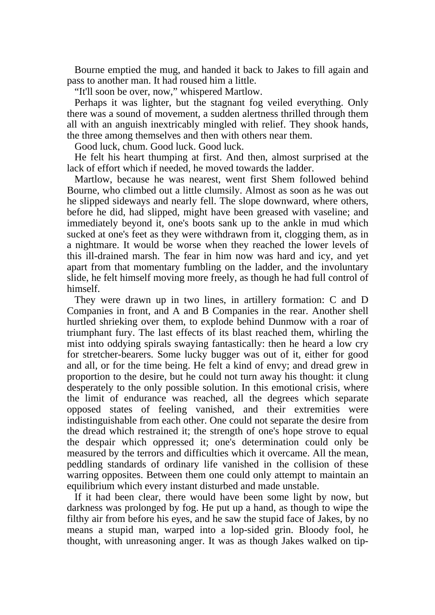Bourne emptied the mug, and handed it back to Jakes to fill again and pass to another man. It had roused him a little.

"It'll soon be over, now," whispered Martlow.

 Perhaps it was lighter, but the stagnant fog veiled everything. Only there was a sound of movement, a sudden alertness thrilled through them all with an anguish inextricably mingled with relief. They shook hands, the three among themselves and then with others near them.

Good luck, chum. Good luck. Good luck.

 He felt his heart thumping at first. And then, almost surprised at the lack of effort which if needed, he moved towards the ladder.

 Martlow, because he was nearest, went first Shem followed behind Bourne, who climbed out a little clumsily. Almost as soon as he was out he slipped sideways and nearly fell. The slope downward, where others, before he did, had slipped, might have been greased with vaseline; and immediately beyond it, one's boots sank up to the ankle in mud which sucked at one's feet as they were withdrawn from it, clogging them, as in a nightmare. It would be worse when they reached the lower levels of this ill-drained marsh. The fear in him now was hard and icy, and yet apart from that momentary fumbling on the ladder, and the involuntary slide, he felt himself moving more freely, as though he had full control of himself.

 They were drawn up in two lines, in artillery formation: C and D Companies in front, and A and B Companies in the rear. Another shell hurtled shrieking over them, to explode behind Dunmow with a roar of triumphant fury. The last effects of its blast reached them, whirling the mist into oddying spirals swaying fantastically: then he heard a low cry for stretcher-bearers. Some lucky bugger was out of it, either for good and all, or for the time being. He felt a kind of envy; and dread grew in proportion to the desire, but he could not turn away his thought: it clung desperately to the only possible solution. In this emotional crisis, where the limit of endurance was reached, all the degrees which separate opposed states of feeling vanished, and their extremities were indistinguishable from each other. One could not separate the desire from the dread which restrained it; the strength of one's hope strove to equal the despair which oppressed it; one's determination could only be measured by the terrors and difficulties which it overcame. All the mean, peddling standards of ordinary life vanished in the collision of these warring opposites. Between them one could only attempt to maintain an equilibrium which every instant disturbed and made unstable.

 If it had been clear, there would have been some light by now, but darkness was prolonged by fog. He put up a hand, as though to wipe the filthy air from before his eyes, and he saw the stupid face of Jakes, by no means a stupid man, warped into a lop-sided grin. Bloody fool, he thought, with unreasoning anger. It was as though Jakes walked on tip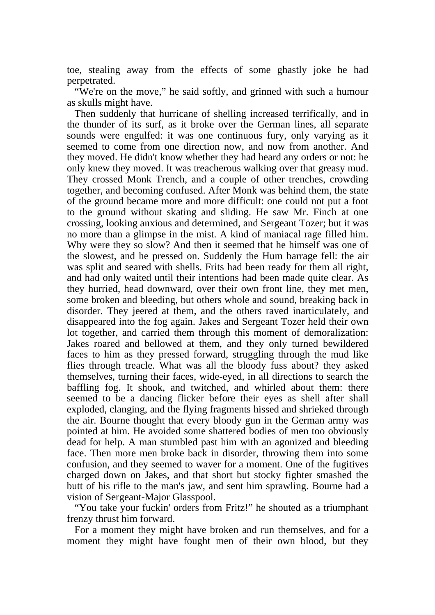toe, stealing away from the effects of some ghastly joke he had perpetrated.

 "We're on the move," he said softly, and grinned with such a humour as skulls might have.

 Then suddenly that hurricane of shelling increased terrifically, and in the thunder of its surf, as it broke over the German lines, all separate sounds were engulfed: it was one continuous fury, only varying as it seemed to come from one direction now, and now from another. And they moved. He didn't know whether they had heard any orders or not: he only knew they moved. It was treacherous walking over that greasy mud. They crossed Monk Trench, and a couple of other trenches, crowding together, and becoming confused. After Monk was behind them, the state of the ground became more and more difficult: one could not put a foot to the ground without skating and sliding. He saw Mr. Finch at one crossing, looking anxious and determined, and Sergeant Tozer; but it was no more than a glimpse in the mist. A kind of maniacal rage filled him. Why were they so slow? And then it seemed that he himself was one of the slowest, and he pressed on. Suddenly the Hum barrage fell: the air was split and seared with shells. Frits had been ready for them all right, and had only waited until their intentions had been made quite clear. As they hurried, head downward, over their own front line, they met men, some broken and bleeding, but others whole and sound, breaking back in disorder. They jeered at them, and the others raved inarticulately, and disappeared into the fog again. Jakes and Sergeant Tozer held their own lot together, and carried them through this moment of demoralization: Jakes roared and bellowed at them, and they only turned bewildered faces to him as they pressed forward, struggling through the mud like flies through treacle. What was all the bloody fuss about? they asked themselves, turning their faces, wide-eyed, in all directions to search the baffling fog. It shook, and twitched, and whirled about them: there seemed to be a dancing flicker before their eyes as shell after shall exploded, clanging, and the flying fragments hissed and shrieked through the air. Bourne thought that every bloody gun in the German army was pointed at him. He avoided some shattered bodies of men too obviously dead for help. A man stumbled past him with an agonized and bleeding face. Then more men broke back in disorder, throwing them into some confusion, and they seemed to waver for a moment. One of the fugitives charged down on Jakes, and that short but stocky fighter smashed the butt of his rifle to the man's jaw, and sent him sprawling. Bourne had a vision of Sergeant-Major Glasspool.

 "You take your fuckin' orders from Fritz!" he shouted as a triumphant frenzy thrust him forward.

 For a moment they might have broken and run themselves, and for a moment they might have fought men of their own blood, but they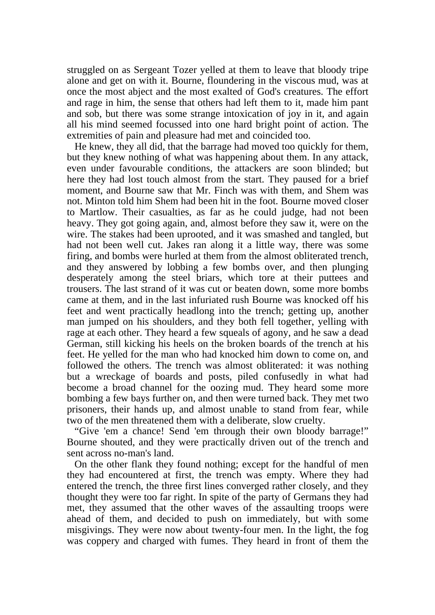struggled on as Sergeant Tozer yelled at them to leave that bloody tripe alone and get on with it. Bourne, floundering in the viscous mud, was at once the most abject and the most exalted of God's creatures. The effort and rage in him, the sense that others had left them to it, made him pant and sob, but there was some strange intoxication of joy in it, and again all his mind seemed focussed into one hard bright point of action. The extremities of pain and pleasure had met and coincided too.

 He knew, they all did, that the barrage had moved too quickly for them, but they knew nothing of what was happening about them. In any attack, even under favourable conditions, the attackers are soon blinded; but here they had lost touch almost from the start. They paused for a brief moment, and Bourne saw that Mr. Finch was with them, and Shem was not. Minton told him Shem had been hit in the foot. Bourne moved closer to Martlow. Their casualties, as far as he could judge, had not been heavy. They got going again, and, almost before they saw it, were on the wire. The stakes had been uprooted, and it was smashed and tangled, but had not been well cut. Jakes ran along it a little way, there was some firing, and bombs were hurled at them from the almost obliterated trench, and they answered by lobbing a few bombs over, and then plunging desperately among the steel briars, which tore at their puttees and trousers. The last strand of it was cut or beaten down, some more bombs came at them, and in the last infuriated rush Bourne was knocked off his feet and went practically headlong into the trench; getting up, another man jumped on his shoulders, and they both fell together, yelling with rage at each other. They heard a few squeals of agony, and he saw a dead German, still kicking his heels on the broken boards of the trench at his feet. He yelled for the man who had knocked him down to come on, and followed the others. The trench was almost obliterated: it was nothing but a wreckage of boards and posts, piled confusedly in what had become a broad channel for the oozing mud. They heard some more bombing a few bays further on, and then were turned back. They met two prisoners, their hands up, and almost unable to stand from fear, while two of the men threatened them with a deliberate, slow cruelty.

 "Give 'em a chance! Send 'em through their own bloody barrage!" Bourne shouted, and they were practically driven out of the trench and sent across no-man's land.

 On the other flank they found nothing; except for the handful of men they had encountered at first, the trench was empty. Where they had entered the trench, the three first lines converged rather closely, and they thought they were too far right. In spite of the party of Germans they had met, they assumed that the other waves of the assaulting troops were ahead of them, and decided to push on immediately, but with some misgivings. They were now about twenty-four men. In the light, the fog was coppery and charged with fumes. They heard in front of them the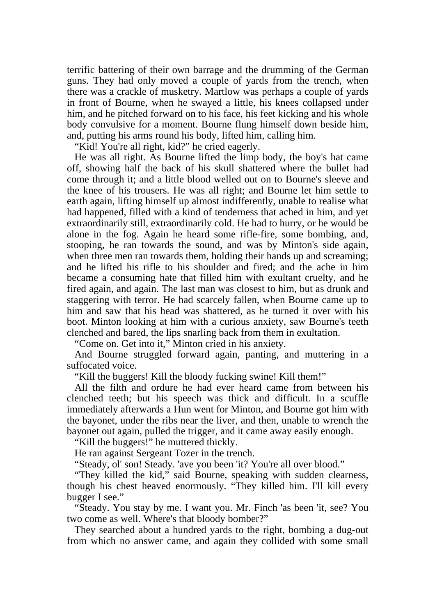terrific battering of their own barrage and the drumming of the German guns. They had only moved a couple of yards from the trench, when there was a crackle of musketry. Martlow was perhaps a couple of yards in front of Bourne, when he swayed a little, his knees collapsed under him, and he pitched forward on to his face, his feet kicking and his whole body convulsive for a moment. Bourne flung himself down beside him, and, putting his arms round his body, lifted him, calling him.

"Kid! You're all right, kid?" he cried eagerly.

 He was all right. As Bourne lifted the limp body, the boy's hat came off, showing half the back of his skull shattered where the bullet had come through it; and a little blood welled out on to Bourne's sleeve and the knee of his trousers. He was all right; and Bourne let him settle to earth again, lifting himself up almost indifferently, unable to realise what had happened, filled with a kind of tenderness that ached in him, and yet extraordinarily still, extraordinarily cold. He had to hurry, or he would be alone in the fog. Again he heard some rifle-fire, some bombing, and, stooping, he ran towards the sound, and was by Minton's side again, when three men ran towards them, holding their hands up and screaming; and he lifted his rifle to his shoulder and fired; and the ache in him became a consuming hate that filled him with exultant cruelty, and he fired again, and again. The last man was closest to him, but as drunk and staggering with terror. He had scarcely fallen, when Bourne came up to him and saw that his head was shattered, as he turned it over with his boot. Minton looking at him with a curious anxiety, saw Bourne's teeth clenched and bared, the lips snarling back from them in exultation.

"Come on. Get into it," Minton cried in his anxiety.

 And Bourne struggled forward again, panting, and muttering in a suffocated voice.

"Kill the buggers! Kill the bloody fucking swine! Kill them!"

 All the filth and ordure he had ever heard came from between his clenched teeth; but his speech was thick and difficult. In a scuffle immediately afterwards a Hun went for Minton, and Bourne got him with the bayonet, under the ribs near the liver, and then, unable to wrench the bayonet out again, pulled the trigger, and it came away easily enough.

"Kill the buggers!" he muttered thickly.

He ran against Sergeant Tozer in the trench.

"Steady, ol' son! Steady. 'ave you been 'it? You're all over blood."

 "They killed the kid," said Bourne, speaking with sudden clearness, though his chest heaved enormously. "They killed him. I'll kill every bugger I see."

 "Steady. You stay by me. I want you. Mr. Finch 'as been 'it, see? You two come as well. Where's that bloody bomber?"

 They searched about a hundred yards to the right, bombing a dug-out from which no answer came, and again they collided with some small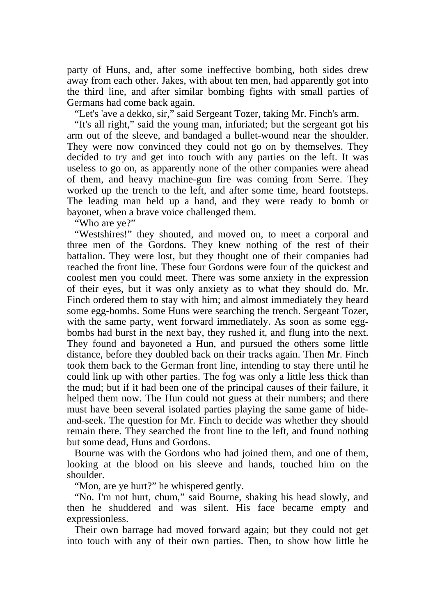party of Huns, and, after some ineffective bombing, both sides drew away from each other. Jakes, with about ten men, had apparently got into the third line, and after similar bombing fights with small parties of Germans had come back again.

"Let's 'ave a dekko, sir," said Sergeant Tozer, taking Mr. Finch's arm.

 "It's all right," said the young man, infuriated; but the sergeant got his arm out of the sleeve, and bandaged a bullet-wound near the shoulder. They were now convinced they could not go on by themselves. They decided to try and get into touch with any parties on the left. It was useless to go on, as apparently none of the other companies were ahead of them, and heavy machine-gun fire was coming from Serre. They worked up the trench to the left, and after some time, heard footsteps. The leading man held up a hand, and they were ready to bomb or bayonet, when a brave voice challenged them.

"Who are ye?"

 "Westshires!" they shouted, and moved on, to meet a corporal and three men of the Gordons. They knew nothing of the rest of their battalion. They were lost, but they thought one of their companies had reached the front line. These four Gordons were four of the quickest and coolest men you could meet. There was some anxiety in the expression of their eyes, but it was only anxiety as to what they should do. Mr. Finch ordered them to stay with him; and almost immediately they heard some egg-bombs. Some Huns were searching the trench. Sergeant Tozer, with the same party, went forward immediately. As soon as some eggbombs had burst in the next bay, they rushed it, and flung into the next. They found and bayoneted a Hun, and pursued the others some little distance, before they doubled back on their tracks again. Then Mr. Finch took them back to the German front line, intending to stay there until he could link up with other parties. The fog was only a little less thick than the mud; but if it had been one of the principal causes of their failure, it helped them now. The Hun could not guess at their numbers; and there must have been several isolated parties playing the same game of hideand-seek. The question for Mr. Finch to decide was whether they should remain there. They searched the front line to the left, and found nothing but some dead, Huns and Gordons.

 Bourne was with the Gordons who had joined them, and one of them, looking at the blood on his sleeve and hands, touched him on the shoulder.

"Mon, are ye hurt?" he whispered gently.

 "No. I'm not hurt, chum," said Bourne, shaking his head slowly, and then he shuddered and was silent. His face became empty and expressionless.

 Their own barrage had moved forward again; but they could not get into touch with any of their own parties. Then, to show how little he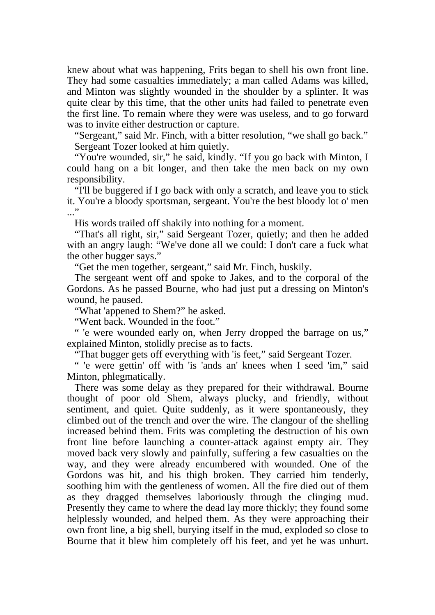knew about what was happening, Frits began to shell his own front line. They had some casualties immediately; a man called Adams was killed, and Minton was slightly wounded in the shoulder by a splinter. It was quite clear by this time, that the other units had failed to penetrate even the first line. To remain where they were was useless, and to go forward was to invite either destruction or capture.

 "Sergeant," said Mr. Finch, with a bitter resolution, "we shall go back." Sergeant Tozer looked at him quietly.

"You're wounded, sir," he said, kindly. "If you go back with Minton, I could hang on a bit longer, and then take the men back on my own responsibility.

 "I'll be buggered if I go back with only a scratch, and leave you to stick it. You're a bloody sportsman, sergeant. You're the best bloody lot o' men  $\cdot$ ..."

His words trailed off shakily into nothing for a moment.

 "That's all right, sir," said Sergeant Tozer, quietly; and then he added with an angry laugh: "We've done all we could: I don't care a fuck what the other bugger says."

"Get the men together, sergeant," said Mr. Finch, huskily.

 The sergeant went off and spoke to Jakes, and to the corporal of the Gordons. As he passed Bourne, who had just put a dressing on Minton's wound, he paused.

"What 'appened to Shem?" he asked.

"Went back. Wounded in the foot."

 " 'e were wounded early on, when Jerry dropped the barrage on us," explained Minton, stolidly precise as to facts.

"That bugger gets off everything with 'is feet," said Sergeant Tozer.

 " 'e were gettin' off with 'is 'ands an' knees when I seed 'im," said Minton, phlegmatically.

 There was some delay as they prepared for their withdrawal. Bourne thought of poor old Shem, always plucky, and friendly, without sentiment, and quiet. Quite suddenly, as it were spontaneously, they climbed out of the trench and over the wire. The clangour of the shelling increased behind them. Frits was completing the destruction of his own front line before launching a counter-attack against empty air. They moved back very slowly and painfully, suffering a few casualties on the way, and they were already encumbered with wounded. One of the Gordons was hit, and his thigh broken. They carried him tenderly, soothing him with the gentleness of women. All the fire died out of them as they dragged themselves laboriously through the clinging mud. Presently they came to where the dead lay more thickly; they found some helplessly wounded, and helped them. As they were approaching their own front line, a big shell, burying itself in the mud, exploded so close to Bourne that it blew him completely off his feet, and yet he was unhurt.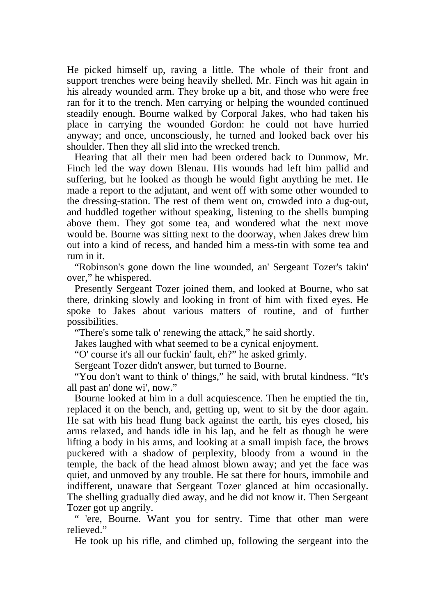He picked himself up, raving a little. The whole of their front and support trenches were being heavily shelled. Mr. Finch was hit again in his already wounded arm. They broke up a bit, and those who were free ran for it to the trench. Men carrying or helping the wounded continued steadily enough. Bourne walked by Corporal Jakes, who had taken his place in carrying the wounded Gordon: he could not have hurried anyway; and once, unconsciously, he turned and looked back over his shoulder. Then they all slid into the wrecked trench.

 Hearing that all their men had been ordered back to Dunmow, Mr. Finch led the way down Blenau. His wounds had left him pallid and suffering, but he looked as though he would fight anything he met. He made a report to the adjutant, and went off with some other wounded to the dressing-station. The rest of them went on, crowded into a dug-out, and huddled together without speaking, listening to the shells bumping above them. They got some tea, and wondered what the next move would be. Bourne was sitting next to the doorway, when Jakes drew him out into a kind of recess, and handed him a mess-tin with some tea and rum in it.

 "Robinson's gone down the line wounded, an' Sergeant Tozer's takin' over," he whispered.

 Presently Sergeant Tozer joined them, and looked at Bourne, who sat there, drinking slowly and looking in front of him with fixed eyes. He spoke to Jakes about various matters of routine, and of further possibilities.

"There's some talk o' renewing the attack," he said shortly.

Jakes laughed with what seemed to be a cynical enjoyment.

"O' course it's all our fuckin' fault, eh?" he asked grimly.

Sergeant Tozer didn't answer, but turned to Bourne.

 "You don't want to think o' things," he said, with brutal kindness. "It's all past an' done wi', now."

 Bourne looked at him in a dull acquiescence. Then he emptied the tin, replaced it on the bench, and, getting up, went to sit by the door again. He sat with his head flung back against the earth, his eyes closed, his arms relaxed, and hands idle in his lap, and he felt as though he were lifting a body in his arms, and looking at a small impish face, the brows puckered with a shadow of perplexity, bloody from a wound in the temple, the back of the head almost blown away; and yet the face was quiet, and unmoved by any trouble. He sat there for hours, immobile and indifferent, unaware that Sergeant Tozer glanced at him occasionally. The shelling gradually died away, and he did not know it. Then Sergeant Tozer got up angrily.

 " 'ere, Bourne. Want you for sentry. Time that other man were relieved."

He took up his rifle, and climbed up, following the sergeant into the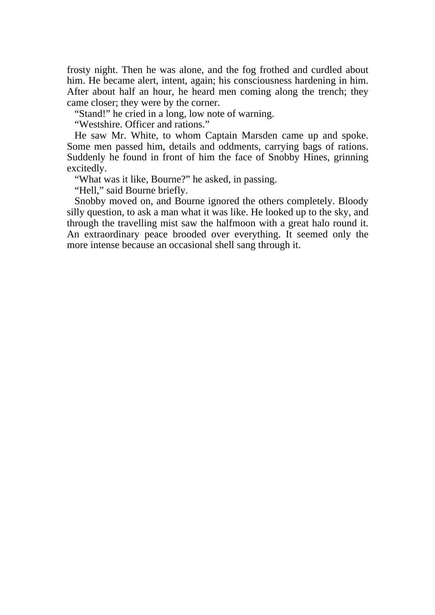frosty night. Then he was alone, and the fog frothed and curdled about him. He became alert, intent, again; his consciousness hardening in him. After about half an hour, he heard men coming along the trench; they came closer; they were by the corner.

"Stand!" he cried in a long, low note of warning.

"Westshire. Officer and rations."

 He saw Mr. White, to whom Captain Marsden came up and spoke. Some men passed him, details and oddments, carrying bags of rations. Suddenly he found in front of him the face of Snobby Hines, grinning excitedly.

"What was it like, Bourne?" he asked, in passing.

"Hell," said Bourne briefly.

 Snobby moved on, and Bourne ignored the others completely. Bloody silly question, to ask a man what it was like. He looked up to the sky, and through the travelling mist saw the halfmoon with a great halo round it. An extraordinary peace brooded over everything. It seemed only the more intense because an occasional shell sang through it.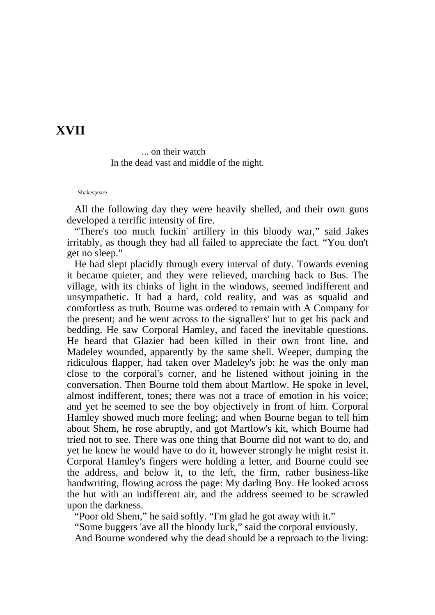... on their watch In the dead vast and middle of the night.

### Shakespeare

 All the following day they were heavily shelled, and their own guns developed a terrific intensity of fire.

 "There's too much fuckin' artillery in this bloody war," said Jakes irritably, as though they had all failed to appreciate the fact. "You don't get no sleep."

 He had slept placidly through every interval of duty. Towards evening it became quieter, and they were relieved, marching back to Bus. The village, with its chinks of light in the windows, seemed indifferent and unsympathetic. It had a hard, cold reality, and was as squalid and comfortless as truth. Bourne was ordered to remain with A Company for the present; and he went across to the signallers' hut to get his pack and bedding. He saw Corporal Hamley, and faced the inevitable questions. He heard that Glazier had been killed in their own front line, and Madeley wounded, apparently by the same shell. Weeper, dumping the ridiculous flapper, had taken over Madeley's job: he was the only man close to the corporal's corner, and he listened without joining in the conversation. Then Bourne told them about Martlow. He spoke in level, almost indifferent, tones; there was not a trace of emotion in his voice; and yet he seemed to see the boy objectively in front of him. Corporal Hamley showed much more feeling; and when Bourne began to tell him about Shem, he rose abruptly, and got Martlow's kit, which Bourne had tried not to see. There was one thing that Bourne did not want to do, and yet he knew he would have to do it, however strongly he might resist it. Corporal Hamley's fingers were holding a letter, and Bourne could see the address, and below it, to the left, the firm, rather business-like handwriting, flowing across the page: My darling Boy. He looked across the hut with an indifferent air, and the address seemed to be scrawled upon the darkness.

"Poor old Shem," he said softly. "I'm glad he got away with it."

"Some buggers 'ave all the bloody luck," said the corporal enviously.

And Bourne wondered why the dead should be a reproach to the living: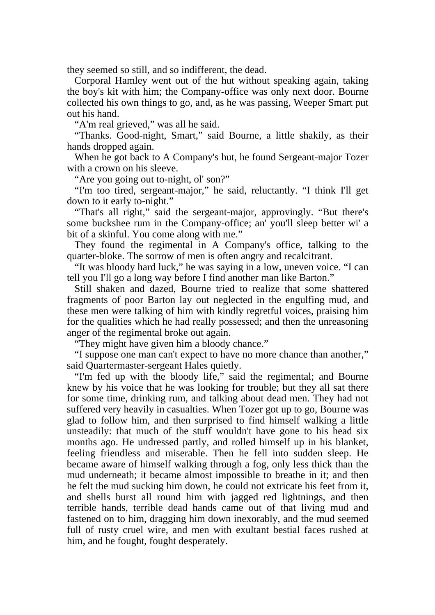they seemed so still, and so indifferent, the dead.

 Corporal Hamley went out of the hut without speaking again, taking the boy's kit with him; the Company-office was only next door. Bourne collected his own things to go, and, as he was passing, Weeper Smart put out his hand.

"A'm real grieved," was all he said.

 "Thanks. Good-night, Smart," said Bourne, a little shakily, as their hands dropped again.

 When he got back to A Company's hut, he found Sergeant-major Tozer with a crown on his sleeve.

"Are you going out to-night, ol' son?"

 "I'm too tired, sergeant-major," he said, reluctantly. "I think I'll get down to it early to-night."

 "That's all right," said the sergeant-major, approvingly. "But there's some buckshee rum in the Company-office; an' you'll sleep better wi' a bit of a skinful. You come along with me."

 They found the regimental in A Company's office, talking to the quarter-bloke. The sorrow of men is often angry and recalcitrant.

 "It was bloody hard luck," he was saying in a low, uneven voice. "I can tell you I'll go a long way before I find another man like Barton."

 Still shaken and dazed, Bourne tried to realize that some shattered fragments of poor Barton lay out neglected in the engulfing mud, and these men were talking of him with kindly regretful voices, praising him for the qualities which he had really possessed; and then the unreasoning anger of the regimental broke out again.

"They might have given him a bloody chance."

 "I suppose one man can't expect to have no more chance than another," said Quartermaster-sergeant Hales quietly.

 "I'm fed up with the bloody life," said the regimental; and Bourne knew by his voice that he was looking for trouble; but they all sat there for some time, drinking rum, and talking about dead men. They had not suffered very heavily in casualties. When Tozer got up to go, Bourne was glad to follow him, and then surprised to find himself walking a little unsteadily: that much of the stuff wouldn't have gone to his head six months ago. He undressed partly, and rolled himself up in his blanket, feeling friendless and miserable. Then he fell into sudden sleep. He became aware of himself walking through a fog, only less thick than the mud underneath; it became almost impossible to breathe in it; and then he felt the mud sucking him down, he could not extricate his feet from it, and shells burst all round him with jagged red lightnings, and then terrible hands, terrible dead hands came out of that living mud and fastened on to him, dragging him down inexorably, and the mud seemed full of rusty cruel wire, and men with exultant bestial faces rushed at him, and he fought, fought desperately.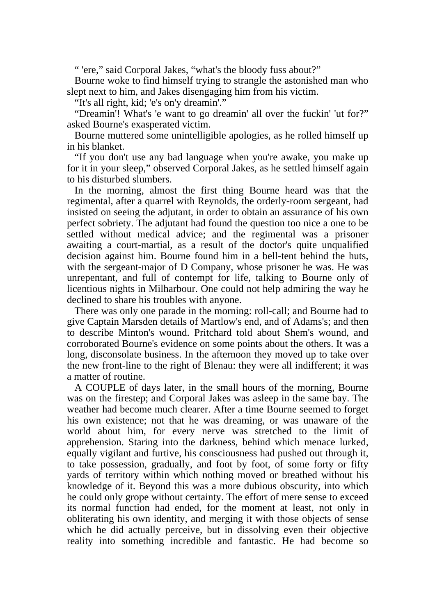" 'ere," said Corporal Jakes, "what's the bloody fuss about?"

 Bourne woke to find himself trying to strangle the astonished man who slept next to him, and Jakes disengaging him from his victim.

"It's all right, kid; 'e's on'y dreamin'."

 "Dreamin'! What's 'e want to go dreamin' all over the fuckin' 'ut for?" asked Bourne's exasperated victim.

 Bourne muttered some unintelligible apologies, as he rolled himself up in his blanket.

 "If you don't use any bad language when you're awake, you make up for it in your sleep," observed Corporal Jakes, as he settled himself again to his disturbed slumbers.

 In the morning, almost the first thing Bourne heard was that the regimental, after a quarrel with Reynolds, the orderly-room sergeant, had insisted on seeing the adjutant, in order to obtain an assurance of his own perfect sobriety. The adjutant had found the question too nice a one to be settled without medical advice; and the regimental was a prisoner awaiting a court-martial, as a result of the doctor's quite unqualified decision against him. Bourne found him in a bell-tent behind the huts, with the sergeant-major of D Company, whose prisoner he was. He was unrepentant, and full of contempt for life, talking to Bourne only of licentious nights in Milharbour. One could not help admiring the way he declined to share his troubles with anyone.

 There was only one parade in the morning: roll-call; and Bourne had to give Captain Marsden details of Martlow's end, and of Adams's; and then to describe Minton's wound. Pritchard told about Shem's wound, and corroborated Bourne's evidence on some points about the others. It was a long, disconsolate business. In the afternoon they moved up to take over the new front-line to the right of Blenau: they were all indifferent; it was a matter of routine.

 A COUPLE of days later, in the small hours of the morning, Bourne was on the firestep; and Corporal Jakes was asleep in the same bay. The weather had become much clearer. After a time Bourne seemed to forget his own existence; not that he was dreaming, or was unaware of the world about him, for every nerve was stretched to the limit of apprehension. Staring into the darkness, behind which menace lurked, equally vigilant and furtive, his consciousness had pushed out through it, to take possession, gradually, and foot by foot, of some forty or fifty yards of territory within which nothing moved or breathed without his knowledge of it. Beyond this was a more dubious obscurity, into which he could only grope without certainty. The effort of mere sense to exceed its normal function had ended, for the moment at least, not only in obliterating his own identity, and merging it with those objects of sense which he did actually perceive, but in dissolving even their objective reality into something incredible and fantastic. He had become so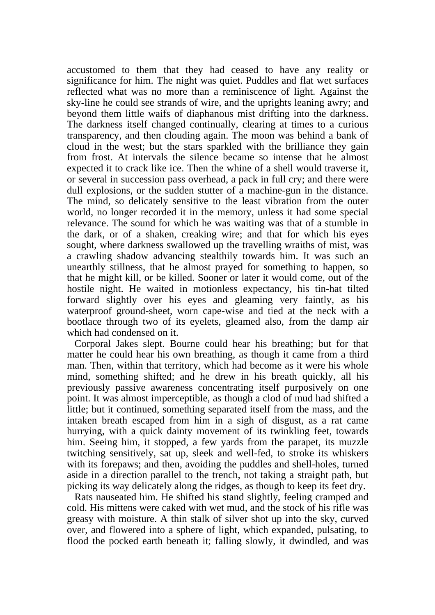accustomed to them that they had ceased to have any reality or significance for him. The night was quiet. Puddles and flat wet surfaces reflected what was no more than a reminiscence of light. Against the sky-line he could see strands of wire, and the uprights leaning awry; and beyond them little waifs of diaphanous mist drifting into the darkness. The darkness itself changed continually, clearing at times to a curious transparency, and then clouding again. The moon was behind a bank of cloud in the west; but the stars sparkled with the brilliance they gain from frost. At intervals the silence became so intense that he almost expected it to crack like ice. Then the whine of a shell would traverse it, or several in succession pass overhead, a pack in full cry; and there were dull explosions, or the sudden stutter of a machine-gun in the distance. The mind, so delicately sensitive to the least vibration from the outer world, no longer recorded it in the memory, unless it had some special relevance. The sound for which he was waiting was that of a stumble in the dark, or of a shaken, creaking wire; and that for which his eyes sought, where darkness swallowed up the travelling wraiths of mist, was a crawling shadow advancing stealthily towards him. It was such an unearthly stillness, that he almost prayed for something to happen, so that he might kill, or be killed. Sooner or later it would come, out of the hostile night. He waited in motionless expectancy, his tin-hat tilted forward slightly over his eyes and gleaming very faintly, as his waterproof ground-sheet, worn cape-wise and tied at the neck with a bootlace through two of its eyelets, gleamed also, from the damp air which had condensed on it.

 Corporal Jakes slept. Bourne could hear his breathing; but for that matter he could hear his own breathing, as though it came from a third man. Then, within that territory, which had become as it were his whole mind, something shifted; and he drew in his breath quickly, all his previously passive awareness concentrating itself purposively on one point. It was almost imperceptible, as though a clod of mud had shifted a little; but it continued, something separated itself from the mass, and the intaken breath escaped from him in a sigh of disgust, as a rat came hurrying, with a quick dainty movement of its twinkling feet, towards him. Seeing him, it stopped, a few yards from the parapet, its muzzle twitching sensitively, sat up, sleek and well-fed, to stroke its whiskers with its forepaws; and then, avoiding the puddles and shell-holes, turned aside in a direction parallel to the trench, not taking a straight path, but picking its way delicately along the ridges, as though to keep its feet dry.

 Rats nauseated him. He shifted his stand slightly, feeling cramped and cold. His mittens were caked with wet mud, and the stock of his rifle was greasy with moisture. A thin stalk of silver shot up into the sky, curved over, and flowered into a sphere of light, which expanded, pulsating, to flood the pocked earth beneath it; falling slowly, it dwindled, and was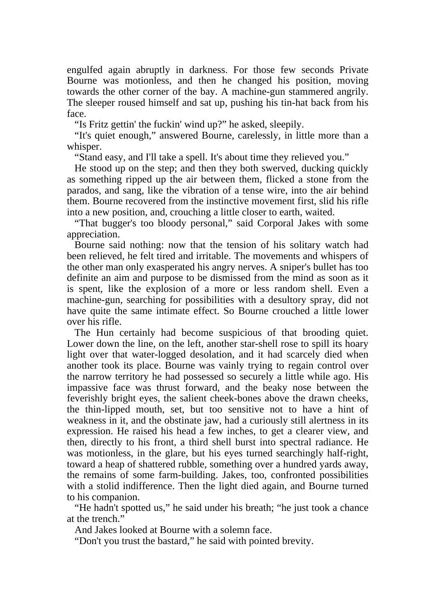engulfed again abruptly in darkness. For those few seconds Private Bourne was motionless, and then he changed his position, moving towards the other corner of the bay. A machine-gun stammered angrily. The sleeper roused himself and sat up, pushing his tin-hat back from his face.

"Is Fritz gettin' the fuckin' wind up?" he asked, sleepily.

 "It's quiet enough," answered Bourne, carelessly, in little more than a whisper.

"Stand easy, and I'll take a spell. It's about time they relieved you."

 He stood up on the step; and then they both swerved, ducking quickly as something ripped up the air between them, flicked a stone from the parados, and sang, like the vibration of a tense wire, into the air behind them. Bourne recovered from the instinctive movement first, slid his rifle into a new position, and, crouching a little closer to earth, waited.

 "That bugger's too bloody personal," said Corporal Jakes with some appreciation.

 Bourne said nothing: now that the tension of his solitary watch had been relieved, he felt tired and irritable. The movements and whispers of the other man only exasperated his angry nerves. A sniper's bullet has too definite an aim and purpose to be dismissed from the mind as soon as it is spent, like the explosion of a more or less random shell. Even a machine-gun, searching for possibilities with a desultory spray, did not have quite the same intimate effect. So Bourne crouched a little lower over his rifle.

 The Hun certainly had become suspicious of that brooding quiet. Lower down the line, on the left, another star-shell rose to spill its hoary light over that water-logged desolation, and it had scarcely died when another took its place. Bourne was vainly trying to regain control over the narrow territory he had possessed so securely a little while ago. His impassive face was thrust forward, and the beaky nose between the feverishly bright eyes, the salient cheek-bones above the drawn cheeks, the thin-lipped mouth, set, but too sensitive not to have a hint of weakness in it, and the obstinate jaw, had a curiously still alertness in its expression. He raised his head a few inches, to get a clearer view, and then, directly to his front, a third shell burst into spectral radiance. He was motionless, in the glare, but his eyes turned searchingly half-right, toward a heap of shattered rubble, something over a hundred yards away, the remains of some farm-building. Jakes, too, confronted possibilities with a stolid indifference. Then the light died again, and Bourne turned to his companion.

 "He hadn't spotted us," he said under his breath; "he just took a chance at the trench."

And Jakes looked at Bourne with a solemn face.

"Don't you trust the bastard," he said with pointed brevity.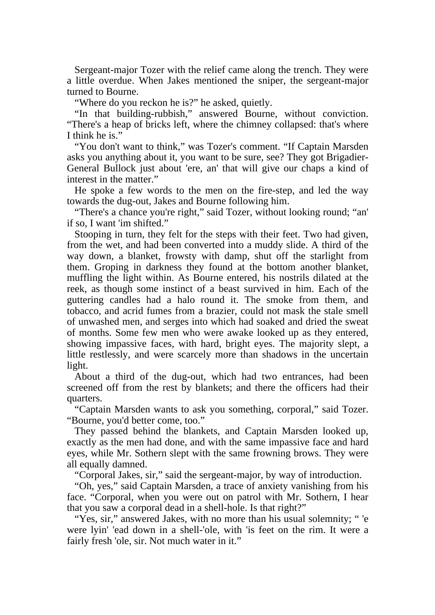Sergeant-major Tozer with the relief came along the trench. They were a little overdue. When Jakes mentioned the sniper, the sergeant-major turned to Bourne.

"Where do you reckon he is?" he asked, quietly.

 "In that building-rubbish," answered Bourne, without conviction. "There's a heap of bricks left, where the chimney collapsed: that's where I think he is."

 "You don't want to think," was Tozer's comment. "If Captain Marsden asks you anything about it, you want to be sure, see? They got Brigadier-General Bullock just about 'ere, an' that will give our chaps a kind of interest in the matter."

 He spoke a few words to the men on the fire-step, and led the way towards the dug-out, Jakes and Bourne following him.

 "There's a chance you're right," said Tozer, without looking round; "an' if so, I want 'im shifted."

 Stooping in turn, they felt for the steps with their feet. Two had given, from the wet, and had been converted into a muddy slide. A third of the way down, a blanket, frowsty with damp, shut off the starlight from them. Groping in darkness they found at the bottom another blanket, muffling the light within. As Bourne entered, his nostrils dilated at the reek, as though some instinct of a beast survived in him. Each of the guttering candles had a halo round it. The smoke from them, and tobacco, and acrid fumes from a brazier, could not mask the stale smell of unwashed men, and serges into which had soaked and dried the sweat of months. Some few men who were awake looked up as they entered, showing impassive faces, with hard, bright eyes. The majority slept, a little restlessly, and were scarcely more than shadows in the uncertain light.

 About a third of the dug-out, which had two entrances, had been screened off from the rest by blankets; and there the officers had their quarters.

 "Captain Marsden wants to ask you something, corporal," said Tozer. "Bourne, you'd better come, too."

 They passed behind the blankets, and Captain Marsden looked up, exactly as the men had done, and with the same impassive face and hard eyes, while Mr. Sothern slept with the same frowning brows. They were all equally damned.

"Corporal Jakes, sir," said the sergeant-major, by way of introduction.

 "Oh, yes," said Captain Marsden, a trace of anxiety vanishing from his face. "Corporal, when you were out on patrol with Mr. Sothern, I hear that you saw a corporal dead in a shell-hole. Is that right?"

 "Yes, sir," answered Jakes, with no more than his usual solemnity; " 'e were lyin' 'ead down in a shell-'ole, with 'is feet on the rim. It were a fairly fresh 'ole, sir. Not much water in it."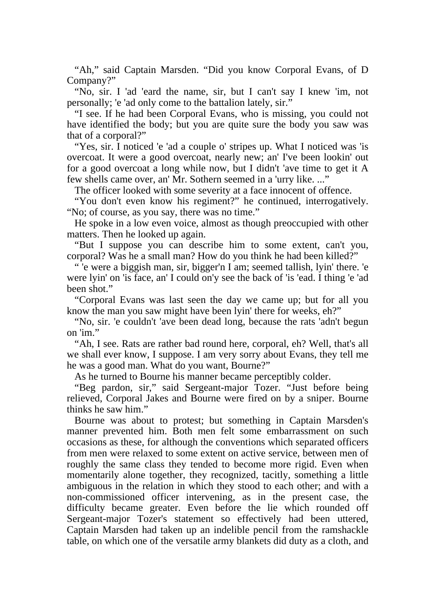"Ah," said Captain Marsden. "Did you know Corporal Evans, of D Company?"

 "No, sir. I 'ad 'eard the name, sir, but I can't say I knew 'im, not personally; 'e 'ad only come to the battalion lately, sir."

 "I see. If he had been Corporal Evans, who is missing, you could not have identified the body; but you are quite sure the body you saw was that of a corporal?"

 "Yes, sir. I noticed 'e 'ad a couple o' stripes up. What I noticed was 'is overcoat. It were a good overcoat, nearly new; an' I've been lookin' out for a good overcoat a long while now, but I didn't 'ave time to get it A few shells came over, an' Mr. Sothern seemed in a 'urry like. ..."

The officer looked with some severity at a face innocent of offence.

 "You don't even know his regiment?" he continued, interrogatively. "No; of course, as you say, there was no time."

 He spoke in a low even voice, almost as though preoccupied with other matters. Then he looked up again.

 "But I suppose you can describe him to some extent, can't you, corporal? Was he a small man? How do you think he had been killed?"

 " 'e were a biggish man, sir, bigger'n I am; seemed tallish, lyin' there. 'e were lyin' on 'is face, an' I could on'y see the back of 'is 'ead. I thing 'e 'ad been shot."

 "Corporal Evans was last seen the day we came up; but for all you know the man you saw might have been lyin' there for weeks, eh?"

 "No, sir. 'e couldn't 'ave been dead long, because the rats 'adn't begun on 'im."

 "Ah, I see. Rats are rather bad round here, corporal, eh? Well, that's all we shall ever know, I suppose. I am very sorry about Evans, they tell me he was a good man. What do you want, Bourne?"

As he turned to Bourne his manner became perceptibly colder.

 "Beg pardon, sir," said Sergeant-major Tozer. "Just before being relieved, Corporal Jakes and Bourne were fired on by a sniper. Bourne thinks he saw him."

 Bourne was about to protest; but something in Captain Marsden's manner prevented him. Both men felt some embarrassment on such occasions as these, for although the conventions which separated officers from men were relaxed to some extent on active service, between men of roughly the same class they tended to become more rigid. Even when momentarily alone together, they recognized, tacitly, something a little ambiguous in the relation in which they stood to each other; and with a non-commissioned officer intervening, as in the present case, the difficulty became greater. Even before the lie which rounded off Sergeant-major Tozer's statement so effectively had been uttered, Captain Marsden had taken up an indelible pencil from the ramshackle table, on which one of the versatile army blankets did duty as a cloth, and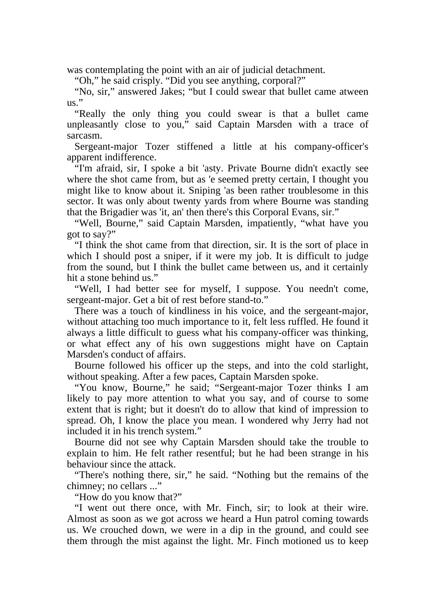was contemplating the point with an air of judicial detachment.

"Oh," he said crisply. "Did you see anything, corporal?"

 "No, sir," answered Jakes; "but I could swear that bullet came atween us."

 "Really the only thing you could swear is that a bullet came unpleasantly close to you," said Captain Marsden with a trace of sarcasm.

 Sergeant-major Tozer stiffened a little at his company-officer's apparent indifference.

 "I'm afraid, sir, I spoke a bit 'asty. Private Bourne didn't exactly see where the shot came from, but as 'e seemed pretty certain, I thought you might like to know about it. Sniping 'as been rather troublesome in this sector. It was only about twenty yards from where Bourne was standing that the Brigadier was 'it, an' then there's this Corporal Evans, sir."

 "Well, Bourne," said Captain Marsden, impatiently, "what have you got to say?"

 "I think the shot came from that direction, sir. It is the sort of place in which I should post a sniper, if it were my job. It is difficult to judge from the sound, but I think the bullet came between us, and it certainly hit a stone behind us."

 "Well, I had better see for myself, I suppose. You needn't come, sergeant-major. Get a bit of rest before stand-to."

 There was a touch of kindliness in his voice, and the sergeant-major, without attaching too much importance to it, felt less ruffled. He found it always a little difficult to guess what his company-officer was thinking, or what effect any of his own suggestions might have on Captain Marsden's conduct of affairs.

 Bourne followed his officer up the steps, and into the cold starlight, without speaking. After a few paces, Captain Marsden spoke.

 "You know, Bourne," he said; "Sergeant-major Tozer thinks I am likely to pay more attention to what you say, and of course to some extent that is right; but it doesn't do to allow that kind of impression to spread. Oh, I know the place you mean. I wondered why Jerry had not included it in his trench system."

 Bourne did not see why Captain Marsden should take the trouble to explain to him. He felt rather resentful; but he had been strange in his behaviour since the attack.

 "There's nothing there, sir," he said. "Nothing but the remains of the chimney; no cellars ..."

"How do you know that?"

 "I went out there once, with Mr. Finch, sir; to look at their wire. Almost as soon as we got across we heard a Hun patrol coming towards us. We crouched down, we were in a dip in the ground, and could see them through the mist against the light. Mr. Finch motioned us to keep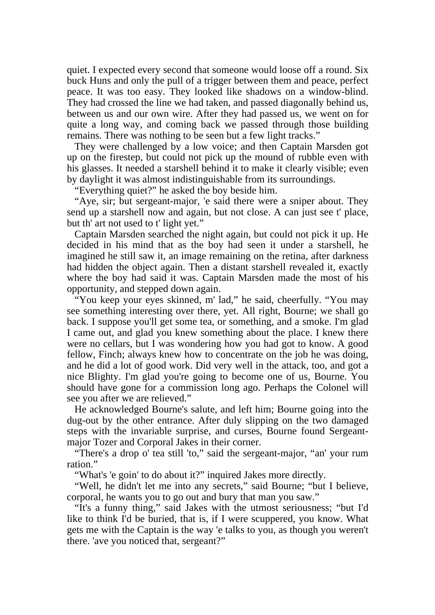quiet. I expected every second that someone would loose off a round. Six buck Huns and only the pull of a trigger between them and peace, perfect peace. It was too easy. They looked like shadows on a window-blind. They had crossed the line we had taken, and passed diagonally behind us, between us and our own wire. After they had passed us, we went on for quite a long way, and coming back we passed through those building remains. There was nothing to be seen but a few light tracks."

 They were challenged by a low voice; and then Captain Marsden got up on the firestep, but could not pick up the mound of rubble even with his glasses. It needed a starshell behind it to make it clearly visible; even by daylight it was almost indistinguishable from its surroundings.

"Everything quiet?" he asked the boy beside him.

 "Aye, sir; but sergeant-major, 'e said there were a sniper about. They send up a starshell now and again, but not close. A can just see t' place, but th' art not used to t' light yet."

 Captain Marsden searched the night again, but could not pick it up. He decided in his mind that as the boy had seen it under a starshell, he imagined he still saw it, an image remaining on the retina, after darkness had hidden the object again. Then a distant starshell revealed it, exactly where the boy had said it was. Captain Marsden made the most of his opportunity, and stepped down again.

 "You keep your eyes skinned, m' lad," he said, cheerfully. "You may see something interesting over there, yet. All right, Bourne; we shall go back. I suppose you'll get some tea, or something, and a smoke. I'm glad I came out, and glad you knew something about the place. I knew there were no cellars, but I was wondering how you had got to know. A good fellow, Finch; always knew how to concentrate on the job he was doing, and he did a lot of good work. Did very well in the attack, too, and got a nice Blighty. I'm glad you're going to become one of us, Bourne. You should have gone for a commission long ago. Perhaps the Colonel will see you after we are relieved."

 He acknowledged Bourne's salute, and left him; Bourne going into the dug-out by the other entrance. After duly slipping on the two damaged steps with the invariable surprise, and curses, Bourne found Sergeantmajor Tozer and Corporal Jakes in their corner.

 "There's a drop o' tea still 'to," said the sergeant-major, "an' your rum ration."

"What's 'e goin' to do about it?" inquired Jakes more directly.

 "Well, he didn't let me into any secrets," said Bourne; "but I believe, corporal, he wants you to go out and bury that man you saw."

 "It's a funny thing," said Jakes with the utmost seriousness; "but I'd like to think I'd be buried, that is, if I were scuppered, you know. What gets me with the Captain is the way 'e talks to you, as though you weren't there. 'ave you noticed that, sergeant?"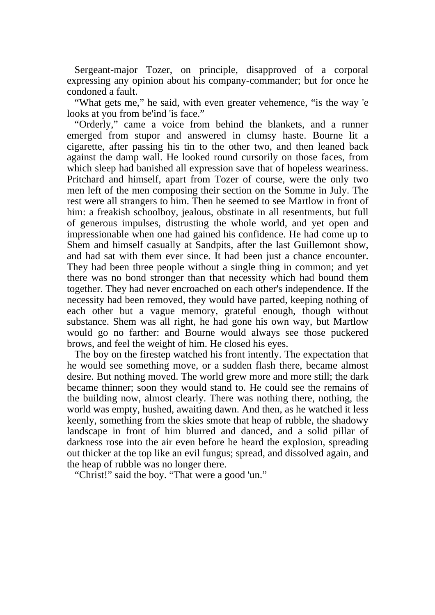Sergeant-major Tozer, on principle, disapproved of a corporal expressing any opinion about his company-commander; but for once he condoned a fault.

 "What gets me," he said, with even greater vehemence, "is the way 'e looks at you from be'ind 'is face."

 "Orderly," came a voice from behind the blankets, and a runner emerged from stupor and answered in clumsy haste. Bourne lit a cigarette, after passing his tin to the other two, and then leaned back against the damp wall. He looked round cursorily on those faces, from which sleep had banished all expression save that of hopeless weariness. Pritchard and himself, apart from Tozer of course, were the only two men left of the men composing their section on the Somme in July. The rest were all strangers to him. Then he seemed to see Martlow in front of him: a freakish schoolboy, jealous, obstinate in all resentments, but full of generous impulses, distrusting the whole world, and yet open and impressionable when one had gained his confidence. He had come up to Shem and himself casually at Sandpits, after the last Guillemont show, and had sat with them ever since. It had been just a chance encounter. They had been three people without a single thing in common; and yet there was no bond stronger than that necessity which had bound them together. They had never encroached on each other's independence. If the necessity had been removed, they would have parted, keeping nothing of each other but a vague memory, grateful enough, though without substance. Shem was all right, he had gone his own way, but Martlow would go no farther: and Bourne would always see those puckered brows, and feel the weight of him. He closed his eyes.

 The boy on the firestep watched his front intently. The expectation that he would see something move, or a sudden flash there, became almost desire. But nothing moved. The world grew more and more still; the dark became thinner; soon they would stand to. He could see the remains of the building now, almost clearly. There was nothing there, nothing, the world was empty, hushed, awaiting dawn. And then, as he watched it less keenly, something from the skies smote that heap of rubble, the shadowy landscape in front of him blurred and danced, and a solid pillar of darkness rose into the air even before he heard the explosion, spreading out thicker at the top like an evil fungus; spread, and dissolved again, and the heap of rubble was no longer there.

"Christ!" said the boy. "That were a good 'un."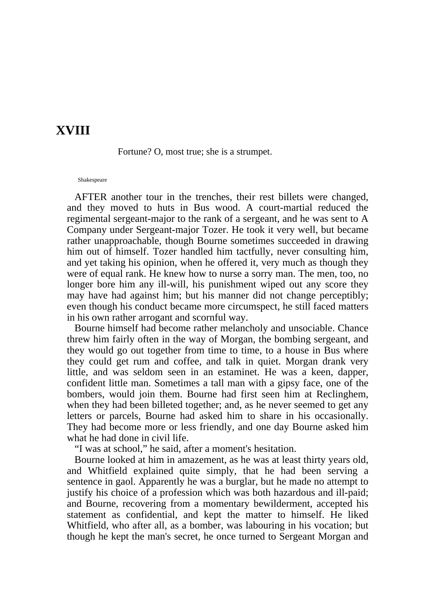# **XVIII**

## Fortune? O, most true; she is a strumpet.

### Shakespeare

 AFTER another tour in the trenches, their rest billets were changed, and they moved to huts in Bus wood. A court-martial reduced the regimental sergeant-major to the rank of a sergeant, and he was sent to A Company under Sergeant-major Tozer. He took it very well, but became rather unapproachable, though Bourne sometimes succeeded in drawing him out of himself. Tozer handled him tactfully, never consulting him, and yet taking his opinion, when he offered it, very much as though they were of equal rank. He knew how to nurse a sorry man. The men, too, no longer bore him any ill-will, his punishment wiped out any score they may have had against him; but his manner did not change perceptibly; even though his conduct became more circumspect, he still faced matters in his own rather arrogant and scornful way.

 Bourne himself had become rather melancholy and unsociable. Chance threw him fairly often in the way of Morgan, the bombing sergeant, and they would go out together from time to time, to a house in Bus where they could get rum and coffee, and talk in quiet. Morgan drank very little, and was seldom seen in an estaminet. He was a keen, dapper, confident little man. Sometimes a tall man with a gipsy face, one of the bombers, would join them. Bourne had first seen him at Reclinghem, when they had been billeted together; and, as he never seemed to get any letters or parcels, Bourne had asked him to share in his occasionally. They had become more or less friendly, and one day Bourne asked him what he had done in civil life.

"I was at school," he said, after a moment's hesitation.

 Bourne looked at him in amazement, as he was at least thirty years old, and Whitfield explained quite simply, that he had been serving a sentence in gaol. Apparently he was a burglar, but he made no attempt to justify his choice of a profession which was both hazardous and ill-paid; and Bourne, recovering from a momentary bewilderment, accepted his statement as confidential, and kept the matter to himself. He liked Whitfield, who after all, as a bomber, was labouring in his vocation; but though he kept the man's secret, he once turned to Sergeant Morgan and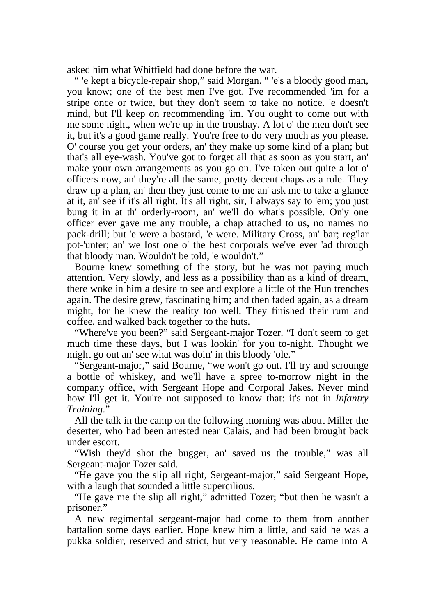asked him what Whitfield had done before the war.

 " 'e kept a bicycle-repair shop," said Morgan. " 'e's a bloody good man, you know; one of the best men I've got. I've recommended 'im for a stripe once or twice, but they don't seem to take no notice. 'e doesn't mind, but I'll keep on recommending 'im. You ought to come out with me some night, when we're up in the tronshay. A lot o' the men don't see it, but it's a good game really. You're free to do very much as you please. O' course you get your orders, an' they make up some kind of a plan; but that's all eye-wash. You've got to forget all that as soon as you start, an' make your own arrangements as you go on. I've taken out quite a lot o' officers now, an' they're all the same, pretty decent chaps as a rule. They draw up a plan, an' then they just come to me an' ask me to take a glance at it, an' see if it's all right. It's all right, sir, I always say to 'em; you just bung it in at th' orderly-room, an' we'll do what's possible. On'y one officer ever gave me any trouble, a chap attached to us, no names no pack-drill; but 'e were a bastard, 'e were. Military Cross, an' bar; reg'lar pot-'unter; an' we lost one o' the best corporals we've ever 'ad through that bloody man. Wouldn't be told, 'e wouldn't."

 Bourne knew something of the story, but he was not paying much attention. Very slowly, and less as a possibility than as a kind of dream, there woke in him a desire to see and explore a little of the Hun trenches again. The desire grew, fascinating him; and then faded again, as a dream might, for he knew the reality too well. They finished their rum and coffee, and walked back together to the huts.

 "Where've you been?" said Sergeant-major Tozer. "I don't seem to get much time these days, but I was lookin' for you to-night. Thought we might go out an' see what was doin' in this bloody 'ole."

 "Sergeant-major," said Bourne, "we won't go out. I'll try and scrounge a bottle of whiskey, and we'll have a spree to-morrow night in the company office, with Sergeant Hope and Corporal Jakes. Never mind how I'll get it. You're not supposed to know that: it's not in *Infantry Training*."

 All the talk in the camp on the following morning was about Miller the deserter, who had been arrested near Calais, and had been brought back under escort.

 "Wish they'd shot the bugger, an' saved us the trouble," was all Sergeant-major Tozer said.

 "He gave you the slip all right, Sergeant-major," said Sergeant Hope, with a laugh that sounded a little supercilious.

 "He gave me the slip all right," admitted Tozer; "but then he wasn't a prisoner."

 A new regimental sergeant-major had come to them from another battalion some days earlier. Hope knew him a little, and said he was a pukka soldier, reserved and strict, but very reasonable. He came into A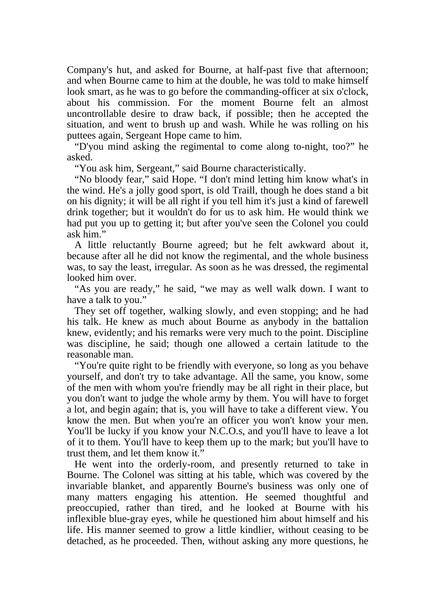Company's hut, and asked for Bourne, at half-past five that afternoon; and when Bourne came to him at the double, he was told to make himself look smart, as he was to go before the commanding-officer at six o'clock, about his commission. For the moment Bourne felt an almost uncontrollable desire to draw back, if possible; then he accepted the situation, and went to brush up and wash. While he was rolling on his puttees again, Sergeant Hope came to him.

 "D'you mind asking the regimental to come along to-night, too?" he asked.

"You ask him, Sergeant," said Bourne characteristically.

 "No bloody fear," said Hope. "I don't mind letting him know what's in the wind. He's a jolly good sport, is old Traill, though he does stand a bit on his dignity; it will be all right if you tell him it's just a kind of farewell drink together; but it wouldn't do for us to ask him. He would think we had put you up to getting it; but after you've seen the Colonel you could ask him."

 A little reluctantly Bourne agreed; but he felt awkward about it, because after all he did not know the regimental, and the whole business was, to say the least, irregular. As soon as he was dressed, the regimental looked him over.

 "As you are ready," he said, "we may as well walk down. I want to have a talk to you."

 They set off together, walking slowly, and even stopping; and he had his talk. He knew as much about Bourne as anybody in the battalion knew, evidently; and his remarks were very much to the point. Discipline was discipline, he said; though one allowed a certain latitude to the reasonable man.

 "You're quite right to be friendly with everyone, so long as you behave yourself, and don't try to take advantage. All the same, you know, some of the men with whom you're friendly may be all right in their place, but you don't want to judge the whole army by them. You will have to forget a lot, and begin again; that is, you will have to take a different view. You know the men. But when you're an officer you won't know your men. You'll be lucky if you know your N.C.O.s, and you'll have to leave a lot of it to them. You'll have to keep them up to the mark; but you'll have to trust them, and let them know it."

 He went into the orderly-room, and presently returned to take in Bourne. The Colonel was sitting at his table, which was covered by the invariable blanket, and apparently Bourne's business was only one of many matters engaging his attention. He seemed thoughtful and preoccupied, rather than tired, and he looked at Bourne with his inflexible blue-gray eyes, while he questioned him about himself and his life. His manner seemed to grow a little kindlier, without ceasing to be detached, as he proceeded. Then, without asking any more questions, he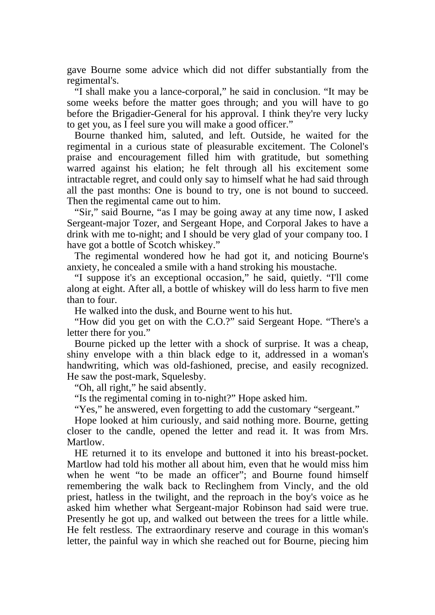gave Bourne some advice which did not differ substantially from the regimental's.

 "I shall make you a lance-corporal," he said in conclusion. "It may be some weeks before the matter goes through; and you will have to go before the Brigadier-General for his approval. I think they're very lucky to get you, as I feel sure you will make a good officer."

 Bourne thanked him, saluted, and left. Outside, he waited for the regimental in a curious state of pleasurable excitement. The Colonel's praise and encouragement filled him with gratitude, but something warred against his elation; he felt through all his excitement some intractable regret, and could only say to himself what he had said through all the past months: One is bound to try, one is not bound to succeed. Then the regimental came out to him.

 "Sir," said Bourne, "as I may be going away at any time now, I asked Sergeant-major Tozer, and Sergeant Hope, and Corporal Jakes to have a drink with me to-night; and I should be very glad of your company too. I have got a bottle of Scotch whiskey."

 The regimental wondered how he had got it, and noticing Bourne's anxiety, he concealed a smile with a hand stroking his moustache.

 "I suppose it's an exceptional occasion," he said, quietly. "I'll come along at eight. After all, a bottle of whiskey will do less harm to five men than to four.

He walked into the dusk, and Bourne went to his hut.

 "How did you get on with the C.O.?" said Sergeant Hope. "There's a letter there for you."

 Bourne picked up the letter with a shock of surprise. It was a cheap, shiny envelope with a thin black edge to it, addressed in a woman's handwriting, which was old-fashioned, precise, and easily recognized. He saw the post-mark, Squelesby.

"Oh, all right," he said absently.

"Is the regimental coming in to-night?" Hope asked him.

"Yes," he answered, even forgetting to add the customary "sergeant."

 Hope looked at him curiously, and said nothing more. Bourne, getting closer to the candle, opened the letter and read it. It was from Mrs. Martlow.

 HE returned it to its envelope and buttoned it into his breast-pocket. Martlow had told his mother all about him, even that he would miss him when he went "to be made an officer"; and Bourne found himself remembering the walk back to Reclinghem from Vincly, and the old priest, hatless in the twilight, and the reproach in the boy's voice as he asked him whether what Sergeant-major Robinson had said were true. Presently he got up, and walked out between the trees for a little while. He felt restless. The extraordinary reserve and courage in this woman's letter, the painful way in which she reached out for Bourne, piecing him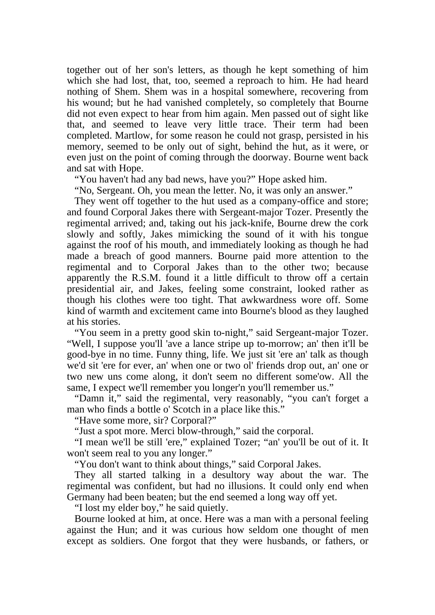together out of her son's letters, as though he kept something of him which she had lost, that, too, seemed a reproach to him. He had heard nothing of Shem. Shem was in a hospital somewhere, recovering from his wound; but he had vanished completely, so completely that Bourne did not even expect to hear from him again. Men passed out of sight like that, and seemed to leave very little trace. Their term had been completed. Martlow, for some reason he could not grasp, persisted in his memory, seemed to be only out of sight, behind the hut, as it were, or even just on the point of coming through the doorway. Bourne went back and sat with Hope.

"You haven't had any bad news, have you?" Hope asked him.

"No, Sergeant. Oh, you mean the letter. No, it was only an answer."

 They went off together to the hut used as a company-office and store; and found Corporal Jakes there with Sergeant-major Tozer. Presently the regimental arrived; and, taking out his jack-knife, Bourne drew the cork slowly and softly, Jakes mimicking the sound of it with his tongue against the roof of his mouth, and immediately looking as though he had made a breach of good manners. Bourne paid more attention to the regimental and to Corporal Jakes than to the other two; because apparently the R.S.M. found it a little difficult to throw off a certain presidential air, and Jakes, feeling some constraint, looked rather as though his clothes were too tight. That awkwardness wore off. Some kind of warmth and excitement came into Bourne's blood as they laughed at his stories.

 "You seem in a pretty good skin to-night," said Sergeant-major Tozer. "Well, I suppose you'll 'ave a lance stripe up to-morrow; an' then it'll be good-bye in no time. Funny thing, life. We just sit 'ere an' talk as though we'd sit 'ere for ever, an' when one or two ol' friends drop out, an' one or two new uns come along, it don't seem no different some'ow. All the same, I expect we'll remember you longer'n you'll remember us."

 "Damn it," said the regimental, very reasonably, "you can't forget a man who finds a bottle o' Scotch in a place like this."

"Have some more, sir? Corporal?"

"Just a spot more. Merci blow-through," said the corporal.

 "I mean we'll be still 'ere," explained Tozer; "an' you'll be out of it. It won't seem real to you any longer."

"You don't want to think about things," said Corporal Jakes.

 They all started talking in a desultory way about the war. The regimental was confident, but had no illusions. It could only end when Germany had been beaten; but the end seemed a long way off yet.

"I lost my elder boy," he said quietly.

 Bourne looked at him, at once. Here was a man with a personal feeling against the Hun; and it was curious how seldom one thought of men except as soldiers. One forgot that they were husbands, or fathers, or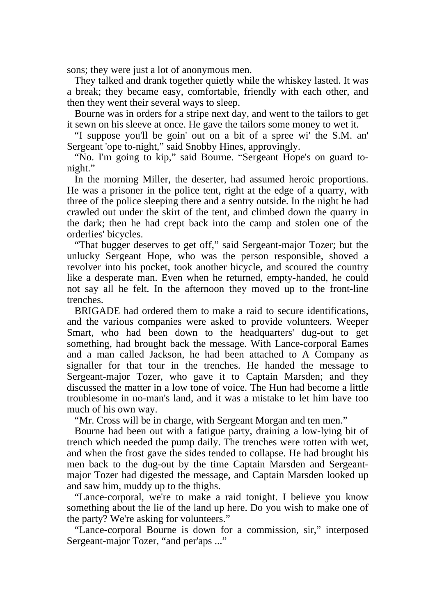sons; they were just a lot of anonymous men.

 They talked and drank together quietly while the whiskey lasted. It was a break; they became easy, comfortable, friendly with each other, and then they went their several ways to sleep.

 Bourne was in orders for a stripe next day, and went to the tailors to get it sewn on his sleeve at once. He gave the tailors some money to wet it.

 "I suppose you'll be goin' out on a bit of a spree wi' the S.M. an' Sergeant 'ope to-night," said Snobby Hines, approvingly.

 "No. I'm going to kip," said Bourne. "Sergeant Hope's on guard tonight."

 In the morning Miller, the deserter, had assumed heroic proportions. He was a prisoner in the police tent, right at the edge of a quarry, with three of the police sleeping there and a sentry outside. In the night he had crawled out under the skirt of the tent, and climbed down the quarry in the dark; then he had crept back into the camp and stolen one of the orderlies' bicycles.

 "That bugger deserves to get off," said Sergeant-major Tozer; but the unlucky Sergeant Hope, who was the person responsible, shoved a revolver into his pocket, took another bicycle, and scoured the country like a desperate man. Even when he returned, empty-handed, he could not say all he felt. In the afternoon they moved up to the front-line trenches.

 BRIGADE had ordered them to make a raid to secure identifications, and the various companies were asked to provide volunteers. Weeper Smart, who had been down to the headquarters' dug-out to get something, had brought back the message. With Lance-corporal Eames and a man called Jackson, he had been attached to A Company as signaller for that tour in the trenches. He handed the message to Sergeant-major Tozer, who gave it to Captain Marsden; and they discussed the matter in a low tone of voice. The Hun had become a little troublesome in no-man's land, and it was a mistake to let him have too much of his own way.

"Mr. Cross will be in charge, with Sergeant Morgan and ten men."

 Bourne had been out with a fatigue party, draining a low-lying bit of trench which needed the pump daily. The trenches were rotten with wet, and when the frost gave the sides tended to collapse. He had brought his men back to the dug-out by the time Captain Marsden and Sergeantmajor Tozer had digested the message, and Captain Marsden looked up and saw him, muddy up to the thighs.

 "Lance-corporal, we're to make a raid tonight. I believe you know something about the lie of the land up here. Do you wish to make one of the party? We're asking for volunteers."

 "Lance-corporal Bourne is down for a commission, sir," interposed Sergeant-major Tozer, "and per'aps ..."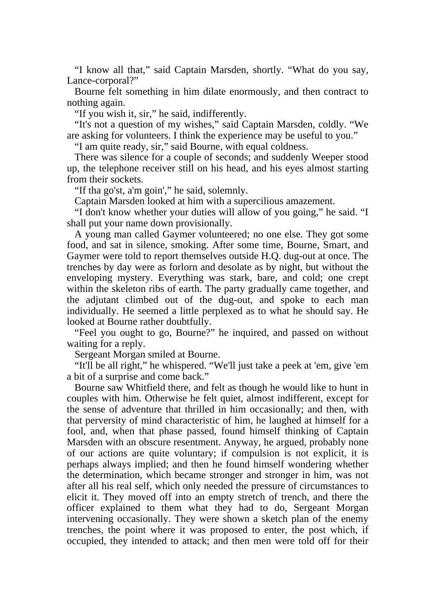"I know all that," said Captain Marsden, shortly. "What do you say, Lance-corporal?"

 Bourne felt something in him dilate enormously, and then contract to nothing again.

"If you wish it, sir," he said, indifferently.

 "It's not a question of my wishes," said Captain Marsden, coldly. "We are asking for volunteers. I think the experience may be useful to you."

"I am quite ready, sir," said Bourne, with equal coldness.

 There was silence for a couple of seconds; and suddenly Weeper stood up, the telephone receiver still on his head, and his eyes almost starting from their sockets.

"If tha go'st, a'm goin'," he said, solemnly.

Captain Marsden looked at him with a supercilious amazement.

 "I don't know whether your duties will allow of you going," he said. "I shall put your name down provisionally.

 A young man called Gaymer volunteered; no one else. They got some food, and sat in silence, smoking. After some time, Bourne, Smart, and Gaymer were told to report themselves outside H.Q. dug-out at once. The trenches by day were as forlorn and desolate as by night, but without the enveloping mystery. Everything was stark, bare, and cold; one crept within the skeleton ribs of earth. The party gradually came together, and the adjutant climbed out of the dug-out, and spoke to each man individually. He seemed a little perplexed as to what he should say. He looked at Bourne rather doubtfully.

 "Feel you ought to go, Bourne?" he inquired, and passed on without waiting for a reply.

Sergeant Morgan smiled at Bourne.

 "It'll be all right," he whispered. "We'll just take a peek at 'em, give 'em a bit of a surprise and come back."

 Bourne saw Whitfield there, and felt as though he would like to hunt in couples with him. Otherwise he felt quiet, almost indifferent, except for the sense of adventure that thrilled in him occasionally; and then, with that perversity of mind characteristic of him, he laughed at himself for a fool, and, when that phase passed, found himself thinking of Captain Marsden with an obscure resentment. Anyway, he argued, probably none of our actions are quite voluntary; if compulsion is not explicit, it is perhaps always implied; and then he found himself wondering whether the determination, which became stronger and stronger in him, was not after all his real self, which only needed the pressure of circumstances to elicit it. They moved off into an empty stretch of trench, and there the officer explained to them what they had to do, Sergeant Morgan intervening occasionally. They were shown a sketch plan of the enemy trenches, the point where it was proposed to enter, the post which, if occupied, they intended to attack; and then men were told off for their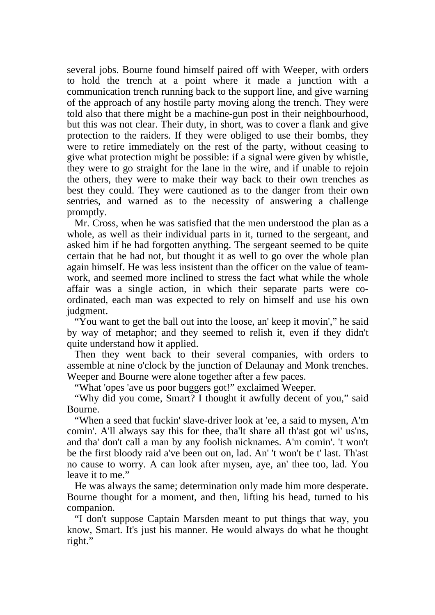several jobs. Bourne found himself paired off with Weeper, with orders to hold the trench at a point where it made a junction with a communication trench running back to the support line, and give warning of the approach of any hostile party moving along the trench. They were told also that there might be a machine-gun post in their neighbourhood, but this was not clear. Their duty, in short, was to cover a flank and give protection to the raiders. If they were obliged to use their bombs, they were to retire immediately on the rest of the party, without ceasing to give what protection might be possible: if a signal were given by whistle, they were to go straight for the lane in the wire, and if unable to rejoin the others, they were to make their way back to their own trenches as best they could. They were cautioned as to the danger from their own sentries, and warned as to the necessity of answering a challenge promptly.

 Mr. Cross, when he was satisfied that the men understood the plan as a whole, as well as their individual parts in it, turned to the sergeant, and asked him if he had forgotten anything. The sergeant seemed to be quite certain that he had not, but thought it as well to go over the whole plan again himself. He was less insistent than the officer on the value of teamwork, and seemed more inclined to stress the fact what while the whole affair was a single action, in which their separate parts were coordinated, each man was expected to rely on himself and use his own judgment.

 "You want to get the ball out into the loose, an' keep it movin'," he said by way of metaphor; and they seemed to relish it, even if they didn't quite understand how it applied.

 Then they went back to their several companies, with orders to assemble at nine o'clock by the junction of Delaunay and Monk trenches. Weeper and Bourne were alone together after a few paces.

"What 'opes 'ave us poor buggers got!" exclaimed Weeper.

 "Why did you come, Smart? I thought it awfully decent of you," said Bourne.

 "When a seed that fuckin' slave-driver look at 'ee, a said to mysen, A'm comin'. A'll always say this for thee, tha'lt share all th'ast got wi' us'ns, and tha' don't call a man by any foolish nicknames. A'm comin'. 't won't be the first bloody raid a've been out on, lad. An' 't won't be t' last. Th'ast no cause to worry. A can look after mysen, aye, an' thee too, lad. You leave it to me."

 He was always the same; determination only made him more desperate. Bourne thought for a moment, and then, lifting his head, turned to his companion.

 "I don't suppose Captain Marsden meant to put things that way, you know, Smart. It's just his manner. He would always do what he thought right."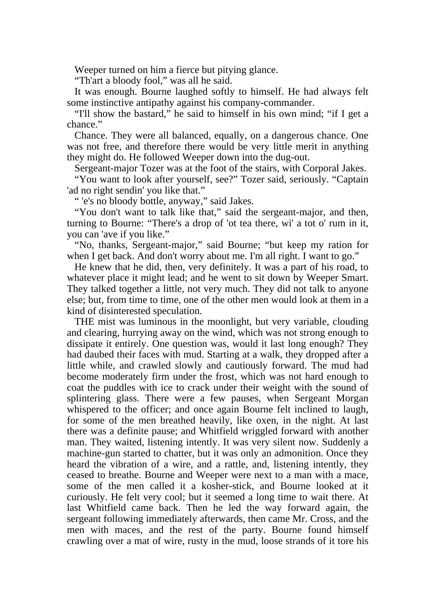Weeper turned on him a fierce but pitying glance.

"Th'art a bloody fool," was all he said.

 It was enough. Bourne laughed softly to himself. He had always felt some instinctive antipathy against his company-commander.

 "I'll show the bastard," he said to himself in his own mind; "if I get a chance."

 Chance. They were all balanced, equally, on a dangerous chance. One was not free, and therefore there would be very little merit in anything they might do. He followed Weeper down into the dug-out.

Sergeant-major Tozer was at the foot of the stairs, with Corporal Jakes.

 "You want to look after yourself, see?" Tozer said, seriously. "Captain 'ad no right sendin' you like that."

" 'e's no bloody bottle, anyway," said Jakes.

 "You don't want to talk like that," said the sergeant-major, and then, turning to Bourne: "There's a drop of 'ot tea there, wi' a tot o' rum in it, you can 'ave if you like."

 "No, thanks, Sergeant-major," said Bourne; "but keep my ration for when I get back. And don't worry about me. I'm all right. I want to go."

 He knew that he did, then, very definitely. It was a part of his road, to whatever place it might lead; and he went to sit down by Weeper Smart. They talked together a little, not very much. They did not talk to anyone else; but, from time to time, one of the other men would look at them in a kind of disinterested speculation.

 THE mist was luminous in the moonlight, but very variable, clouding and clearing, hurrying away on the wind, which was not strong enough to dissipate it entirely. One question was, would it last long enough? They had daubed their faces with mud. Starting at a walk, they dropped after a little while, and crawled slowly and cautiously forward. The mud had become moderately firm under the frost, which was not hard enough to coat the puddles with ice to crack under their weight with the sound of splintering glass. There were a few pauses, when Sergeant Morgan whispered to the officer; and once again Bourne felt inclined to laugh, for some of the men breathed heavily, like oxen, in the night. At last there was a definite pause; and Whitfield wriggled forward with another man. They waited, listening intently. It was very silent now. Suddenly a machine-gun started to chatter, but it was only an admonition. Once they heard the vibration of a wire, and a rattle, and, listening intently, they ceased to breathe. Bourne and Weeper were next to a man with a mace, some of the men called it a kosher-stick, and Bourne looked at it curiously. He felt very cool; but it seemed a long time to wait there. At last Whitfield came back. Then he led the way forward again, the sergeant following immediately afterwards, then came Mr. Cross, and the men with maces, and the rest of the party. Bourne found himself crawling over a mat of wire, rusty in the mud, loose strands of it tore his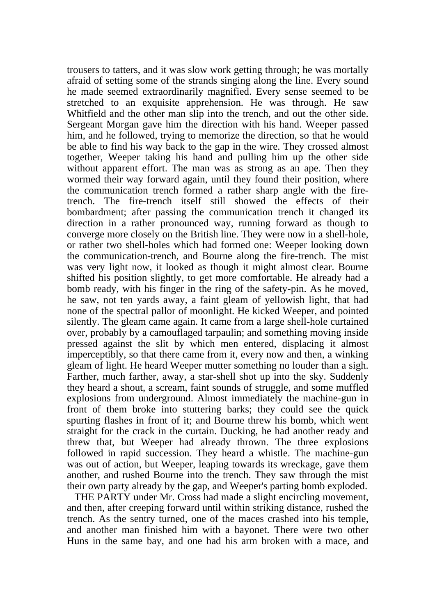trousers to tatters, and it was slow work getting through; he was mortally afraid of setting some of the strands singing along the line. Every sound he made seemed extraordinarily magnified. Every sense seemed to be stretched to an exquisite apprehension. He was through. He saw Whitfield and the other man slip into the trench, and out the other side. Sergeant Morgan gave him the direction with his hand. Weeper passed him, and he followed, trying to memorize the direction, so that he would be able to find his way back to the gap in the wire. They crossed almost together, Weeper taking his hand and pulling him up the other side without apparent effort. The man was as strong as an ape. Then they wormed their way forward again, until they found their position, where the communication trench formed a rather sharp angle with the firetrench. The fire-trench itself still showed the effects of their bombardment; after passing the communication trench it changed its direction in a rather pronounced way, running forward as though to converge more closely on the British line. They were now in a shell-hole, or rather two shell-holes which had formed one: Weeper looking down the communication-trench, and Bourne along the fire-trench. The mist was very light now, it looked as though it might almost clear. Bourne shifted his position slightly, to get more comfortable. He already had a bomb ready, with his finger in the ring of the safety-pin. As he moved, he saw, not ten yards away, a faint gleam of yellowish light, that had none of the spectral pallor of moonlight. He kicked Weeper, and pointed silently. The gleam came again. It came from a large shell-hole curtained over, probably by a camouflaged tarpaulin; and something moving inside pressed against the slit by which men entered, displacing it almost imperceptibly, so that there came from it, every now and then, a winking gleam of light. He heard Weeper mutter something no louder than a sigh. Farther, much farther, away, a star-shell shot up into the sky. Suddenly they heard a shout, a scream, faint sounds of struggle, and some muffled explosions from underground. Almost immediately the machine-gun in front of them broke into stuttering barks; they could see the quick spurting flashes in front of it; and Bourne threw his bomb, which went straight for the crack in the curtain. Ducking, he had another ready and threw that, but Weeper had already thrown. The three explosions followed in rapid succession. They heard a whistle. The machine-gun was out of action, but Weeper, leaping towards its wreckage, gave them another, and rushed Bourne into the trench. They saw through the mist their own party already by the gap, and Weeper's parting bomb exploded.

 THE PARTY under Mr. Cross had made a slight encircling movement, and then, after creeping forward until within striking distance, rushed the trench. As the sentry turned, one of the maces crashed into his temple, and another man finished him with a bayonet. There were two other Huns in the same bay, and one had his arm broken with a mace, and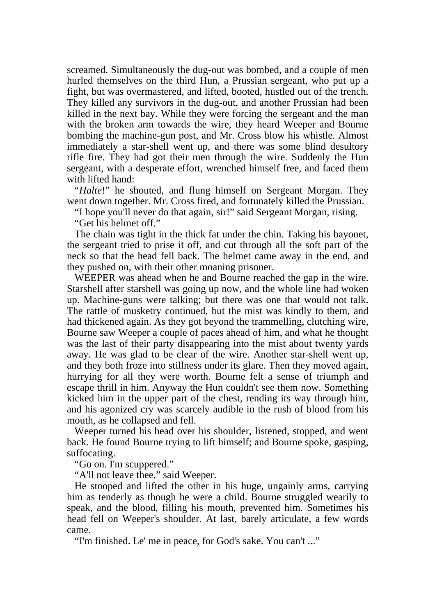screamed. Simultaneously the dug-out was bombed, and a couple of men hurled themselves on the third Hun, a Prussian sergeant, who put up a fight, but was overmastered, and lifted, booted, hustled out of the trench. They killed any survivors in the dug-out, and another Prussian had been killed in the next bay. While they were forcing the sergeant and the man with the broken arm towards the wire, they heard Weeper and Bourne bombing the machine-gun post, and Mr. Cross blow his whistle. Almost immediately a star-shell went up, and there was some blind desultory rifle fire. They had got their men through the wire. Suddenly the Hun sergeant, with a desperate effort, wrenched himself free, and faced them with lifted hand:

 "*Halte*!" he shouted, and flung himself on Sergeant Morgan. They went down together. Mr. Cross fired, and fortunately killed the Prussian.

"I hope you'll never do that again, sir!" said Sergeant Morgan, rising.

"Get his helmet off."

 The chain was tight in the thick fat under the chin. Taking his bayonet, the sergeant tried to prise it off, and cut through all the soft part of the neck so that the head fell back. The helmet came away in the end, and they pushed on, with their other moaning prisoner.

 WEEPER was ahead when he and Bourne reached the gap in the wire. Starshell after starshell was going up now, and the whole line had woken up. Machine-guns were talking; but there was one that would not talk. The rattle of musketry continued, but the mist was kindly to them, and had thickened again. As they got beyond the trammelling, clutching wire, Bourne saw Weeper a couple of paces ahead of him, and what he thought was the last of their party disappearing into the mist about twenty yards away. He was glad to be clear of the wire. Another star-shell went up, and they both froze into stillness under its glare. Then they moved again, hurrying for all they were worth. Bourne felt a sense of triumph and escape thrill in him. Anyway the Hun couldn't see them now. Something kicked him in the upper part of the chest, rending its way through him, and his agonized cry was scarcely audible in the rush of blood from his mouth, as he collapsed and fell.

 Weeper turned his head over his shoulder, listened, stopped, and went back. He found Bourne trying to lift himself; and Bourne spoke, gasping, suffocating.

"Go on. I'm scuppered."

"A'll not leave thee," said Weeper.

 He stooped and lifted the other in his huge, ungainly arms, carrying him as tenderly as though he were a child. Bourne struggled wearily to speak, and the blood, filling his mouth, prevented him. Sometimes his head fell on Weeper's shoulder. At last, barely articulate, a few words came.

"I'm finished. Le' me in peace, for God's sake. You can't ..."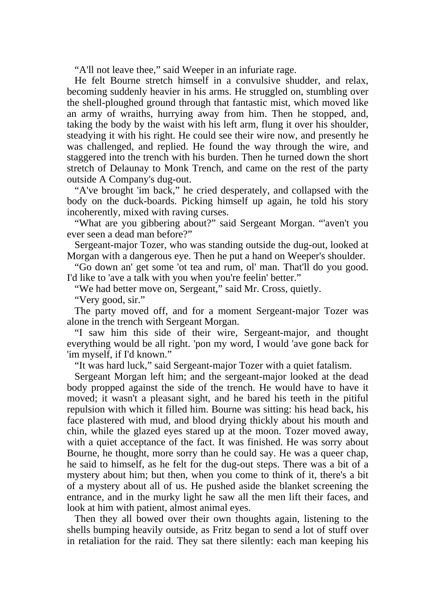"A'll not leave thee," said Weeper in an infuriate rage.

 He felt Bourne stretch himself in a convulsive shudder, and relax, becoming suddenly heavier in his arms. He struggled on, stumbling over the shell-ploughed ground through that fantastic mist, which moved like an army of wraiths, hurrying away from him. Then he stopped, and, taking the body by the waist with his left arm, flung it over his shoulder, steadying it with his right. He could see their wire now, and presently he was challenged, and replied. He found the way through the wire, and staggered into the trench with his burden. Then he turned down the short stretch of Delaunay to Monk Trench, and came on the rest of the party outside A Company's dug-out.

 "A've brought 'im back," he cried desperately, and collapsed with the body on the duck-boards. Picking himself up again, he told his story incoherently, mixed with raving curses.

 "What are you gibbering about?" said Sergeant Morgan. "'aven't you ever seen a dead man before?"

 Sergeant-major Tozer, who was standing outside the dug-out, looked at Morgan with a dangerous eye. Then he put a hand on Weeper's shoulder.

 "Go down an' get some 'ot tea and rum, ol' man. That'll do you good. I'd like to 'ave a talk with you when you're feelin' better."

"We had better move on, Sergeant," said Mr. Cross, quietly.

"Very good, sir."

 The party moved off, and for a moment Sergeant-major Tozer was alone in the trench with Sergeant Morgan.

 "I saw him this side of their wire, Sergeant-major, and thought everything would be all right. 'pon my word, I would 'ave gone back for 'im myself, if I'd known."

"It was hard luck," said Sergeant-major Tozer with a quiet fatalism.

 Sergeant Morgan left him; and the sergeant-major looked at the dead body propped against the side of the trench. He would have to have it moved; it wasn't a pleasant sight, and he bared his teeth in the pitiful repulsion with which it filled him. Bourne was sitting: his head back, his face plastered with mud, and blood drying thickly about his mouth and chin, while the glazed eyes stared up at the moon. Tozer moved away, with a quiet acceptance of the fact. It was finished. He was sorry about Bourne, he thought, more sorry than he could say. He was a queer chap, he said to himself, as he felt for the dug-out steps. There was a bit of a mystery about him; but then, when you come to think of it, there's a bit of a mystery about all of us. He pushed aside the blanket screening the entrance, and in the murky light he saw all the men lift their faces, and look at him with patient, almost animal eyes.

 Then they all bowed over their own thoughts again, listening to the shells bumping heavily outside, as Fritz began to send a lot of stuff over in retaliation for the raid. They sat there silently: each man keeping his